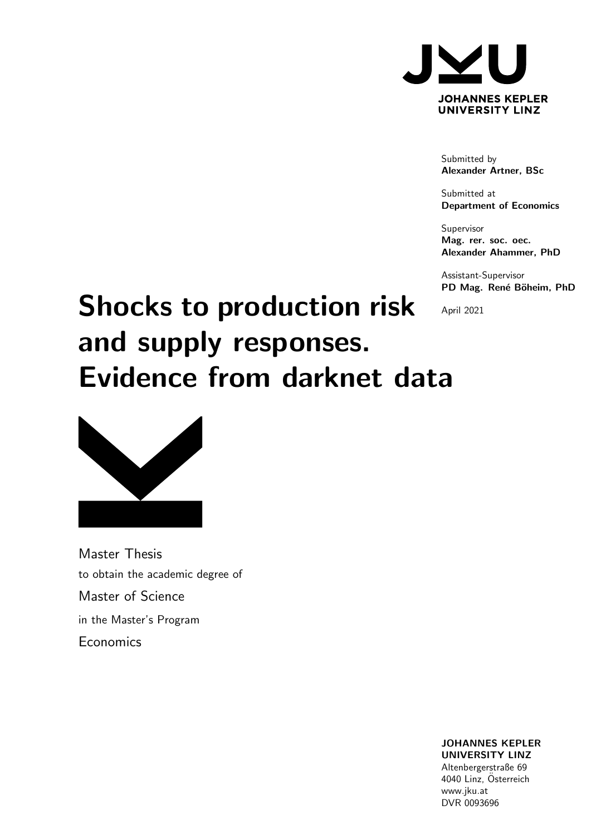

Submitted by Alexander Artner, BSc

Submitted at Department of Economics

Supervisor Mag. rer. soc. oec. Alexander Ahammer, PhD

Assistant-Supervisor PD Mag. René Böheim, PhD

April 2021

# Shocks to production risk and supply responses. Evidence from darknet data



Master Thesis to obtain the academic degree of Master of Science in the Master's Program **Economics** 

> JOHANNES KEPLER UNIVERSITY LINZ Altenbergerstraße 69 4040 Linz, Österreich www.jku.at DVR 0093696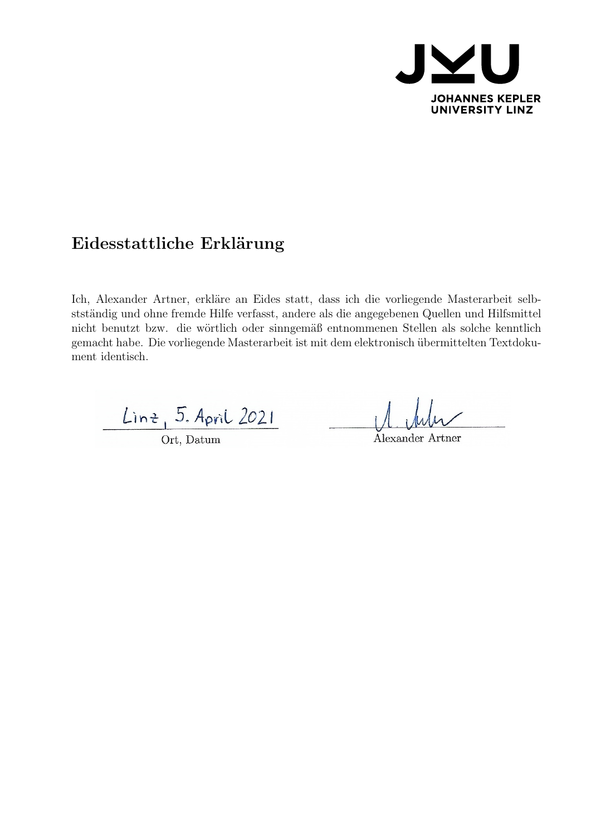

# Eidesstattliche Erklärung

Ich, Alexander Artner, erkläre an Eides statt, dass ich die vorliegende Masterarbeit selbstständig und ohne fremde Hilfe verfasst, andere als die angegebenen Quellen und Hilfsmittel nicht benutzt bzw. die wörtlich oder sinngemäß entnommenen Stellen als solche kenntlich gemacht habe. Die vorliegende Masterarbeit ist mit dem elektronisch übermittelten Textdokument identisch.

Linz, 5. April 2021

Ort, Datum

Alexander Artner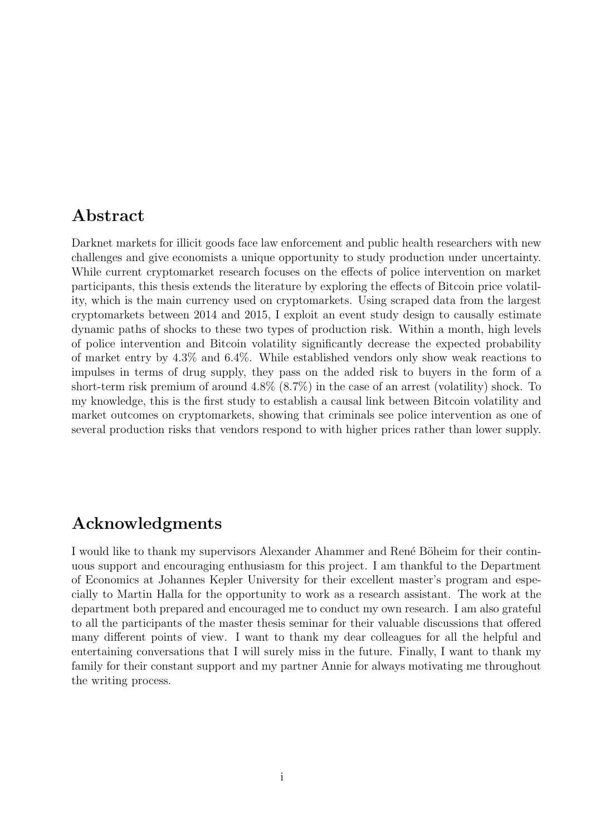# Abstract

Darknet markets for illicit goods face law enforcement and public health researchers with new challenges and give economists a unique opportunity to study production under uncertainty. While current cryptomarket research focuses on the effects of police intervention on market participants, this thesis extends the literature by exploring the effects of Bitcoin price volatility, which is the main currency used on cryptomarkets. Using scraped data from the largest cryptomarkets between 2014 and 2015, I exploit an event study design to causally estimate dynamic paths of shocks to these two types of production risk. Within a month, high levels of police intervention and Bitcoin volatility significantly decrease the expected probability of market entry by 4.3% and 6.4%. While established vendors only show weak reactions to impulses in terms of drug supply, they pass on the added risk to buyers in the form of a short-term risk premium of around 4.8% (8.7%) in the case of an arrest (volatility) shock. To my knowledge, this is the first study to establish a causal link between Bitcoin volatility and market outcomes on cryptomarkets, showing that criminals see police intervention as one of several production risks that vendors respond to with higher prices rather than lower supply.

# Acknowledgments

I would like to thank my supervisors Alexander Ahammer and René Böheim for their continuous support and encouraging enthusiasm for this project. I am thankful to the Department of Economics at Johannes Kepler University for their excellent master's program and especially to Martin Halla for the opportunity to work as a research assistant. The work at the department both prepared and encouraged me to conduct my own research. I am also grateful to all the participants of the master thesis seminar for their valuable discussions that offered many different points of view. I want to thank my dear colleagues for all the helpful and entertaining conversations that I will surely miss in the future. Finally, I want to thank my family for their constant support and my partner Annie for always motivating me throughout the writing process.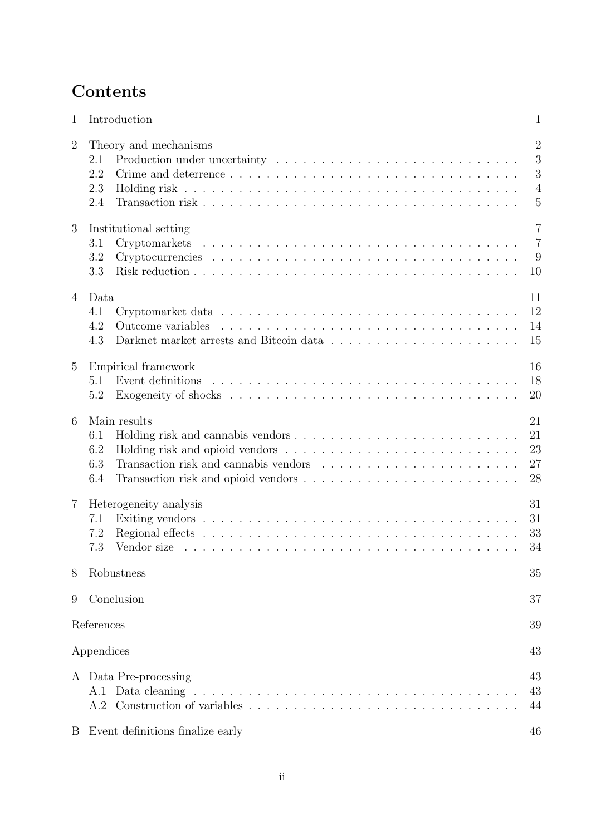# **Contents**

| $\mathbf{1}$   | Introduction                                                                                                                                                                                                                                                              | $\mathbf{1}$                                                 |
|----------------|---------------------------------------------------------------------------------------------------------------------------------------------------------------------------------------------------------------------------------------------------------------------------|--------------------------------------------------------------|
| $\overline{2}$ | Theory and mechanisms<br>2.1<br>2.2<br>2.3<br>2.4                                                                                                                                                                                                                         | $\overline{2}$<br>3<br>3<br>$\overline{4}$<br>$\overline{5}$ |
| 3              | Institutional setting<br>3.1<br>3.2<br>3.3                                                                                                                                                                                                                                | $\overline{7}$<br>$\overline{7}$<br>9<br>10                  |
| $\overline{4}$ | Data<br>4.1<br>4.2<br>4.3                                                                                                                                                                                                                                                 | 11<br>12<br>14<br>15                                         |
| $\overline{5}$ | Empirical framework<br>Event definitions<br>5.1<br>5.2                                                                                                                                                                                                                    | 16<br>18<br>20                                               |
| 6              | Main results<br>6.1<br>6.2<br>Transaction risk and cannabis vendors results in the set of the set of the set of the set of the set of the set of the set of the set of the set of the set of the set of the set of the set of the set of the set of the set<br>6.3<br>6.4 | 21<br>21<br>23<br>27<br>28                                   |
| 7              | Heterogeneity analysis<br>7.1<br>7.2<br>7.3                                                                                                                                                                                                                               | 31<br>31<br>33<br>34                                         |
| 8              | Robustness                                                                                                                                                                                                                                                                | 35                                                           |
| 9              | Conclusion                                                                                                                                                                                                                                                                | 37                                                           |
|                | References                                                                                                                                                                                                                                                                | 39                                                           |
|                | Appendices                                                                                                                                                                                                                                                                | 43                                                           |
|                | A Data Pre-processing<br>A.1<br>A.2                                                                                                                                                                                                                                       | 43<br>43<br>44                                               |
| B              | Event definitions finalize early                                                                                                                                                                                                                                          | 46                                                           |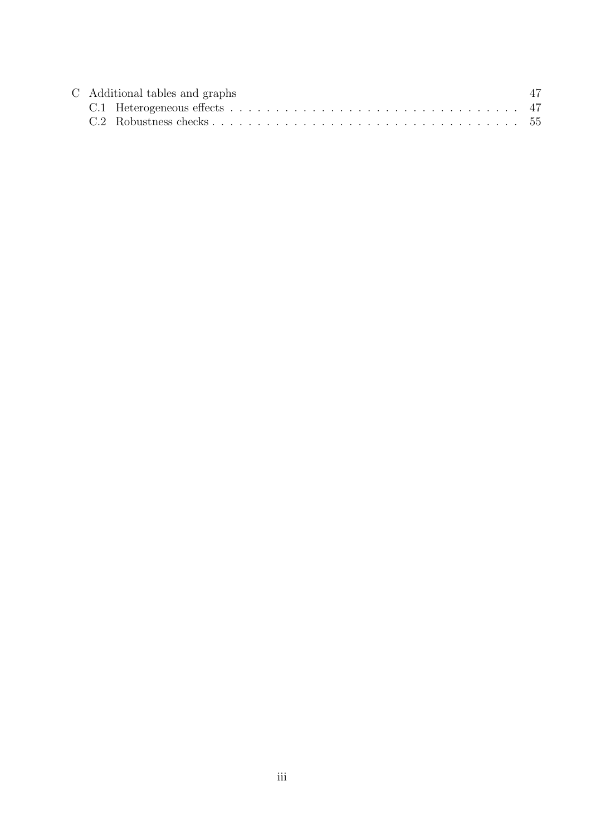| C Additional tables and graphs |  |  |  |  |  |  |  |  |
|--------------------------------|--|--|--|--|--|--|--|--|
|                                |  |  |  |  |  |  |  |  |
|                                |  |  |  |  |  |  |  |  |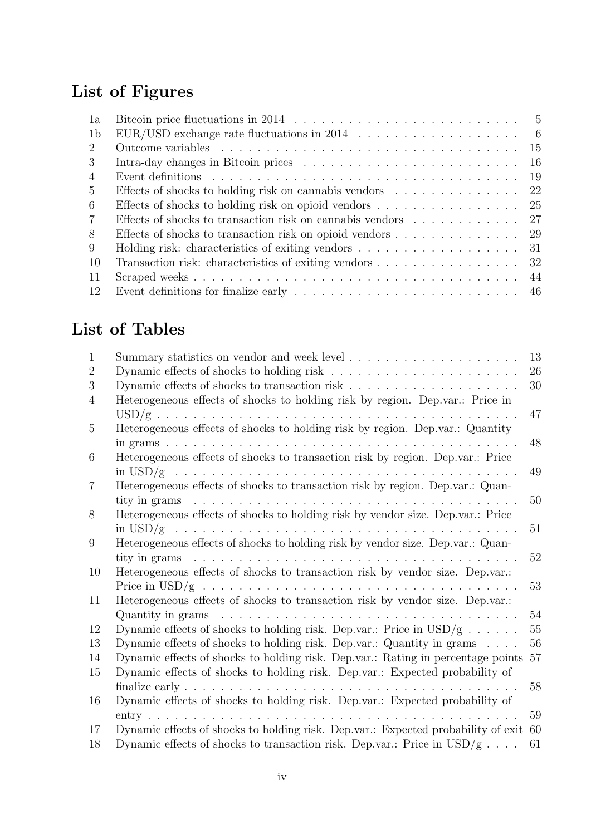# List of Figures

| 1a             | Bitcoin price fluctuations in 2014 $\ldots \ldots \ldots \ldots \ldots \ldots \ldots \ldots \ldots \ldots 5$                                 |
|----------------|----------------------------------------------------------------------------------------------------------------------------------------------|
| 1b             | EUR/USD exchange rate fluctuations in 2014 $\ldots \ldots \ldots \ldots \ldots \ldots$                                                       |
| 2              |                                                                                                                                              |
| 3              | -16                                                                                                                                          |
| $\overline{4}$ | -19<br>Event definitions $\ldots \ldots \ldots \ldots \ldots \ldots \ldots \ldots \ldots \ldots \ldots$                                      |
| $\overline{5}$ | Effects of shocks to holding risk on cannabis vendors<br>-22                                                                                 |
| 6              | Effects of shocks to holding risk on opioid vendors $\dots \dots \dots \dots \dots \dots \dots$ 25                                           |
| 7              |                                                                                                                                              |
| 8              |                                                                                                                                              |
| 9              | Holding risk: characteristics of exiting vendors $\dots \dots \dots \dots \dots \dots \dots \dots$                                           |
| 10             | Transaction risk: characteristics of exiting vendors 32                                                                                      |
| -11            |                                                                                                                                              |
| 12             | Event definitions for finalize early $\dots \dots \dots \dots \dots \dots \dots \dots \dots \dots \dots \dots \dots \dots \dots \dots \dots$ |

# List of Tables

| 1              |                                                                                                                                                                                                                                                | 13 |
|----------------|------------------------------------------------------------------------------------------------------------------------------------------------------------------------------------------------------------------------------------------------|----|
| $\overline{2}$ | Dynamic effects of shocks to holding risk $\ldots \ldots \ldots \ldots \ldots \ldots \ldots$                                                                                                                                                   | 26 |
| 3              |                                                                                                                                                                                                                                                | 30 |
| 4              | Heterogeneous effects of shocks to holding risk by region. Dep.var.: Price in                                                                                                                                                                  |    |
|                |                                                                                                                                                                                                                                                | 47 |
| 5              | Heterogeneous effects of shocks to holding risk by region. Dep.var.: Quantity                                                                                                                                                                  |    |
|                |                                                                                                                                                                                                                                                | 48 |
| 6              | Heterogeneous effects of shocks to transaction risk by region. Dep.var.: Price                                                                                                                                                                 | 49 |
| 7              | Heterogeneous effects of shocks to transaction risk by region. Dep.var.: Quan-                                                                                                                                                                 |    |
|                | tity in grams<br>and a construction of the construction of the construction of the construction of the construction of the construction of the construction of the construction of the construction of the construction of the construction of | 50 |
| 8              | Heterogeneous effects of shocks to holding risk by vendor size. Dep.var.: Price                                                                                                                                                                |    |
|                |                                                                                                                                                                                                                                                | 51 |
| 9              | Heterogeneous effects of shocks to holding risk by vendor size. Dep.var.: Quan-                                                                                                                                                                |    |
|                |                                                                                                                                                                                                                                                | 52 |
| 10             | Heterogeneous effects of shocks to transaction risk by vendor size. Dep.var.:                                                                                                                                                                  |    |
|                | Price in $\text{USD}/g \ldots \ldots \ldots \ldots \ldots \ldots \ldots \ldots \ldots \ldots \ldots \ldots$                                                                                                                                    | 53 |
| 11             | Heterogeneous effects of shocks to transaction risk by vendor size. Dep.var.:                                                                                                                                                                  |    |
|                | Quantity in grams $\ldots \ldots \ldots \ldots \ldots \ldots \ldots \ldots \ldots \ldots \ldots \ldots \ldots$                                                                                                                                 | 54 |
| 12             | Dynamic effects of shocks to holding risk. Dep.var.: Price in $\text{USD/g}$                                                                                                                                                                   | 55 |
| 13             | Dynamic effects of shocks to holding risk. Dep.var.: Quantity in grams                                                                                                                                                                         | 56 |
| 14             | Dynamic effects of shocks to holding risk. Dep.var.: Rating in percentage points                                                                                                                                                               | 57 |
| 15             | Dynamic effects of shocks to holding risk. Dep.var.: Expected probability of                                                                                                                                                                   |    |
|                |                                                                                                                                                                                                                                                | 58 |
| 16             | Dynamic effects of shocks to holding risk. Dep.var.: Expected probability of                                                                                                                                                                   |    |
|                |                                                                                                                                                                                                                                                | 59 |
| 17             | Dynamic effects of shocks to holding risk. Dep.var.: Expected probability of exit                                                                                                                                                              | 60 |
| 18             | Dynamic effects of shocks to transaction risk. Dep.var.: Price in $\text{USD/g}$                                                                                                                                                               | 61 |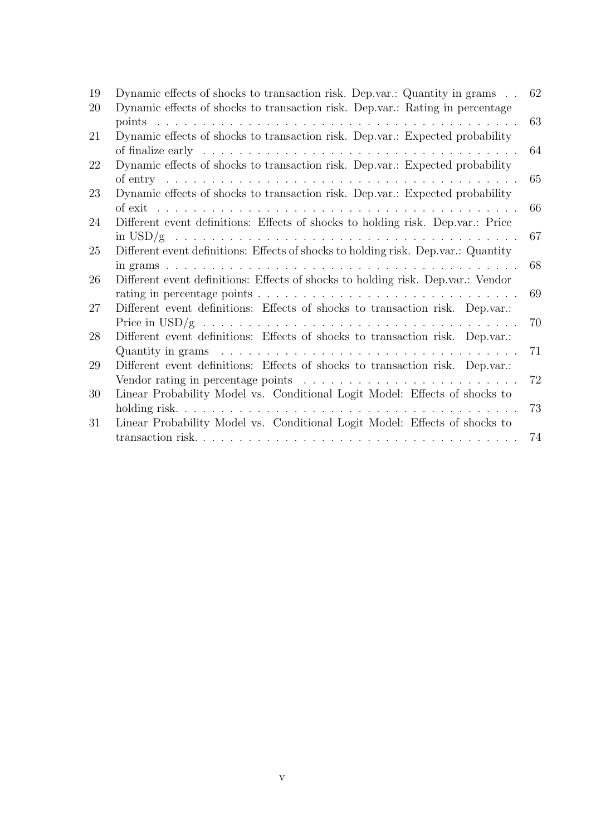| 19 | Dynamic effects of shocks to transaction risk. Dep.var.: Quantity in grams                                  | 62 |
|----|-------------------------------------------------------------------------------------------------------------|----|
| 20 | Dynamic effects of shocks to transaction risk. Dep.var.: Rating in percentage                               |    |
|    |                                                                                                             | 63 |
| 21 | Dynamic effects of shocks to transaction risk. Dep.var.: Expected probability                               |    |
|    |                                                                                                             | 64 |
| 22 | Dynamic effects of shocks to transaction risk. Dep.var.: Expected probability                               |    |
|    |                                                                                                             | 65 |
| 23 | Dynamic effects of shocks to transaction risk. Dep.var.: Expected probability                               |    |
|    |                                                                                                             | 66 |
| 24 | Different event definitions: Effects of shocks to holding risk. Dep.var.: Price                             |    |
|    |                                                                                                             | 67 |
| 25 | Different event definitions: Effects of shocks to holding risk. Dep.var.: Quantity                          |    |
|    |                                                                                                             | 68 |
| 26 | Different event definitions: Effects of shocks to holding risk. Dep.var.: Vendor                            |    |
|    |                                                                                                             | 69 |
| 27 | Different event definitions: Effects of shocks to transaction risk. Dep.var.:                               |    |
|    | Price in $\text{USD}/g \ldots \ldots \ldots \ldots \ldots \ldots \ldots \ldots \ldots \ldots \ldots \ldots$ | 70 |
| 28 | Different event definitions: Effects of shocks to transaction risk. Dep.var.:                               |    |
|    | Quantity in grams $\ldots \ldots \ldots \ldots \ldots \ldots \ldots \ldots \ldots \ldots \ldots \ldots$     | 71 |
| 29 | Different event definitions: Effects of shocks to transaction risk. Dep.var.:                               |    |
|    | Vendor rating in percentage points $\ldots \ldots \ldots \ldots \ldots \ldots \ldots \ldots$                | 72 |
| 30 | Linear Probability Model vs. Conditional Logit Model: Effects of shocks to                                  |    |
|    |                                                                                                             | 73 |
| 31 | Linear Probability Model vs. Conditional Logit Model: Effects of shocks to                                  |    |
|    |                                                                                                             | 74 |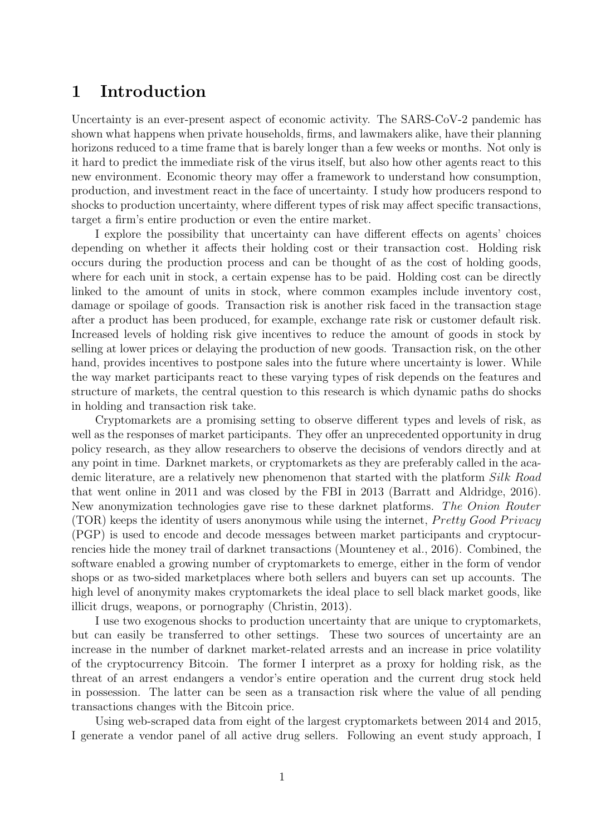# <span id="page-7-0"></span>1 Introduction

Uncertainty is an ever-present aspect of economic activity. The SARS-CoV-2 pandemic has shown what happens when private households, firms, and lawmakers alike, have their planning horizons reduced to a time frame that is barely longer than a few weeks or months. Not only is it hard to predict the immediate risk of the virus itself, but also how other agents react to this new environment. Economic theory may offer a framework to understand how consumption, production, and investment react in the face of uncertainty. I study how producers respond to shocks to production uncertainty, where different types of risk may affect specific transactions, target a firm's entire production or even the entire market.

I explore the possibility that uncertainty can have different effects on agents' choices depending on whether it affects their holding cost or their transaction cost. Holding risk occurs during the production process and can be thought of as the cost of holding goods, where for each unit in stock, a certain expense has to be paid. Holding cost can be directly linked to the amount of units in stock, where common examples include inventory cost, damage or spoilage of goods. Transaction risk is another risk faced in the transaction stage after a product has been produced, for example, exchange rate risk or customer default risk. Increased levels of holding risk give incentives to reduce the amount of goods in stock by selling at lower prices or delaying the production of new goods. Transaction risk, on the other hand, provides incentives to postpone sales into the future where uncertainty is lower. While the way market participants react to these varying types of risk depends on the features and structure of markets, the central question to this research is which dynamic paths do shocks in holding and transaction risk take.

Cryptomarkets are a promising setting to observe different types and levels of risk, as well as the responses of market participants. They offer an unprecedented opportunity in drug policy research, as they allow researchers to observe the decisions of vendors directly and at any point in time. Darknet markets, or cryptomarkets as they are preferably called in the academic literature, are a relatively new phenomenon that started with the platform Silk Road that went online in 2011 and was closed by the FBI in 2013 [\(Barratt and Aldridge, 2016\)](#page-45-0). New anonymization technologies gave rise to these darknet platforms. The Onion Router (TOR) keeps the identity of users anonymous while using the internet,  $P^{\prime}$ retty Good Privacy (PGP) is used to encode and decode messages between market participants and cryptocurrencies hide the money trail of darknet transactions [\(Mounteney et al., 2016\)](#page-47-0). Combined, the software enabled a growing number of cryptomarkets to emerge, either in the form of vendor shops or as two-sided marketplaces where both sellers and buyers can set up accounts. The high level of anonymity makes cryptomarkets the ideal place to sell black market goods, like illicit drugs, weapons, or pornography [\(Christin, 2013\)](#page-45-1).

I use two exogenous shocks to production uncertainty that are unique to cryptomarkets, but can easily be transferred to other settings. These two sources of uncertainty are an increase in the number of darknet market-related arrests and an increase in price volatility of the cryptocurrency Bitcoin. The former I interpret as a proxy for holding risk, as the threat of an arrest endangers a vendor's entire operation and the current drug stock held in possession. The latter can be seen as a transaction risk where the value of all pending transactions changes with the Bitcoin price.

Using web-scraped data from eight of the largest cryptomarkets between 2014 and 2015, I generate a vendor panel of all active drug sellers. Following an event study approach, I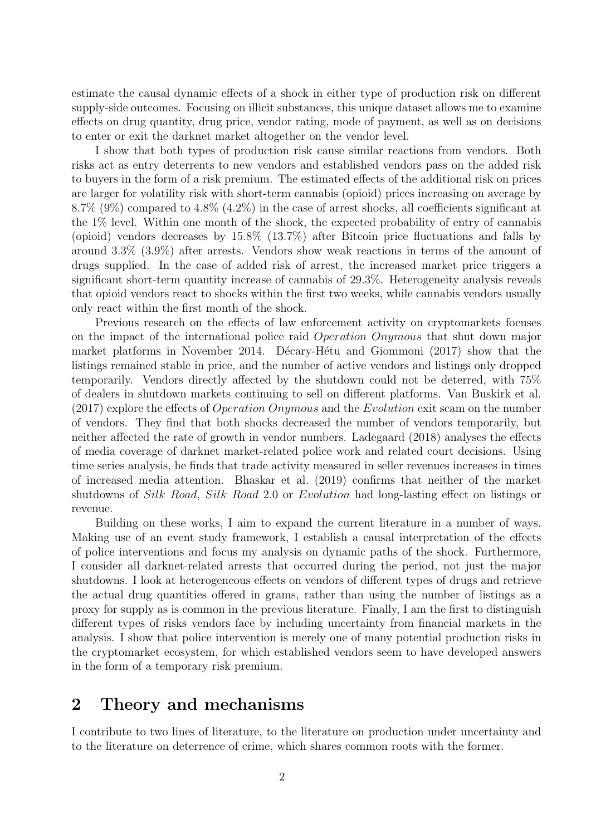estimate the causal dynamic effects of a shock in either type of production risk on different supply-side outcomes. Focusing on illicit substances, this unique dataset allows me to examine effects on drug quantity, drug price, vendor rating, mode of payment, as well as on decisions to enter or exit the darknet market altogether on the vendor level.

I show that both types of production risk cause similar reactions from vendors. Both risks act as entry deterrents to new vendors and established vendors pass on the added risk to buyers in the form of a risk premium. The estimated effects of the additional risk on prices are larger for volatility risk with short-term cannabis (opioid) prices increasing on average by 8.7% (9%) compared to 4.8% (4.2%) in the case of arrest shocks, all coefficients significant at the 1% level. Within one month of the shock, the expected probability of entry of cannabis (opioid) vendors decreases by 15.8% (13.7%) after Bitcoin price fluctuations and falls by around 3.3% (3.9%) after arrests. Vendors show weak reactions in terms of the amount of drugs supplied. In the case of added risk of arrest, the increased market price triggers a significant short-term quantity increase of cannabis of 29.3%. Heterogeneity analysis reveals that opioid vendors react to shocks within the first two weeks, while cannabis vendors usually only react within the first month of the shock.

Previous research on the effects of law enforcement activity on cryptomarkets focuses on the impact of the international police raid Operation Onymous that shut down major market platforms in November 2014. Décary-Hétu and Giommoni [\(2017\)](#page-46-0) show that the listings remained stable in price, and the number of active vendors and listings only dropped temporarily. Vendors directly affected by the shutdown could not be deterred, with 75% of dealers in shutdown markets continuing to sell on different platforms. [Van Buskirk et al.](#page-48-0)  $(2017)$  explore the effects of *Operation Onymous* and the *Evolution* exit scam on the number of vendors. They find that both shocks decreased the number of vendors temporarily, but neither affected the rate of growth in vendor numbers. [Ladegaard](#page-47-1) [\(2018\)](#page-47-1) analyses the effects of media coverage of darknet market-related police work and related court decisions. Using time series analysis, he finds that trade activity measured in seller revenues increases in times of increased media attention. [Bhaskar et al.](#page-45-2) [\(2019\)](#page-45-2) confirms that neither of the market shutdowns of Silk Road, Silk Road 2.0 or Evolution had long-lasting effect on listings or revenue.

Building on these works, I aim to expand the current literature in a number of ways. Making use of an event study framework, I establish a causal interpretation of the effects of police interventions and focus my analysis on dynamic paths of the shock. Furthermore, I consider all darknet-related arrests that occurred during the period, not just the major shutdowns. I look at heterogeneous effects on vendors of different types of drugs and retrieve the actual drug quantities offered in grams, rather than using the number of listings as a proxy for supply as is common in the previous literature. Finally, I am the first to distinguish different types of risks vendors face by including uncertainty from financial markets in the analysis. I show that police intervention is merely one of many potential production risks in the cryptomarket ecosystem, for which established vendors seem to have developed answers in the form of a temporary risk premium.

### <span id="page-8-0"></span>2 Theory and mechanisms

I contribute to two lines of literature, to the literature on production under uncertainty and to the literature on deterrence of crime, which shares common roots with the former.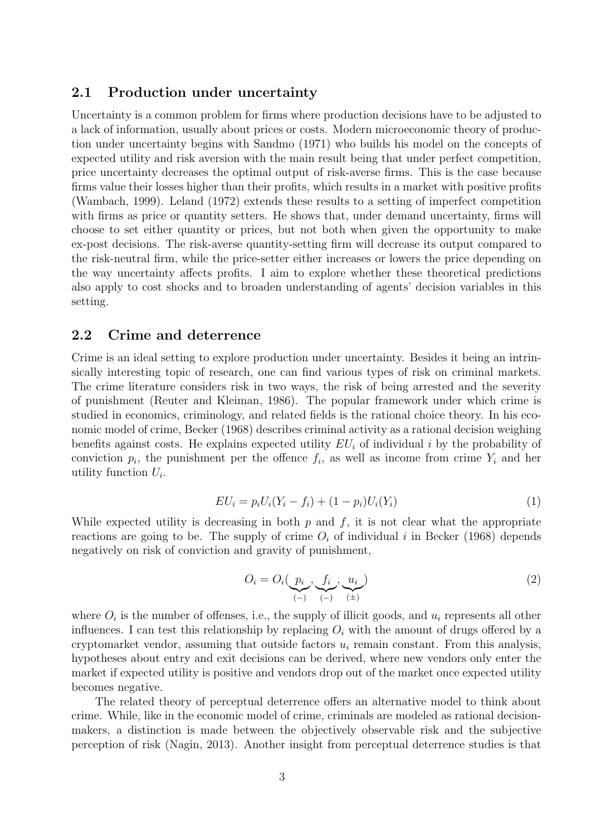#### <span id="page-9-0"></span>2.1 Production under uncertainty

Uncertainty is a common problem for firms where production decisions have to be adjusted to a lack of information, usually about prices or costs. Modern microeconomic theory of production under uncertainty begins with [Sandmo](#page-48-1) [\(1971\)](#page-48-1) who builds his model on the concepts of expected utility and risk aversion with the main result being that under perfect competition, price uncertainty decreases the optimal output of risk-averse firms. This is the case because firms value their losses higher than their profits, which results in a market with positive profits [\(Wambach, 1999\)](#page-48-2). [Leland](#page-47-2) [\(1972\)](#page-47-2) extends these results to a setting of imperfect competition with firms as price or quantity setters. He shows that, under demand uncertainty, firms will choose to set either quantity or prices, but not both when given the opportunity to make ex-post decisions. The risk-averse quantity-setting firm will decrease its output compared to the risk-neutral firm, while the price-setter either increases or lowers the price depending on the way uncertainty affects profits. I aim to explore whether these theoretical predictions also apply to cost shocks and to broaden understanding of agents' decision variables in this setting.

#### <span id="page-9-1"></span>2.2 Crime and deterrence

Crime is an ideal setting to explore production under uncertainty. Besides it being an intrinsically interesting topic of research, one can find various types of risk on criminal markets. The crime literature considers risk in two ways, the risk of being arrested and the severity of punishment [\(Reuter and Kleiman, 1986\)](#page-48-3). The popular framework under which crime is studied in economics, criminology, and related fields is the rational choice theory. In his economic model of crime, [Becker](#page-45-3) [\(1968\)](#page-45-3) describes criminal activity as a rational decision weighing benefits against costs. He explains expected utility  $EU_i$  of individual i by the probability of conviction  $p_i$ , the punishment per the offence  $f_i$ , as well as income from crime  $Y_i$  and her utility function  $U_i$ .

<span id="page-9-2"></span>
$$
EU_i = p_i U_i (Y_i - f_i) + (1 - p_i) U_i (Y_i)
$$
\n(1)

While expected utility is decreasing in both  $p$  and  $f$ , it is not clear what the appropriate reactions are going to be. The supply of crime  $O_i$  of individual i in [Becker](#page-45-3) [\(1968\)](#page-45-3) depends negatively on risk of conviction and gravity of punishment,

<span id="page-9-3"></span>
$$
O_i = O_i(\underbrace{p_i}_{(-)}, \underbrace{f_i}_{(-)}, \underbrace{u_i}_{(\pm)})
$$
\n<sup>(2)</sup>

where  $O_i$  is the number of offenses, i.e., the supply of illicit goods, and  $u_i$  represents all other influences. I can test this relationship by replacing  $O_i$  with the amount of drugs offered by a cryptomarket vendor, assuming that outside factors  $u_i$  remain constant. From this analysis, hypotheses about entry and exit decisions can be derived, where new vendors only enter the market if expected utility is positive and vendors drop out of the market once expected utility becomes negative.

The related theory of perceptual deterrence offers an alternative model to think about crime. While, like in the economic model of crime, criminals are modeled as rational decisionmakers, a distinction is made between the objectively observable risk and the subjective perception of risk [\(Nagin, 2013\)](#page-48-4). Another insight from perceptual deterrence studies is that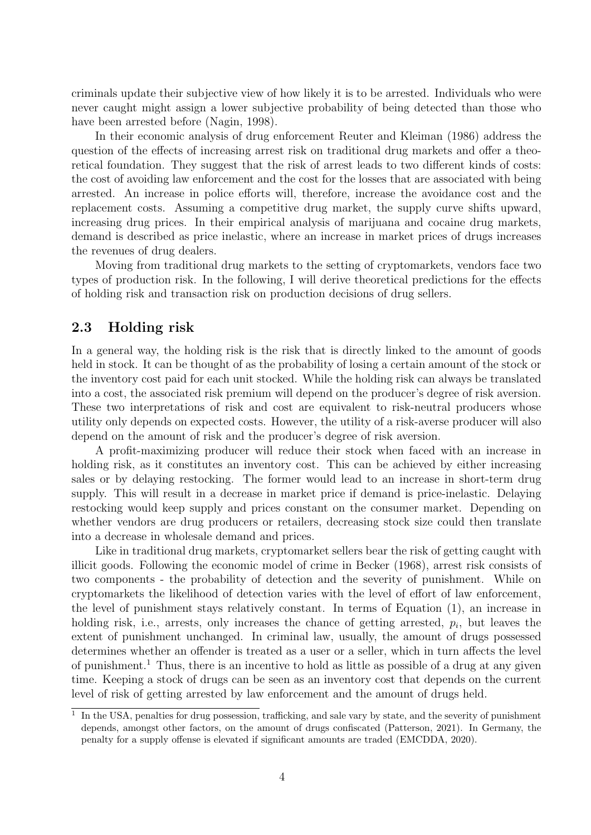criminals update their subjective view of how likely it is to be arrested. Individuals who were never caught might assign a lower subjective probability of being detected than those who have been arrested before [\(Nagin, 1998\)](#page-48-5).

In their economic analysis of drug enforcement [Reuter and Kleiman](#page-48-3) [\(1986\)](#page-48-3) address the question of the effects of increasing arrest risk on traditional drug markets and offer a theoretical foundation. They suggest that the risk of arrest leads to two different kinds of costs: the cost of avoiding law enforcement and the cost for the losses that are associated with being arrested. An increase in police efforts will, therefore, increase the avoidance cost and the replacement costs. Assuming a competitive drug market, the supply curve shifts upward, increasing drug prices. In their empirical analysis of marijuana and cocaine drug markets, demand is described as price inelastic, where an increase in market prices of drugs increases the revenues of drug dealers.

Moving from traditional drug markets to the setting of cryptomarkets, vendors face two types of production risk. In the following, I will derive theoretical predictions for the effects of holding risk and transaction risk on production decisions of drug sellers.

#### <span id="page-10-0"></span>2.3 Holding risk

In a general way, the holding risk is the risk that is directly linked to the amount of goods held in stock. It can be thought of as the probability of losing a certain amount of the stock or the inventory cost paid for each unit stocked. While the holding risk can always be translated into a cost, the associated risk premium will depend on the producer's degree of risk aversion. These two interpretations of risk and cost are equivalent to risk-neutral producers whose utility only depends on expected costs. However, the utility of a risk-averse producer will also depend on the amount of risk and the producer's degree of risk aversion.

A profit-maximizing producer will reduce their stock when faced with an increase in holding risk, as it constitutes an inventory cost. This can be achieved by either increasing sales or by delaying restocking. The former would lead to an increase in short-term drug supply. This will result in a decrease in market price if demand is price-inelastic. Delaying restocking would keep supply and prices constant on the consumer market. Depending on whether vendors are drug producers or retailers, decreasing stock size could then translate into a decrease in wholesale demand and prices.

Like in traditional drug markets, cryptomarket sellers bear the risk of getting caught with illicit goods. Following the economic model of crime in [Becker](#page-45-3) [\(1968\)](#page-45-3), arrest risk consists of two components - the probability of detection and the severity of punishment. While on cryptomarkets the likelihood of detection varies with the level of effort of law enforcement, the level of punishment stays relatively constant. In terms of Equation [\(1\)](#page-9-2), an increase in holding risk, i.e., arrests, only increases the chance of getting arrested,  $p_i$ , but leaves the extent of punishment unchanged. In criminal law, usually, the amount of drugs possessed determines whether an offender is treated as a user or a seller, which in turn affects the level of punishment.[1](#page-10-1) Thus, there is an incentive to hold as little as possible of a drug at any given time. Keeping a stock of drugs can be seen as an inventory cost that depends on the current level of risk of getting arrested by law enforcement and the amount of drugs held.

<span id="page-10-1"></span><sup>&</sup>lt;sup>1</sup> In the USA, penalties for drug possession, trafficking, and sale vary by state, and the severity of punishment depends, amongst other factors, on the amount of drugs confiscated [\(Patterson, 2021\)](#page-48-6). In Germany, the penalty for a supply offense is elevated if significant amounts are traded [\(EMCDDA, 2020\)](#page-46-1).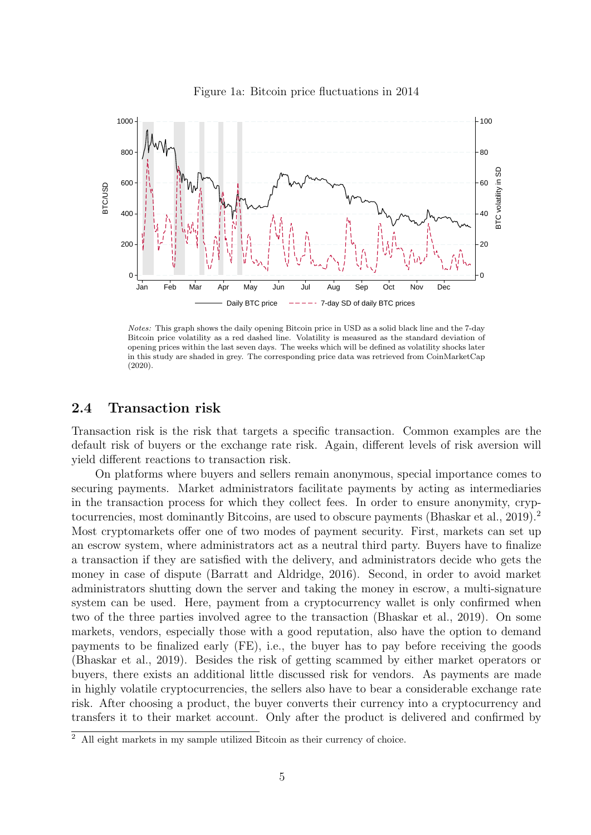<span id="page-11-1"></span>

Figure 1a: Bitcoin price fluctuations in 2014

Notes: This graph shows the daily opening Bitcoin price in USD as a solid black line and the 7-day Bitcoin price volatility as a red dashed line. Volatility is measured as the standard deviation of opening prices within the last seven days. The weeks which will be defined as volatility shocks later in this study are shaded in grey. The corresponding price data was retrieved from [CoinMarketCap](#page-45-4) [\(2020\)](#page-45-4).

#### <span id="page-11-0"></span>2.4 Transaction risk

Transaction risk is the risk that targets a specific transaction. Common examples are the default risk of buyers or the exchange rate risk. Again, different levels of risk aversion will yield different reactions to transaction risk.

On platforms where buyers and sellers remain anonymous, special importance comes to securing payments. Market administrators facilitate payments by acting as intermediaries in the transaction process for which they collect fees. In order to ensure anonymity, cryp-tocurrencies, most dominantly Bitcoins, are used to obscure payments [\(Bhaskar et al., 2019\)](#page-45-2).<sup>[2](#page-11-2)</sup> Most cryptomarkets offer one of two modes of payment security. First, markets can set up an escrow system, where administrators act as a neutral third party. Buyers have to finalize a transaction if they are satisfied with the delivery, and administrators decide who gets the money in case of dispute [\(Barratt and Aldridge, 2016\)](#page-45-0). Second, in order to avoid market administrators shutting down the server and taking the money in escrow, a multi-signature system can be used. Here, payment from a cryptocurrency wallet is only confirmed when two of the three parties involved agree to the transaction [\(Bhaskar et al., 2019\)](#page-45-2). On some markets, vendors, especially those with a good reputation, also have the option to demand payments to be finalized early (FE), i.e., the buyer has to pay before receiving the goods [\(Bhaskar et al., 2019\)](#page-45-2). Besides the risk of getting scammed by either market operators or buyers, there exists an additional little discussed risk for vendors. As payments are made in highly volatile cryptocurrencies, the sellers also have to bear a considerable exchange rate risk. After choosing a product, the buyer converts their currency into a cryptocurrency and transfers it to their market account. Only after the product is delivered and confirmed by

<span id="page-11-2"></span><sup>&</sup>lt;sup>2</sup> All eight markets in my sample utilized Bitcoin as their currency of choice.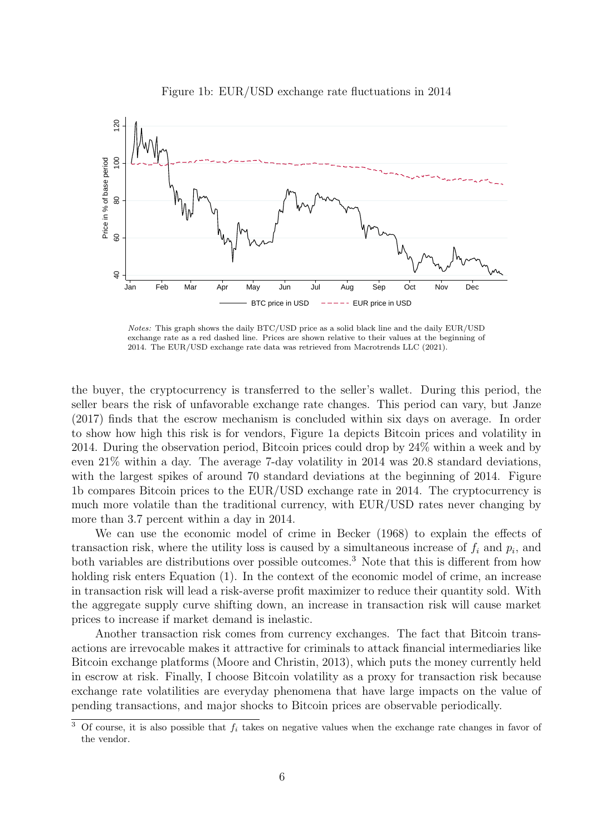<span id="page-12-0"></span>

Figure 1b: EUR/USD exchange rate fluctuations in 2014

Notes: This graph shows the daily BTC/USD price as a solid black line and the daily EUR/USD exchange rate as a red dashed line. Prices are shown relative to their values at the beginning of 2014. The EUR/USD exchange rate data was retrieved from [Macrotrends LLC](#page-47-3) [\(2021\)](#page-47-3).

the buyer, the cryptocurrency is transferred to the seller's wallet. During this period, the seller bears the risk of unfavorable exchange rate changes. This period can vary, but [Janze](#page-47-4) [\(2017\)](#page-47-4) finds that the escrow mechanism is concluded within six days on average. In order to show how high this risk is for vendors, Figure [1a](#page-11-1) depicts Bitcoin prices and volatility in 2014. During the observation period, Bitcoin prices could drop by 24% within a week and by even 21% within a day. The average 7-day volatility in 2014 was 20.8 standard deviations, with the largest spikes of around 70 standard deviations at the beginning of 2014. Figure [1b](#page-12-0) compares Bitcoin prices to the EUR/USD exchange rate in 2014. The cryptocurrency is much more volatile than the traditional currency, with EUR/USD rates never changing by more than 3.7 percent within a day in 2014.

We can use the economic model of crime in [Becker](#page-45-3) [\(1968\)](#page-45-3) to explain the effects of transaction risk, where the utility loss is caused by a simultaneous increase of  $f_i$  and  $p_i$ , and both variables are distributions over possible outcomes.<sup>[3](#page-12-1)</sup> Note that this is different from how holding risk enters Equation [\(1\)](#page-9-2). In the context of the economic model of crime, an increase in transaction risk will lead a risk-averse profit maximizer to reduce their quantity sold. With the aggregate supply curve shifting down, an increase in transaction risk will cause market prices to increase if market demand is inelastic.

Another transaction risk comes from currency exchanges. The fact that Bitcoin transactions are irrevocable makes it attractive for criminals to attack financial intermediaries like Bitcoin exchange platforms [\(Moore and Christin, 2013\)](#page-47-5), which puts the money currently held in escrow at risk. Finally, I choose Bitcoin volatility as a proxy for transaction risk because exchange rate volatilities are everyday phenomena that have large impacts on the value of pending transactions, and major shocks to Bitcoin prices are observable periodically.

<span id="page-12-1"></span> $\frac{3}{3}$  Of course, it is also possible that  $f_i$  takes on negative values when the exchange rate changes in favor of the vendor.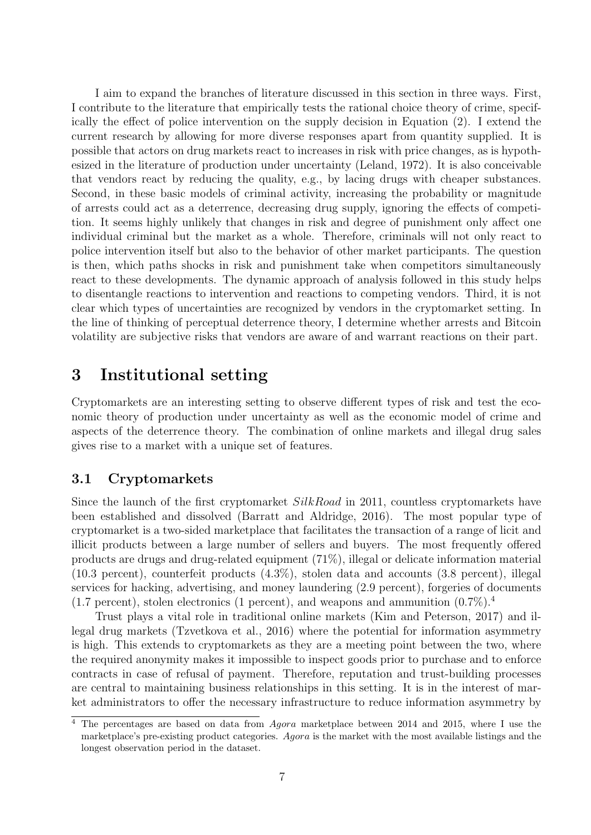I aim to expand the branches of literature discussed in this section in three ways. First, I contribute to the literature that empirically tests the rational choice theory of crime, specifically the effect of police intervention on the supply decision in Equation [\(2\)](#page-9-3). I extend the current research by allowing for more diverse responses apart from quantity supplied. It is possible that actors on drug markets react to increases in risk with price changes, as is hypothesized in the literature of production under uncertainty [\(Leland, 1972\)](#page-47-2). It is also conceivable that vendors react by reducing the quality, e.g., by lacing drugs with cheaper substances. Second, in these basic models of criminal activity, increasing the probability or magnitude of arrests could act as a deterrence, decreasing drug supply, ignoring the effects of competition. It seems highly unlikely that changes in risk and degree of punishment only affect one individual criminal but the market as a whole. Therefore, criminals will not only react to police intervention itself but also to the behavior of other market participants. The question is then, which paths shocks in risk and punishment take when competitors simultaneously react to these developments. The dynamic approach of analysis followed in this study helps to disentangle reactions to intervention and reactions to competing vendors. Third, it is not clear which types of uncertainties are recognized by vendors in the cryptomarket setting. In the line of thinking of perceptual deterrence theory, I determine whether arrests and Bitcoin volatility are subjective risks that vendors are aware of and warrant reactions on their part.

# <span id="page-13-0"></span>3 Institutional setting

Cryptomarkets are an interesting setting to observe different types of risk and test the economic theory of production under uncertainty as well as the economic model of crime and aspects of the deterrence theory. The combination of online markets and illegal drug sales gives rise to a market with a unique set of features.

#### <span id="page-13-1"></span>3.1 Cryptomarkets

Since the launch of the first cryptomarket SilkRoad in 2011, countless cryptomarkets have been established and dissolved [\(Barratt and Aldridge, 2016\)](#page-45-0). The most popular type of cryptomarket is a two-sided marketplace that facilitates the transaction of a range of licit and illicit products between a large number of sellers and buyers. The most frequently offered products are drugs and drug-related equipment (71%), illegal or delicate information material (10.3 percent), counterfeit products (4.3%), stolen data and accounts (3.8 percent), illegal services for hacking, advertising, and money laundering (2.9 percent), forgeries of documents  $(1.7 \text{ percent})$ , stolen electronics (1 percent), and weapons and ammunition  $(0.7\%)$ .

Trust plays a vital role in traditional online markets [\(Kim and Peterson, 2017\)](#page-47-6) and illegal drug markets [\(Tzvetkova et al., 2016\)](#page-48-7) where the potential for information asymmetry is high. This extends to cryptomarkets as they are a meeting point between the two, where the required anonymity makes it impossible to inspect goods prior to purchase and to enforce contracts in case of refusal of payment. Therefore, reputation and trust-building processes are central to maintaining business relationships in this setting. It is in the interest of market administrators to offer the necessary infrastructure to reduce information asymmetry by

<span id="page-13-2"></span><sup>&</sup>lt;sup>4</sup> The percentages are based on data from *Agora* marketplace between 2014 and 2015, where I use the marketplace's pre-existing product categories. Agora is the market with the most available listings and the longest observation period in the dataset.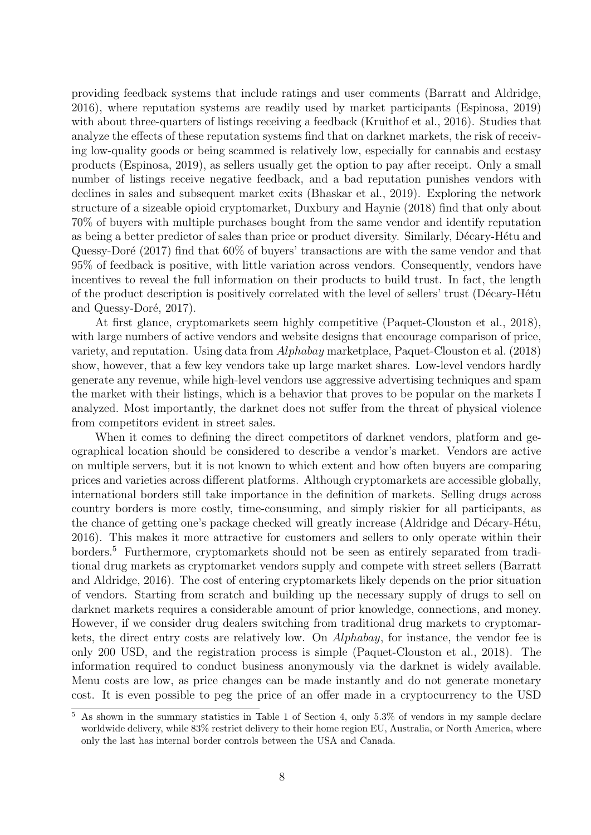providing feedback systems that include ratings and user comments [\(Barratt and Aldridge,](#page-45-0) [2016\)](#page-45-0), where reputation systems are readily used by market participants [\(Espinosa, 2019\)](#page-46-2) with about three-quarters of listings receiving a feedback [\(Kruithof et al., 2016\)](#page-47-7). Studies that analyze the effects of these reputation systems find that on darknet markets, the risk of receiving low-quality goods or being scammed is relatively low, especially for cannabis and ecstasy products [\(Espinosa, 2019\)](#page-46-2), as sellers usually get the option to pay after receipt. Only a small number of listings receive negative feedback, and a bad reputation punishes vendors with declines in sales and subsequent market exits [\(Bhaskar et al., 2019\)](#page-45-2). Exploring the network structure of a sizeable opioid cryptomarket, [Duxbury and Haynie](#page-46-3) [\(2018\)](#page-46-3) find that only about 70% of buyers with multiple purchases bought from the same vendor and identify reputation as being a better predictor of sales than price or product diversity. Similarly, Décary-Hétu and Quessy-Doré [\(2017\)](#page-46-4) find that  $60\%$  of buyers' transactions are with the same vendor and that 95% of feedback is positive, with little variation across vendors. Consequently, vendors have incentives to reveal the full information on their products to build trust. In fact, the length of the product description is positively correlated with the level of sellers' trust (Décary-Hétu and Quessy-Doré, 2017).

At first glance, cryptomarkets seem highly competitive [\(Paquet-Clouston et al., 2018\)](#page-48-8), with large numbers of active vendors and website designs that encourage comparison of price, variety, and reputation. Using data from Alphabay marketplace, [Paquet-Clouston et al.](#page-48-8) [\(2018\)](#page-48-8) show, however, that a few key vendors take up large market shares. Low-level vendors hardly generate any revenue, while high-level vendors use aggressive advertising techniques and spam the market with their listings, which is a behavior that proves to be popular on the markets I analyzed. Most importantly, the darknet does not suffer from the threat of physical violence from competitors evident in street sales.

When it comes to defining the direct competitors of darknet vendors, platform and geographical location should be considered to describe a vendor's market. Vendors are active on multiple servers, but it is not known to which extent and how often buyers are comparing prices and varieties across different platforms. Although cryptomarkets are accessible globally, international borders still take importance in the definition of markets. Selling drugs across country borders is more costly, time-consuming, and simply riskier for all participants, as the chance of getting one's package checked will greatly increase (Aldridge and Décary-Hétu, [2016\)](#page-45-5). This makes it more attractive for customers and sellers to only operate within their borders.[5](#page-14-0) Furthermore, cryptomarkets should not be seen as entirely separated from traditional drug markets as cryptomarket vendors supply and compete with street sellers [\(Barratt](#page-45-0) [and Aldridge, 2016\)](#page-45-0). The cost of entering cryptomarkets likely depends on the prior situation of vendors. Starting from scratch and building up the necessary supply of drugs to sell on darknet markets requires a considerable amount of prior knowledge, connections, and money. However, if we consider drug dealers switching from traditional drug markets to cryptomarkets, the direct entry costs are relatively low. On Alphabay, for instance, the vendor fee is only 200 USD, and the registration process is simple [\(Paquet-Clouston et al., 2018\)](#page-48-8). The information required to conduct business anonymously via the darknet is widely available. Menu costs are low, as price changes can be made instantly and do not generate monetary cost. It is even possible to peg the price of an offer made in a cryptocurrency to the USD

<span id="page-14-0"></span> $\overline{5}$  As shown in the summary statistics in Table [1](#page-19-0) of Section [4,](#page-17-0) only 5.3% of vendors in my sample declare worldwide delivery, while 83% restrict delivery to their home region EU, Australia, or North America, where only the last has internal border controls between the USA and Canada.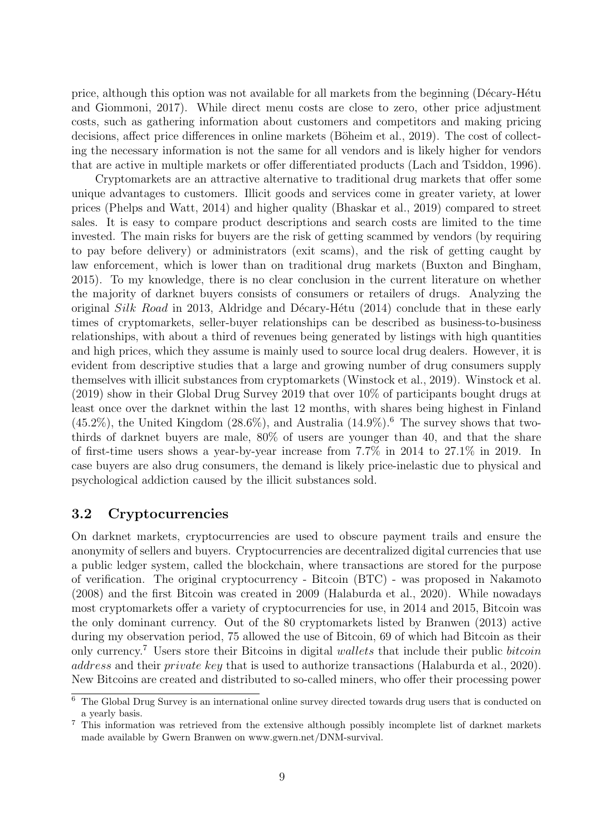price, although this option was not available for all markets from the beginning (Décary-Hétu [and Giommoni, 2017\)](#page-46-0). While direct menu costs are close to zero, other price adjustment costs, such as gathering information about customers and competitors and making pricing decisions, affect price differences in online markets (Böheim et al., 2019). The cost of collecting the necessary information is not the same for all vendors and is likely higher for vendors that are active in multiple markets or offer differentiated products [\(Lach and Tsiddon, 1996\)](#page-47-8).

Cryptomarkets are an attractive alternative to traditional drug markets that offer some unique advantages to customers. Illicit goods and services come in greater variety, at lower prices [\(Phelps and Watt, 2014\)](#page-48-9) and higher quality [\(Bhaskar et al., 2019\)](#page-45-2) compared to street sales. It is easy to compare product descriptions and search costs are limited to the time invested. The main risks for buyers are the risk of getting scammed by vendors (by requiring to pay before delivery) or administrators (exit scams), and the risk of getting caught by law enforcement, which is lower than on traditional drug markets [\(Buxton and Bingham,](#page-45-7) [2015\)](#page-45-7). To my knowledge, there is no clear conclusion in the current literature on whether the majority of darknet buyers consists of consumers or retailers of drugs. Analyzing the original Silk Road in 2013, Aldridge and Décary-Hétu [\(2014\)](#page-45-8) conclude that in these early times of cryptomarkets, seller-buyer relationships can be described as business-to-business relationships, with about a third of revenues being generated by listings with high quantities and high prices, which they assume is mainly used to source local drug dealers. However, it is evident from descriptive studies that a large and growing number of drug consumers supply themselves with illicit substances from cryptomarkets [\(Winstock et al., 2019\)](#page-48-10). [Winstock et al.](#page-48-10) [\(2019\)](#page-48-10) show in their Global Drug Survey 2019 that over 10% of participants bought drugs at least once over the darknet within the last 12 months, with shares being highest in Finland  $(45.2\%)$ , the United Kingdom  $(28.6\%)$  $(28.6\%)$  $(28.6\%)$ , and Australia  $(14.9\%)$ .<sup>6</sup> The survey shows that twothirds of darknet buyers are male, 80% of users are younger than 40, and that the share of first-time users shows a year-by-year increase from 7.7% in 2014 to 27.1% in 2019. In case buyers are also drug consumers, the demand is likely price-inelastic due to physical and psychological addiction caused by the illicit substances sold.

#### <span id="page-15-0"></span>3.2 Cryptocurrencies

On darknet markets, cryptocurrencies are used to obscure payment trails and ensure the anonymity of sellers and buyers. Cryptocurrencies are decentralized digital currencies that use a public ledger system, called the blockchain, where transactions are stored for the purpose of verification. The original cryptocurrency - Bitcoin (BTC) - was proposed in [Nakamoto](#page-48-11) [\(2008\)](#page-48-11) and the first Bitcoin was created in 2009 [\(Halaburda et al., 2020\)](#page-46-5). While nowadays most cryptomarkets offer a variety of cryptocurrencies for use, in 2014 and 2015, Bitcoin was the only dominant currency. Out of the 80 cryptomarkets listed by [Branwen](#page-45-9) [\(2013\)](#page-45-9) active during my observation period, 75 allowed the use of Bitcoin, 69 of which had Bitcoin as their only currency.<sup>[7](#page-15-2)</sup> Users store their Bitcoins in digital wallets that include their public bitcoin address and their private key that is used to authorize transactions [\(Halaburda et al., 2020\)](#page-46-5). New Bitcoins are created and distributed to so-called miners, who offer their processing power

<span id="page-15-1"></span><sup>6</sup> The Global Drug Survey is an international online survey directed towards drug users that is conducted on a yearly basis.

<span id="page-15-2"></span><sup>7</sup> This information was retrieved from the extensive although possibly incomplete list of darknet markets made available by Gwern Branwen on www.gwern.net/DNM-survival.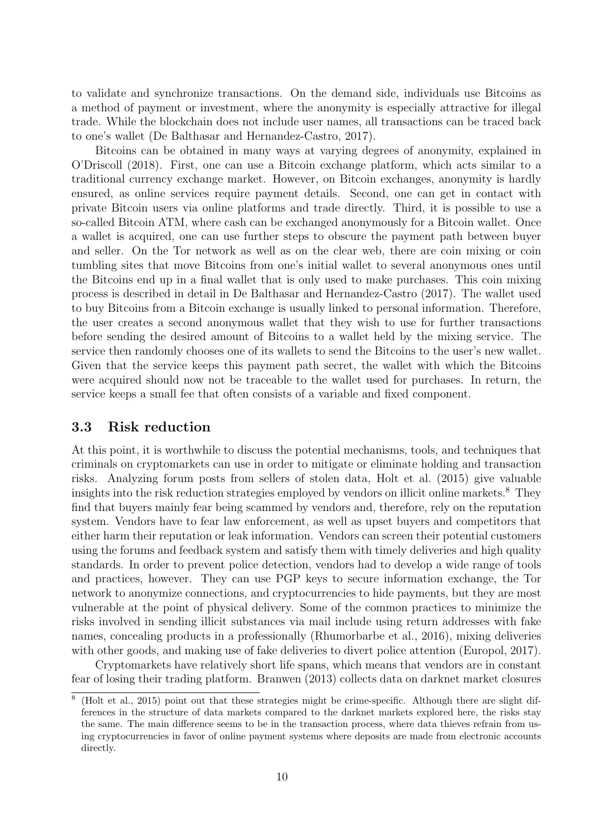to validate and synchronize transactions. On the demand side, individuals use Bitcoins as a method of payment or investment, where the anonymity is especially attractive for illegal trade. While the blockchain does not include user names, all transactions can be traced back to one's wallet [\(De Balthasar and Hernandez-Castro, 2017\)](#page-46-6).

Bitcoins can be obtained in many ways at varying degrees of anonymity, explained in [O'Driscoll](#page-48-12) [\(2018\)](#page-48-12). First, one can use a Bitcoin exchange platform, which acts similar to a traditional currency exchange market. However, on Bitcoin exchanges, anonymity is hardly ensured, as online services require payment details. Second, one can get in contact with private Bitcoin users via online platforms and trade directly. Third, it is possible to use a so-called Bitcoin ATM, where cash can be exchanged anonymously for a Bitcoin wallet. Once a wallet is acquired, one can use further steps to obscure the payment path between buyer and seller. On the Tor network as well as on the clear web, there are coin mixing or coin tumbling sites that move Bitcoins from one's initial wallet to several anonymous ones until the Bitcoins end up in a final wallet that is only used to make purchases. This coin mixing process is described in detail in [De Balthasar and Hernandez-Castro](#page-46-6) [\(2017\)](#page-46-6). The wallet used to buy Bitcoins from a Bitcoin exchange is usually linked to personal information. Therefore, the user creates a second anonymous wallet that they wish to use for further transactions before sending the desired amount of Bitcoins to a wallet held by the mixing service. The service then randomly chooses one of its wallets to send the Bitcoins to the user's new wallet. Given that the service keeps this payment path secret, the wallet with which the Bitcoins were acquired should now not be traceable to the wallet used for purchases. In return, the service keeps a small fee that often consists of a variable and fixed component.

#### <span id="page-16-0"></span>3.3 Risk reduction

At this point, it is worthwhile to discuss the potential mechanisms, tools, and techniques that criminals on cryptomarkets can use in order to mitigate or eliminate holding and transaction risks. Analyzing forum posts from sellers of stolen data, [Holt et al.](#page-46-7) [\(2015\)](#page-46-7) give valuable insights into the risk reduction strategies employed by vendors on illicit online markets.[8](#page-16-1) They find that buyers mainly fear being scammed by vendors and, therefore, rely on the reputation system. Vendors have to fear law enforcement, as well as upset buyers and competitors that either harm their reputation or leak information. Vendors can screen their potential customers using the forums and feedback system and satisfy them with timely deliveries and high quality standards. In order to prevent police detection, vendors had to develop a wide range of tools and practices, however. They can use PGP keys to secure information exchange, the Tor network to anonymize connections, and cryptocurrencies to hide payments, but they are most vulnerable at the point of physical delivery. Some of the common practices to minimize the risks involved in sending illicit substances via mail include using return addresses with fake names, concealing products in a professionally [\(Rhumorbarbe et al., 2016\)](#page-48-13), mixing deliveries with other goods, and making use of fake deliveries to divert police attention [\(Europol, 2017\)](#page-46-8).

Cryptomarkets have relatively short life spans, which means that vendors are in constant fear of losing their trading platform. [Branwen](#page-45-9) [\(2013\)](#page-45-9) collects data on darknet market closures

<span id="page-16-1"></span><sup>8</sup> [\(Holt et al., 2015\)](#page-46-7) point out that these strategies might be crime-specific. Although there are slight differences in the structure of data markets compared to the darknet markets explored here, the risks stay the same. The main difference seems to be in the transaction process, where data thieves refrain from using cryptocurrencies in favor of online payment systems where deposits are made from electronic accounts directly.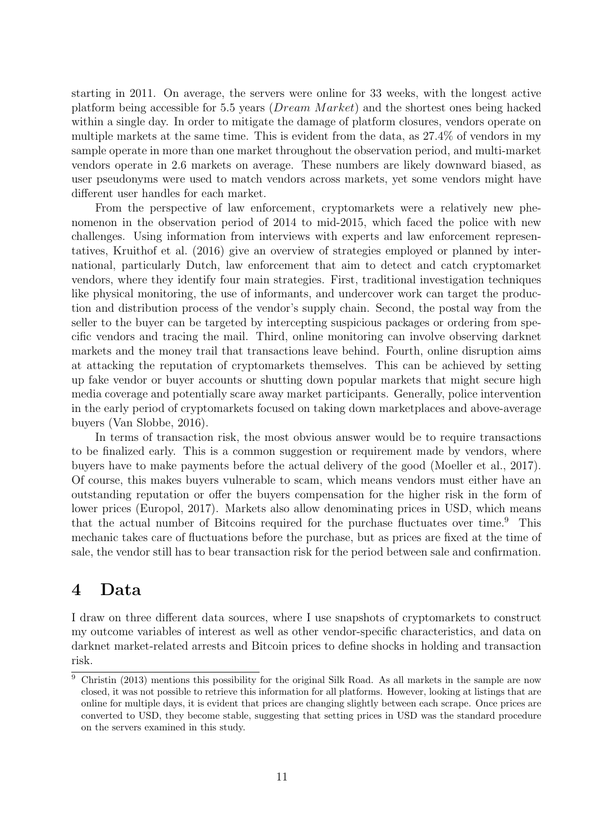starting in 2011. On average, the servers were online for 33 weeks, with the longest active platform being accessible for 5.5 years (*Dream Market*) and the shortest ones being hacked within a single day. In order to mitigate the damage of platform closures, vendors operate on multiple markets at the same time. This is evident from the data, as 27.4% of vendors in my sample operate in more than one market throughout the observation period, and multi-market vendors operate in 2.6 markets on average. These numbers are likely downward biased, as user pseudonyms were used to match vendors across markets, yet some vendors might have different user handles for each market.

From the perspective of law enforcement, cryptomarkets were a relatively new phenomenon in the observation period of 2014 to mid-2015, which faced the police with new challenges. Using information from interviews with experts and law enforcement representatives, [Kruithof et al.](#page-47-7) [\(2016\)](#page-47-7) give an overview of strategies employed or planned by international, particularly Dutch, law enforcement that aim to detect and catch cryptomarket vendors, where they identify four main strategies. First, traditional investigation techniques like physical monitoring, the use of informants, and undercover work can target the production and distribution process of the vendor's supply chain. Second, the postal way from the seller to the buyer can be targeted by intercepting suspicious packages or ordering from specific vendors and tracing the mail. Third, online monitoring can involve observing darknet markets and the money trail that transactions leave behind. Fourth, online disruption aims at attacking the reputation of cryptomarkets themselves. This can be achieved by setting up fake vendor or buyer accounts or shutting down popular markets that might secure high media coverage and potentially scare away market participants. Generally, police intervention in the early period of cryptomarkets focused on taking down marketplaces and above-average buyers [\(Van Slobbe, 2016\)](#page-48-14).

In terms of transaction risk, the most obvious answer would be to require transactions to be finalized early. This is a common suggestion or requirement made by vendors, where buyers have to make payments before the actual delivery of the good [\(Moeller et al., 2017\)](#page-47-9). Of course, this makes buyers vulnerable to scam, which means vendors must either have an outstanding reputation or offer the buyers compensation for the higher risk in the form of lower prices [\(Europol, 2017\)](#page-46-8). Markets also allow denominating prices in USD, which means that the actual number of Bitcoins required for the purchase fluctuates over time.<sup>[9](#page-17-1)</sup> This mechanic takes care of fluctuations before the purchase, but as prices are fixed at the time of sale, the vendor still has to bear transaction risk for the period between sale and confirmation.

# <span id="page-17-0"></span>4 Data

I draw on three different data sources, where I use snapshots of cryptomarkets to construct my outcome variables of interest as well as other vendor-specific characteristics, and data on darknet market-related arrests and Bitcoin prices to define shocks in holding and transaction risk.

<span id="page-17-1"></span> $\overline{9}$  [Christin](#page-45-1) [\(2013\)](#page-45-1) mentions this possibility for the original Silk Road. As all markets in the sample are now closed, it was not possible to retrieve this information for all platforms. However, looking at listings that are online for multiple days, it is evident that prices are changing slightly between each scrape. Once prices are converted to USD, they become stable, suggesting that setting prices in USD was the standard procedure on the servers examined in this study.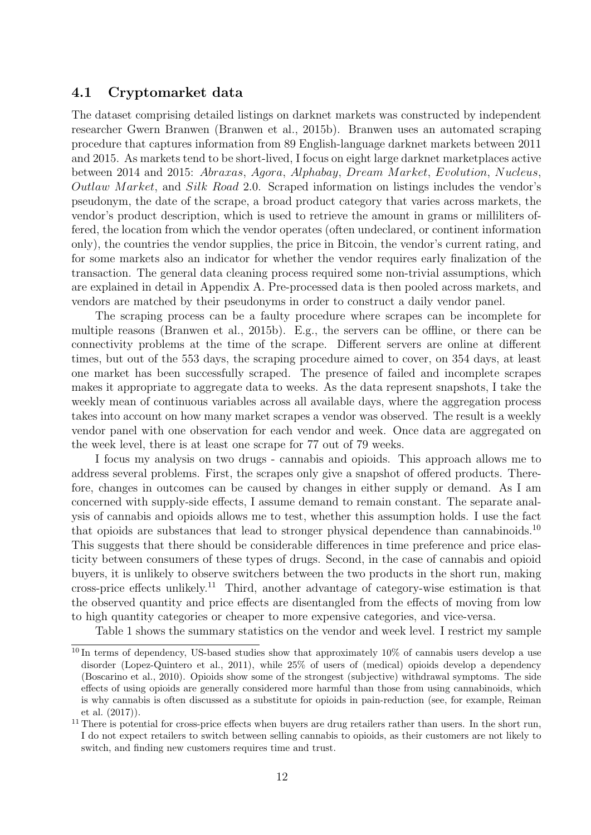#### <span id="page-18-0"></span>4.1 Cryptomarket data

The dataset comprising detailed listings on darknet markets was constructed by independent researcher Gwern Branwen [\(Branwen et al., 2015b\)](#page-45-10). Branwen uses an automated scraping procedure that captures information from 89 English-language darknet markets between 2011 and 2015. As markets tend to be short-lived, I focus on eight large darknet marketplaces active between 2014 and 2015: Abraxas, Agora, Alphabay, Dream M arket, Evolution, Nucleus, Outlaw Market, and Silk Road 2.0. Scraped information on listings includes the vendor's pseudonym, the date of the scrape, a broad product category that varies across markets, the vendor's product description, which is used to retrieve the amount in grams or milliliters offered, the location from which the vendor operates (often undeclared, or continent information only), the countries the vendor supplies, the price in Bitcoin, the vendor's current rating, and for some markets also an indicator for whether the vendor requires early finalization of the transaction. The general data cleaning process required some non-trivial assumptions, which are explained in detail in Appendix [A.](#page-49-1) Pre-processed data is then pooled across markets, and vendors are matched by their pseudonyms in order to construct a daily vendor panel.

The scraping process can be a faulty procedure where scrapes can be incomplete for multiple reasons [\(Branwen et al., 2015b\)](#page-45-10). E.g., the servers can be offline, or there can be connectivity problems at the time of the scrape. Different servers are online at different times, but out of the 553 days, the scraping procedure aimed to cover, on 354 days, at least one market has been successfully scraped. The presence of failed and incomplete scrapes makes it appropriate to aggregate data to weeks. As the data represent snapshots, I take the weekly mean of continuous variables across all available days, where the aggregation process takes into account on how many market scrapes a vendor was observed. The result is a weekly vendor panel with one observation for each vendor and week. Once data are aggregated on the week level, there is at least one scrape for 77 out of 79 weeks.

I focus my analysis on two drugs - cannabis and opioids. This approach allows me to address several problems. First, the scrapes only give a snapshot of offered products. Therefore, changes in outcomes can be caused by changes in either supply or demand. As I am concerned with supply-side effects, I assume demand to remain constant. The separate analysis of cannabis and opioids allows me to test, whether this assumption holds. I use the fact that opioids are substances that lead to stronger physical dependence than cannabinoids.<sup>[10](#page-18-1)</sup> This suggests that there should be considerable differences in time preference and price elasticity between consumers of these types of drugs. Second, in the case of cannabis and opioid buyers, it is unlikely to observe switchers between the two products in the short run, making cross-price effects unlikely.<sup>[11](#page-18-2)</sup> Third, another advantage of category-wise estimation is that the observed quantity and price effects are disentangled from the effects of moving from low to high quantity categories or cheaper to more expensive categories, and vice-versa.

Table [1](#page-19-0) shows the summary statistics on the vendor and week level. I restrict my sample

<span id="page-18-1"></span> $10$  In terms of dependency, US-based studies show that approximately  $10\%$  of cannabis users develop a use disorder [\(Lopez-Quintero et al., 2011\)](#page-47-10), while 25% of users of (medical) opioids develop a dependency [\(Boscarino et al., 2010\)](#page-45-11). Opioids show some of the strongest (subjective) withdrawal symptoms. The side effects of using opioids are generally considered more harmful than those from using cannabinoids, which is why cannabis is often discussed as a substitute for opioids in pain-reduction (see, for example, [Reiman](#page-48-15) [et al.](#page-48-15) [\(2017\)](#page-48-15)).

<span id="page-18-2"></span> $11$  There is potential for cross-price effects when buyers are drug retailers rather than users. In the short run, I do not expect retailers to switch between selling cannabis to opioids, as their customers are not likely to switch, and finding new customers requires time and trust.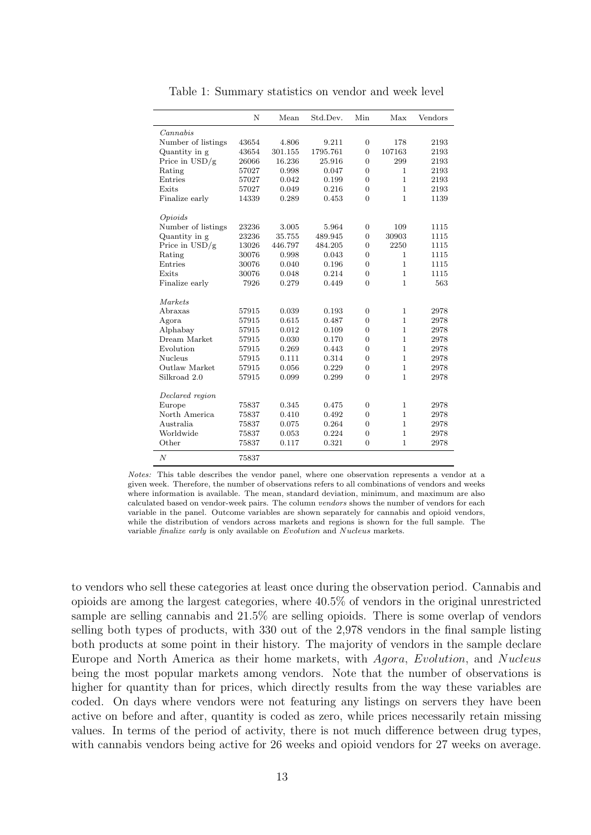<span id="page-19-0"></span>

|                         | N     | Mean    | Std.Dev. | Min            | Max          | Vendors |
|-------------------------|-------|---------|----------|----------------|--------------|---------|
| Cannabis                |       |         |          |                |              |         |
| Number of listings      | 43654 | 4.806   | 9.211    | $\overline{0}$ | 178          | 2193    |
| Quantity in g           | 43654 | 301.155 | 1795.761 | $\overline{0}$ | 107163       | 2193    |
| Price in $\text{USD/g}$ | 26066 | 16.236  | 25.916   | $\Omega$       | 299          | 2193    |
| Rating                  | 57027 | 0.998   | 0.047    | $\overline{0}$ | 1            | 2193    |
| Entries                 | 57027 | 0.042   | 0.199    | $\Omega$       | $\mathbf{1}$ | 2193    |
| Exits                   | 57027 | 0.049   | 0.216    | $\overline{0}$ | $\mathbf{1}$ | 2193    |
| Finalize early          | 14339 | 0.289   | 0.453    | $\Omega$       | $\mathbf{1}$ | 1139    |
| Opioids                 |       |         |          |                |              |         |
| Number of listings      | 23236 | 3.005   | 5.964    | $\overline{0}$ | 109          | 1115    |
| Quantity in g           | 23236 | 35.755  | 489.945  | $\overline{0}$ | 30903        | 1115    |
| Price in $\rm{USD/g}$   | 13026 | 446.797 | 484.205  | $\overline{0}$ | 2250         | 1115    |
| Rating                  | 30076 | 0.998   | 0.043    | $\overline{0}$ | $\mathbf{1}$ | 1115    |
| Entries                 | 30076 | 0.040   | 0.196    | $\theta$       | $\mathbf{1}$ | 1115    |
| Exits                   | 30076 | 0.048   | 0.214    | $\overline{0}$ | $\mathbf{1}$ | 1115    |
| Finalize early          | 7926  | 0.279   | 0.449    | $\theta$       | $\mathbf{1}$ | 563     |
| Markets                 |       |         |          |                |              |         |
| Abraxas                 | 57915 | 0.039   | 0.193    | $\overline{0}$ | $\mathbf{1}$ | 2978    |
| Agora                   | 57915 | 0.615   | 0.487    | $\overline{0}$ | $\mathbf{1}$ | 2978    |
| Alphabay                | 57915 | 0.012   | 0.109    | $\overline{0}$ | $\mathbf{1}$ | 2978    |
| Dream Market            | 57915 | 0.030   | 0.170    | $\overline{0}$ | $\mathbf{1}$ | 2978    |
| Evolution               | 57915 | 0.269   | 0.443    | $\theta$       | $\mathbf{1}$ | 2978    |
| <b>Nucleus</b>          | 57915 | 0.111   | 0.314    | $\overline{0}$ | $\mathbf{1}$ | 2978    |
| Outlaw Market           | 57915 | 0.056   | 0.229    | $\overline{0}$ | $\mathbf{1}$ | 2978    |
| Silkroad 2.0            | 57915 | 0.099   | 0.299    | $\Omega$       | $\mathbf{1}$ | 2978    |
| Declared region         |       |         |          |                |              |         |
| Europe                  | 75837 | 0.345   | 0.475    | $\overline{0}$ | $\mathbf{1}$ | 2978    |
| North America           | 75837 | 0.410   | 0.492    | $\overline{0}$ | $\mathbf{1}$ | 2978    |
| Australia               | 75837 | 0.075   | 0.264    | $\overline{0}$ | $\mathbf{1}$ | 2978    |
| Worldwide               | 75837 | 0.053   | 0.224    | $\overline{0}$ | $\mathbf{1}$ | 2978    |
| Other                   | 75837 | 0.117   | 0.321    | $\overline{0}$ | $\mathbf{1}$ | 2978    |
| $\boldsymbol{N}$        | 75837 |         |          |                |              |         |

Table 1: Summary statistics on vendor and week level

Notes: This table describes the vendor panel, where one observation represents a vendor at a given week. Therefore, the number of observations refers to all combinations of vendors and weeks where information is available. The mean, standard deviation, minimum, and maximum are also calculated based on vendor-week pairs. The column vendors shows the number of vendors for each variable in the panel. Outcome variables are shown separately for cannabis and opioid vendors, while the distribution of vendors across markets and regions is shown for the full sample. The variable finalize early is only available on Evolution and Nucleus markets.

to vendors who sell these categories at least once during the observation period. Cannabis and opioids are among the largest categories, where 40.5% of vendors in the original unrestricted sample are selling cannabis and 21.5% are selling opioids. There is some overlap of vendors selling both types of products, with 330 out of the 2,978 vendors in the final sample listing both products at some point in their history. The majority of vendors in the sample declare Europe and North America as their home markets, with Agora, Evolution, and Nucleus being the most popular markets among vendors. Note that the number of observations is higher for quantity than for prices, which directly results from the way these variables are coded. On days where vendors were not featuring any listings on servers they have been active on before and after, quantity is coded as zero, while prices necessarily retain missing values. In terms of the period of activity, there is not much difference between drug types, with cannabis vendors being active for 26 weeks and opioid vendors for 27 weeks on average.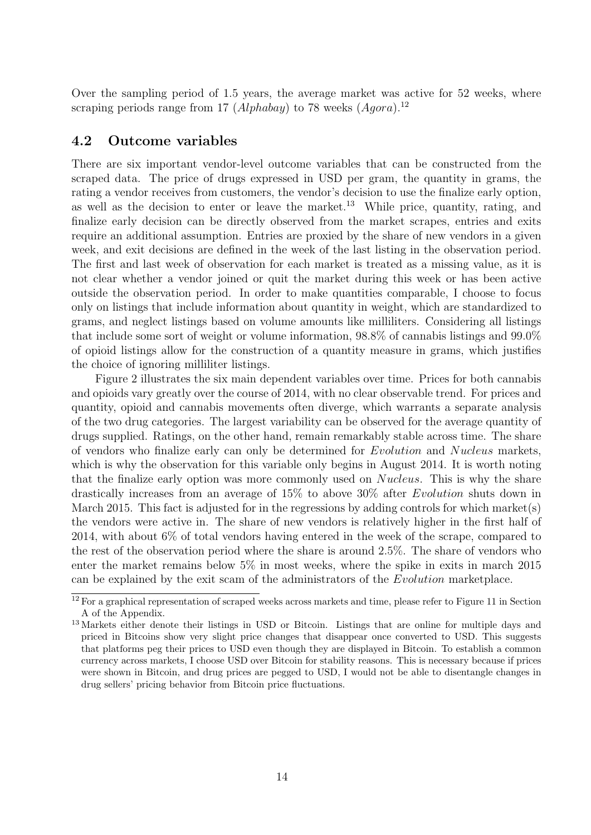Over the sampling period of 1.5 years, the average market was active for 52 weeks, where scraping periods range from 17 (Alphabay) to 78 weeks  $(Aqora).<sup>12</sup>$  $(Aqora).<sup>12</sup>$  $(Aqora).<sup>12</sup>$ 

#### <span id="page-20-0"></span>4.2 Outcome variables

There are six important vendor-level outcome variables that can be constructed from the scraped data. The price of drugs expressed in USD per gram, the quantity in grams, the rating a vendor receives from customers, the vendor's decision to use the finalize early option, as well as the decision to enter or leave the market.<sup>[13](#page-20-2)</sup> While price, quantity, rating, and finalize early decision can be directly observed from the market scrapes, entries and exits require an additional assumption. Entries are proxied by the share of new vendors in a given week, and exit decisions are defined in the week of the last listing in the observation period. The first and last week of observation for each market is treated as a missing value, as it is not clear whether a vendor joined or quit the market during this week or has been active outside the observation period. In order to make quantities comparable, I choose to focus only on listings that include information about quantity in weight, which are standardized to grams, and neglect listings based on volume amounts like milliliters. Considering all listings that include some sort of weight or volume information, 98.8% of cannabis listings and 99.0% of opioid listings allow for the construction of a quantity measure in grams, which justifies the choice of ignoring milliliter listings.

Figure [2](#page-21-1) illustrates the six main dependent variables over time. Prices for both cannabis and opioids vary greatly over the course of 2014, with no clear observable trend. For prices and quantity, opioid and cannabis movements often diverge, which warrants a separate analysis of the two drug categories. The largest variability can be observed for the average quantity of drugs supplied. Ratings, on the other hand, remain remarkably stable across time. The share of vendors who finalize early can only be determined for Evolution and Nucleus markets, which is why the observation for this variable only begins in August 2014. It is worth noting that the finalize early option was more commonly used on *Nucleus*. This is why the share drastically increases from an average of 15% to above 30% after Evolution shuts down in March 2015. This fact is adjusted for in the regressions by adding controls for which market(s) the vendors were active in. The share of new vendors is relatively higher in the first half of 2014, with about 6% of total vendors having entered in the week of the scrape, compared to the rest of the observation period where the share is around 2.5%. The share of vendors who enter the market remains below 5% in most weeks, where the spike in exits in march 2015 can be explained by the exit scam of the administrators of the Evolution marketplace.

<span id="page-20-1"></span><sup>&</sup>lt;sup>12</sup> For a graphical representation of scraped weeks across markets and time, please refer to Figure [11](#page-50-1) in Section [A](#page-49-1) of the Appendix.

<span id="page-20-2"></span><sup>&</sup>lt;sup>13</sup> Markets either denote their listings in USD or Bitcoin. Listings that are online for multiple days and priced in Bitcoins show very slight price changes that disappear once converted to USD. This suggests that platforms peg their prices to USD even though they are displayed in Bitcoin. To establish a common currency across markets, I choose USD over Bitcoin for stability reasons. This is necessary because if prices were shown in Bitcoin, and drug prices are pegged to USD, I would not be able to disentangle changes in drug sellers' pricing behavior from Bitcoin price fluctuations.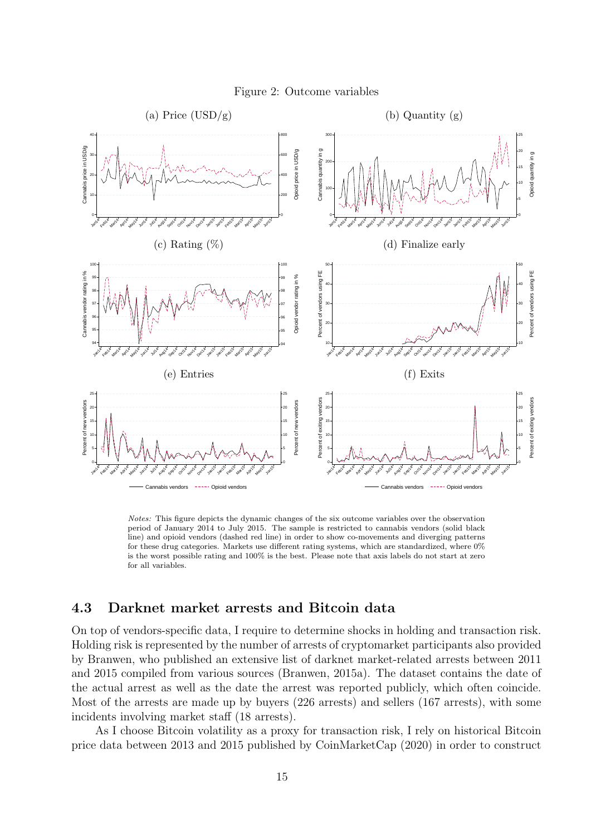<span id="page-21-1"></span>

Figure 2: Outcome variables

Notes: This figure depicts the dynamic changes of the six outcome variables over the observation period of January 2014 to July 2015. The sample is restricted to cannabis vendors (solid black line) and opioid vendors (dashed red line) in order to show co-movements and diverging patterns for these drug categories. Markets use different rating systems, which are standardized, where  $0\%$ is the worst possible rating and 100% is the best. Please note that axis labels do not start at zero for all variables.

#### <span id="page-21-0"></span>4.3 Darknet market arrests and Bitcoin data

On top of vendors-specific data, I require to determine shocks in holding and transaction risk. Holding risk is represented by the number of arrests of cryptomarket participants also provided by Branwen, who published an extensive list of darknet market-related arrests between 2011 and 2015 compiled from various sources [\(Branwen, 2015a\)](#page-45-12). The dataset contains the date of the actual arrest as well as the date the arrest was reported publicly, which often coincide. Most of the arrests are made up by buyers (226 arrests) and sellers (167 arrests), with some incidents involving market staff (18 arrests).

As I choose Bitcoin volatility as a proxy for transaction risk, I rely on historical Bitcoin price data between 2013 and 2015 published by [CoinMarketCap](#page-45-4) [\(2020\)](#page-45-4) in order to construct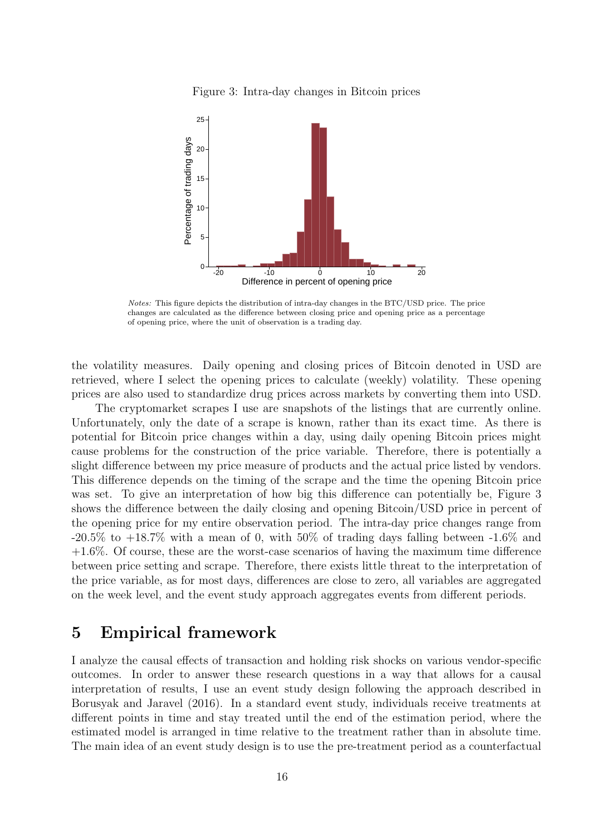Figure 3: Intra-day changes in Bitcoin prices

<span id="page-22-1"></span>

Notes: This figure depicts the distribution of intra-day changes in the BTC/USD price. The price changes are calculated as the difference between closing price and opening price as a percentage of opening price, where the unit of observation is a trading day.

the volatility measures. Daily opening and closing prices of Bitcoin denoted in USD are retrieved, where I select the opening prices to calculate (weekly) volatility. These opening prices are also used to standardize drug prices across markets by converting them into USD.

The cryptomarket scrapes I use are snapshots of the listings that are currently online. Unfortunately, only the date of a scrape is known, rather than its exact time. As there is potential for Bitcoin price changes within a day, using daily opening Bitcoin prices might cause problems for the construction of the price variable. Therefore, there is potentially a slight difference between my price measure of products and the actual price listed by vendors. This difference depends on the timing of the scrape and the time the opening Bitcoin price was set. To give an interpretation of how big this difference can potentially be, Figure [3](#page-22-1) shows the difference between the daily closing and opening Bitcoin/USD price in percent of the opening price for my entire observation period. The intra-day price changes range from  $-20.5\%$  to  $+18.7\%$  with a mean of 0, with  $50\%$  of trading days falling between  $-1.6\%$  and +1.6%. Of course, these are the worst-case scenarios of having the maximum time difference between price setting and scrape. Therefore, there exists little threat to the interpretation of the price variable, as for most days, differences are close to zero, all variables are aggregated on the week level, and the event study approach aggregates events from different periods.

### <span id="page-22-0"></span>5 Empirical framework

I analyze the causal effects of transaction and holding risk shocks on various vendor-specific outcomes. In order to answer these research questions in a way that allows for a causal interpretation of results, I use an event study design following the approach described in [Borusyak and Jaravel](#page-45-13) [\(2016\)](#page-45-13). In a standard event study, individuals receive treatments at different points in time and stay treated until the end of the estimation period, where the estimated model is arranged in time relative to the treatment rather than in absolute time. The main idea of an event study design is to use the pre-treatment period as a counterfactual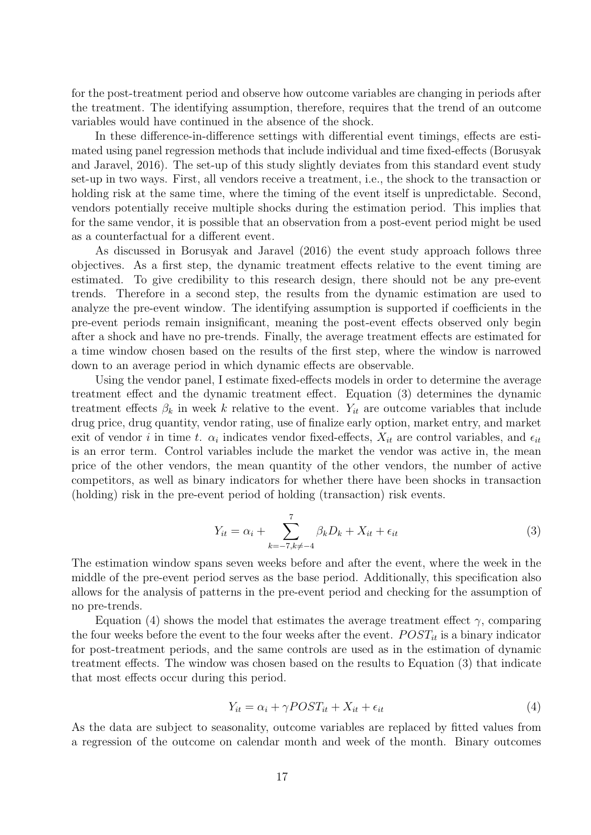for the post-treatment period and observe how outcome variables are changing in periods after the treatment. The identifying assumption, therefore, requires that the trend of an outcome variables would have continued in the absence of the shock.

In these difference-in-difference settings with differential event timings, effects are estimated using panel regression methods that include individual and time fixed-effects [\(Borusyak](#page-45-13) [and Jaravel, 2016\)](#page-45-13). The set-up of this study slightly deviates from this standard event study set-up in two ways. First, all vendors receive a treatment, i.e., the shock to the transaction or holding risk at the same time, where the timing of the event itself is unpredictable. Second, vendors potentially receive multiple shocks during the estimation period. This implies that for the same vendor, it is possible that an observation from a post-event period might be used as a counterfactual for a different event.

As discussed in [Borusyak and Jaravel](#page-45-13) [\(2016\)](#page-45-13) the event study approach follows three objectives. As a first step, the dynamic treatment effects relative to the event timing are estimated. To give credibility to this research design, there should not be any pre-event trends. Therefore in a second step, the results from the dynamic estimation are used to analyze the pre-event window. The identifying assumption is supported if coefficients in the pre-event periods remain insignificant, meaning the post-event effects observed only begin after a shock and have no pre-trends. Finally, the average treatment effects are estimated for a time window chosen based on the results of the first step, where the window is narrowed down to an average period in which dynamic effects are observable.

Using the vendor panel, I estimate fixed-effects models in order to determine the average treatment effect and the dynamic treatment effect. Equation [\(3\)](#page-23-0) determines the dynamic treatment effects  $\beta_k$  in week k relative to the event.  $Y_{it}$  are outcome variables that include drug price, drug quantity, vendor rating, use of finalize early option, market entry, and market exit of vendor i in time t.  $\alpha_i$  indicates vendor fixed-effects,  $X_{it}$  are control variables, and  $\epsilon_{it}$ is an error term. Control variables include the market the vendor was active in, the mean price of the other vendors, the mean quantity of the other vendors, the number of active competitors, as well as binary indicators for whether there have been shocks in transaction (holding) risk in the pre-event period of holding (transaction) risk events.

<span id="page-23-0"></span>
$$
Y_{it} = \alpha_i + \sum_{k=-7, k \neq -4}^{7} \beta_k D_k + X_{it} + \epsilon_{it}
$$
\n
$$
\tag{3}
$$

The estimation window spans seven weeks before and after the event, where the week in the middle of the pre-event period serves as the base period. Additionally, this specification also allows for the analysis of patterns in the pre-event period and checking for the assumption of no pre-trends.

Equation [\(4\)](#page-23-1) shows the model that estimates the average treatment effect  $\gamma$ , comparing the four weeks before the event to the four weeks after the event.  $POST_{it}$  is a binary indicator for post-treatment periods, and the same controls are used as in the estimation of dynamic treatment effects. The window was chosen based on the results to Equation [\(3\)](#page-23-0) that indicate that most effects occur during this period.

<span id="page-23-1"></span>
$$
Y_{it} = \alpha_i + \gamma POST_{it} + X_{it} + \epsilon_{it}
$$
\n<sup>(4)</sup>

As the data are subject to seasonality, outcome variables are replaced by fitted values from a regression of the outcome on calendar month and week of the month. Binary outcomes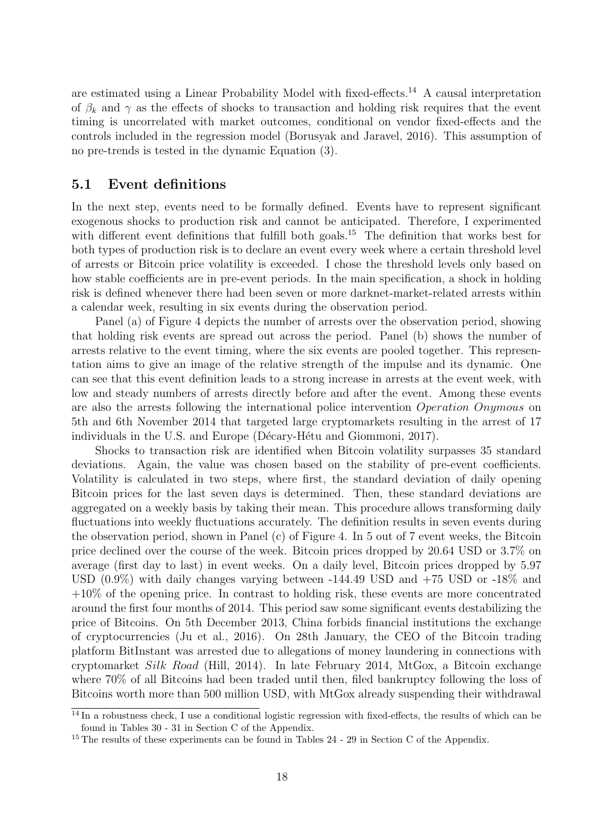are estimated using a Linear Probability Model with fixed-effects.[14](#page-24-1) A causal interpretation of  $\beta_k$  and  $\gamma$  as the effects of shocks to transaction and holding risk requires that the event timing is uncorrelated with market outcomes, conditional on vendor fixed-effects and the controls included in the regression model [\(Borusyak and Jaravel, 2016\)](#page-45-13). This assumption of no pre-trends is tested in the dynamic Equation [\(3\)](#page-23-0).

#### <span id="page-24-0"></span>5.1 Event definitions

In the next step, events need to be formally defined. Events have to represent significant exogenous shocks to production risk and cannot be anticipated. Therefore, I experimented with different event definitions that fulfill both goals.<sup>[15](#page-24-2)</sup> The definition that works best for both types of production risk is to declare an event every week where a certain threshold level of arrests or Bitcoin price volatility is exceeded. I chose the threshold levels only based on how stable coefficients are in pre-event periods. In the main specification, a shock in holding risk is defined whenever there had been seven or more darknet-market-related arrests within a calendar week, resulting in six events during the observation period.

Panel (a) of Figure [4](#page-25-0) depicts the number of arrests over the observation period, showing that holding risk events are spread out across the period. Panel (b) shows the number of arrests relative to the event timing, where the six events are pooled together. This representation aims to give an image of the relative strength of the impulse and its dynamic. One can see that this event definition leads to a strong increase in arrests at the event week, with low and steady numbers of arrests directly before and after the event. Among these events are also the arrests following the international police intervention Operation Onymous on 5th and 6th November 2014 that targeted large cryptomarkets resulting in the arrest of 17 individuals in the U.S. and Europe (Décary-Hétu and Giommoni, 2017).

Shocks to transaction risk are identified when Bitcoin volatility surpasses 35 standard deviations. Again, the value was chosen based on the stability of pre-event coefficients. Volatility is calculated in two steps, where first, the standard deviation of daily opening Bitcoin prices for the last seven days is determined. Then, these standard deviations are aggregated on a weekly basis by taking their mean. This procedure allows transforming daily fluctuations into weekly fluctuations accurately. The definition results in seven events during the observation period, shown in Panel (c) of Figure [4.](#page-25-0) In 5 out of 7 event weeks, the Bitcoin price declined over the course of the week. Bitcoin prices dropped by 20.64 USD or 3.7% on average (first day to last) in event weeks. On a daily level, Bitcoin prices dropped by 5.97 USD (0.9%) with daily changes varying between -144.49 USD and +75 USD or -18% and +10% of the opening price. In contrast to holding risk, these events are more concentrated around the first four months of 2014. This period saw some significant events destabilizing the price of Bitcoins. On 5th December 2013, China forbids financial institutions the exchange of cryptocurrencies [\(Ju et al., 2016\)](#page-47-11). On 28th January, the CEO of the Bitcoin trading platform BitInstant was arrested due to allegations of money laundering in connections with cryptomarket Silk Road [\(Hill, 2014\)](#page-46-9). In late February 2014, MtGox, a Bitcoin exchange where 70% of all Bitcoins had been traded until then, filed bankruptcy following the loss of Bitcoins worth more than 500 million USD, with MtGox already suspending their withdrawal

<span id="page-24-1"></span> $\frac{14}{14}$  In a robustness check, I use a conditional logistic regression with fixed-effects, the results of which can be found in Tables [30](#page-79-0) - [31](#page-80-0) in Section [C](#page-53-0) of the Appendix.

<span id="page-24-2"></span><sup>&</sup>lt;sup>15</sup> The results of these experiments can be found in Tables [24](#page-73-0) - [29](#page-78-0) in Section [C](#page-53-0) of the Appendix.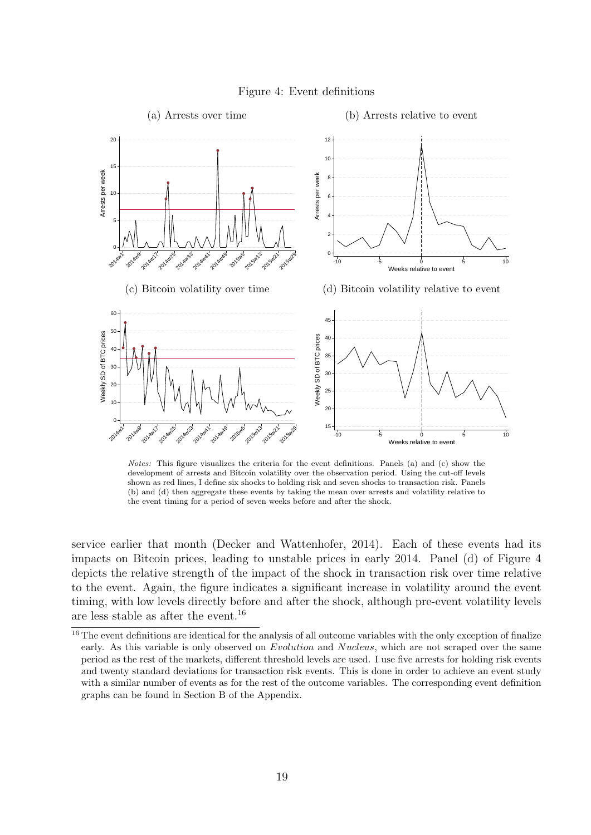<span id="page-25-0"></span>

Figure 4: Event definitions

Notes: This figure visualizes the criteria for the event definitions. Panels (a) and (c) show the development of arrests and Bitcoin volatility over the observation period. Using the cut-off levels shown as red lines, I define six shocks to holding risk and seven shocks to transaction risk. Panels (b) and (d) then aggregate these events by taking the mean over arrests and volatility relative to the event timing for a period of seven weeks before and after the shock.

service earlier that month [\(Decker and Wattenhofer, 2014\)](#page-46-10). Each of these events had its impacts on Bitcoin prices, leading to unstable prices in early 2014. Panel (d) of Figure [4](#page-25-0) depicts the relative strength of the impact of the shock in transaction risk over time relative to the event. Again, the figure indicates a significant increase in volatility around the event timing, with low levels directly before and after the shock, although pre-event volatility levels are less stable as after the event.[16](#page-25-1)

<span id="page-25-1"></span> $16$  The event definitions are identical for the analysis of all outcome variables with the only exception of finalize early. As this variable is only observed on Evolution and Nucleus, which are not scraped over the same period as the rest of the markets, different threshold levels are used. I use five arrests for holding risk events and twenty standard deviations for transaction risk events. This is done in order to achieve an event study with a similar number of events as for the rest of the outcome variables. The corresponding event definition graphs can be found in Section [B](#page-52-0) of the Appendix.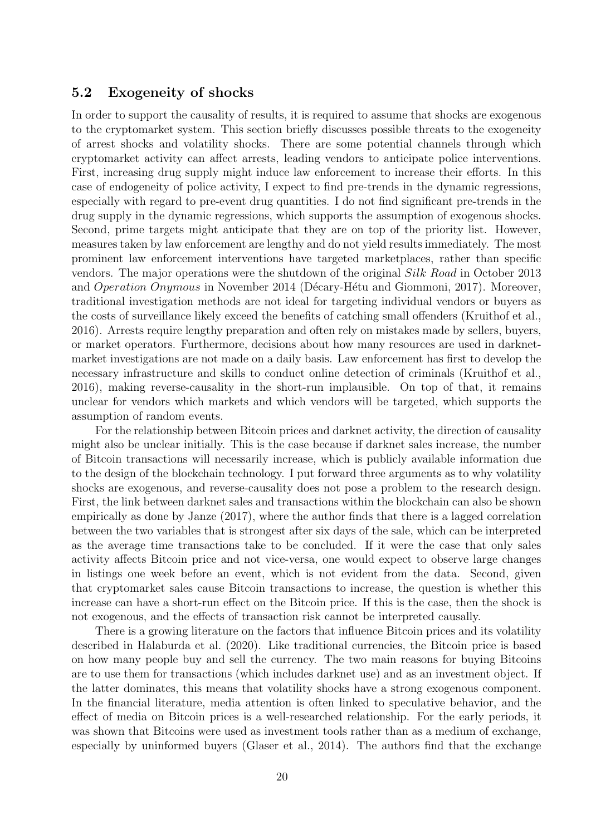#### <span id="page-26-0"></span>5.2 Exogeneity of shocks

In order to support the causality of results, it is required to assume that shocks are exogenous to the cryptomarket system. This section briefly discusses possible threats to the exogeneity of arrest shocks and volatility shocks. There are some potential channels through which cryptomarket activity can affect arrests, leading vendors to anticipate police interventions. First, increasing drug supply might induce law enforcement to increase their efforts. In this case of endogeneity of police activity, I expect to find pre-trends in the dynamic regressions, especially with regard to pre-event drug quantities. I do not find significant pre-trends in the drug supply in the dynamic regressions, which supports the assumption of exogenous shocks. Second, prime targets might anticipate that they are on top of the priority list. However, measures taken by law enforcement are lengthy and do not yield results immediately. The most prominent law enforcement interventions have targeted marketplaces, rather than specific vendors. The major operations were the shutdown of the original Silk Road in October 2013 and *Operation Onymous* in November 2014 (Décary-Hétu and Giommoni, 2017). Moreover, traditional investigation methods are not ideal for targeting individual vendors or buyers as the costs of surveillance likely exceed the benefits of catching small offenders [\(Kruithof et al.,](#page-47-7) [2016\)](#page-47-7). Arrests require lengthy preparation and often rely on mistakes made by sellers, buyers, or market operators. Furthermore, decisions about how many resources are used in darknetmarket investigations are not made on a daily basis. Law enforcement has first to develop the necessary infrastructure and skills to conduct online detection of criminals [\(Kruithof et al.,](#page-47-7) [2016\)](#page-47-7), making reverse-causality in the short-run implausible. On top of that, it remains unclear for vendors which markets and which vendors will be targeted, which supports the assumption of random events.

For the relationship between Bitcoin prices and darknet activity, the direction of causality might also be unclear initially. This is the case because if darknet sales increase, the number of Bitcoin transactions will necessarily increase, which is publicly available information due to the design of the blockchain technology. I put forward three arguments as to why volatility shocks are exogenous, and reverse-causality does not pose a problem to the research design. First, the link between darknet sales and transactions within the blockchain can also be shown empirically as done by [Janze](#page-47-4) [\(2017\)](#page-47-4), where the author finds that there is a lagged correlation between the two variables that is strongest after six days of the sale, which can be interpreted as the average time transactions take to be concluded. If it were the case that only sales activity affects Bitcoin price and not vice-versa, one would expect to observe large changes in listings one week before an event, which is not evident from the data. Second, given that cryptomarket sales cause Bitcoin transactions to increase, the question is whether this increase can have a short-run effect on the Bitcoin price. If this is the case, then the shock is not exogenous, and the effects of transaction risk cannot be interpreted causally.

There is a growing literature on the factors that influence Bitcoin prices and its volatility described in [Halaburda et al.](#page-46-5) [\(2020\)](#page-46-5). Like traditional currencies, the Bitcoin price is based on how many people buy and sell the currency. The two main reasons for buying Bitcoins are to use them for transactions (which includes darknet use) and as an investment object. If the latter dominates, this means that volatility shocks have a strong exogenous component. In the financial literature, media attention is often linked to speculative behavior, and the effect of media on Bitcoin prices is a well-researched relationship. For the early periods, it was shown that Bitcoins were used as investment tools rather than as a medium of exchange, especially by uninformed buyers [\(Glaser et al., 2014\)](#page-46-11). The authors find that the exchange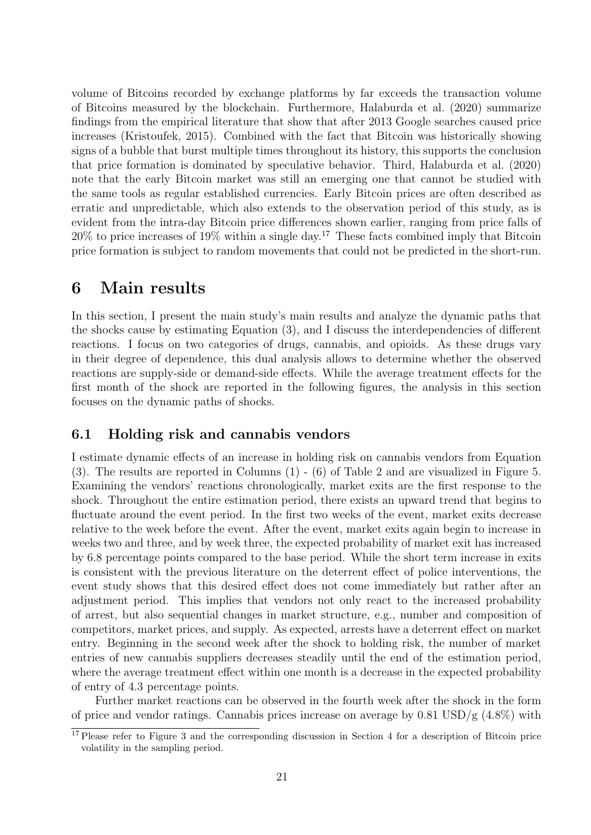volume of Bitcoins recorded by exchange platforms by far exceeds the transaction volume of Bitcoins measured by the blockchain. Furthermore, [Halaburda et al.](#page-46-5) [\(2020\)](#page-46-5) summarize findings from the empirical literature that show that after 2013 Google searches caused price increases [\(Kristoufek, 2015\)](#page-47-12). Combined with the fact that Bitcoin was historically showing signs of a bubble that burst multiple times throughout its history, this supports the conclusion that price formation is dominated by speculative behavior. Third, [Halaburda et al.](#page-46-5) [\(2020\)](#page-46-5) note that the early Bitcoin market was still an emerging one that cannot be studied with the same tools as regular established currencies. Early Bitcoin prices are often described as erratic and unpredictable, which also extends to the observation period of this study, as is evident from the intra-day Bitcoin price differences shown earlier, ranging from price falls of  $20\%$  to price increases of 19% within a single day.<sup>[17](#page-27-2)</sup> These facts combined imply that Bitcoin price formation is subject to random movements that could not be predicted in the short-run.

# <span id="page-27-0"></span>6 Main results

In this section, I present the main study's main results and analyze the dynamic paths that the shocks cause by estimating Equation [\(3\)](#page-23-0), and I discuss the interdependencies of different reactions. I focus on two categories of drugs, cannabis, and opioids. As these drugs vary in their degree of dependence, this dual analysis allows to determine whether the observed reactions are supply-side or demand-side effects. While the average treatment effects for the first month of the shock are reported in the following figures, the analysis in this section focuses on the dynamic paths of shocks.

### <span id="page-27-1"></span>6.1 Holding risk and cannabis vendors

I estimate dynamic effects of an increase in holding risk on cannabis vendors from Equation [\(3\)](#page-23-0). The results are reported in Columns (1) - (6) of Table [2](#page-32-0) and are visualized in Figure [5.](#page-28-0) Examining the vendors' reactions chronologically, market exits are the first response to the shock. Throughout the entire estimation period, there exists an upward trend that begins to fluctuate around the event period. In the first two weeks of the event, market exits decrease relative to the week before the event. After the event, market exits again begin to increase in weeks two and three, and by week three, the expected probability of market exit has increased by 6.8 percentage points compared to the base period. While the short term increase in exits is consistent with the previous literature on the deterrent effect of police interventions, the event study shows that this desired effect does not come immediately but rather after an adjustment period. This implies that vendors not only react to the increased probability of arrest, but also sequential changes in market structure, e.g., number and composition of competitors, market prices, and supply. As expected, arrests have a deterrent effect on market entry. Beginning in the second week after the shock to holding risk, the number of market entries of new cannabis suppliers decreases steadily until the end of the estimation period, where the average treatment effect within one month is a decrease in the expected probability of entry of 4.3 percentage points.

Further market reactions can be observed in the fourth week after the shock in the form of price and vendor ratings. Cannabis prices increase on average by  $0.81 \text{ USD/g}$  (4.8%) with

<span id="page-27-2"></span><sup>&</sup>lt;sup>17</sup> Please refer to Figure [3](#page-22-1) and the corresponding discussion in Section [4](#page-17-0) for a description of Bitcoin price volatility in the sampling period.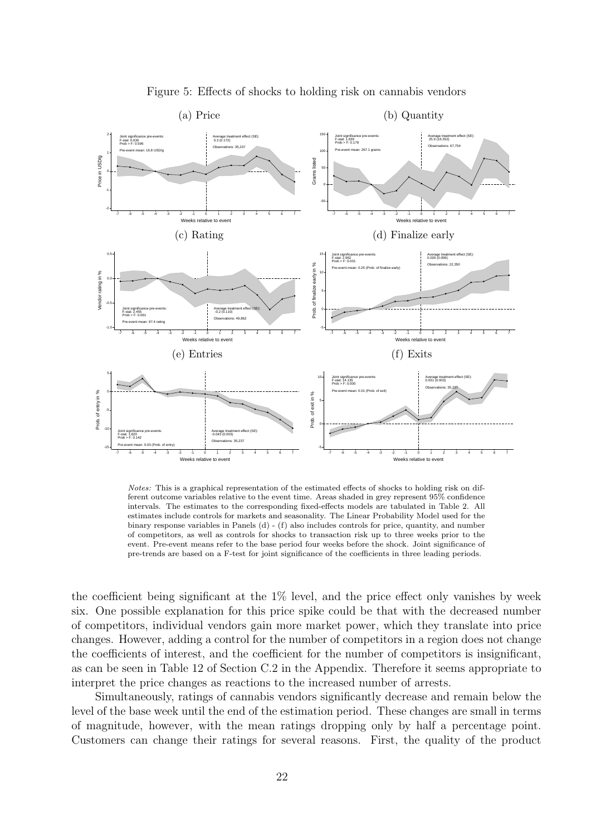<span id="page-28-0"></span>

Figure 5: Effects of shocks to holding risk on cannabis vendors

Notes: This is a graphical representation of the estimated effects of shocks to holding risk on different outcome variables relative to the event time. Areas shaded in grey represent 95% confidence intervals. The estimates to the corresponding fixed-effects models are tabulated in Table [2.](#page-32-0) All estimates include controls for markets and seasonality. The Linear Probability Model used for the binary response variables in Panels (d) - (f) also includes controls for price, quantity, and number of competitors, as well as controls for shocks to transaction risk up to three weeks prior to the event. Pre-event means refer to the base period four weeks before the shock. Joint significance of pre-trends are based on a F-test for joint significance of the coefficients in three leading periods.

the coefficient being significant at the  $1\%$  level, and the price effect only vanishes by week six. One possible explanation for this price spike could be that with the decreased number of competitors, individual vendors gain more market power, which they translate into price changes. However, adding a control for the number of competitors in a region does not change the coefficients of interest, and the coefficient for the number of competitors is insignificant, as can be seen in Table [12](#page-61-1) of Section [C.2](#page-61-0) in the Appendix. Therefore it seems appropriate to interpret the price changes as reactions to the increased number of arrests.

Simultaneously, ratings of cannabis vendors significantly decrease and remain below the level of the base week until the end of the estimation period. These changes are small in terms of magnitude, however, with the mean ratings dropping only by half a percentage point. Customers can change their ratings for several reasons. First, the quality of the product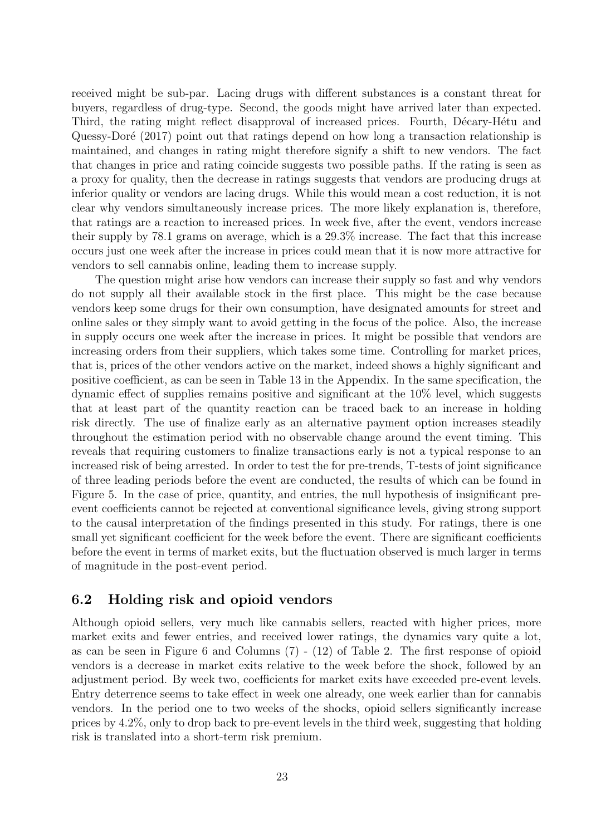received might be sub-par. Lacing drugs with different substances is a constant threat for buyers, regardless of drug-type. Second, the goods might have arrived later than expected. Third, the rating might reflect disapproval of increased prices. Fourth, Décary-Hétu and Quessy-Doré [\(2017\)](#page-46-4) point out that ratings depend on how long a transaction relationship is maintained, and changes in rating might therefore signify a shift to new vendors. The fact that changes in price and rating coincide suggests two possible paths. If the rating is seen as a proxy for quality, then the decrease in ratings suggests that vendors are producing drugs at inferior quality or vendors are lacing drugs. While this would mean a cost reduction, it is not clear why vendors simultaneously increase prices. The more likely explanation is, therefore, that ratings are a reaction to increased prices. In week five, after the event, vendors increase their supply by 78.1 grams on average, which is a 29.3% increase. The fact that this increase occurs just one week after the increase in prices could mean that it is now more attractive for vendors to sell cannabis online, leading them to increase supply.

The question might arise how vendors can increase their supply so fast and why vendors do not supply all their available stock in the first place. This might be the case because vendors keep some drugs for their own consumption, have designated amounts for street and online sales or they simply want to avoid getting in the focus of the police. Also, the increase in supply occurs one week after the increase in prices. It might be possible that vendors are increasing orders from their suppliers, which takes some time. Controlling for market prices, that is, prices of the other vendors active on the market, indeed shows a highly significant and positive coefficient, as can be seen in Table [13](#page-62-0) in the Appendix. In the same specification, the dynamic effect of supplies remains positive and significant at the 10% level, which suggests that at least part of the quantity reaction can be traced back to an increase in holding risk directly. The use of finalize early as an alternative payment option increases steadily throughout the estimation period with no observable change around the event timing. This reveals that requiring customers to finalize transactions early is not a typical response to an increased risk of being arrested. In order to test the for pre-trends, T-tests of joint significance of three leading periods before the event are conducted, the results of which can be found in Figure [5.](#page-28-0) In the case of price, quantity, and entries, the null hypothesis of insignificant preevent coefficients cannot be rejected at conventional significance levels, giving strong support to the causal interpretation of the findings presented in this study. For ratings, there is one small yet significant coefficient for the week before the event. There are significant coefficients before the event in terms of market exits, but the fluctuation observed is much larger in terms of magnitude in the post-event period.

#### <span id="page-29-0"></span>6.2 Holding risk and opioid vendors

Although opioid sellers, very much like cannabis sellers, reacted with higher prices, more market exits and fewer entries, and received lower ratings, the dynamics vary quite a lot, as can be seen in Figure [6](#page-31-0) and Columns (7) - (12) of Table [2.](#page-32-0) The first response of opioid vendors is a decrease in market exits relative to the week before the shock, followed by an adjustment period. By week two, coefficients for market exits have exceeded pre-event levels. Entry deterrence seems to take effect in week one already, one week earlier than for cannabis vendors. In the period one to two weeks of the shocks, opioid sellers significantly increase prices by 4.2%, only to drop back to pre-event levels in the third week, suggesting that holding risk is translated into a short-term risk premium.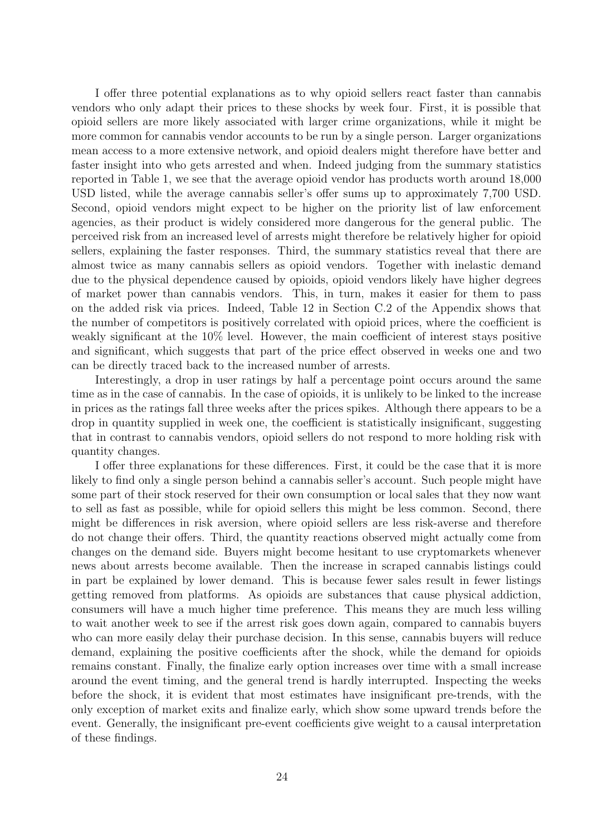I offer three potential explanations as to why opioid sellers react faster than cannabis vendors who only adapt their prices to these shocks by week four. First, it is possible that opioid sellers are more likely associated with larger crime organizations, while it might be more common for cannabis vendor accounts to be run by a single person. Larger organizations mean access to a more extensive network, and opioid dealers might therefore have better and faster insight into who gets arrested and when. Indeed judging from the summary statistics reported in Table [1,](#page-19-0) we see that the average opioid vendor has products worth around 18,000 USD listed, while the average cannabis seller's offer sums up to approximately 7,700 USD. Second, opioid vendors might expect to be higher on the priority list of law enforcement agencies, as their product is widely considered more dangerous for the general public. The perceived risk from an increased level of arrests might therefore be relatively higher for opioid sellers, explaining the faster responses. Third, the summary statistics reveal that there are almost twice as many cannabis sellers as opioid vendors. Together with inelastic demand due to the physical dependence caused by opioids, opioid vendors likely have higher degrees of market power than cannabis vendors. This, in turn, makes it easier for them to pass on the added risk via prices. Indeed, Table [12](#page-61-1) in Section [C.2](#page-61-0) of the Appendix shows that the number of competitors is positively correlated with opioid prices, where the coefficient is weakly significant at the 10% level. However, the main coefficient of interest stays positive and significant, which suggests that part of the price effect observed in weeks one and two can be directly traced back to the increased number of arrests.

Interestingly, a drop in user ratings by half a percentage point occurs around the same time as in the case of cannabis. In the case of opioids, it is unlikely to be linked to the increase in prices as the ratings fall three weeks after the prices spikes. Although there appears to be a drop in quantity supplied in week one, the coefficient is statistically insignificant, suggesting that in contrast to cannabis vendors, opioid sellers do not respond to more holding risk with quantity changes.

I offer three explanations for these differences. First, it could be the case that it is more likely to find only a single person behind a cannabis seller's account. Such people might have some part of their stock reserved for their own consumption or local sales that they now want to sell as fast as possible, while for opioid sellers this might be less common. Second, there might be differences in risk aversion, where opioid sellers are less risk-averse and therefore do not change their offers. Third, the quantity reactions observed might actually come from changes on the demand side. Buyers might become hesitant to use cryptomarkets whenever news about arrests become available. Then the increase in scraped cannabis listings could in part be explained by lower demand. This is because fewer sales result in fewer listings getting removed from platforms. As opioids are substances that cause physical addiction, consumers will have a much higher time preference. This means they are much less willing to wait another week to see if the arrest risk goes down again, compared to cannabis buyers who can more easily delay their purchase decision. In this sense, cannabis buyers will reduce demand, explaining the positive coefficients after the shock, while the demand for opioids remains constant. Finally, the finalize early option increases over time with a small increase around the event timing, and the general trend is hardly interrupted. Inspecting the weeks before the shock, it is evident that most estimates have insignificant pre-trends, with the only exception of market exits and finalize early, which show some upward trends before the event. Generally, the insignificant pre-event coefficients give weight to a causal interpretation of these findings.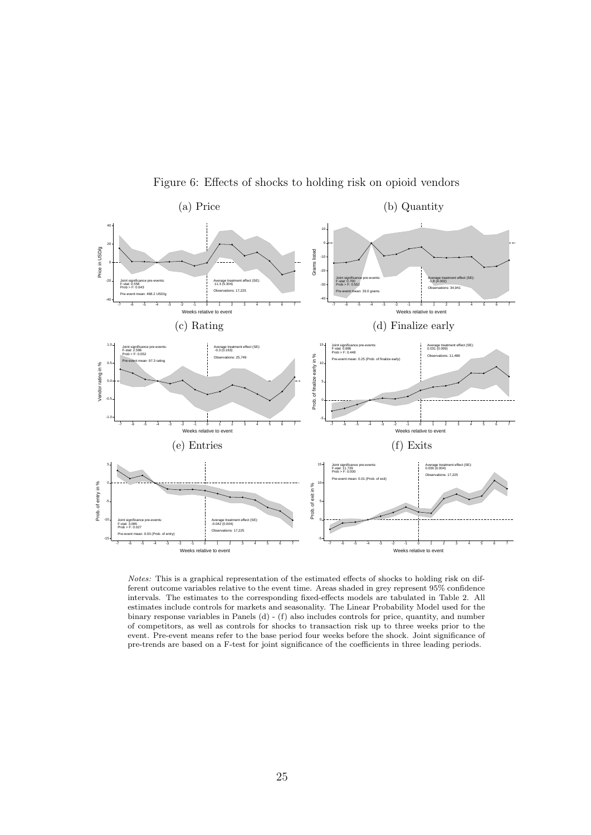<span id="page-31-0"></span>

Figure 6: Effects of shocks to holding risk on opioid vendors

Notes: This is a graphical representation of the estimated effects of shocks to holding risk on different outcome variables relative to the event time. Areas shaded in grey represent 95% confidence intervals. The estimates to the corresponding fixed-effects models are tabulated in Table [2.](#page-32-0) All estimates include controls for markets and seasonality. The Linear Probability Model used for the binary response variables in Panels (d) - (f) also includes controls for price, quantity, and number of competitors, as well as controls for shocks to transaction risk up to three weeks prior to the event. Pre-event means refer to the base period four weeks before the shock. Joint significance of pre-trends are based on a F-test for joint significance of the coefficients in three leading periods.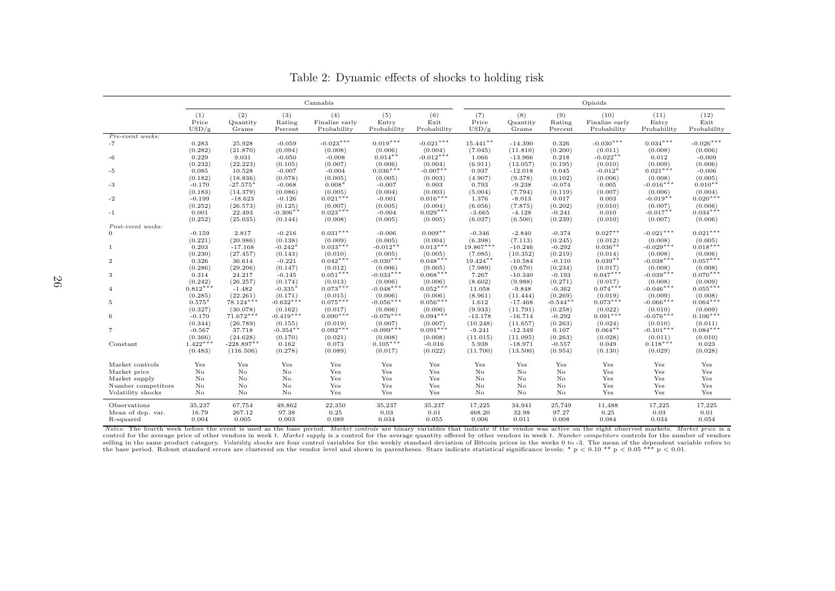|                          | Cannabis         |                    |                       |                       |                        | Opioids               |                       |                      |                     |                        |                        |                       |
|--------------------------|------------------|--------------------|-----------------------|-----------------------|------------------------|-----------------------|-----------------------|----------------------|---------------------|------------------------|------------------------|-----------------------|
|                          | (1)<br>Price     | (2)<br>Quantity    | (3)<br>Rating         | (4)<br>Finalize early | (5)<br>Entry           | (6)<br>Exit           | (7)<br>Price          | (8)<br>Quantity      | (9)<br>Rating       | (10)<br>Finalize early | (11)<br>Entry          | (12)<br>Exit          |
|                          | USD/g            | Grams              | Percent               | Probability           | Probability            | Probability           | USD/g                 | Grams                | Percent             | Probability            | Probability            | Probability           |
| Pre-event weeks:<br>$-7$ | 0.283            | 25.928             | $-0.059$              | $-0.023***$           | $0.019***$             | $-0.021***$           | $15.441**$            | $-14.390$            | 0.326               | $-0.030***$            | $0.034***$             | $-0.026***$           |
|                          | (0.282)          | (21.870)           | (0.094)               | (0.008)               | (0.006)                | (0.004)               | (7.045)               | (11.810)             | (0.200)             | (0.011)                | (0.008)                | (0.006)               |
| -6                       | 0.229            | 9.031              | $-0.050$              | $-0.008$              | $0.014**$              | $-0.012***$           | 1.066                 | $-13.966$            | 0.218               | $-0.022**$             | 0.012                  | $-0.009$              |
|                          | (0.232)          | (22.223)           | (0.105)               | (0.007)               | (0.006)                | (0.004)               | (6.911)               | (13.057)             | (0.195)             | (0.010)                | (0.009)                | (0.006)               |
| -5                       | 0.085            | 10.528             | $-0.007$              | $-0.004$              | $0.036***$             | $-0.007**$            | 0.937                 | $-12.018$            | 0.045               | $-0.012*$              | $0.021***$             | $-0.006$              |
|                          | (0.182)          | (18.836)           | (0.078)               | (0.005)               | (0.005)                | (0.003)               | (4.907)               | (9.378)              | (0.102)             | (0.006)                | (0.008)                | (0.005)               |
| -3                       | $-0.170$         | $-27.575$          | $-0.068$              | $0.008*$              | $-0.007$               | 0.003                 | 0.793                 | $-9.238$             | $-0.074$            | 0.005                  | $-0.016***$            | $0.010**$             |
|                          | (0.183)          | (14.379)           | (0.086)               | (0.005)               | (0.004)                | (0.003)               | (5.004)               | (7.794)              | (0.119)             | (0.007)                | (0.006)                | (0.004)               |
| -2                       | $-0.199$         | $-18.623$          | $-0.126$              | $0.021***$            | $-0.001$               | $0.016***$            | 1.376                 | $-8.013$             | 0.017               | 0.003                  | $-0.019**$             | $0.020***$            |
|                          | (0.252)          | (26.573)           | (0.125)               | (0.007)               | (0.005)                | (0.004)               | (6.056)               | (7.875)              | (0.202)             | (0.010)                | (0.007)                | (0.006)               |
| $-1$                     | 0.001            | 22.493             | $-0.306**$            | $0.023***$            | $-0.004$               | $0.029***$            | $-3.665$              | $-4.128$             | $-0.241$            | 0.010                  | $-0.017**$             | $0.034***$            |
|                          | (0.252)          | (25.035)           | (0.144)               | (0.008)               | (0.005)                | (0.005)               | (6.037)               | (6.500)              | (0.239)             | (0.010)                | (0.007)                | (0.006)               |
| Post-event weeks:        |                  |                    |                       |                       |                        |                       |                       |                      |                     |                        |                        |                       |
|                          | $-0.159$         | 2.817              | $-0.216$              | $0.031***$            | $-0.006$               | $0.009**$             | $-0.346$              | $-2.840$             | $-0.374$            | $0.027***$             | $-0.021***$            | $0.021***$            |
|                          | (0.221)          | (20.986)           | (0.138)               | (0.009)               | (0.005)                | (0.004)               | (6.398)               | (7.113)              | (0.245)             | (0.012)                | (0.008)                | (0.005)               |
| -1                       | 0.203            | $-17.168$          | $-0.242$ <sup>*</sup> | $0.033***$            | $-0.012**$             | $0.013***$            | $19.867***$           | $-10.246$            | $-0.292$            | $0.036**$              | $-0.029***$            | $0.018***$            |
|                          | (0.230)          | (27.457)           | (0.143)               | (0.010)<br>$0.042***$ | (0.005)                | (0.005)<br>$0.048***$ | (7.085)               | (10.352)             | (0.219)             | (0.014)<br>$0.039**$   | (0.008)<br>$-0.038***$ | (0.006)<br>$0.057***$ |
| $\overline{2}$           | 0.326<br>(0.286) | 36.614<br>(29.206) | $-0.221$<br>(0.147)   | (0.012)               | $-0.030***$<br>(0.006) | (0.005)               | $19.424**$<br>(7.989) | $-10.584$<br>(9.670) | $-0.110$<br>(0.234) | (0.017)                | (0.008)                | (0.008)               |
| 3                        | 0.314            | 24.217             | $-0.145$              | $0.051***$            | $-0.033***$            | $0.068***$            | 7.267                 | $-10.340$            | $-0.193$            | $0.047***$             | $-0.039***$            | $0.070***$            |
|                          | (0.242)          | (26.257)           | (0.174)               | (0.013)               | (0.006)                | (0.006)               | (8.602)               | (9.988)              | (0.271)             | (0.017)                | (0.008)                | (0.009)               |
| $\overline{4}$           | $0.812***$       | $-1.482$           | $-0.335*$             | $0.073***$            | $-0.048***$            | $0.052***$            | 11.058                | $-9.848$             | $-0.362$            | $0.074***$             | $-0.046***$            | $0.055***$            |
|                          | (0.285)          | (22.261)           | (0.171)               | (0.015)               | (0.006)                | (0.006)               | (8.961)               | (11.444)             | (0.269)             | (0.019)                | (0.009)                | (0.008)               |
| 5                        | $0.575*$         | $78.124***$        | $-0.632***$           | $0.075***$            | $-0.056***$            | $0.056***$            | 1.612                 | $-17.468$            | $-0.544$ **         | $0.073***$             | $-0.066***$            | $0.064***$            |
|                          | (0.327)          | (30.078)           | (0.162)               | (0.017)               | (0.006)                | (0.006)               | (9.933)               | (11.791)             | (0.258)             | (0.022)                | (0.010)                | (0.009)               |
| 6                        | $-0.170$         | $71.672***$        | $-0.419***$           | $0.090***$            | $-0.076***$            | $0.094***$            | $-13.178$             | $-16.714$            | $-0.292$            | $0.091***$             | $-0.076***$            | $0.106***$            |
|                          | (0.344)          | (26.789)           | (0.155)               | (0.019)               | (0.007)                | (0.007)               | (10.248)              | (11.657)             | (0.263)             | (0.024)                | (0.010)                | (0.011)               |
|                          | $-0.567$         | 37.718             | $-0.354**$            | $0.092***$            | $-0.099***$            | $0.091***$            | $-9.241$              | $-12.349$            | 0.107               | $0.064**$              | $-0.101***$            | $0.084***$            |
|                          | (0.366)          | (24.628)           | (0.170)               | (0.021)               | (0.008)                | (0.008)               | (11.015)              | (11.095)             | (0.263)             | (0.028)                | (0.011)                | (0.010)               |
| Constant                 | $1.422***$       | $-228.897**$       | 0.162                 | 0.073                 | $0.105***$             | $-0.016$              | 5.938                 | $-18.971$            | $-0.557$            | 0.049                  | $0.118***$             | 0.023                 |
|                          | (0.483)          | (116.506)          | (0.278)               | (0.089)               | (0.017)                | (0.022)               | (11.700)              | (13.500)             | (0.954)             | (0.130)                | (0.029)                | (0.028)               |
| Market controls          | Yes              | Yes                | Yes                   | Yes                   | Yes                    | Yes                   | Yes                   | Yes                  | Yes                 | Yes                    | Yes                    | Yes                   |
| Market price             | No               | No                 | $\rm No$              | Yes                   | Yes                    | Yes                   | No                    | No                   | No                  | Yes                    | Yes                    | Yes                   |
| Market supply            | No               | No.                | No                    | Yes                   | Yes                    | Yes                   | No                    | No                   | No.                 | Yes                    | Yes                    | Yes                   |
| Number competitors       | No               | No                 | No                    | Yes                   | Yes                    | Yes                   | No                    | No                   | No.                 | Yes                    | Yes                    | Yes                   |
| Volatility shocks        | No               | No.                | No                    | Yes                   | Yes                    | Yes                   | No                    | No.                  | No.                 | Yes                    | Yes                    | Yes                   |
|                          |                  |                    |                       |                       |                        |                       |                       |                      |                     |                        |                        |                       |
| Observations             | 35,237           | 67,754             | 49,862                | 22,350                | 35,237                 | 35,237                | 17,225                | 34,941               | 25,749              | 11,488                 | 17,225                 | 17,225                |
| Mean of dep. var.        | 16.79            | 267.12             | 97.38                 | 0.25                  | 0.03                   | 0.01                  | 468.20                | 32.98                | 97.27               | 0.25                   | 0.03                   | 0.01                  |
| R-squared                | 0.004            | 0.005              | 0.003                 | 0.089                 | 0.034                  | 0.055                 | 0.006                 | 0.011                | 0.008               | 0.084                  | 0.034                  | 0.054                 |

Table 2: Dynamic effects of shocks to holding risk

<span id="page-32-0"></span>Notes: The fourth week before the event is used as the base period. Market controls are binary variables that indicate if the vendor was active on the eight observed markets. Market price is a control for the average price of other vendors in week t. Market supply is a control for the average quantity offered by other vendors in week t. Number competitors controls for the number of vendors selling in the same product category. *Volatility shocks* are four control variables for the weekly standard deviation of Bitcoin prices in the weeks 0 to -3. The mean of the dependent variable refers to the base period. Robust standard errors are clustered on the vendor level and shown in parentheses. Stars indicate statistical significance levels: \* p  $< 0.10$  \*\* p  $< 0.05$  \*\*\* p  $< 0.01$ .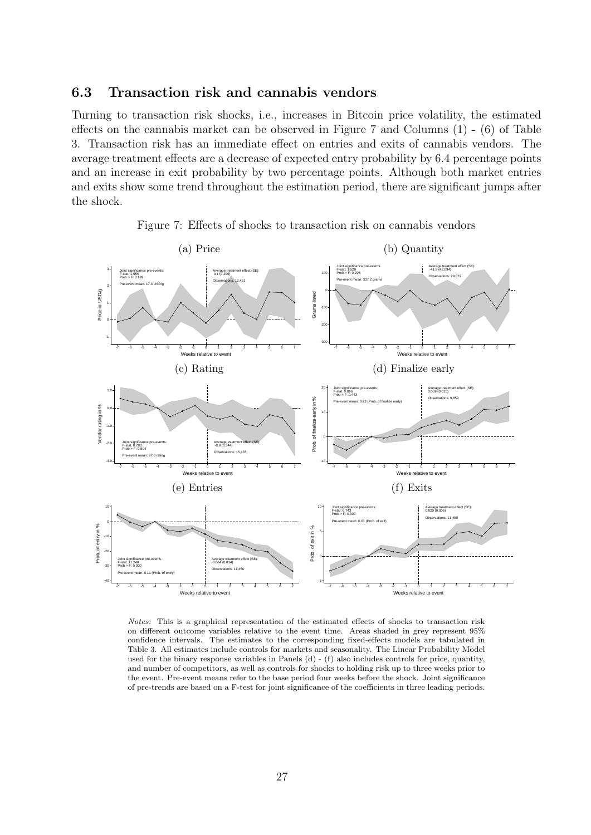#### <span id="page-33-0"></span>6.3 Transaction risk and cannabis vendors

Turning to transaction risk shocks, i.e., increases in Bitcoin price volatility, the estimated effects on the cannabis market can be observed in Figure [7](#page-33-1) and Columns (1) - (6) of Table [3.](#page-36-0) Transaction risk has an immediate effect on entries and exits of cannabis vendors. The average treatment effects are a decrease of expected entry probability by 6.4 percentage points and an increase in exit probability by two percentage points. Although both market entries and exits show some trend throughout the estimation period, there are significant jumps after the shock.

<span id="page-33-1"></span>

Figure 7: Effects of shocks to transaction risk on cannabis vendors

Notes: This is a graphical representation of the estimated effects of shocks to transaction risk on different outcome variables relative to the event time. Areas shaded in grey represent 95% confidence intervals. The estimates to the corresponding fixed-effects models are tabulated in Table [3.](#page-36-0) All estimates include controls for markets and seasonality. The Linear Probability Model used for the binary response variables in Panels  $(d)$  -  $(f)$  also includes controls for price, quantity, and number of competitors, as well as controls for shocks to holding risk up to three weeks prior to the event. Pre-event means refer to the base period four weeks before the shock. Joint significance of pre-trends are based on a F-test for joint significance of the coefficients in three leading periods.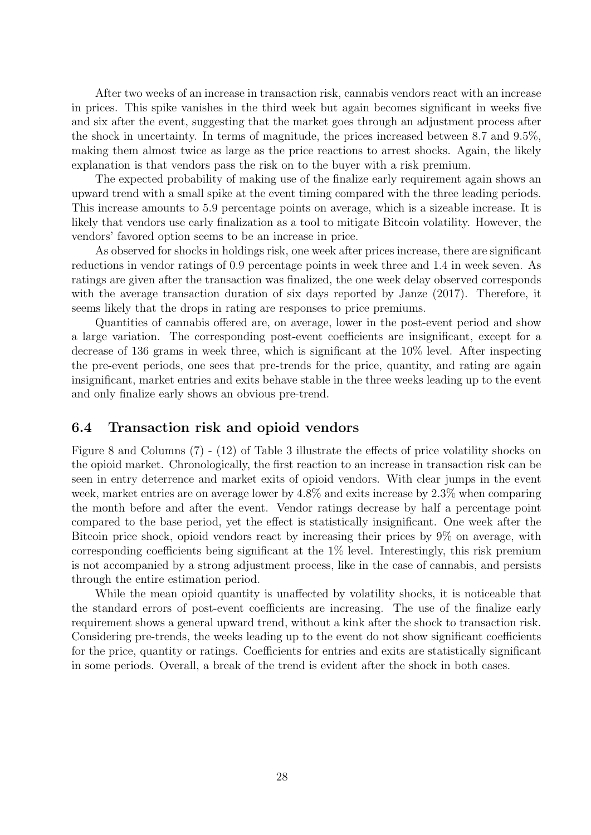After two weeks of an increase in transaction risk, cannabis vendors react with an increase in prices. This spike vanishes in the third week but again becomes significant in weeks five and six after the event, suggesting that the market goes through an adjustment process after the shock in uncertainty. In terms of magnitude, the prices increased between 8.7 and 9.5%, making them almost twice as large as the price reactions to arrest shocks. Again, the likely explanation is that vendors pass the risk on to the buyer with a risk premium.

The expected probability of making use of the finalize early requirement again shows an upward trend with a small spike at the event timing compared with the three leading periods. This increase amounts to 5.9 percentage points on average, which is a sizeable increase. It is likely that vendors use early finalization as a tool to mitigate Bitcoin volatility. However, the vendors' favored option seems to be an increase in price.

As observed for shocks in holdings risk, one week after prices increase, there are significant reductions in vendor ratings of 0.9 percentage points in week three and 1.4 in week seven. As ratings are given after the transaction was finalized, the one week delay observed corresponds with the average transaction duration of six days reported by [Janze](#page-47-4) [\(2017\)](#page-47-4). Therefore, it seems likely that the drops in rating are responses to price premiums.

Quantities of cannabis offered are, on average, lower in the post-event period and show a large variation. The corresponding post-event coefficients are insignificant, except for a decrease of 136 grams in week three, which is significant at the 10% level. After inspecting the pre-event periods, one sees that pre-trends for the price, quantity, and rating are again insignificant, market entries and exits behave stable in the three weeks leading up to the event and only finalize early shows an obvious pre-trend.

#### <span id="page-34-0"></span>6.4 Transaction risk and opioid vendors

Figure [8](#page-35-0) and Columns (7) - (12) of Table [3](#page-36-0) illustrate the effects of price volatility shocks on the opioid market. Chronologically, the first reaction to an increase in transaction risk can be seen in entry deterrence and market exits of opioid vendors. With clear jumps in the event week, market entries are on average lower by 4.8% and exits increase by 2.3% when comparing the month before and after the event. Vendor ratings decrease by half a percentage point compared to the base period, yet the effect is statistically insignificant. One week after the Bitcoin price shock, opioid vendors react by increasing their prices by 9% on average, with corresponding coefficients being significant at the 1% level. Interestingly, this risk premium is not accompanied by a strong adjustment process, like in the case of cannabis, and persists through the entire estimation period.

While the mean opioid quantity is unaffected by volatility shocks, it is noticeable that the standard errors of post-event coefficients are increasing. The use of the finalize early requirement shows a general upward trend, without a kink after the shock to transaction risk. Considering pre-trends, the weeks leading up to the event do not show significant coefficients for the price, quantity or ratings. Coefficients for entries and exits are statistically significant in some periods. Overall, a break of the trend is evident after the shock in both cases.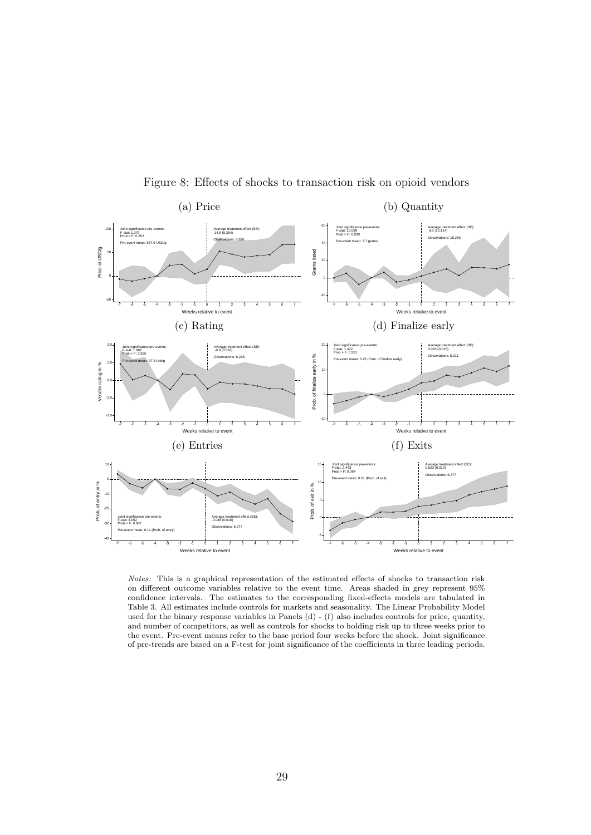<span id="page-35-0"></span>

Figure 8: Effects of shocks to transaction risk on opioid vendors

Notes: This is a graphical representation of the estimated effects of shocks to transaction risk on different outcome variables relative to the event time. Areas shaded in grey represent 95% confidence intervals. The estimates to the corresponding fixed-effects models are tabulated in Table [3.](#page-36-0) All estimates include controls for markets and seasonality. The Linear Probability Model used for the binary response variables in Panels (d) - (f) also includes controls for price, quantity, and number of competitors, as well as controls for shocks to holding risk up to three weeks prior to the event. Pre-event means refer to the base period four weeks before the shock. Joint significance of pre-trends are based on a F-test for joint significance of the coefficients in three leading periods.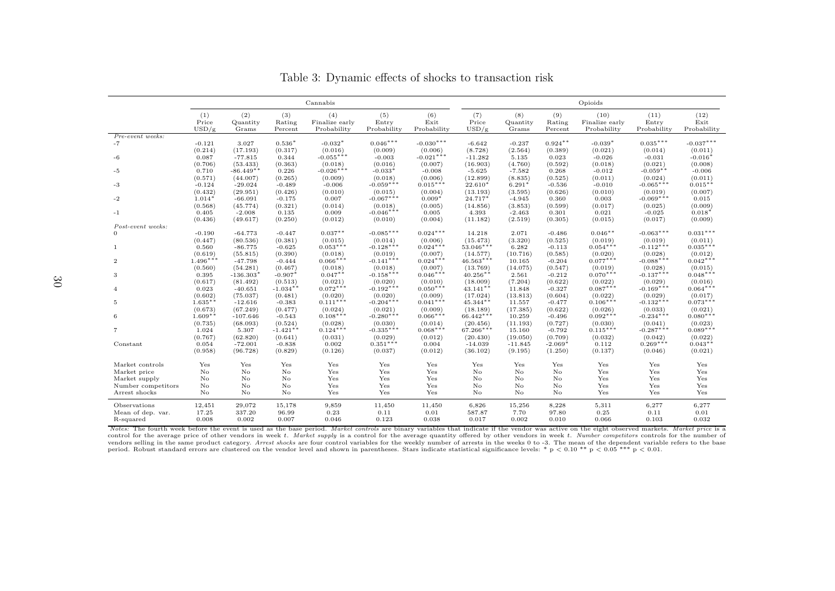|                    |                       |                          |                          | Cannabis                             |                             |                            | Opioids                 |                          |                          |                                       |                              |                             |  |
|--------------------|-----------------------|--------------------------|--------------------------|--------------------------------------|-----------------------------|----------------------------|-------------------------|--------------------------|--------------------------|---------------------------------------|------------------------------|-----------------------------|--|
|                    | (1)<br>Price<br>USD/g | (2)<br>Quantity<br>Grams | (3)<br>Rating<br>Percent | (4)<br>Finalize early<br>Probability | (5)<br>Entry<br>Probability | (6)<br>Exit<br>Probability | (7)<br>Price<br>USD/g   | (8)<br>Quantity<br>Grams | (9)<br>Rating<br>Percent | (10)<br>Finalize early<br>Probability | (11)<br>Entry<br>Probability | (12)<br>Exit<br>Probability |  |
| Pre-event weeks:   |                       |                          |                          |                                      |                             |                            |                         |                          |                          |                                       |                              |                             |  |
| $-7$               | $-0.121$              | 3.027                    | $0.536*$                 | $-0.032*$                            | $0.046***$                  | $-0.030***$                | $-6.642$                | $-0.237$                 | $0.924**$                | $-0.039*$                             | $0.035***$                   | $-0.037***$                 |  |
|                    | (0.214)               | (17.193)                 | (0.317)                  | (0.016)                              | (0.009)                     | (0.006)                    | (8.728)                 | (2.564)                  | (0.389)                  | (0.021)                               | (0.014)                      | (0.011)                     |  |
| $-6$               | 0.087                 | $-77.815$                | 0.344                    | $-0.055***$                          | $-0.003$                    | $-0.021***$                | $-11.282$               | 5.135                    | 0.023                    | $-0.026$                              | $-0.031$                     | $-0.016*$                   |  |
| -5                 | (0.706)<br>0.710      | (53.433)<br>$-86.449**$  | (0.363)<br>0.226         | (0.018)<br>$-0.026***$               | (0.016)<br>$-0.033*$        | (0.007)<br>$-0.008$        | (16.903)<br>$-5.625$    | (4.760)<br>$-7.582$      | (0.592)<br>0.268         | (0.018)<br>$-0.012$                   | (0.021)<br>$-0.059**$        | (0.008)<br>$-0.006$         |  |
|                    | (0.571)               | (44.007)                 | (0.265)                  | (0.009)                              | (0.018)                     | (0.006)                    | (12.899)                | (8.835)                  | (0.525)                  | (0.011)                               | (0.024)                      | (0.011)                     |  |
| $-3$               | $-0.124$              | $-29.024$                | $-0.489$                 | $-0.006$                             | $-0.059***$                 | $0.015***$                 | $22.610*$               | $6.291*$                 | $-0.536$                 | $-0.010$                              | $-0.065***$                  | $0.015***$                  |  |
|                    | (0.432)               | (29.951)                 | (0.426)                  | (0.010)                              | (0.015)                     | (0.004)                    | (13.193)                | (3.595)                  | (0.626)                  | (0.010)                               | (0.019)                      | (0.007)                     |  |
| $-2$               | $1.014*$              | $-66.091$                | $-0.175$                 | 0.007                                | $-0.067***$                 | $0.009*$                   | 24.717*                 | $-4.945$                 | 0.360                    | 0.003                                 | $-0.069***$                  | 0.015                       |  |
|                    | (0.568)               | (45.774)                 | (0.321)                  | (0.014)                              | (0.018)                     | (0.005)                    | (14.856)                | (3.853)                  | (0.599)                  | (0.017)                               | (0.025)                      | (0.009)                     |  |
| $-1$               | 0.405                 | $-2.008$                 | 0.135                    | 0.009                                | $-0.046***$                 | 0.005                      | 4.393                   | $-2.463$                 | 0.301                    | 0.021                                 | $-0.025$                     | $0.018*$                    |  |
|                    | (0.436)               | (49.617)                 | (0.250)                  | (0.012)                              | (0.010)                     | (0.004)                    | (11.182)                | (2.519)                  | (0.305)                  | (0.015)                               | (0.017)                      | (0.009)                     |  |
| Post-event weeks:  |                       |                          |                          |                                      |                             |                            |                         |                          |                          |                                       |                              |                             |  |
|                    | $-0.190$              | $-64.773$                | $-0.447$                 | $0.037***$                           | $-0.085***$                 | $0.024***$                 | 14.218                  | 2.071                    | $-0.486$                 | $0.046**$                             | $-0.063***$                  | $0.031***$                  |  |
|                    | (0.447)               | (80.536)                 | (0.381)                  | (0.015)<br>$0.053***$                | (0.014)                     | (0.006)                    | (15.473)<br>$53.046***$ | (3.320)                  | (0.525)                  | (0.019)                               | (0.019)                      | (0.011)<br>$0.035***$       |  |
| -1                 | 0.560                 | $-86.775$                | $-0.625$<br>(0.390)      | (0.018)                              | $-0.128***$<br>(0.019)      | $0.024***$<br>(0.007)      |                         | 6.282                    | $-0.113$<br>(0.585)      | $0.054***$                            | $-0.112***$<br>(0.028)       |                             |  |
| $\overline{2}$     | (0.619)<br>$1.496***$ | (55.815)<br>$-47.798$    | $-0.444$                 | $0.066***$                           | $-0.141***$                 | $0.024***$                 | (14.577)<br>$46.563***$ | (10.716)<br>10.165       | $-0.204$                 | (0.020)<br>$0.077***$                 | $-0.088***$                  | (0.012)<br>$0.042***$       |  |
|                    | (0.560)               | (54.281)                 | (0.467)                  | (0.018)                              | (0.018)                     | (0.007)                    | (13.769)                | (14.075)                 | (0.547)                  | (0.019)                               | (0.028)                      | (0.015)                     |  |
| 3                  | 0.395                 | $-136.303*$              | $-0.907*$                | $0.047***$                           | $-0.158***$                 | $0.046***$                 | $40.256**$              | 2.561                    | $-0.212$                 | $0.070***$                            | $-0.137***$                  | $0.048***$                  |  |
|                    | (0.617)               | (81.492)                 | (0.513)                  | (0.021)                              | (0.020)                     | (0.010)                    | (18.009)                | (7.204)                  | (0.622)                  | (0.022)                               | (0.029)                      | (0.016)                     |  |
| $\overline{4}$     | 0.023                 | $-40.651$                | $-1.034**$               | $0.072***$                           | $-0.192***$                 | $0.050***$                 | $43.141**$              | 11.848                   | $-0.327$                 | $0.087***$                            | $-0.169***$                  | $0.064***$                  |  |
|                    | (0.602)               | (75.037)                 | (0.481)                  | (0.020)                              | (0.020)                     | (0.009)                    | (17.024)                | (13.813)                 | (0.604)                  | (0.022)                               | (0.029)                      | (0.017)                     |  |
| 5                  | $1.635**$             | $-12.616$                | $-0.383$                 | $0.111***$                           | $-0.204***$                 | $0.041***$                 | $45.344**$              | 11.557                   | $-0.477$                 | $0.106***$                            | $-0.132***$                  | $0.073***$                  |  |
|                    | (0.673)               | (67.249)                 | (0.477)                  | (0.024)                              | (0.021)                     | (0.009)                    | (18.189)                | (17.385)                 | (0.622)                  | (0.026)                               | (0.033)                      | (0.021)                     |  |
| 6                  | $1.609*$              | $-107.646$               | $-0.543$                 | $0.108***$                           | $-0.280***$                 | $0.066***$                 | $66.442***$             | 10.259                   | $-0.496$                 | $0.092***$                            | $-0.234***$                  | $0.080***$                  |  |
|                    | (0.735)               | (68.093)                 | (0.524)                  | (0.028)                              | (0.030)                     | (0.014)<br>$0.068***$      | (20.456)                | (11.193)                 | (0.727)                  | (0.030)                               | (0.041)                      | (0.023)<br>$0.089***$       |  |
| $\overline{7}$     | 1.024                 | 5.307                    | $-1.421**$<br>(0.641)    | $0.124***$<br>(0.031)                | $-0.335***$<br>(0.029)      | (0.012)                    | 67.266***               | 15.160                   | $-0.792$<br>(0.709)      | $0.115***$<br>(0.032)                 | $-0.287***$<br>(0.042)       | (0.022)                     |  |
| Constant           | (0.767)<br>0.054      | (62.820)<br>$-72.001$    | $-0.838$                 | 0.002                                | $0.351***$                  | 0.004                      | (20.430)<br>$-14.039$   | (19.050)<br>$-11.845$    | $-2.069*$                | 0.112                                 | $0.269***$                   | $0.043**$                   |  |
|                    | (0.958)               | (96.728)                 | (0.829)                  | (0.126)                              | (0.037)                     | (0.012)                    | (36.102)                | (9.195)                  | (1.250)                  | (0.137)                               | (0.046)                      | (0.021)                     |  |
|                    |                       |                          |                          |                                      |                             |                            |                         |                          |                          |                                       |                              |                             |  |
| Market controls    | Yes                   | Yes                      | Yes                      | Yes                                  | Yes                         | Yes                        | Yes                     | Yes                      | Yes                      | Yes                                   | Yes                          | Yes                         |  |
| Market price       | No                    | No.                      | No                       | Yes                                  | Yes                         | Yes                        | No                      | No                       | No                       | Yes                                   | Yes                          | Yes                         |  |
| Market supply      | No                    | No                       | No                       | Yes                                  | Yes                         | Yes                        | No                      | No                       | No                       | Yes                                   | Yes                          | Yes                         |  |
| Number competitors | No                    | No                       | No                       | Yes                                  | Yes                         | Yes                        | No                      | No                       | $\rm No$                 | Yes                                   | Yes                          | Yes                         |  |
| Arrest shocks      | No.                   | No.                      | No                       | Yes                                  | Yes                         | Yes                        | No                      | No                       | No                       | Yes                                   | Yes                          | Yes                         |  |
| Observations       | 12,451                | 29,072                   | 15,178                   | 9,859                                | 11,450                      | 11,450                     | 6,826                   | 15,256                   | 8,228                    | 5,311                                 | 6,277                        | 6,277                       |  |
| Mean of dep. var.  | 17.25                 | 337.20                   | 96.99                    | 0.23                                 | 0.11                        | 0.01                       | 587.87                  | 7.70                     | 97.80                    | 0.25                                  | 0.11                         | 0.01                        |  |
| R-squared          | 0.008                 | 0.002                    | 0.007                    | 0.046                                | 0.123                       | 0.038                      | 0.017                   | 0.002                    | 0.010                    | 0.066                                 | 0.103                        | 0.032                       |  |
|                    |                       |                          |                          |                                      |                             |                            |                         |                          |                          |                                       |                              |                             |  |

Table 3: Dynamic effects of shocks to transaction risk

Notes: The fourth week before the event is used as the base period. Market controls are binary variables that indicate if the vendor was active on the eight observed markets. Market price is a control for the average price of other vendors in week t. Market supply is a control for the average quantity offered by other vendors in week t. Number competitors controls for the number of vendors selling in the same product category. Arrest shocks are four control variables for the weekly number of arrests in the weeks 0 to -3. The mean of the dependent variable refers to the base period. Robust standard errors are clustered on the vendor level and shown in parentheses. Stars indicate statistical significance levels: \*  $p < 0.10$  \*\*  $p < 0.05$  \*\*\*  $p < 0.01$ .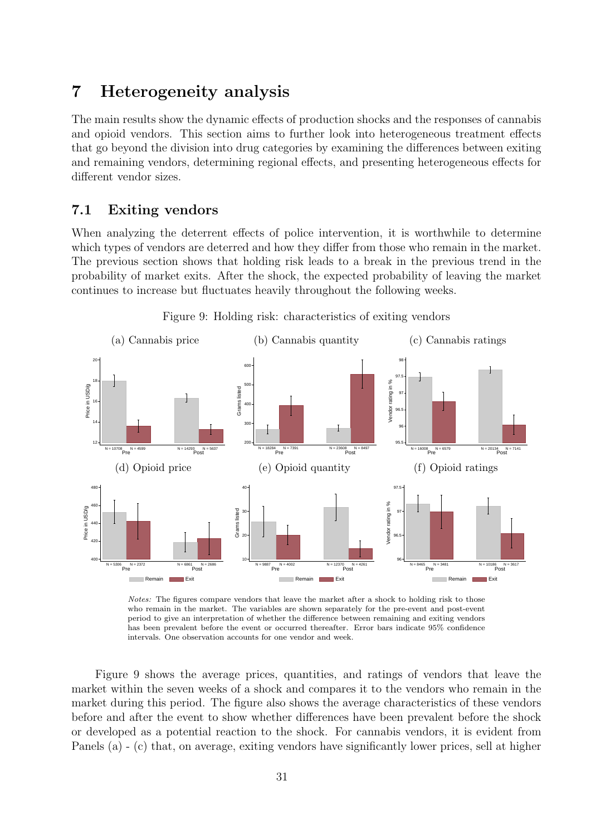# 7 Heterogeneity analysis

The main results show the dynamic effects of production shocks and the responses of cannabis and opioid vendors. This section aims to further look into heterogeneous treatment effects that go beyond the division into drug categories by examining the differences between exiting and remaining vendors, determining regional effects, and presenting heterogeneous effects for different vendor sizes.

#### 7.1 Exiting vendors

When analyzing the deterrent effects of police intervention, it is worthwhile to determine which types of vendors are deterred and how they differ from those who remain in the market. The previous section shows that holding risk leads to a break in the previous trend in the probability of market exits. After the shock, the expected probability of leaving the market continues to increase but fluctuates heavily throughout the following weeks.

<span id="page-37-0"></span>

Figure 9: Holding risk: characteristics of exiting vendors

Notes: The figures compare vendors that leave the market after a shock to holding risk to those who remain in the market. The variables are shown separately for the pre-event and post-event period to give an interpretation of whether the difference between remaining and exiting vendors has been prevalent before the event or occurred thereafter. Error bars indicate 95% confidence intervals. One observation accounts for one vendor and week.

Figure [9](#page-37-0) shows the average prices, quantities, and ratings of vendors that leave the market within the seven weeks of a shock and compares it to the vendors who remain in the market during this period. The figure also shows the average characteristics of these vendors before and after the event to show whether differences have been prevalent before the shock or developed as a potential reaction to the shock. For cannabis vendors, it is evident from Panels (a) - (c) that, on average, exiting vendors have significantly lower prices, sell at higher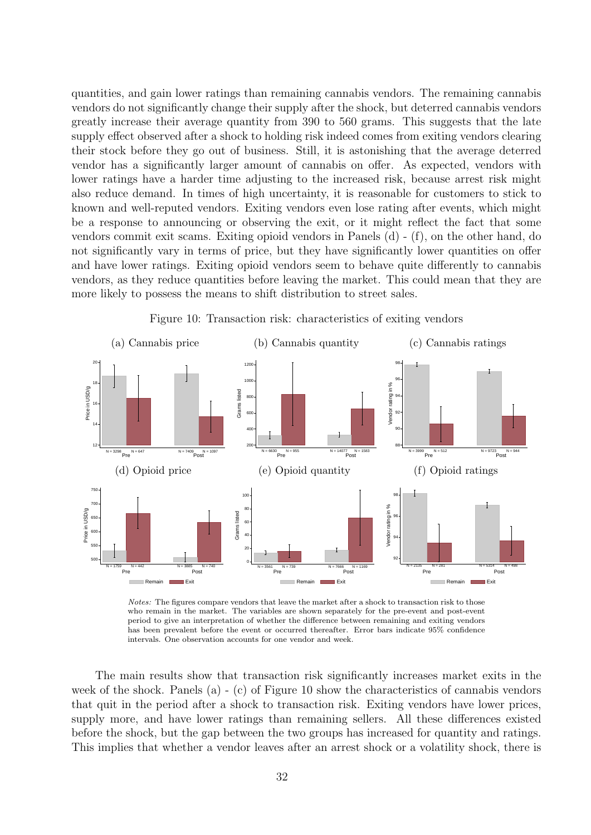quantities, and gain lower ratings than remaining cannabis vendors. The remaining cannabis vendors do not significantly change their supply after the shock, but deterred cannabis vendors greatly increase their average quantity from 390 to 560 grams. This suggests that the late supply effect observed after a shock to holding risk indeed comes from exiting vendors clearing their stock before they go out of business. Still, it is astonishing that the average deterred vendor has a significantly larger amount of cannabis on offer. As expected, vendors with lower ratings have a harder time adjusting to the increased risk, because arrest risk might also reduce demand. In times of high uncertainty, it is reasonable for customers to stick to known and well-reputed vendors. Exiting vendors even lose rating after events, which might be a response to announcing or observing the exit, or it might reflect the fact that some vendors commit exit scams. Exiting opioid vendors in Panels (d) - (f), on the other hand, do not significantly vary in terms of price, but they have significantly lower quantities on offer and have lower ratings. Exiting opioid vendors seem to behave quite differently to cannabis vendors, as they reduce quantities before leaving the market. This could mean that they are more likely to possess the means to shift distribution to street sales.

<span id="page-38-0"></span>

Figure 10: Transaction risk: characteristics of exiting vendors

Notes: The figures compare vendors that leave the market after a shock to transaction risk to those who remain in the market. The variables are shown separately for the pre-event and post-event period to give an interpretation of whether the difference between remaining and exiting vendors has been prevalent before the event or occurred thereafter. Error bars indicate 95% confidence intervals. One observation accounts for one vendor and week.

The main results show that transaction risk significantly increases market exits in the week of the shock. Panels (a) - (c) of Figure [10](#page-38-0) show the characteristics of cannabis vendors that quit in the period after a shock to transaction risk. Exiting vendors have lower prices, supply more, and have lower ratings than remaining sellers. All these differences existed before the shock, but the gap between the two groups has increased for quantity and ratings. This implies that whether a vendor leaves after an arrest shock or a volatility shock, there is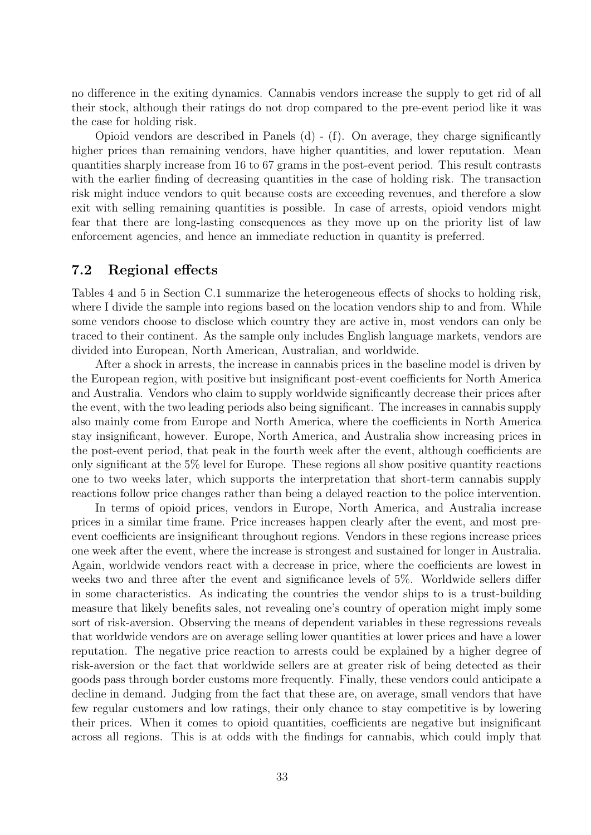no difference in the exiting dynamics. Cannabis vendors increase the supply to get rid of all their stock, although their ratings do not drop compared to the pre-event period like it was the case for holding risk.

Opioid vendors are described in Panels  $(d)$  -  $(f)$ . On average, they charge significantly higher prices than remaining vendors, have higher quantities, and lower reputation. Mean quantities sharply increase from 16 to 67 grams in the post-event period. This result contrasts with the earlier finding of decreasing quantities in the case of holding risk. The transaction risk might induce vendors to quit because costs are exceeding revenues, and therefore a slow exit with selling remaining quantities is possible. In case of arrests, opioid vendors might fear that there are long-lasting consequences as they move up on the priority list of law enforcement agencies, and hence an immediate reduction in quantity is preferred.

#### 7.2 Regional effects

Tables [4](#page-53-0) and [5](#page-54-0) in Section [C.1](#page-53-1) summarize the heterogeneous effects of shocks to holding risk, where I divide the sample into regions based on the location vendors ship to and from. While some vendors choose to disclose which country they are active in, most vendors can only be traced to their continent. As the sample only includes English language markets, vendors are divided into European, North American, Australian, and worldwide.

After a shock in arrests, the increase in cannabis prices in the baseline model is driven by the European region, with positive but insignificant post-event coefficients for North America and Australia. Vendors who claim to supply worldwide significantly decrease their prices after the event, with the two leading periods also being significant. The increases in cannabis supply also mainly come from Europe and North America, where the coefficients in North America stay insignificant, however. Europe, North America, and Australia show increasing prices in the post-event period, that peak in the fourth week after the event, although coefficients are only significant at the 5% level for Europe. These regions all show positive quantity reactions one to two weeks later, which supports the interpretation that short-term cannabis supply reactions follow price changes rather than being a delayed reaction to the police intervention.

In terms of opioid prices, vendors in Europe, North America, and Australia increase prices in a similar time frame. Price increases happen clearly after the event, and most preevent coefficients are insignificant throughout regions. Vendors in these regions increase prices one week after the event, where the increase is strongest and sustained for longer in Australia. Again, worldwide vendors react with a decrease in price, where the coefficients are lowest in weeks two and three after the event and significance levels of 5%. Worldwide sellers differ in some characteristics. As indicating the countries the vendor ships to is a trust-building measure that likely benefits sales, not revealing one's country of operation might imply some sort of risk-aversion. Observing the means of dependent variables in these regressions reveals that worldwide vendors are on average selling lower quantities at lower prices and have a lower reputation. The negative price reaction to arrests could be explained by a higher degree of risk-aversion or the fact that worldwide sellers are at greater risk of being detected as their goods pass through border customs more frequently. Finally, these vendors could anticipate a decline in demand. Judging from the fact that these are, on average, small vendors that have few regular customers and low ratings, their only chance to stay competitive is by lowering their prices. When it comes to opioid quantities, coefficients are negative but insignificant across all regions. This is at odds with the findings for cannabis, which could imply that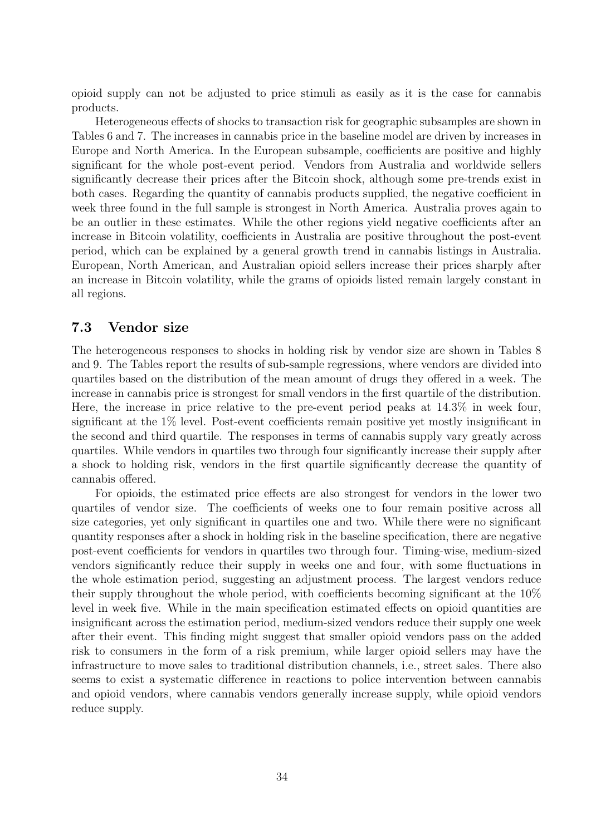opioid supply can not be adjusted to price stimuli as easily as it is the case for cannabis products.

Heterogeneous effects of shocks to transaction risk for geographic subsamples are shown in Tables [6](#page-55-0) and [7.](#page-56-0) The increases in cannabis price in the baseline model are driven by increases in Europe and North America. In the European subsample, coefficients are positive and highly significant for the whole post-event period. Vendors from Australia and worldwide sellers significantly decrease their prices after the Bitcoin shock, although some pre-trends exist in both cases. Regarding the quantity of cannabis products supplied, the negative coefficient in week three found in the full sample is strongest in North America. Australia proves again to be an outlier in these estimates. While the other regions yield negative coefficients after an increase in Bitcoin volatility, coefficients in Australia are positive throughout the post-event period, which can be explained by a general growth trend in cannabis listings in Australia. European, North American, and Australian opioid sellers increase their prices sharply after an increase in Bitcoin volatility, while the grams of opioids listed remain largely constant in all regions.

#### 7.3 Vendor size

The heterogeneous responses to shocks in holding risk by vendor size are shown in Tables [8](#page-57-0) and [9.](#page-58-0) The Tables report the results of sub-sample regressions, where vendors are divided into quartiles based on the distribution of the mean amount of drugs they offered in a week. The increase in cannabis price is strongest for small vendors in the first quartile of the distribution. Here, the increase in price relative to the pre-event period peaks at 14.3% in week four, significant at the 1% level. Post-event coefficients remain positive yet mostly insignificant in the second and third quartile. The responses in terms of cannabis supply vary greatly across quartiles. While vendors in quartiles two through four significantly increase their supply after a shock to holding risk, vendors in the first quartile significantly decrease the quantity of cannabis offered.

For opioids, the estimated price effects are also strongest for vendors in the lower two quartiles of vendor size. The coefficients of weeks one to four remain positive across all size categories, yet only significant in quartiles one and two. While there were no significant quantity responses after a shock in holding risk in the baseline specification, there are negative post-event coefficients for vendors in quartiles two through four. Timing-wise, medium-sized vendors significantly reduce their supply in weeks one and four, with some fluctuations in the whole estimation period, suggesting an adjustment process. The largest vendors reduce their supply throughout the whole period, with coefficients becoming significant at the 10% level in week five. While in the main specification estimated effects on opioid quantities are insignificant across the estimation period, medium-sized vendors reduce their supply one week after their event. This finding might suggest that smaller opioid vendors pass on the added risk to consumers in the form of a risk premium, while larger opioid sellers may have the infrastructure to move sales to traditional distribution channels, i.e., street sales. There also seems to exist a systematic difference in reactions to police intervention between cannabis and opioid vendors, where cannabis vendors generally increase supply, while opioid vendors reduce supply.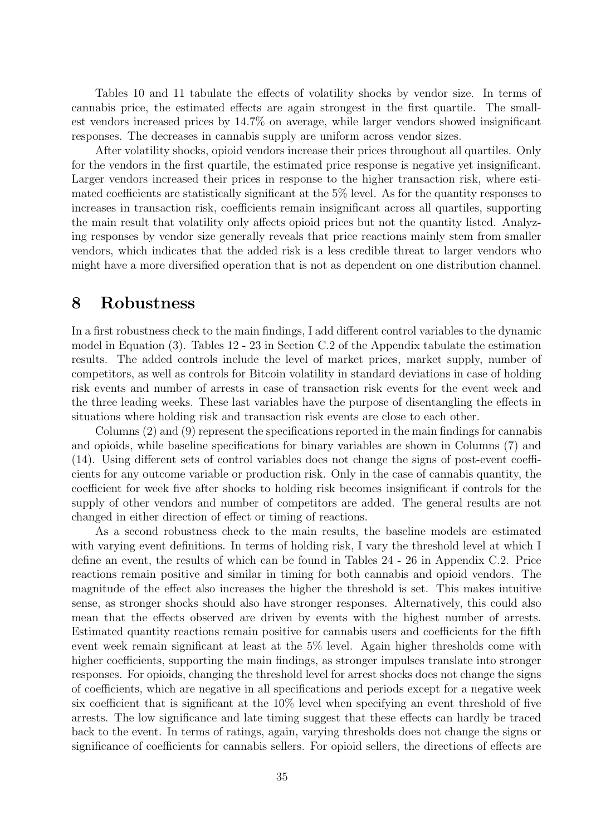Tables [10](#page-59-0) and [11](#page-60-0) tabulate the effects of volatility shocks by vendor size. In terms of cannabis price, the estimated effects are again strongest in the first quartile. The smallest vendors increased prices by 14.7% on average, while larger vendors showed insignificant responses. The decreases in cannabis supply are uniform across vendor sizes.

After volatility shocks, opioid vendors increase their prices throughout all quartiles. Only for the vendors in the first quartile, the estimated price response is negative yet insignificant. Larger vendors increased their prices in response to the higher transaction risk, where estimated coefficients are statistically significant at the 5% level. As for the quantity responses to increases in transaction risk, coefficients remain insignificant across all quartiles, supporting the main result that volatility only affects opioid prices but not the quantity listed. Analyzing responses by vendor size generally reveals that price reactions mainly stem from smaller vendors, which indicates that the added risk is a less credible threat to larger vendors who might have a more diversified operation that is not as dependent on one distribution channel.

## 8 Robustness

In a first robustness check to the main findings, I add different control variables to the dynamic model in Equation [\(3\)](#page-23-0). Tables [12](#page-61-0) - [23](#page-72-0) in Section [C.2](#page-61-1) of the Appendix tabulate the estimation results. The added controls include the level of market prices, market supply, number of competitors, as well as controls for Bitcoin volatility in standard deviations in case of holding risk events and number of arrests in case of transaction risk events for the event week and the three leading weeks. These last variables have the purpose of disentangling the effects in situations where holding risk and transaction risk events are close to each other.

Columns (2) and (9) represent the specifications reported in the main findings for cannabis and opioids, while baseline specifications for binary variables are shown in Columns (7) and (14). Using different sets of control variables does not change the signs of post-event coefficients for any outcome variable or production risk. Only in the case of cannabis quantity, the coefficient for week five after shocks to holding risk becomes insignificant if controls for the supply of other vendors and number of competitors are added. The general results are not changed in either direction of effect or timing of reactions.

As a second robustness check to the main results, the baseline models are estimated with varying event definitions. In terms of holding risk, I vary the threshold level at which I define an event, the results of which can be found in Tables [24](#page-73-0) - [26](#page-75-0) in Appendix [C.2.](#page-61-1) Price reactions remain positive and similar in timing for both cannabis and opioid vendors. The magnitude of the effect also increases the higher the threshold is set. This makes intuitive sense, as stronger shocks should also have stronger responses. Alternatively, this could also mean that the effects observed are driven by events with the highest number of arrests. Estimated quantity reactions remain positive for cannabis users and coefficients for the fifth event week remain significant at least at the 5% level. Again higher thresholds come with higher coefficients, supporting the main findings, as stronger impulses translate into stronger responses. For opioids, changing the threshold level for arrest shocks does not change the signs of coefficients, which are negative in all specifications and periods except for a negative week six coefficient that is significant at the 10% level when specifying an event threshold of five arrests. The low significance and late timing suggest that these effects can hardly be traced back to the event. In terms of ratings, again, varying thresholds does not change the signs or significance of coefficients for cannabis sellers. For opioid sellers, the directions of effects are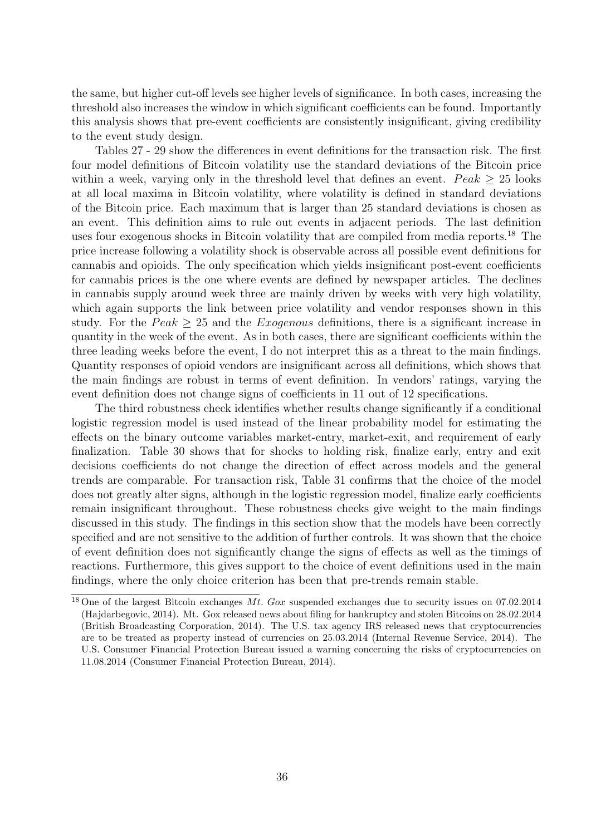the same, but higher cut-off levels see higher levels of significance. In both cases, increasing the threshold also increases the window in which significant coefficients can be found. Importantly this analysis shows that pre-event coefficients are consistently insignificant, giving credibility to the event study design.

Tables [27](#page-76-0) - [29](#page-78-0) show the differences in event definitions for the transaction risk. The first four model definitions of Bitcoin volatility use the standard deviations of the Bitcoin price within a week, varying only in the threshold level that defines an event.  $Peak > 25$  looks at all local maxima in Bitcoin volatility, where volatility is defined in standard deviations of the Bitcoin price. Each maximum that is larger than 25 standard deviations is chosen as an event. This definition aims to rule out events in adjacent periods. The last definition uses four exogenous shocks in Bitcoin volatility that are compiled from media reports.<sup>[18](#page-42-0)</sup> The price increase following a volatility shock is observable across all possible event definitions for cannabis and opioids. The only specification which yields insignificant post-event coefficients for cannabis prices is the one where events are defined by newspaper articles. The declines in cannabis supply around week three are mainly driven by weeks with very high volatility, which again supports the link between price volatility and vendor responses shown in this study. For the  $Peak \geq 25$  and the Exogenous definitions, there is a significant increase in quantity in the week of the event. As in both cases, there are significant coefficients within the three leading weeks before the event, I do not interpret this as a threat to the main findings. Quantity responses of opioid vendors are insignificant across all definitions, which shows that the main findings are robust in terms of event definition. In vendors' ratings, varying the event definition does not change signs of coefficients in 11 out of 12 specifications.

The third robustness check identifies whether results change significantly if a conditional logistic regression model is used instead of the linear probability model for estimating the effects on the binary outcome variables market-entry, market-exit, and requirement of early finalization. Table [30](#page-79-0) shows that for shocks to holding risk, finalize early, entry and exit decisions coefficients do not change the direction of effect across models and the general trends are comparable. For transaction risk, Table [31](#page-80-0) confirms that the choice of the model does not greatly alter signs, although in the logistic regression model, finalize early coefficients remain insignificant throughout. These robustness checks give weight to the main findings discussed in this study. The findings in this section show that the models have been correctly specified and are not sensitive to the addition of further controls. It was shown that the choice of event definition does not significantly change the signs of effects as well as the timings of reactions. Furthermore, this gives support to the choice of event definitions used in the main findings, where the only choice criterion has been that pre-trends remain stable.

<span id="page-42-0"></span><sup>&</sup>lt;sup>18</sup> One of the largest Bitcoin exchanges Mt. Gox suspended exchanges due to security issues on 07.02.2014 [\(Hajdarbegovic, 2014\)](#page-46-0). Mt. Gox released news about filing for bankruptcy and stolen Bitcoins on 28.02.2014 [\(British Broadcasting Corporation, 2014\)](#page-45-0). The U.S. tax agency IRS released news that cryptocurrencies are to be treated as property instead of currencies on 25.03.2014 [\(Internal Revenue Service, 2014\)](#page-47-0). The U.S. Consumer Financial Protection Bureau issued a warning concerning the risks of cryptocurrencies on 11.08.2014 [\(Consumer Financial Protection Bureau, 2014\)](#page-46-1).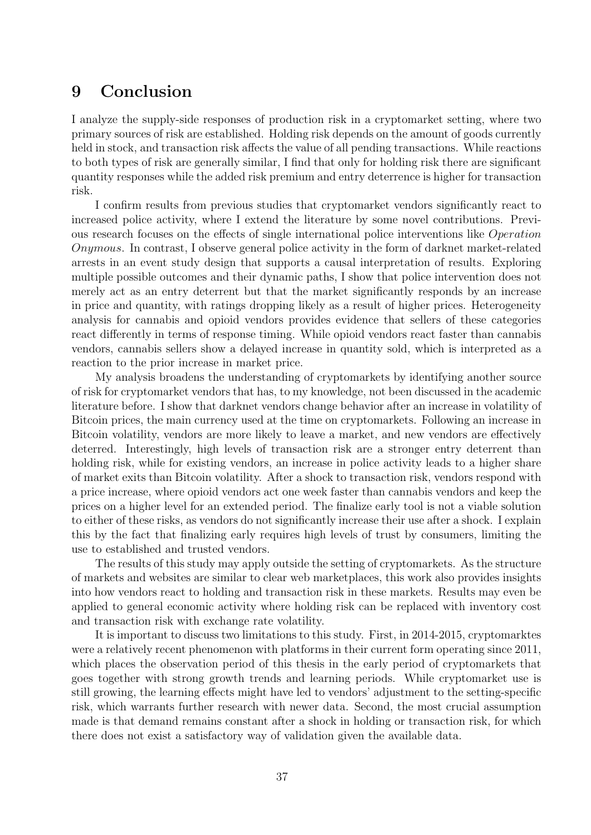# 9 Conclusion

I analyze the supply-side responses of production risk in a cryptomarket setting, where two primary sources of risk are established. Holding risk depends on the amount of goods currently held in stock, and transaction risk affects the value of all pending transactions. While reactions to both types of risk are generally similar, I find that only for holding risk there are significant quantity responses while the added risk premium and entry deterrence is higher for transaction risk.

I confirm results from previous studies that cryptomarket vendors significantly react to increased police activity, where I extend the literature by some novel contributions. Previous research focuses on the effects of single international police interventions like Operation Onymous. In contrast, I observe general police activity in the form of darknet market-related arrests in an event study design that supports a causal interpretation of results. Exploring multiple possible outcomes and their dynamic paths, I show that police intervention does not merely act as an entry deterrent but that the market significantly responds by an increase in price and quantity, with ratings dropping likely as a result of higher prices. Heterogeneity analysis for cannabis and opioid vendors provides evidence that sellers of these categories react differently in terms of response timing. While opioid vendors react faster than cannabis vendors, cannabis sellers show a delayed increase in quantity sold, which is interpreted as a reaction to the prior increase in market price.

My analysis broadens the understanding of cryptomarkets by identifying another source of risk for cryptomarket vendors that has, to my knowledge, not been discussed in the academic literature before. I show that darknet vendors change behavior after an increase in volatility of Bitcoin prices, the main currency used at the time on cryptomarkets. Following an increase in Bitcoin volatility, vendors are more likely to leave a market, and new vendors are effectively deterred. Interestingly, high levels of transaction risk are a stronger entry deterrent than holding risk, while for existing vendors, an increase in police activity leads to a higher share of market exits than Bitcoin volatility. After a shock to transaction risk, vendors respond with a price increase, where opioid vendors act one week faster than cannabis vendors and keep the prices on a higher level for an extended period. The finalize early tool is not a viable solution to either of these risks, as vendors do not significantly increase their use after a shock. I explain this by the fact that finalizing early requires high levels of trust by consumers, limiting the use to established and trusted vendors.

The results of this study may apply outside the setting of cryptomarkets. As the structure of markets and websites are similar to clear web marketplaces, this work also provides insights into how vendors react to holding and transaction risk in these markets. Results may even be applied to general economic activity where holding risk can be replaced with inventory cost and transaction risk with exchange rate volatility.

It is important to discuss two limitations to this study. First, in 2014-2015, cryptomarktes were a relatively recent phenomenon with platforms in their current form operating since 2011, which places the observation period of this thesis in the early period of cryptomarkets that goes together with strong growth trends and learning periods. While cryptomarket use is still growing, the learning effects might have led to vendors' adjustment to the setting-specific risk, which warrants further research with newer data. Second, the most crucial assumption made is that demand remains constant after a shock in holding or transaction risk, for which there does not exist a satisfactory way of validation given the available data.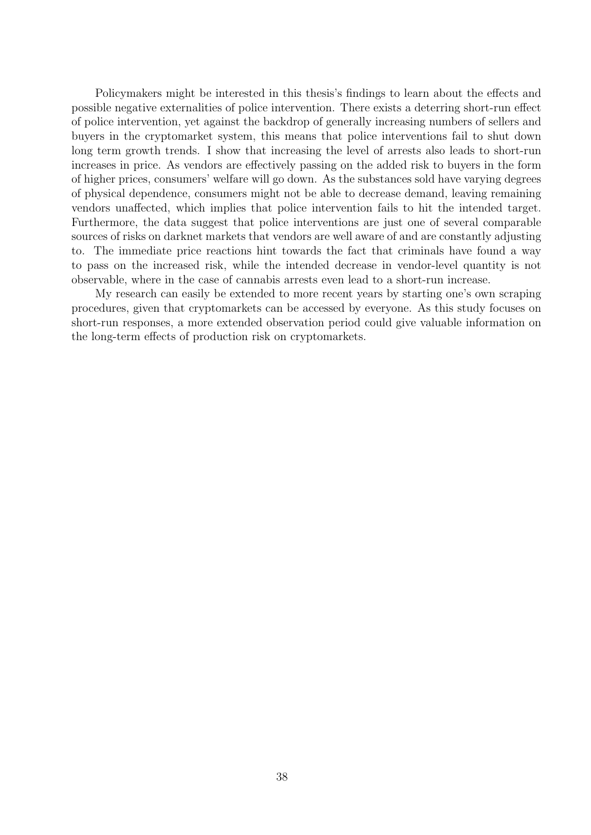Policymakers might be interested in this thesis's findings to learn about the effects and possible negative externalities of police intervention. There exists a deterring short-run effect of police intervention, yet against the backdrop of generally increasing numbers of sellers and buyers in the cryptomarket system, this means that police interventions fail to shut down long term growth trends. I show that increasing the level of arrests also leads to short-run increases in price. As vendors are effectively passing on the added risk to buyers in the form of higher prices, consumers' welfare will go down. As the substances sold have varying degrees of physical dependence, consumers might not be able to decrease demand, leaving remaining vendors unaffected, which implies that police intervention fails to hit the intended target. Furthermore, the data suggest that police interventions are just one of several comparable sources of risks on darknet markets that vendors are well aware of and are constantly adjusting to. The immediate price reactions hint towards the fact that criminals have found a way to pass on the increased risk, while the intended decrease in vendor-level quantity is not observable, where in the case of cannabis arrests even lead to a short-run increase.

My research can easily be extended to more recent years by starting one's own scraping procedures, given that cryptomarkets can be accessed by everyone. As this study focuses on short-run responses, a more extended observation period could give valuable information on the long-term effects of production risk on cryptomarkets.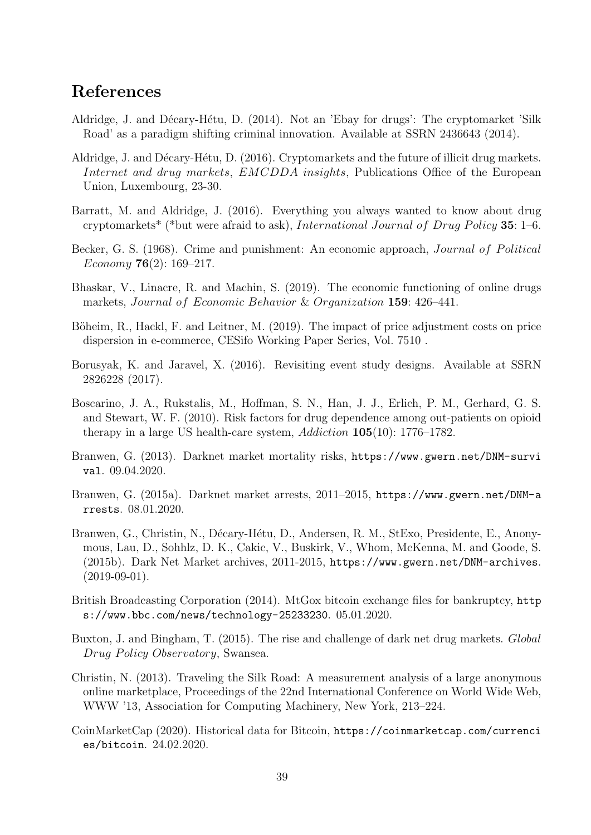# References

- Aldridge, J. and Décary-Hétu, D. (2014). Not an 'Ebay for drugs': The cryptomarket 'Silk Road' as a paradigm shifting criminal innovation. Available at SSRN 2436643 (2014).
- Aldridge, J. and Décary-Hétu, D. (2016). Cryptomarkets and the future of illicit drug markets. Internet and drug markets, EMCDDA insights, Publications Office of the European Union, Luxembourg, 23-30.
- Barratt, M. and Aldridge, J. (2016). Everything you always wanted to know about drug cryptomarkets<sup>\*</sup> (\*but were afraid to ask), *International Journal of Drug Policy* 35: 1–6.
- Becker, G. S. (1968). Crime and punishment: An economic approach, *Journal of Political* Economy **76** $(2)$ : 169–217.
- Bhaskar, V., Linacre, R. and Machin, S. (2019). The economic functioning of online drugs markets, Journal of Economic Behavior & Organization 159: 426–441.
- Böheim, R., Hackl, F. and Leitner, M. (2019). The impact of price adjustment costs on price dispersion in e-commerce, CESifo Working Paper Series, Vol. 7510 .
- Borusyak, K. and Jaravel, X. (2016). Revisiting event study designs. Available at SSRN 2826228 (2017).
- Boscarino, J. A., Rukstalis, M., Hoffman, S. N., Han, J. J., Erlich, P. M., Gerhard, G. S. and Stewart, W. F. (2010). Risk factors for drug dependence among out-patients on opioid therapy in a large US health-care system, Addiction 105(10): 1776–1782.
- Branwen, G. (2013). Darknet market mortality risks, [https://www.gwern.net/DNM-survi](https://www.gwern.net/DNM-survival) [val](https://www.gwern.net/DNM-survival). 09.04.2020.
- Branwen, G. (2015a). Darknet market arrests, 2011–2015, [https://www.gwern.net/DNM-a](https://www.gwern.net/DNM-arrests) [rrests](https://www.gwern.net/DNM-arrests). 08.01.2020.
- <span id="page-45-1"></span>Branwen, G., Christin, N., Décary-Hétu, D., Andersen, R. M., StExo, Presidente, E., Anonymous, Lau, D., Sohhlz, D. K., Cakic, V., Buskirk, V., Whom, McKenna, M. and Goode, S. (2015b). Dark Net Market archives, 2011-2015, <https://www.gwern.net/DNM-archives>.  $(2019-09-01)$ .
- <span id="page-45-0"></span>British Broadcasting Corporation (2014). MtGox bitcoin exchange files for bankruptcy, [http](https://www.bbc.com/news/technology-25233230) [s://www.bbc.com/news/technology-25233230](https://www.bbc.com/news/technology-25233230). 05.01.2020.
- Buxton, J. and Bingham, T. (2015). The rise and challenge of dark net drug markets. Global Drug Policy Observatory, Swansea.
- Christin, N. (2013). Traveling the Silk Road: A measurement analysis of a large anonymous online marketplace, Proceedings of the 22nd International Conference on World Wide Web, WWW '13, Association for Computing Machinery, New York, 213–224.
- CoinMarketCap (2020). Historical data for Bitcoin, [https://coinmarketcap.com/currenci](https://coinmarketcap.com/currencies/bitcoin) [es/bitcoin](https://coinmarketcap.com/currencies/bitcoin). 24.02.2020.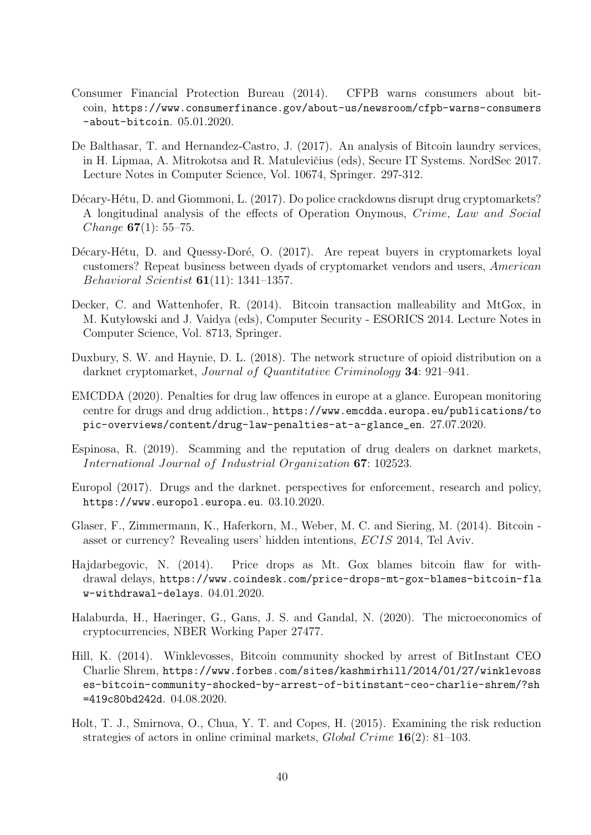- <span id="page-46-1"></span>Consumer Financial Protection Bureau (2014). CFPB warns consumers about bitcoin, [https://www.consumerfinance.gov/about-us/newsroom/cfpb-warns-consumers](https://www.consumerfinance.gov/about-us/newsroom/cfpb-warns-consumers-about-bitcoin) [-about-bitcoin](https://www.consumerfinance.gov/about-us/newsroom/cfpb-warns-consumers-about-bitcoin). 05.01.2020.
- De Balthasar, T. and Hernandez-Castro, J. (2017). An analysis of Bitcoin laundry services, in H. Lipmaa, A. Mitrokotsa and R. Matulevičius (eds), Secure IT Systems. NordSec 2017. Lecture Notes in Computer Science, Vol. 10674, Springer. 297-312.
- Décary-Hétu, D. and Giommoni, L. (2017). Do police crackdowns disrupt drug cryptomarkets? A longitudinal analysis of the effects of Operation Onymous, Crime, Law and Social Change  $67(1)$ : 55–75.
- Décary-Hétu, D. and Quessy-Doré, O. (2017). Are repeat buyers in cryptomarkets loyal customers? Repeat business between dyads of cryptomarket vendors and users, American Behavioral Scientist 61(11): 1341–1357.
- Decker, C. and Wattenhofer, R. (2014). Bitcoin transaction malleability and MtGox, in M. Kutyłowski and J. Vaidya (eds), Computer Security - ESORICS 2014. Lecture Notes in Computer Science, Vol. 8713, Springer.
- Duxbury, S. W. and Haynie, D. L. (2018). The network structure of opioid distribution on a darknet cryptomarket, Journal of Quantitative Criminology 34: 921–941.
- EMCDDA (2020). Penalties for drug law offences in europe at a glance. European monitoring centre for drugs and drug addiction., [https://www.emcdda.europa.eu/publications/to](https://www.emcdda.europa.eu/publications/topic-overviews/content/drug-law-penalties-at-a-glance_en) [pic-overviews/content/drug-law-penalties-at-a-glance\\_en](https://www.emcdda.europa.eu/publications/topic-overviews/content/drug-law-penalties-at-a-glance_en). 27.07.2020.
- Espinosa, R. (2019). Scamming and the reputation of drug dealers on darknet markets, International Journal of Industrial Organization 67: 102523.
- Europol (2017). Drugs and the darknet. perspectives for enforcement, research and policy, <https://www.europol.europa.eu>. 03.10.2020.
- Glaser, F., Zimmermann, K., Haferkorn, M., Weber, M. C. and Siering, M. (2014). Bitcoin asset or currency? Revealing users' hidden intentions, ECIS 2014, Tel Aviv.
- <span id="page-46-0"></span>Hajdarbegovic, N. (2014). Price drops as Mt. Gox blames bitcoin flaw for withdrawal delays, [https://www.coindesk.com/price-drops-mt-gox-blames-bitcoin-fla](https://www.coindesk.com/price-drops-mt-gox-blames-bitcoin-flaw-withdrawal-delays) [w-withdrawal-delays](https://www.coindesk.com/price-drops-mt-gox-blames-bitcoin-flaw-withdrawal-delays). 04.01.2020.
- Halaburda, H., Haeringer, G., Gans, J. S. and Gandal, N. (2020). The microeconomics of cryptocurrencies, NBER Working Paper 27477.
- Hill, K. (2014). Winklevosses, Bitcoin community shocked by arrest of BitInstant CEO Charlie Shrem, [https://www.forbes.com/sites/kashmirhill/2014/01/27/winklevoss](https://www.forbes.com/sites/kashmirhill/2014/01/27/winklevosses-bitcoin-community-shocked-by-arrest-of-bitinstant-ceo-charlie-shrem/?sh=419c80bd242d) [es-bitcoin-community-shocked-by-arrest-of-bitinstant-ceo-charlie-shrem/?sh](https://www.forbes.com/sites/kashmirhill/2014/01/27/winklevosses-bitcoin-community-shocked-by-arrest-of-bitinstant-ceo-charlie-shrem/?sh=419c80bd242d) [=419c80bd242d](https://www.forbes.com/sites/kashmirhill/2014/01/27/winklevosses-bitcoin-community-shocked-by-arrest-of-bitinstant-ceo-charlie-shrem/?sh=419c80bd242d). 04.08.2020.
- Holt, T. J., Smirnova, O., Chua, Y. T. and Copes, H. (2015). Examining the risk reduction strategies of actors in online criminal markets, *Global Crime* 16(2): 81–103.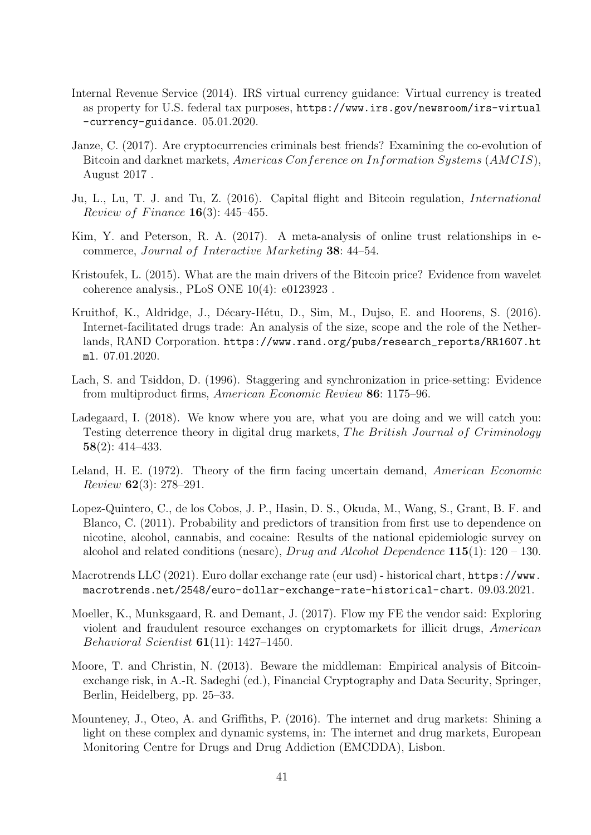- <span id="page-47-0"></span>Internal Revenue Service (2014). IRS virtual currency guidance: Virtual currency is treated as property for U.S. federal tax purposes, [https://www.irs.gov/newsroom/irs-virtual](https://www.irs.gov/newsroom/irs-virtual-currency-guidance) [-currency-guidance](https://www.irs.gov/newsroom/irs-virtual-currency-guidance). 05.01.2020.
- Janze, C. (2017). Are cryptocurrencies criminals best friends? Examining the co-evolution of Bitcoin and darknet markets, Americas Conference on Information Systems (AMCIS), August 2017 .
- Ju, L., Lu, T. J. and Tu, Z. (2016). Capital flight and Bitcoin regulation, International *Review of Finance* **16**(3): 445–455.
- Kim, Y. and Peterson, R. A. (2017). A meta-analysis of online trust relationships in ecommerce, Journal of Interactive Marketing 38: 44–54.
- Kristoufek, L. (2015). What are the main drivers of the Bitcoin price? Evidence from wavelet coherence analysis., PLoS ONE 10(4): e0123923 .
- Kruithof, K., Aldridge, J., Décary-Hétu, D., Sim, M., Dujso, E. and Hoorens, S. (2016). Internet-facilitated drugs trade: An analysis of the size, scope and the role of the Netherlands, RAND Corporation. [https://www.rand.org/pubs/research\\_reports/RR1607.ht](https://www.rand.org/pubs/research_reports/RR1607.html) [ml](https://www.rand.org/pubs/research_reports/RR1607.html). 07.01.2020.
- Lach, S. and Tsiddon, D. (1996). Staggering and synchronization in price-setting: Evidence from multiproduct firms, American Economic Review 86: 1175–96.
- Ladegaard, I. (2018). We know where you are, what you are doing and we will catch you: Testing deterrence theory in digital drug markets, The British Journal of Criminology 58(2): 414–433.
- Leland, H. E. (1972). Theory of the firm facing uncertain demand, American Economic Review 62(3): 278–291.
- Lopez-Quintero, C., de los Cobos, J. P., Hasin, D. S., Okuda, M., Wang, S., Grant, B. F. and Blanco, C. (2011). Probability and predictors of transition from first use to dependence on nicotine, alcohol, cannabis, and cocaine: Results of the national epidemiologic survey on alcohol and related conditions (nesarc), Drug and Alcohol Dependence  $115(1)$ : 120 – 130.
- Macrotrends LLC (2021). Euro dollar exchange rate (eur usd) historical chart, [https://www.](https://www.macrotrends.net/2548/euro-dollar-exchange-rate-historical-chart) [macrotrends.net/2548/euro-dollar-exchange-rate-historical-chart](https://www.macrotrends.net/2548/euro-dollar-exchange-rate-historical-chart). 09.03.2021.
- Moeller, K., Munksgaard, R. and Demant, J. (2017). Flow my FE the vendor said: Exploring violent and fraudulent resource exchanges on cryptomarkets for illicit drugs, American Behavioral Scientist 61(11): 1427–1450.
- Moore, T. and Christin, N. (2013). Beware the middleman: Empirical analysis of Bitcoinexchange risk, in A.-R. Sadeghi (ed.), Financial Cryptography and Data Security, Springer, Berlin, Heidelberg, pp. 25–33.
- Mounteney, J., Oteo, A. and Griffiths, P. (2016). The internet and drug markets: Shining a light on these complex and dynamic systems, in: The internet and drug markets, European Monitoring Centre for Drugs and Drug Addiction (EMCDDA), Lisbon.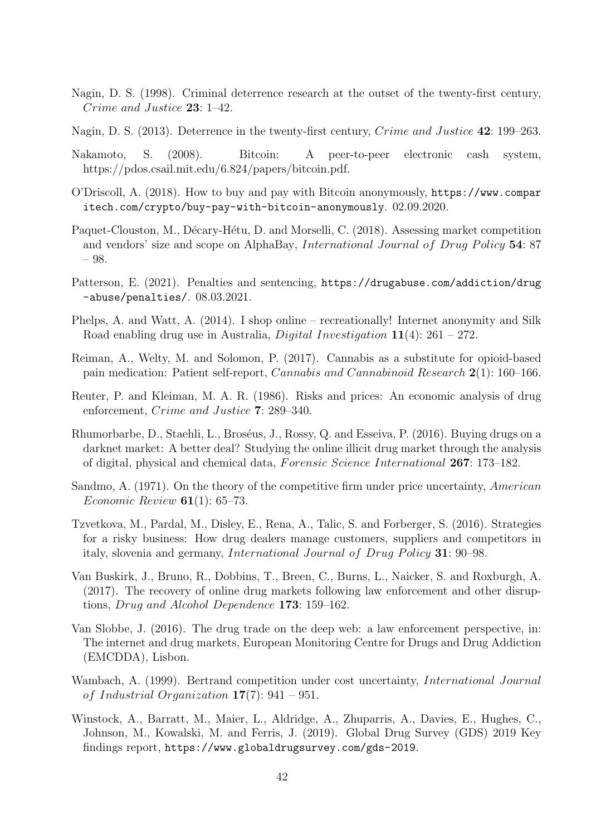- Nagin, D. S. (1998). Criminal deterrence research at the outset of the twenty-first century, Crime and Justice 23: 1–42.
- Nagin, D. S. (2013). Deterrence in the twenty-first century, Crime and Justice 42: 199–263.
- Nakamoto, S. (2008). Bitcoin: A peer-to-peer electronic cash system, https://pdos.csail.mit.edu/6.824/papers/bitcoin.pdf.
- O'Driscoll, A. (2018). How to buy and pay with Bitcoin anonymously, [https://www.compar](https://www.comparitech.com/crypto/buy-pay-with-bitcoin-anonymously) [itech.com/crypto/buy-pay-with-bitcoin-anonymously](https://www.comparitech.com/crypto/buy-pay-with-bitcoin-anonymously). 02.09.2020.
- Paquet-Clouston, M., Décary-Hétu, D. and Morselli, C. (2018). Assessing market competition and vendors' size and scope on AlphaBay, *International Journal of Drug Policy*  $54$ : 87 – 98.
- Patterson, E. (2021). Penalties and sentencing, [https://drugabuse.com/addiction/drug](https://drugabuse.com/addiction/drug-abuse/penalties/) [-abuse/penalties/](https://drugabuse.com/addiction/drug-abuse/penalties/). 08.03.2021.
- Phelps, A. and Watt, A. (2014). I shop online recreationally! Internet anonymity and Silk Road enabling drug use in Australia, *Digital Investigation*  $11(4)$ : 261 – 272.
- Reiman, A., Welty, M. and Solomon, P. (2017). Cannabis as a substitute for opioid-based pain medication: Patient self-report, Cannabis and Cannabinoid Research 2(1): 160–166.
- Reuter, P. and Kleiman, M. A. R. (1986). Risks and prices: An economic analysis of drug enforcement, Crime and Justice 7: 289–340.
- Rhumorbarbe, D., Staehli, L., Broséus, J., Rossy, Q. and Esseiva, P. (2016). Buying drugs on a darknet market: A better deal? Studying the online illicit drug market through the analysis of digital, physical and chemical data, Forensic Science International 267: 173-182.
- Sandmo, A. (1971). On the theory of the competitive firm under price uncertainty, American *Economic Review* **61**(1): 65–73.
- Tzvetkova, M., Pardal, M., Disley, E., Rena, A., Talic, S. and Forberger, S. (2016). Strategies for a risky business: How drug dealers manage customers, suppliers and competitors in italy, slovenia and germany, *International Journal of Drug Policy* 31: 90–98.
- Van Buskirk, J., Bruno, R., Dobbins, T., Breen, C., Burns, L., Naicker, S. and Roxburgh, A. (2017). The recovery of online drug markets following law enforcement and other disruptions, Drug and Alcohol Dependence 173: 159–162.
- Van Slobbe, J. (2016). The drug trade on the deep web: a law enforcement perspective, in: The internet and drug markets, European Monitoring Centre for Drugs and Drug Addiction (EMCDDA), Lisbon.
- Wambach, A. (1999). Bertrand competition under cost uncertainty, International Journal of Industrial Organization  $17(7)$ : 941 – 951.
- Winstock, A., Barratt, M., Maier, L., Aldridge, A., Zhuparris, A., Davies, E., Hughes, C., Johnson, M., Kowalski, M. and Ferris, J. (2019). Global Drug Survey (GDS) 2019 Key findings report, <https://www.globaldrugsurvey.com/gds-2019>.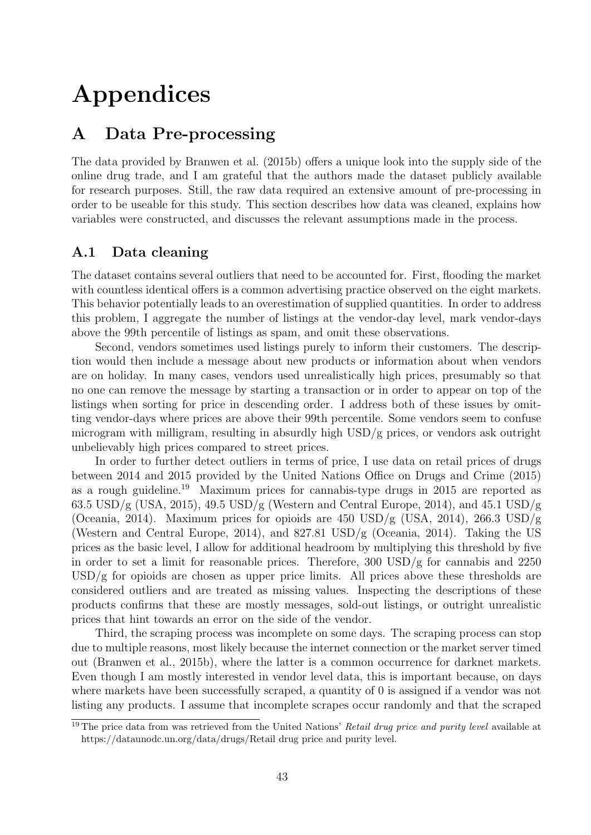# Appendices

# A Data Pre-processing

The data provided by [Branwen et al.](#page-45-1) [\(2015b\)](#page-45-1) offers a unique look into the supply side of the online drug trade, and I am grateful that the authors made the dataset publicly available for research purposes. Still, the raw data required an extensive amount of pre-processing in order to be useable for this study. This section describes how data was cleaned, explains how variables were constructed, and discusses the relevant assumptions made in the process.

## A.1 Data cleaning

The dataset contains several outliers that need to be accounted for. First, flooding the market with countless identical offers is a common advertising practice observed on the eight markets. This behavior potentially leads to an overestimation of supplied quantities. In order to address this problem, I aggregate the number of listings at the vendor-day level, mark vendor-days above the 99th percentile of listings as spam, and omit these observations.

Second, vendors sometimes used listings purely to inform their customers. The description would then include a message about new products or information about when vendors are on holiday. In many cases, vendors used unrealistically high prices, presumably so that no one can remove the message by starting a transaction or in order to appear on top of the listings when sorting for price in descending order. I address both of these issues by omitting vendor-days where prices are above their 99th percentile. Some vendors seem to confuse microgram with milligram, resulting in absurdly high USD/g prices, or vendors ask outright unbelievably high prices compared to street prices.

In order to further detect outliers in terms of price, I use data on retail prices of drugs between 2014 and 2015 provided by the United Nations Office on Drugs and Crime (2015) as a rough guideline.[19](#page-49-0) Maximum prices for cannabis-type drugs in 2015 are reported as  $63.5 \text{ USD/g (USA, 2015), } 49.5 \text{ USD/g (Western and Central Europe, 2014), and } 45.1 \text{ USD/g}$ (Oceania, 2014). Maximum prices for opioids are 450 USD/g (USA, 2014), 266.3 USD/g (Western and Central Europe, 2014), and 827.81 USD/g (Oceania, 2014). Taking the US prices as the basic level, I allow for additional headroom by multiplying this threshold by five in order to set a limit for reasonable prices. Therefore, 300 USD/g for cannabis and 2250  $\text{USD/g}$  for opioids are chosen as upper price limits. All prices above these thresholds are considered outliers and are treated as missing values. Inspecting the descriptions of these products confirms that these are mostly messages, sold-out listings, or outright unrealistic prices that hint towards an error on the side of the vendor.

Third, the scraping process was incomplete on some days. The scraping process can stop due to multiple reasons, most likely because the internet connection or the market server timed out [\(Branwen et al., 2015b\)](#page-45-1), where the latter is a common occurrence for darknet markets. Even though I am mostly interested in vendor level data, this is important because, on days where markets have been successfully scraped, a quantity of 0 is assigned if a vendor was not listing any products. I assume that incomplete scrapes occur randomly and that the scraped

<span id="page-49-0"></span> $19$  The price data from was retrieved from the United Nations' Retail drug price and purity level available at https://dataunodc.un.org/data/drugs/Retail drug price and purity level.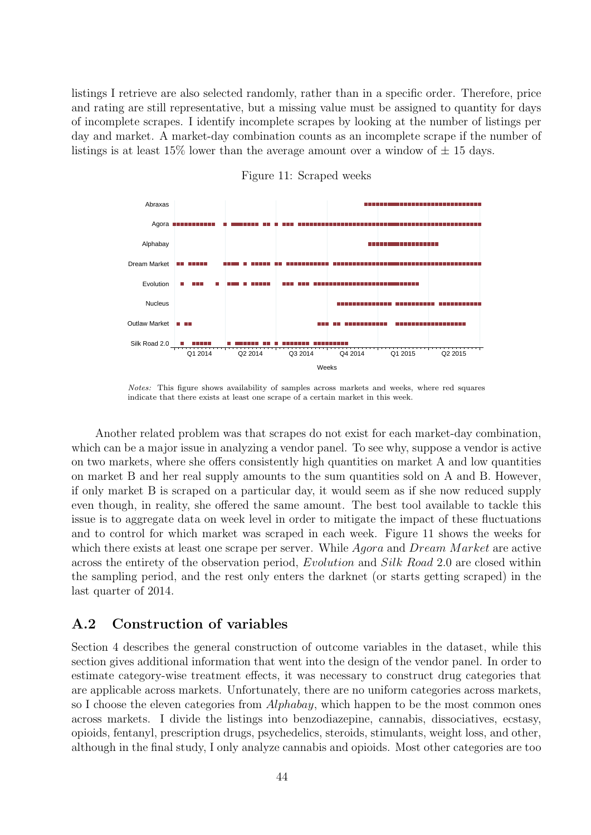listings I retrieve are also selected randomly, rather than in a specific order. Therefore, price and rating are still representative, but a missing value must be assigned to quantity for days of incomplete scrapes. I identify incomplete scrapes by looking at the number of listings per day and market. A market-day combination counts as an incomplete scrape if the number of listings is at least 15% lower than the average amount over a window of  $\pm$  15 days.

<span id="page-50-0"></span>

Figure 11: Scraped weeks

Notes: This figure shows availability of samples across markets and weeks, where red squares indicate that there exists at least one scrape of a certain market in this week.

Another related problem was that scrapes do not exist for each market-day combination, which can be a major issue in analyzing a vendor panel. To see why, suppose a vendor is active on two markets, where she offers consistently high quantities on market A and low quantities on market B and her real supply amounts to the sum quantities sold on A and B. However, if only market B is scraped on a particular day, it would seem as if she now reduced supply even though, in reality, she offered the same amount. The best tool available to tackle this issue is to aggregate data on week level in order to mitigate the impact of these fluctuations and to control for which market was scraped in each week. Figure [11](#page-50-0) shows the weeks for which there exists at least one scrape per server. While  $Aqora$  and  $Dream$  Market are active across the entirety of the observation period, Evolution and Silk Road 2.0 are closed within the sampling period, and the rest only enters the darknet (or starts getting scraped) in the last quarter of 2014.

#### A.2 Construction of variables

Section [4](#page-17-0) describes the general construction of outcome variables in the dataset, while this section gives additional information that went into the design of the vendor panel. In order to estimate category-wise treatment effects, it was necessary to construct drug categories that are applicable across markets. Unfortunately, there are no uniform categories across markets, so I choose the eleven categories from *Alphabay*, which happen to be the most common ones across markets. I divide the listings into benzodiazepine, cannabis, dissociatives, ecstasy, opioids, fentanyl, prescription drugs, psychedelics, steroids, stimulants, weight loss, and other, although in the final study, I only analyze cannabis and opioids. Most other categories are too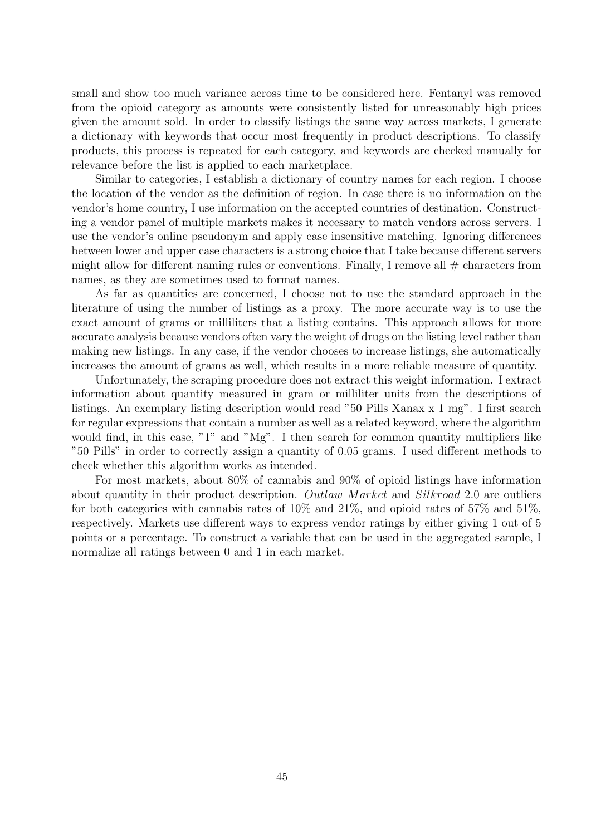small and show too much variance across time to be considered here. Fentanyl was removed from the opioid category as amounts were consistently listed for unreasonably high prices given the amount sold. In order to classify listings the same way across markets, I generate a dictionary with keywords that occur most frequently in product descriptions. To classify products, this process is repeated for each category, and keywords are checked manually for relevance before the list is applied to each marketplace.

Similar to categories, I establish a dictionary of country names for each region. I choose the location of the vendor as the definition of region. In case there is no information on the vendor's home country, I use information on the accepted countries of destination. Constructing a vendor panel of multiple markets makes it necessary to match vendors across servers. I use the vendor's online pseudonym and apply case insensitive matching. Ignoring differences between lower and upper case characters is a strong choice that I take because different servers might allow for different naming rules or conventions. Finally, I remove all  $#$  characters from names, as they are sometimes used to format names.

As far as quantities are concerned, I choose not to use the standard approach in the literature of using the number of listings as a proxy. The more accurate way is to use the exact amount of grams or milliliters that a listing contains. This approach allows for more accurate analysis because vendors often vary the weight of drugs on the listing level rather than making new listings. In any case, if the vendor chooses to increase listings, she automatically increases the amount of grams as well, which results in a more reliable measure of quantity.

Unfortunately, the scraping procedure does not extract this weight information. I extract information about quantity measured in gram or milliliter units from the descriptions of listings. An exemplary listing description would read "50 Pills Xanax x 1 mg". I first search for regular expressions that contain a number as well as a related keyword, where the algorithm would find, in this case, "1" and "Mg". I then search for common quantity multipliers like "50 Pills" in order to correctly assign a quantity of 0.05 grams. I used different methods to check whether this algorithm works as intended.

For most markets, about 80% of cannabis and 90% of opioid listings have information about quantity in their product description. Outlaw Market and Silkroad 2.0 are outliers for both categories with cannabis rates of  $10\%$  and  $21\%$ , and opioid rates of  $57\%$  and  $51\%$ , respectively. Markets use different ways to express vendor ratings by either giving 1 out of 5 points or a percentage. To construct a variable that can be used in the aggregated sample, I normalize all ratings between 0 and 1 in each market.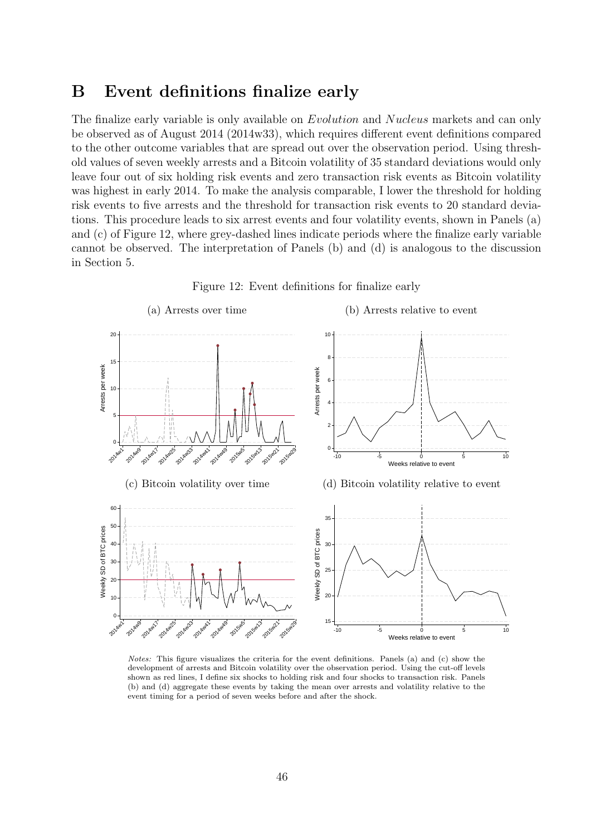## B Event definitions finalize early

The finalize early variable is only available on Evolution and Nucleus markets and can only be observed as of August 2014 (2014w33), which requires different event definitions compared to the other outcome variables that are spread out over the observation period. Using threshold values of seven weekly arrests and a Bitcoin volatility of 35 standard deviations would only leave four out of six holding risk events and zero transaction risk events as Bitcoin volatility was highest in early 2014. To make the analysis comparable, I lower the threshold for holding risk events to five arrests and the threshold for transaction risk events to 20 standard deviations. This procedure leads to six arrest events and four volatility events, shown in Panels (a) and (c) of Figure [12,](#page-52-0) where grey-dashed lines indicate periods where the finalize early variable cannot be observed. The interpretation of Panels (b) and (d) is analogous to the discussion in Section [5.](#page-22-0)

<span id="page-52-0"></span>

Figure 12: Event definitions for finalize early

Notes: This figure visualizes the criteria for the event definitions. Panels (a) and (c) show the development of arrests and Bitcoin volatility over the observation period. Using the cut-off levels shown as red lines, I define six shocks to holding risk and four shocks to transaction risk. Panels (b) and (d) aggregate these events by taking the mean over arrests and volatility relative to the event timing for a period of seven weeks before and after the shock.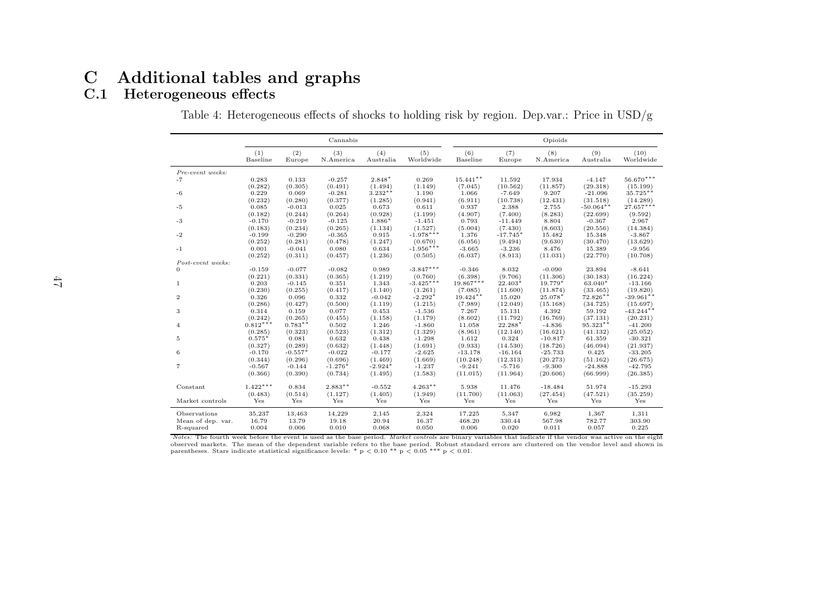# <span id="page-53-1"></span><span id="page-53-0"></span>C Additional tables and graphs

## C.1 Heterogeneous effects

|                   |                 |               | Cannabis         |                  |                  |                 |               | Opioids          |                  |                   |
|-------------------|-----------------|---------------|------------------|------------------|------------------|-----------------|---------------|------------------|------------------|-------------------|
|                   | (1)<br>Baseline | (2)<br>Europe | (3)<br>N.America | (4)<br>Australia | (5)<br>Worldwide | (6)<br>Baseline | (7)<br>Europe | (8)<br>N.America | (9)<br>Australia | (10)<br>Worldwide |
| Pre-event weeks:  |                 |               |                  |                  |                  |                 |               |                  |                  |                   |
| $-7$              | 0.283           | 0.133         | $-0.257$         | 2.848*           | 0.269            | $15.441**$      | 11.592        | 17.934           | $-4.147$         | $56.670***$       |
|                   | (0.282)         | (0.305)       | (0.491)          | (1.494)          | (1.149)          | (7.045)         | (10.562)      | (11.857)         | (29.318)         | (15.199)          |
| $-6$              | 0.229           | 0.069         | $-0.281$         | $3.232**$        | 1.190            | 1.066           | $-7.649$      | 9.207            | $-21.096$        | 35.725**          |
|                   | (0.232)         | (0.280)       | (0.377)          | (1.285)          | (0.941)          | (6.911)         | (10.738)      | (12.431)         | (31.518)         | (14.289)          |
| $-5$              | 0.085           | $-0.013$      | 0.025            | 0.673            | 0.611            | 0.937           | 2.388         | 2.755            | $-50.064**$      | $27.657***$       |
|                   | (0.182)         | (0.244)       | (0.264)          | (0.928)          | (1.199)          | (4.907)         | (7.400)       | (8.283)          | (22.699)         | (9.592)           |
| $-3$              | $-0.170$        | $-0.219$      | $-0.125$         | 1.886*           | $-1.451$         | 0.793           | $-11.449$     | 8.804            | $-0.367$         | 2.967             |
|                   | (0.183)         | (0.234)       | (0.265)          | (1.134)          | (1.527)          | (5.004)         | (7.430)       | (8.603)          | (20.556)         | (14.384)          |
| $-2$              | $-0.199$        | $-0.290$      | $-0.365$         | 0.915            | $-1.978***$      | 1.376           | $-17.745*$    | 15.482           | 15.348           | $-3.867$          |
|                   | (0.252)         | (0.281)       | (0.478)          | (1.247)          | (0.670)          | (6.056)         | (9.494)       | (9.630)          | (30.470)         | (13.629)          |
| $-1$              | 0.001           | $-0.041$      | 0.080            | 0.634            | $-1.956***$      | $-3.665$        | $-3.236$      | 8.476            | 15.389           | $-9.956$          |
| Post-event weeks: | (0.252)         | (0.311)       | (0.457)          | (1.236)          | (0.505)          | (6.037)         | (8.913)       | (11.031)         | (22.770)         | (10.708)          |
| 0                 | $-0.159$        | $-0.077$      | $-0.082$         | 0.989            | $-3.847***$      | $-0.346$        | 8.032         | $-0.090$         | 23.894           | $-8.641$          |
|                   | (0.221)         | (0.331)       | (0.365)          | (1.219)          | (0.760)          | (6.398)         | (9.706)       | (11.306)         | (30.183)         | (16.224)          |
| $\mathbf{1}$      | 0.203           | $-0.145$      | 0.351            | 1.343            | $-3.425***$      | $19.867***$     | $22.403*$     | 19.779*          | 63.040*          | $-13.166$         |
|                   | (0.230)         | (0.255)       | (0.417)          | (1.140)          | (1.261)          | (7.085)         | (11.600)      | (11.874)         | (33.465)         | (19.820)          |
| $\overline{2}$    | 0.326           | 0.096         | 0.332            | $-0.042$         | $-2.292*$        | $19.424***$     | 15.020        | 25.078*          | $72.826**$       | $-39.961**$       |
|                   | (0.286)         | (0.427)       | (0.500)          | (1.119)          | (1.215)          | (7.989)         | (12.049)      | (15.168)         | (34.725)         | (15.697)          |
| 3                 | 0.314           | 0.159         | 0.077            | 0.453            | $-1.536$         | 7.267           | 15.131        | 4.392            | 59.192           | $-43.244$ **      |
|                   | (0.242)         | (0.265)       | (0.455)          | (1.158)          | (1.179)          | (8.602)         | (11.792)      | (16.769)         | (37.131)         | (20.231)          |
| $\overline{4}$    | $0.812***$      | $0.783**$     | 0.502            | 1.246            | $-1.860$         | 11.058          | 22.288*       | $-4.836$         | 95.323**         | $-41.200$         |
|                   | (0.285)         | (0.323)       | (0.523)          | (1.312)          | (1.329)          | (8.961)         | (12.140)      | (16.621)         | (41.132)         | (25.052)          |
| 5                 | $0.575*$        | 0.081         | 0.632            | 0.438            | $-1.298$         | 1.612           | 0.324         | $-10.817$        | 61.359           | $-30.321$         |
|                   | (0.327)         | (0.289)       | (0.632)          | (1.448)          | (1.691)          | (9.933)         | (14.530)      | (18.726)         | (46.094)         | (21.937)          |
| 6                 | $-0.170$        | $-0.557*$     | $-0.022$         | $-0.177$         | $-2.625$         | $-13.178$       | $-16.164$     | $-25.733$        | 0.425            | $-33.205$         |
|                   | (0.344)         | (0.296)       | (0.696)          | (1.469)          | (1.669)          | (10.248)        | (12.313)      | (20.273)         | (51.162)         | (26.675)          |
| $\overline{7}$    | $-0.567$        | $-0.144$      | $-1.276*$        | $-2.924*$        | $-1.237$         | $-9.241$        | $-5.716$      | $-9.300$         | $-24.888$        | $-42.795$         |
|                   | (0.366)         | (0.390)       | (0.734)          | (1.495)          | (1.583)          | (11.015)        | (11.964)      | (20.606)         | (66.999)         | (26.385)          |
| Constant          | $1.422***$      | 0.834         | $2.883**$        | $-0.552$         | $4.263**$        | 5.938           | 11.476        | $-18.484$        | 51.974           | $-15.293$         |
|                   | (0.483)         | (0.514)       | (1.127)          | (1.405)          | (1.949)          | (11.700)        | (11.063)      | (27.454)         | (47.521)         | (35.259)          |
| Market controls   | Yes             | Yes           | Yes              | Yes              | Yes              | Yes             | Yes           | Yes              | Yes              | Yes               |
| Observations      | 35,237          | 13,463        | 14,229           | 2,145            | 2,324            | 17,225          | 5,347         | 6,982            | 1,367            | 1,311             |
| Mean of dep. var. | 16.79           | 13.79         | 19.18            | 20.94            | 16.37            | 468.20          | 330.44        | 567.98           | 782.77           | 303.90            |
| R-squared         | 0.004           | 0.006         | 0.010            | 0.068            | 0.050            | 0.006           | 0.020         | 0.011            | 0.057            | 0.225             |

Table 4: Heterogeneous effects of shocks to holding risk by region. Dep.var.: Price in USD/g

Notes: The fourth week before the event is used as the base period. Market controls are binary variables that indicate if the vendor was active on the eight observed markets. The mean of the dependent variable refers to the base period. Robust standard errors are clustered on the vendor level and shown inparentheses. Stars indicate statistical significance levels: \* p  $< 0.10$  \*\* p  $< 0.05$  \*\*\* p  $< 0.01$ .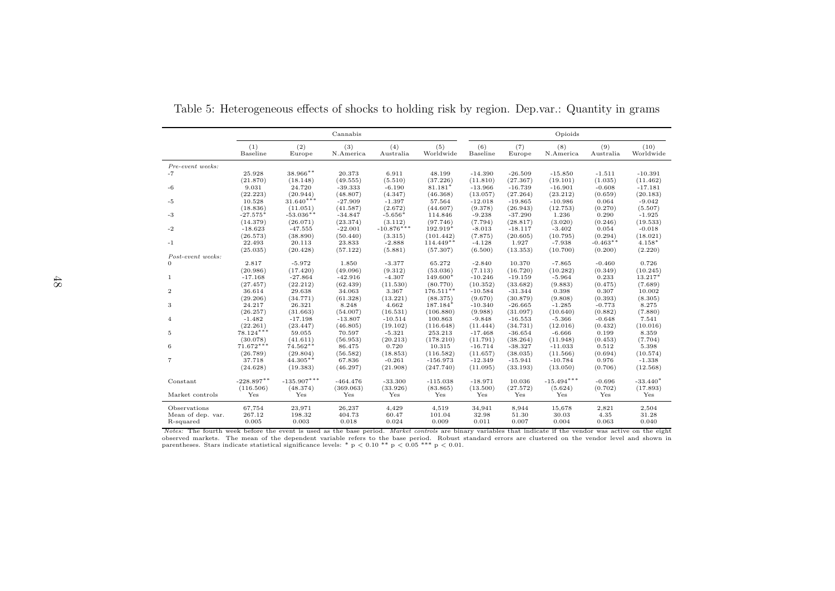|                   |                      |                    | Cannabis           |                   |                         |                      |                       | Opioids              |                  |                   |
|-------------------|----------------------|--------------------|--------------------|-------------------|-------------------------|----------------------|-----------------------|----------------------|------------------|-------------------|
|                   | (1)<br>Baseline      | (2)<br>Europe      | (3)<br>N.America   | (4)<br>Australia  | (5)<br>Worldwide        | (6)<br>Baseline      | (7)<br>Europe         | (8)<br>N.America     | (9)<br>Australia | (10)<br>Worldwide |
| Pre-event weeks:  |                      |                    |                    |                   |                         |                      |                       |                      |                  |                   |
| $-7$              | 25.928               | $38.966**$         | 20.373             | 6.911             | 48.199                  | $-14.390$            | $-26.509$             | $-15.850$            | $-1.511$         | $-10.391$         |
|                   | (21.870)             | (18.148)           | (49.555)           | (5.510)           | (37.226)                | (11.810)             | (27.367)              | (19.101)             | (1.035)          | (11.462)          |
| $-6$              | 9.031                | 24.720             | $-39.333$          | $-6.190$          | $81.181*$               | $-13.966$            | $-16.739$             | $-16.901$            | $-0.608$         | $-17.181$         |
|                   | (22.223)             | (20.944)           | (48.807)           | (4.347)           | (46.368)                | (13.057)             | (27.264)              | (23.212)             | (0.659)          | (20.183)          |
| $-5$              | 10.528               | $31.640***$        | $-27.909$          | $-1.397$          | 57.564                  | $-12.018$            | $-19.865$             | $-10.986$            | 0.064            | $-9.042$          |
|                   | (18.836)             | (11.051)           | (41.587)           | (2.672)           | (44.607)                | (9.378)              | (26.943)              | (12.753)             | (0.270)          | (5.507)           |
| $-3$              | $-27.575*$           | $-53.036**$        | $-34.847$          | $-5.656*$         | 114.846                 | $-9.238$             | $-37.290$             | 1.236                | 0.290            | $-1.925$          |
|                   | (14.379)             | (26.071)           | (23.374)           | (3.112)           | (97.746)                | (7.794)              | (28.817)              | (3.020)              | (0.246)          | (19.533)          |
| $-2$              | $-18.623$            | $-47.555$          | $-22.001$          | $-10.876***$      | 192.919*                | $-8.013$             | $-18.117$             | $-3.402$             | 0.054            | $-0.018$          |
|                   | (26.573)             | (38.890)           | (50.440)           | (3.315)           | (101.442)               | (7.875)              | (20.605)              | (10.795)             | (0.294)          | (18.021)          |
| $-1$              | 22.493               | 20.113             | 23.833             | $-2.888$          | $114.449**$             | $-4.128$             | 1.927                 | $-7.938$             | $-0.463**$       | $4.158*$          |
|                   | (25.035)             | (20.428)           | (57.122)           | (5.881)           | (57.307)                | (6.500)              | (13.353)              | (10.700)             | (0.200)          | (2.220)           |
| Post-event weeks: |                      |                    |                    |                   |                         |                      |                       |                      |                  |                   |
| $\Omega$          | 2.817                | $-5.972$           | 1.850              | $-3.377$          | 65.272                  | $-2.840$             | 10.370                | $-7.865$             | $-0.460$         | 0.726             |
|                   | (20.986)             | (17.420)           | (49.096)           | (9.312)           | (53.036)                | (7.113)              | (16.720)              | (10.282)             | (0.349)          | (10.245)          |
| 1                 | $-17.168$            | $-27.864$          | $-42.916$          | $-4.307$          | 149.600*                | $-10.246$            | $-19.159$             | $-5.964$             | 0.233            | 13.217*           |
| $\overline{2}$    | (27.457)<br>36.614   | (22.212)<br>29.638 | (62.439)<br>34.063 | (11.530)<br>3.367 | (80.770)<br>$176.511**$ | (10.352)             | (33.682)<br>$-31.344$ | (9.883)<br>0.398     | (0.475)<br>0.307 | (7.689)<br>10.002 |
|                   | (29.206)             | (34.771)           | (61.328)           | (13.221)          | (88.375)                | $-10.584$<br>(9.670) | (30.879)              | (9.808)              | (0.393)          |                   |
|                   | 24.217               |                    |                    | 4.662             | 187.184*                | $-10.340$            | $-26.665$             | $-1.285$             | $-0.773$         | (8.305)           |
| 3                 |                      | 26.321<br>(31.663) | 8.248<br>(54.007)  | (16.531)          | (106.880)               | (9.988)              |                       |                      | (0.882)          | 8.275             |
| $\overline{4}$    | (26.257)<br>$-1.482$ | $-17.198$          | $-13.807$          | $-10.514$         | 100.863                 | $-9.848$             | (31.097)<br>$-16.553$ | (10.640)<br>$-5.366$ | $-0.648$         | (7.880)<br>7.541  |
|                   | (22.261)             | (23.447)           | (46.805)           | (19.102)          | (116.648)               | (11.444)             | (34.731)              | (12.016)             | (0.432)          | (10.016)          |
| 5                 | $78.124***$          | 59.055             | 70.597             | $-5.321$          | 253.213                 | $-17.468$            | $-36.654$             | $-6.666$             | 0.199            | 8.359             |
|                   | (30.078)             | (41.611)           | (56.953)           | (20.213)          | (178.210)               | (11.791)             | (38.264)              | (11.948)             | (0.453)          | (7.704)           |
| 6                 | $71.672***$          | $74.562**$         | 86.475             | 0.720             | 10.315                  | $-16.714$            | $-38.327$             | $-11.033$            | 0.512            | 5.398             |
|                   | (26.789)             | (29.804)           | (56.582)           | (18.853)          | (116.582)               | (11.657)             | (38.035)              | (11.566)             | (0.694)          | (10.574)          |
| $\overline{7}$    | 37.718               | $44.305**$         | 67.836             | $-0.261$          | $-156.973$              | $-12.349$            | $-15.941$             | $-10.784$            | 0.976            | $-1.338$          |
|                   | (24.628)             | (19.383)           | (46.297)           | (21.908)          | (247.740)               | (11.095)             | (33.193)              | (13.050)             | (0.706)          | (12.568)          |
|                   |                      |                    |                    |                   |                         |                      |                       |                      |                  |                   |
| Constant          | $-228.897**$         | $-135.907***$      | $-464.476$         | $-33.300$         | $-115.038$              | $-18.971$            | 10.036                | $-15.494***$         | $-0.696$         | $-33.440*$        |
|                   | (116.506)            | (48.374)           | (369.063)          | (33.926)          | (83.865)                | (13.500)             | (27.572)              | (5.624)              | (0.702)          | (17.893)          |
| Market controls   | Yes                  | Yes                | Yes                | Yes               | Yes                     | Yes                  | Yes                   | Yes                  | Yes              | Yes               |
| Observations      | 67,754               | 23,971             | 26,237             | 4,429             | 4,519                   | 34,941               | 8,944                 | 15,678               | 2,821            | 2,504             |
| Mean of dep. var. | 267.12               | 198.32             | 404.73             | 60.47             | 101.04                  | 32.98                | 51.30                 | 30.03                | 4.35             | 31.28             |
| R-squared         | 0.005                | 0.003              | 0.018              | 0.024             | 0.009                   | 0.011                | 0.007                 | 0.004                | 0.063            | 0.040             |

Table 5: Heterogeneous effects of shocks to holding risk by region. Dep.var.: Quantity in grams

<span id="page-54-0"></span>Notes: The fourth week before the event is used as the base period. Market controls are binary variables that indicate if the vendor was active on the eight observed markets. The mean of the dependent variable refers to the base period. Robust standard errors are clustered on the vendor level and shown in parentheses. Stars indicate statistical significance levels: \*  $p < 0.10$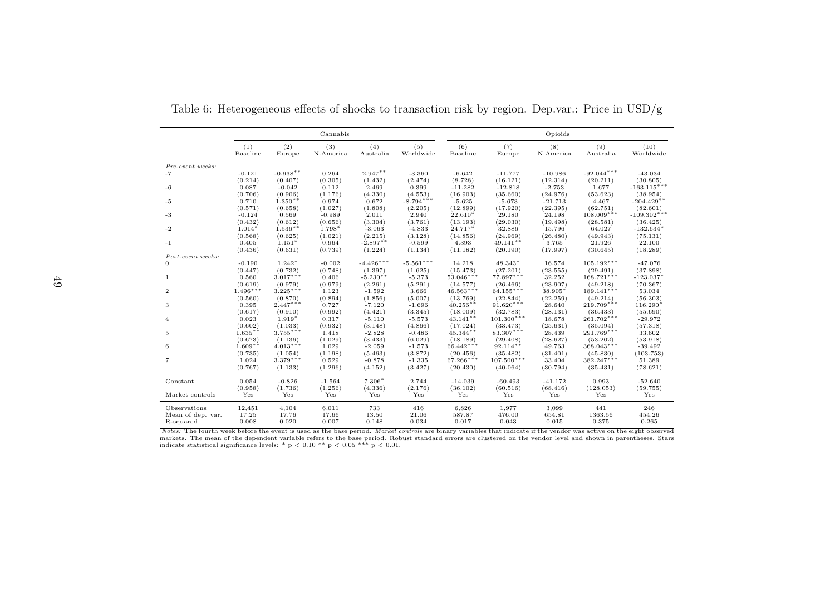|                   |                       |                       | Cannabis         |                     |                     |                         |                         | Opioids            |                          |                       |
|-------------------|-----------------------|-----------------------|------------------|---------------------|---------------------|-------------------------|-------------------------|--------------------|--------------------------|-----------------------|
|                   | (1)<br>Baseline       | (2)<br>Europe         | (3)<br>N.America | (4)<br>Australia    | (5)<br>Worldwide    | (6)<br>Baseline         | (7)<br>Europe           | (8)<br>N.America   | (9)<br>Australia         | (10)<br>Worldwide     |
| Pre-event weeks:  |                       |                       |                  |                     |                     |                         |                         |                    |                          |                       |
| $-7$              | $-0.121$              | $-0.938**$            | 0.264            | $2.947**$           | $-3.360$            | $-6.642$                | $-11.777$               | $-10.986$          | $-92.044***$             | $-43.034$             |
|                   | (0.214)               | (0.407)               | (0.305)          | (1.432)             | (2.474)             | (8.728)                 | (16.121)                | (12.314)           | (20.211)                 | (30.805)              |
| -6                | 0.087                 | $-0.042$              | 0.112            | 2.469               | 0.399               | $-11.282$               | $-12.818$               | $-2.753$           | 1.677                    | $-163.115***$         |
|                   | (0.706)               | (0.906)               | (1.176)          | (4.330)             | (4.553)             | (16.903)                | (35.660)                | (24.976)           | (53.623)                 | (38.954)              |
| $-5$              | 0.710                 | $1.350**$             | 0.974            | 0.672               | $-8.794***$         | $-5.625$                | $-5.673$                | $-21.713$          | 4.467                    | $-204.429**$          |
|                   | (0.571)               | (0.658)               | (1.027)          | (1.808)             | (2.205)             | (12.899)                | (17.920)                | (22.395)           | (62.751)                 | (82.601)              |
| $-3$              | $-0.124$              | 0.569                 | $-0.989$         | 2.011               | 2.940               | $22.610*$               | 29.180                  | 24.198             | $108.009***$             | $-109.302***$         |
|                   | (0.432)               | (0.612)               | (0.656)          | (3.304)             | (3.761)             | (13.193)                | (29.030)                | (19.498)           | (28.581)                 | (36.425)              |
| $-2$              | $1.014*$              | $1.536**$             | $1.798*$         | $-3.063$            | $-4.833$            | 24.717*                 | 32.886                  | 15.796             | 64.027                   | $-132.634*$           |
|                   | (0.568)               | (0.625)               | (1.021)          | (2.215)             | (3.128)             | (14.856)                | (24.969)                | (26.480)           | (49.943)                 | (75.131)              |
| $-1$              | 0.405                 | $1.151*$              | 0.964            | $-2.897**$          | $-0.599$            | 4.393                   | 49.141**                | 3.765              | 21.926                   | 22.100                |
|                   | (0.436)               | (0.631)               | (0.739)          | (1.224)             | (1.134)             | (11.182)                | (20.190)                | (17.997)           | (30.645)                 | (18.289)              |
| Post-event weeks: |                       |                       |                  |                     |                     |                         |                         |                    |                          |                       |
| $\mathbf{0}$      | $-0.190$              | $1.242*$              | $-0.002$         | $-4.426***$         | $-5.561***$         | 14.218                  | $48.343*$               | 16.574             | $105.192***$             | $-47.076$             |
|                   | (0.447)               | (0.732)               | (0.748)          | (1.397)             | (1.625)             | (15.473)                | (27.201)                | (23.555)           | (29.491)                 | (37.898)              |
| $\mathbf{1}$      | 0.560                 | $3.017***$            | 0.406            | $-5.230**$          | $-5.373$            | $53.046***$             | 77.897***               | 32.252             | $168.721***$             | $-123.037*$           |
|                   | (0.619)<br>$1.496***$ | (0.979)<br>$3.225***$ | (0.979)          | (2.261)             | (5.291)             | (14.577)                | (26.466)                | (23.907)           | (49.218)                 | (70.367)              |
| $\mathbf{2}$      |                       |                       | 1.123            | $-1.592$            | 3.666               | $46.563***$             | $64.155***$             | 38.905*            | $189.141***$             | 53.034                |
|                   | (0.560)               | (0.870)               | (0.894)          | (1.856)             | (5.007)             | (13.769)                | (22.844)<br>$91.620***$ | (22.259)           | (49.214)<br>$219.709***$ | (56.303)              |
| 3                 | 0.395                 | $2.447***$            | 0.727            | $-7.120$            | $-1.696$            | $40.256**$              |                         | 28.640             |                          | $116.290*$            |
|                   | (0.617)               | (0.910)<br>$1.919*$   | (0.992)          | (4.421)             | (3.345)             | (18.009)                | (32.783)                | (28.131)           | (36.433)                 | (55.690)              |
| 4                 | 0.023                 |                       | 0.317<br>(0.932) | $-5.110$<br>(3.148) | $-5.573$<br>(4.866) | $43.141**$              | $101.300***$            | 18.678             | 261.702***               | $-29.972$<br>(57.318) |
|                   | (0.602)<br>$1.635**$  | (1.033)<br>$3.755***$ | 1.418            | $-2.828$            | $-0.486$            | (17.024)<br>45.344**    | (33.473)<br>83.307***   | (25.631)<br>28.439 | (35.094)<br>$291.769***$ | 33.602                |
| $\,$ 5            | (0.673)               | (1.136)               | (1.029)          |                     | (6.029)             |                         | (29.408)                | (28.627)           |                          | (53.918)              |
| 6                 | $1.609**$             | $4.013***$            | 1.029            | (3.433)<br>$-2.059$ | $-1.573$            | (18.189)<br>$66.442***$ | $92.114**$              | 49.763             | (53.202)<br>$368.043***$ | $-39.492$             |
|                   | (0.735)               | (1.054)               | (1.198)          | (5.463)             | (3.872)             | (20.456)                | (35.482)                | (31.401)           | (45.830)                 | (103.753)             |
| $\overline{7}$    | 1.024                 | $3.379***$            | 0.529            | $-0.878$            | $-1.335$            | $67.266***$             | $107.500***$            | 33.404             | $382.247***$             | 51.389                |
|                   | (0.767)               | (1.133)               | (1.296)          | (4.152)             | (3.427)             | (20.430)                | (40.064)                | (30.794)           | (35.431)                 | (78.621)              |
|                   |                       |                       |                  |                     |                     |                         |                         |                    |                          |                       |
| Constant          | 0.054                 | $-0.826$              | $-1.564$         | 7.306*              | 2.744               | $-14.039$               | $-60.493$               | $-41.172$          | 0.993                    | $-52.640$             |
|                   | (0.958)               | (1.736)               | (1.256)          | (4.336)             | (2.176)             | (36.102)                | (60.516)                | (68.416)           | (128.053)                | (59.755)              |
| Market controls   | Yes                   | Yes                   | Yes              | Yes                 | Yes                 | Yes                     | Yes                     | Yes                | Yes                      | Yes                   |
|                   |                       |                       |                  |                     |                     |                         |                         |                    |                          |                       |
| Observations      | 12,451                | 4,104                 | 6,011            | 733                 | 416                 | 6,826                   | 1,977                   | 3,099              | 441                      | 246                   |
| Mean of dep. var. | 17.25                 | 17.76                 | 17.66            | 13.50               | 21.06               | 587.87                  | 476.00                  | 654.81             | 1363.56                  | 454.26                |
| R-squared         | 0.008                 | 0.020                 | 0.007            | 0.148               | 0.034               | 0.017                   | 0.043                   | 0.015              | 0.375                    | 0.265                 |

<span id="page-55-0"></span>Table 6: Heterogeneous effects of shocks to transaction risk by region. Dep.var.: Price in USD/g

Notes: The fourth week before the event is used as the base period. Market controls are binary variables that indicate if the vendor was active on the eight observed markets. The mean of the dependent variable refers to the base period. Robust standard errors are clustered on the vendor level and shown in parentheses. Stars<br>indicate statistical significance levels: \* p < 0.01 \*\* p < 0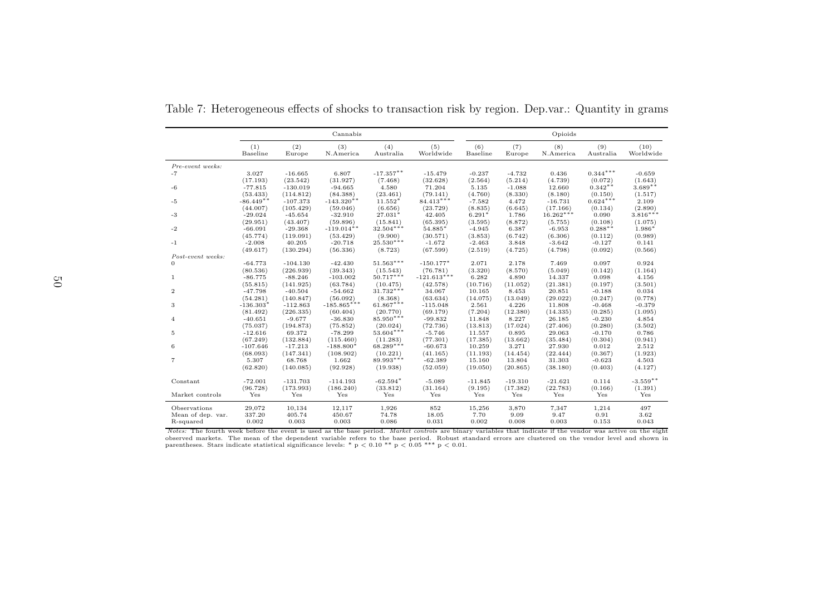|                   |                 |               | Cannabis         |                        |                  |                 |               | Opioids          |                          |                   |
|-------------------|-----------------|---------------|------------------|------------------------|------------------|-----------------|---------------|------------------|--------------------------|-------------------|
|                   | (1)<br>Baseline | (2)<br>Europe | (3)<br>N.America | (4)<br>Australia       | (5)<br>Worldwide | (6)<br>Baseline | (7)<br>Europe | (8)<br>N.America | (9)<br>${\bf Australia}$ | (10)<br>Worldwide |
| Pre-event weeks:  |                 |               |                  |                        |                  |                 |               |                  |                          |                   |
| $-7$              | 3.027           | $-16.665$     | 6.807            | $-17.357**$            | $-15.479$        | $-0.237$        | $-4.732$      | 0.436            | $0.344***$               | $-0.659$          |
|                   | (17.193)        | (23.542)      | (31.927)         | (7.468)                | (32.628)         | (2.564)         | (5.214)       | (4.739)          | (0.072)                  | (1.643)           |
| $-6$              | $-77.815$       | $-130.019$    | $-94.665$        | 4.580                  | 71.204           | 5.135           | $-1.088$      | 12.660           | $0.342**$                | $3.689**$         |
|                   | (53.433)        | (114.812)     | (84.388)         | (23.461)               | (79.141)         | (4.760)         | (8.330)       | (8.180)          | (0.150)                  | (1.517)           |
| $-5$              | $-86.449**$     | $-107.373$    | $-143.320**$     | $11.552*$              | $84.413***$      | $-7.582$        | 4.472         | $-16.731$        | $0.624***$               | 2.109             |
|                   | (44.007)        | (105.429)     | (59.046)         | (6.656)                | (23.729)         | (8.835)         | (6.645)       | (17.166)         | (0.134)                  | (2.890)           |
| $-3$              | $-29.024$       | $-45.654$     | $-32.910$        | $27.031*$              | 42.405           | $6.291*$        | 1.786         | $16.262***$      | 0.090                    | $3.816***$        |
|                   | (29.951)        | (43.407)      | (59.896)         | (15.841)               | (65.395)         | (3.595)         | (8.872)       | (5.755)          | (0.108)                  | (1.075)           |
| $-2$              | $-66.091$       | $-29.368$     | $-119.014**$     | $32.504***$            | 54.885*          | $-4.945$        | 6.387         | $-6.953$         | $0.288**$                | 1.986*            |
|                   | (45.774)        | (119.091)     | (53.429)         | (9.900)<br>$25.530***$ | (30.571)         | (3.853)         | (6.742)       | (6.306)          | (0.112)                  | (0.989)           |
| $-1$              | $-2.008$        | 40.205        | $-20.718$        |                        | $-1.672$         | $-2.463$        | 3.848         | $-3.642$         | $-0.127$                 | 0.141             |
| Post-event weeks: | (49.617)        | (130.294)     | (56.336)         | (8.723)                | (67.599)         | (2.519)         | (4.725)       | (4.798)          | (0.092)                  | (0.566)           |
| $\mathbf{0}$      | $-64.773$       | $-104.130$    | $-42.430$        | $51.563***$            | $-150.177*$      | 2.071           | 2.178         | 7.469            | 0.097                    | 0.924             |
|                   | (80.536)        | (226.939)     | (39.343)         | (15.543)               | (76.781)         | (3.320)         | (8.570)       | (5.049)          | (0.142)                  | (1.164)           |
| 1                 | $-86.775$       | $-88.246$     | $-103.002$       | $50.717***$            | $-121.613***$    | 6.282           | 4.890         | 14.337           | 0.098                    | 4.156             |
|                   | (55.815)        | (141.925)     | (63.784)         | (10.475)               | (42.578)         | (10.716)        | (11.052)      | (21.381)         | (0.197)                  | (3.501)           |
| $\overline{2}$    | $-47.798$       | $-40.504$     | $-54.662$        | $31.732***$            | 34.067           | 10.165          | 8.453         | 20.851           | $-0.188$                 | 0.034             |
|                   | (54.281)        | (140.847)     | (56.092)         | (8.368)                | (63.634)         | (14.075)        | (13.049)      | (29.022)         | (0.247)                  | (0.778)           |
| 3                 | $-136.303*$     | $-112.863$    | $-185.865***$    | $61.867***$            | $-115.048$       | 2.561           | 4.226         | 11.808           | $-0.468$                 | $-0.379$          |
|                   | (81.492)        | (226.335)     | (60.404)         | (20.770)               | (69.179)         | (7.204)         | (12.380)      | (14.335)         | (0.285)                  | (1.095)           |
| $\overline{4}$    | $-40.651$       | $-9.677$      | $-36.830$        | 85.950***              | $-99.832$        | 11.848          | 8.227         | 26.185           | $-0.230$                 | 4.854             |
|                   | (75.037)        | (194.873)     | (75.852)         | (20.024)               | (72.736)         | (13.813)        | (17.024)      | (27.406)         | (0.280)                  | (3.502)           |
| 5                 | $-12.616$       | 69.372        | $-78.299$        | $53.604***$            | $-5.746$         | 11.557          | 0.895         | 29.063           | $-0.170$                 | 0.786             |
|                   | (67.249)        | (132.884)     | (115.460)        | (11.283)               | (77.301)         | (17.385)        | (13.662)      | (35.484)         | (0.304)                  | (0.941)           |
| 6                 | $-107.646$      | $-17.213$     | $-188.800*$      | $68.289***$            | $-60.673$        | 10.259          | 3.271         | 27.930           | 0.012                    | 2.512             |
|                   | (68.093)        | (147.341)     | (108.902)        | (10.221)               | (41.165)         | (11.193)        | (14.454)      | (22.444)         | (0.367)                  | (1.923)           |
| $\overline{7}$    | 5.307           | 68.768        | 1.662            | 89.993***              | $-62.389$        | 15.160          | 13.804        | 31.303           | $-0.623$                 | 4.503             |
|                   | (62.820)        | (140.085)     | (92.928)         | (19.938)               | (52.059)         | (19.050)        | (20.865)      | (38.180)         | (0.403)                  | (4.127)           |
| Constant          | $-72.001$       | $-131.703$    | $-114.193$       | $-62.594*$             | $-5.089$         | $-11.845$       | $-19.310$     | $-21.621$        | 0.114                    | $-3.559**$        |
|                   | (96.728)        | (173.993)     | (186.240)        | (33.812)               | (31.164)         | (9.195)         | (17.382)      | (22.783)         | (0.166)                  | (1.391)           |
| Market controls   | Yes             | Yes           | Yes              | Yes                    | Yes              | Yes             | Yes           | Yes              | Yes                      | Yes               |
| Observations      | 29,072          | 10,134        | 12,117           | 1,926                  | 852              | 15,256          | 3,870         | 7,347            | 1,214                    | 497               |
| Mean of dep. var. | 337.20          | 405.74        | 450.67           | 74.78                  | 18.05            | 7.70            | 9.09          | 9.47             | 0.91                     | 3.62              |
| R-squared         | 0.002           | 0.003         | 0.003            | 0.086                  | 0.031            | 0.002           | 0.008         | 0.003            | 0.153                    | 0.043             |

<span id="page-56-0"></span>Table 7: Heterogeneous effects of shocks to transaction risk by region. Dep.var.: Quantity in grams

Notes: The fourth week before the event is used as the base period. Market controls are binary variables that indicate if the vendor was active on the eight observed markets. The mean of the dependent variable refers to the base period. Robust standard errors are clustered on the vendor level and shown in parentheses. Stars indicate statistical significance levels: \*  $p < 0.10$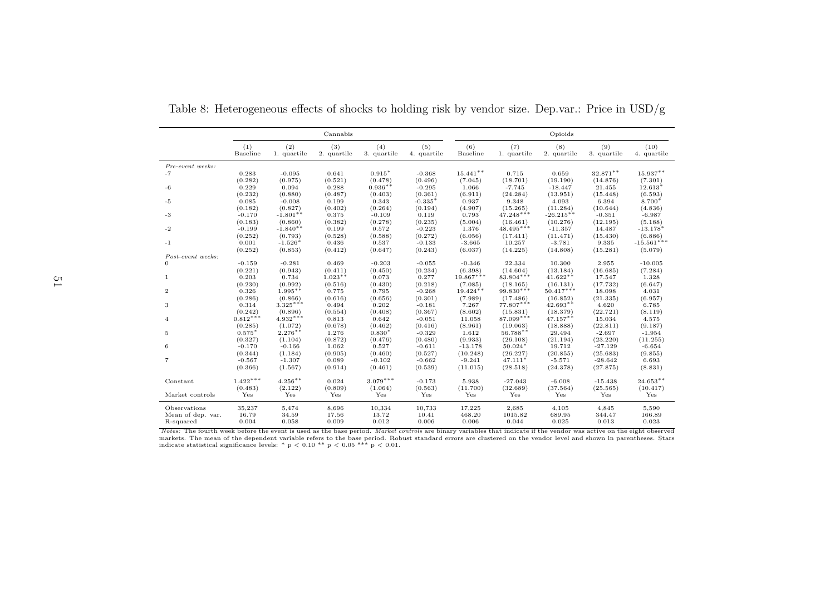|                   |                  |                    | Cannabis             |                    |                    |                        |                       | Opioids                |                    |                     |
|-------------------|------------------|--------------------|----------------------|--------------------|--------------------|------------------------|-----------------------|------------------------|--------------------|---------------------|
|                   | (1)<br>Baseline  | (2)<br>1. quartile | (3)<br>2. quartile   | (4)<br>3. quartile | (5)<br>4. quartile | (6)<br>Baseline        | (7)<br>1. quartile    | (8)<br>2. quartile     | (9)<br>3. quartile | (10)<br>4. quartile |
| Pre-event weeks:  |                  |                    |                      |                    |                    |                        |                       |                        |                    |                     |
| $-7$              | 0.283            | $-0.095$           | 0.641                | $0.915*$           | $-0.368$           | $15.441**$             | 0.715                 | 0.659                  | 32.871**           | 15.937**            |
|                   | (0.282)          | (0.975)            | (0.521)              | (0.478)            | (0.496)            | (7.045)                | (18.701)              | (19.190)               | (14.876)           | (7.301)             |
| $-6$              | 0.229            | 0.094              | 0.288                | $0.936**$          | $-0.295$           | 1.066                  | $-7.745$              | $-18.447$              | 21.455             | $12.613*$           |
|                   | (0.232)          | (0.880)            | (0.487)              | (0.403)            | (0.361)            | (6.911)                | (24.284)              | (13.951)               | (15.448)           | (6.593)             |
| $-5$              | 0.085            | $-0.008$           | 0.199                | 0.343              | $-0.335*$          | 0.937                  | 9.348                 | 4.093                  | 6.394              | 8.700*              |
|                   | (0.182)          | (0.827)            | (0.402)              | (0.264)            | (0.194)            | (4.907)                | (15.265)              | (11.284)               | (10.644)           | (4.836)             |
| $-3$              | $-0.170$         | $-1.801**$         | 0.375                | $-0.109$           | 0.119              | 0.793                  | $47.248***$           | $-26.215**$            | $-0.351$           | $-6.987$            |
|                   | (0.183)          | (0.860)            | (0.382)              | (0.278)            | (0.235)            | (5.004)                | (16.461)              | (10.276)               | (12.195)           | (5.188)             |
| $-2$              | $-0.199$         | $-1.840**$         | 0.199                | 0.572              | $-0.223$           | 1.376                  | $48.495***$           | $-11.357$              | 14.487             | $-13.178*$          |
|                   | (0.252)          | (0.793)            | (0.528)              | (0.588)            | (0.272)            | (6.056)                | (17.411)              | (11.471)               | (15.430)           | (6.886)             |
| $-1$              | 0.001            | $-1.526*$          | 0.436                | 0.537              | $-0.133$           | $-3.665$               | 10.257                | $-3.781$               | 9.335              | $-15.561***$        |
|                   | (0.252)          | (0.853)            | (0.412)              | (0.647)            | (0.243)            | (6.037)                | (14.225)              | (14.808)               | (15.281)           | (5.079)             |
| Post-event weeks: |                  |                    |                      |                    |                    |                        |                       |                        |                    |                     |
| $\overline{0}$    | $-0.159$         | $-0.281$           | 0.469                | $-0.203$           | $-0.055$           | $-0.346$               | 22.334                | 10.300                 | 2.955              | $-10.005$           |
| 1                 | (0.221)<br>0.203 | (0.943)<br>0.734   | (0.411)<br>$1.023**$ | (0.450)<br>0.073   | (0.234)<br>0.277   | (6.398)<br>$19.867***$ | (14.604)<br>83.804*** | (13.184)<br>$41.622**$ | (16.685)<br>17.547 | (7.284)<br>1.328    |
|                   | (0.230)          | (0.992)            | (0.516)              | (0.430)            | (0.218)            | (7.085)                | (18.165)              | (16.131)               | (17.732)           | (6.647)             |
| $\mathbf{2}$      | 0.326            | $1.995**$          | 0.775                | 0.795              | $-0.268$           | 19.424**               | 99.830***             | $50.417***$            | 18.098             | 4.031               |
|                   | (0.286)          | (0.866)            | (0.616)              | (0.656)            | (0.301)            | (7.989)                | (17.486)              | (16.852)               | (21.335)           | (6.957)             |
| 3                 | 0.314            | $3.325***$         | 0.494                | 0.202              | $-0.181$           | 7.267                  | $77.807***$           | $42.693**$             | 4.620              | 6.785               |
|                   | (0.242)          | (0.896)            | (0.554)              | (0.408)            | (0.367)            | (8.602)                | (15.831)              | (18.379)               | (22.721)           | (8.119)             |
| $\overline{4}$    | $0.812***$       | $4.932***$         | 0.813                | 0.642              | $-0.051$           | 11.058                 | 87.099***             | 47.157**               | 15.034             | 4.575               |
|                   | (0.285)          | (1.072)            | (0.678)              | (0.462)            | (0.416)            | (8.961)                | (19.063)              | (18.888)               | (22.811)           | (9.187)             |
| 5                 | $0.575*$         | $2.276***$         | 1.276                | $0.830*$           | $-0.329$           | 1.612                  | 56.788**              | 29.494                 | $-2.697$           | $-1.954$            |
|                   | (0.327)          | (1.104)            | (0.872)              | (0.476)            | (0.480)            | (9.933)                | (26.108)              | (21.194)               | (23.220)           | (11.255)            |
| 6                 | $-0.170$         | $-0.166$           | 1.062                | 0.527              | $-0.611$           | $-13.178$              | $50.024*$             | 19.712                 | $-27.129$          | $-6.654$            |
|                   | (0.344)          | (1.184)            | (0.905)              | (0.460)            | (0.527)            | (10.248)               | (26.227)              | (20.855)               | (25.683)           | (9.855)             |
| $\overline{7}$    | $-0.567$         | $-1.307$           | 0.089                | $-0.102$           | $-0.662$           | $-9.241$               | $47.111*$             | $-5.571$               | $-28.642$          | 6.693               |
|                   | (0.366)          | (1.567)            | (0.914)              | (0.461)            | (0.539)            | (11.015)               | (28.518)              | (24.378)               | (27.875)           | (8.831)             |
| Constant          | $1.422***$       | $4.256**$          | 0.024                | $3.079***$         | $-0.173$           | 5.938                  | $-27.043$             | $-6.008$               | $-15.438$          | $24.653**$          |
|                   | (0.483)          | (2.122)            | (0.809)              | (1.064)            | (0.563)            | (11.700)               | (32.689)              | (37.564)               | (25.565)           | (10.417)            |
| Market controls   | Yes              | Yes                | Yes                  | Yes                | Yes                | Yes                    | Yes                   | Yes                    | Yes                | Yes                 |
| Observations      | 35,237           | 5,474              | 8,696                | 10,334             | 10,733             | 17,225                 | 2,685                 | 4,105                  | 4,845              | 5,590               |
| Mean of dep. var. | 16.79            | 34.59              | 17.56                | 13.72              | 10.41              | 468.20                 | 1015.82               | 689.95                 | 344.47             | 166.89              |
| R-squared         | 0.004            | 0.058              | 0.009                | 0.012              | 0.006              | 0.006                  | 0.044                 | 0.025                  | 0.013              | 0.023               |

Table 8: Heterogeneous effects of shocks to holding risk by vendor size. Dep.var.: Price in USD/g

<span id="page-57-0"></span>Notes: The fourth week before the event is used as the base period. Market controls are binary variables that indicate if the vendor was active on the eight observed markets. The mean of the dependent variable refers to the base period. Robust standard errors are clustered on the vendor level and shown in parentheses. Stars indicate statistical significance levels: \* p  $<$  0.01 \*\* p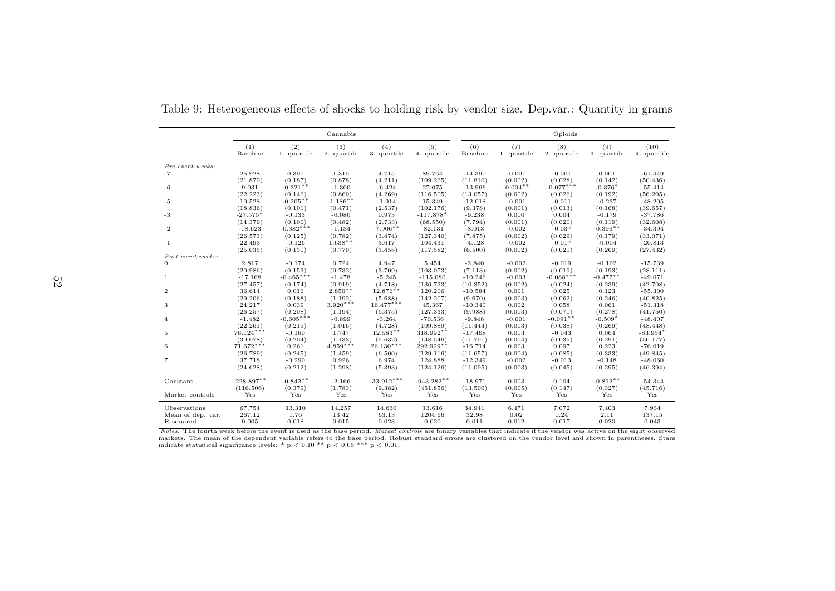|                   |                        |                     | Cannabis             |                    |                      | Opioids             |                     |                     |                     |                       |  |  |
|-------------------|------------------------|---------------------|----------------------|--------------------|----------------------|---------------------|---------------------|---------------------|---------------------|-----------------------|--|--|
|                   | (1)<br>Baseline        | (2)<br>1. quartile  | (3)<br>2. quartile   | (4)<br>3. quartile | (5)<br>4. quartile   | (6)<br>Baseline     | (7)<br>1. quartile  | (8)<br>2. quartile  | (9)<br>3. quartile  | (10)<br>4. quartile   |  |  |
| Pre-event weeks:  |                        |                     |                      |                    |                      |                     |                     |                     |                     |                       |  |  |
| $-7$              | 25.928                 | 0.307               | 1.315                | 4.715              | 89.764               | $-14.390$           | $-0.001$            | $-0.001$            | 0.001               | $-61.449$             |  |  |
|                   | (21.870)               | (0.187)             | (0.878)              | (4.211)            | (109.265)            | (11.810)            | (0.002)             | (0.028)             | (0.142)             | (50.436)              |  |  |
| $-6$              | 9.031                  | $-0.321**$          | $-1.300$             | $-6.424$           | 27.075               | $-13.966$           | $-0.004**$          | $-0.077***$         | $-0.376*$           | $-55.414$             |  |  |
|                   | (22.223)               | (0.146)             | (0.860)              | (4.269)            | (116.505)            | (13.057)            | (0.002)             | (0.026)             | (0.192)             | (56.205)              |  |  |
| $-5$              | 10.528                 | $-0.205**$          | $-1.186**$           | $-1.914$           | 15.349               | $-12.018$           | $-0.001$            | $-0.011$            | $-0.237$            | $-48.205$             |  |  |
|                   | (18.836)               | (0.101)             | (0.471)              | (2.537)            | (102.176)            | (9.378)             | (0.001)             | (0.013)             | (0.168)             | (39.657)              |  |  |
| $-3$              | $-27.575$ <sup>*</sup> | $-0.133$            | $-0.080$             | 0.973              | $-117.878*$          | $-9.238$            | 0.000               | 0.004               | $-0.179$            | $-37.786$             |  |  |
|                   | (14.379)               | (0.100)             | (0.482)              | (2.733)            | (68.550)             | (7.794)             | (0.001)             | (0.020)             | (0.119)             | (32.608)              |  |  |
| $-2$              | $-18.623$              | $-0.382***$         | $-1.134$             | $-7.906**$         | $-82.131$            | $-8.013$            | $-0.002$            | $-0.037$            | $-0.396**$          | $-34.394$             |  |  |
|                   | (26.573)<br>22.493     | (0.125)<br>$-0.126$ | (0.782)<br>$1.638**$ | (3.474)<br>3.617   | (127.340)<br>104.431 | (7.875)<br>$-4.128$ | (0.002)<br>$-0.002$ | (0.029)<br>$-0.017$ | (0.179)<br>$-0.004$ | (33.071)<br>$-20.813$ |  |  |
| $-1$              |                        | (0.130)             | (0.770)              | (3.458)            | (117.582)            | (6.500)             | (0.002)             | (0.021)             | (0.269)             |                       |  |  |
| Post-event weeks: | (25.035)               |                     |                      |                    |                      |                     |                     |                     |                     | (27.432)              |  |  |
| $\Omega$          | 2.817                  | $-0.174$            | 0.724                | 4.947              | 5.454                | $-2.840$            | $-0.002$            | $-0.019$            | $-0.102$            | $-15.739$             |  |  |
|                   | (20.986)               | (0.153)             | (0.732)              | (3.709)            | (103.073)            | (7.113)             | (0.002)             | (0.019)             | (0.193)             | (28.111)              |  |  |
| $\mathbf{1}$      | $-17.168$              | $-0.465***$         | $-1.478$             | $-5.245$           | $-115.080$           | $-10.246$           | $-0.003$            | $-0.088***$         | $-0.477**$          | $-49.071$             |  |  |
|                   | (27.457)               | (0.174)             | (0.919)              | (4.718)            | (136.723)            | (10.352)            | (0.002)             | (0.024)             | (0.239)             | (42.708)              |  |  |
| $\overline{2}$    | 36.614                 | 0.016               | $2.850**$            | $12.876**$         | 120.206              | $-10.584$           | 0.001               | 0.025               | 0.123               | $-55.300$             |  |  |
|                   | (29.206)               | (0.188)             | (1.192)              | (5.688)            | (142.207)            | (9.670)             | (0.003)             | (0.062)             | (0.246)             | (40.825)              |  |  |
| 3                 | 24.217                 | 0.039               | $3.920***$           | $16.477***$        | 45.367               | $-10.340$           | 0.002               | 0.058               | 0.061               | $-51.318$             |  |  |
|                   | (26.257)               | (0.208)             | (1.194)              | (5.375)            | (127.333)            | (9.988)             | (0.003)             | (0.071)             | (0.278)             | (41.750)              |  |  |
| $\overline{4}$    | $-1.482$               | $-0.605***$         | $-0.899$             | $-3.264$           | $-70.536$            | $-9.848$            | $-0.001$            | $-0.091**$          | $-0.509*$           | $-48.407$             |  |  |
|                   | (22.261)               | (0.219)             | (1.016)              | (4.728)            | (109.889)            | (11.444)            | (0.003)             | (0.038)             | (0.269)             | (48.448)              |  |  |
| 5                 | $78.124***$            | $-0.180$            | 1.747                | $12.583**$         | $318.992**$          | $-17.468$           | 0.003               | $-0.043$            | 0.064               | $-83.954*$            |  |  |
|                   | (30.078)               | (0.204)             | (1.133)              | (5.632)            | (148.546)            | (11.791)            | (0.004)             | (0.035)             | (0.291)             | (50.177)              |  |  |
| 6                 | $71.672***$            | 0.261               | $4.859***$           | $26.130***$        | 292.929**            | $-16.714$           | 0.003               | 0.097               | 0.223               | $-76.019$             |  |  |
|                   | (26.789)               | (0.245)             | (1.459)              | (6.500)            | (129.116)            | (11.657)            | (0.004)             | (0.085)             | (0.333)             | (49.845)              |  |  |
| 7                 | 37.718                 | $-0.290$            | 0.926                | 6.974              | 124.888              | $-12.349$           | $-0.002$            | $-0.013$            | $-0.148$            | $-48.060$             |  |  |
|                   | (24.628)               | (0.212)             | (1.298)              | (5.393)            | (124.126)            | (11.095)            | (0.003)             | (0.045)             | (0.295)             | (46.394)              |  |  |
| Constant          | $-228.897**$           | $-0.842**$          | $-2.166$             | $-33.912***$       | $-943.282**$         | $-18.971$           | 0.003               | 0.104               | $-0.812**$          | $-54.344$             |  |  |
|                   | (116.506)              | (0.379)             | (1.783)              | (9.382)            | (451.856)            | (13.500)            | (0.005)             | (0.147)             | (0.327)             | (45.716)              |  |  |
| Market controls   | Yes                    | Yes                 | Yes                  | Yes                | Yes                  | Yes                 | Yes                 | Yes                 | Yes                 | Yes                   |  |  |
| Observations      | 67,754                 | 13,310              | 14,257               | 14,630             | 13,616               | 34,941              | 6,471               | 7,072               | 7,403               | 7,934                 |  |  |
| Mean of dep. var. | 267.12                 | 1.76                | 13.42                | 63.13              | 1204.66              | 32.98               | 0.02                | 0.24                | 2.11                | 137.15                |  |  |
| R-squared         | 0.005                  | 0.018               | 0.015                | 0.023              | 0.020                | 0.011               | 0.012               | 0.017               | 0.020               | 0.043                 |  |  |

Table 9: Heterogeneous effects of shocks to holding risk by vendor size. Dep.var.: Quantity in grams

<span id="page-58-0"></span>Notes: The fourth week before the event is used as the base period. Market controls are binary variables that indicate if the vendor was active on the eight observed markets. The mean of the dependent variable refers to the base period. Robust standard errors are clustered on the vendor level and shown in parentheses. Stars<br>indicate statistical significance levels: \* p < 0.01 \*\* p < 0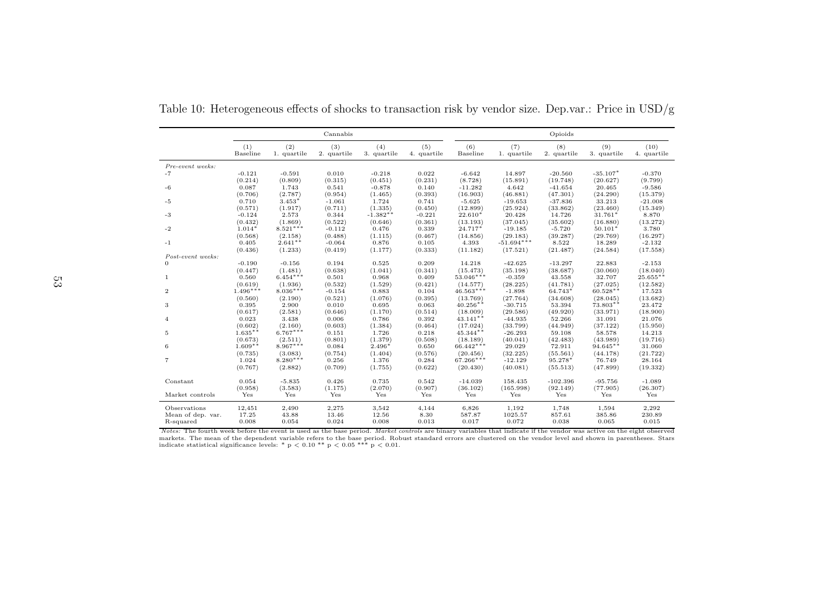|                   |                  |                      | Cannabis            |                    |                    | Opioids           |                          |                    |                    |                      |  |  |
|-------------------|------------------|----------------------|---------------------|--------------------|--------------------|-------------------|--------------------------|--------------------|--------------------|----------------------|--|--|
|                   | (1)<br>Baseline  | (2)<br>1. quartile   | (3)<br>2. quartile  | (4)<br>3. quartile | (5)<br>4. quartile | (6)<br>Baseline   | (7)<br>1. quartile       | (8)<br>2. quartile | (9)<br>3. quartile | (10)<br>4. quartile  |  |  |
| Pre-event weeks:  |                  |                      |                     |                    |                    |                   |                          |                    |                    |                      |  |  |
| $-7$              | $-0.121$         | $-0.591$             | 0.010               | $-0.218$           | 0.022              | $-6.642$          | 14.897                   | $-20.560$          | $-35.107*$         | $-0.370$             |  |  |
|                   | (0.214)          | (0.809)              | (0.315)             | (0.451)            | (0.231)            | (8.728)           | (15.891)                 | (19.748)           | (20.627)           | (9.799)              |  |  |
| $-6$              | 0.087            | 1.743                | 0.541               | $-0.878$           | 0.140              | $-11.282$         | 4.642                    | $-41.654$          | 20.465             | $-9.586$             |  |  |
|                   | (0.706)          | (2.787)              | (0.954)             | (1.465)            | (0.393)            | (16.903)          | (46.881)                 | (47.301)           | (24.290)           | (15.379)             |  |  |
| $-5$              | 0.710            | $3.453*$             | $-1.061$            | 1.724              | 0.741              | $-5.625$          | $-19.653$                | $-37.836$          | 33.213             | $-21.008$            |  |  |
|                   | (0.571)          | (1.917)              | (0.711)             | (1.335)            | (0.450)            | (12.899)          | (25.924)                 | (33.862)           | (23.460)           | (15.349)             |  |  |
| $-3$              | $-0.124$         | 2.573                | 0.344               | $-1.382**$         | $-0.221$           | $22.610*$         | 20.428                   | 14.726             | $31.761*$          | 8.870                |  |  |
|                   | (0.432)          | (1.869)              | (0.522)             | (0.646)            | (0.361)            | (13.193)          | (37.045)                 | (35.602)           | (16.880)           | (13.272)             |  |  |
| $-2$              | $1.014*$         | $8.521***$           | $-0.112$            | 0.476              | 0.339              | $24.717*$         | $-19.185$                | $-5.720$           | $50.101*$          | 3.780                |  |  |
| $-1$              | (0.568)<br>0.405 | (2.158)<br>$2.641**$ | (0.488)<br>$-0.064$ | (1.115)<br>0.876   | (0.467)<br>0.105   | (14.856)<br>4.393 | (29.183)<br>$-51.694***$ | (39.287)<br>8.522  | (29.769)<br>18.289 | (16.297)<br>$-2.132$ |  |  |
|                   | (0.436)          | (1.233)              | (0.419)             | (1.177)            | (0.333)            | (11.182)          | (17.521)                 | (21.487)           | (24.584)           | (17.558)             |  |  |
| Post-event weeks: |                  |                      |                     |                    |                    |                   |                          |                    |                    |                      |  |  |
| $\Omega$          | $-0.190$         | $-0.156$             | 0.194               | 0.525              | 0.209              | 14.218            | $-42.625$                | $-13.297$          | 22.883             | $-2.153$             |  |  |
|                   | (0.447)          | (1.481)              | (0.638)             | (1.041)            | (0.341)            | (15.473)          | (35.198)                 | (38.687)           | (30.060)           | (18.040)             |  |  |
| $\mathbf{1}$      | 0.560            | $6.454***$           | 0.501               | 0.968              | 0.409              | $53.046***$       | $-0.359$                 | 43.558             | 32.707             | 25.655**             |  |  |
|                   | (0.619)          | (1.936)              | (0.532)             | (1.529)            | (0.421)            | (14.577)          | (28.225)                 | (41.781)           | (27.025)           | (12.582)             |  |  |
| $\overline{2}$    | $1.496***$       | $8.036***$           | $-0.154$            | 0.883              | 0.104              | $46.563***$       | $-1.898$                 | 64.743*            | $60.528**$         | 17.523               |  |  |
|                   | (0.560)          | (2.190)              | (0.521)             | (1.076)            | (0.395)            | (13.769)          | (27.764)                 | (34.608)           | (28.045)           | (13.682)             |  |  |
| 3                 | 0.395            | 2.900                | 0.010               | 0.695              | 0.063              | $40.256**$        | $-30.715$                | 53.394             | 73.803**           | 23.472               |  |  |
|                   | (0.617)          | (2.581)              | (0.646)             | (1.170)            | (0.514)            | (18.009)          | (29.586)                 | (49.920)           | (33.971)           | (18.900)             |  |  |
| $\overline{4}$    | 0.023            | 3.438                | 0.006               | 0.786              | 0.392              | $43.141**$        | $-44.935$                | 52.266             | 31.091             | 21.076               |  |  |
|                   | (0.602)          | (2.160)              | (0.603)             | (1.384)            | (0.464)            | (17.024)          | (33.799)                 | (44.949)           | (37.122)           | (15.950)             |  |  |
| 5                 | $1.635**$        | $6.767***$           | 0.151               | 1.726              | 0.218              | $45.344**$        | $-26.293$                | 59.108             | 58.578             | 14.213               |  |  |
|                   | (0.673)          | (2.511)              | (0.801)             | (1.379)            | (0.508)            | (18.189)          | (40.041)                 | (42.483)           | (43.989)           | (19.716)             |  |  |
| 6                 | $1.609**$        | $8.967***$           | 0.084               | $2.496*$           | 0.650              | $66.442***$       | 29.029                   | 72.911             | $94.645**$         | 31.060               |  |  |
|                   | (0.735)          | (3.083)              | (0.754)             | (1.404)            | (0.576)            | (20.456)          | (32.225)                 | (55.561)           | (44.178)           | (21.722)             |  |  |
| $\overline{7}$    | 1.024            | $8.280***$           | 0.256               | 1.376              | 0.284              | $67.266***$       | $-12.129$                | 95.278*            | 76.749             | 28.164               |  |  |
|                   | (0.767)          | (2.882)              | (0.709)             | (1.755)            | (0.622)            | (20.430)          | (40.081)                 | (55.513)           | (47.899)           | (19.332)             |  |  |
| Constant          | 0.054            | $-5.835$             | 0.426               | 0.735              | 0.542              | $-14.039$         | 158.435                  | $-102.396$         | $-95.756$          | $-1.089$             |  |  |
|                   | (0.958)          | (3.583)              | (1.175)             | (2.070)            | (0.907)            | (36.102)          | (165.998)                | (92.149)           | (77.905)           | (26.307)             |  |  |
| Market controls   | Yes              | Yes                  | Yes                 | Yes                | Yes                | Yes               | Yes                      | Yes                | Yes                | Yes                  |  |  |
| Observations      | 12,451           | 2,490                | 2,275               | 3,542              | 4,144              | 6,826             | 1,192                    | 1,748              | 1,594              | 2,292                |  |  |
| Mean of dep. var. | 17.25            | 43.88                | 13.46               | 12.56              | 8.30               | 587.87            | 1025.57                  | 857.61             | 385.86             | 230.89               |  |  |
| R-squared         | 0.008            | 0.054                | 0.024               | 0.008              | 0.013              | 0.017             | 0.072                    | 0.038              | 0.065              | 0.015                |  |  |

Table 10: Heterogeneous effects of shocks to transaction risk by vendor size. Dep.var.: Price in USD/g

<span id="page-59-0"></span>Notes: The fourth week before the event is used as the base period. Market controls are binary variables that indicate if the vendor was active on the eight observed markets. The mean of the dependent variable refers to the base period. Robust standard errors are clustered on the vendor level and shown in parentheses. Stars indicate statistical significance levels: \* p  $<$  0.01 \*\* p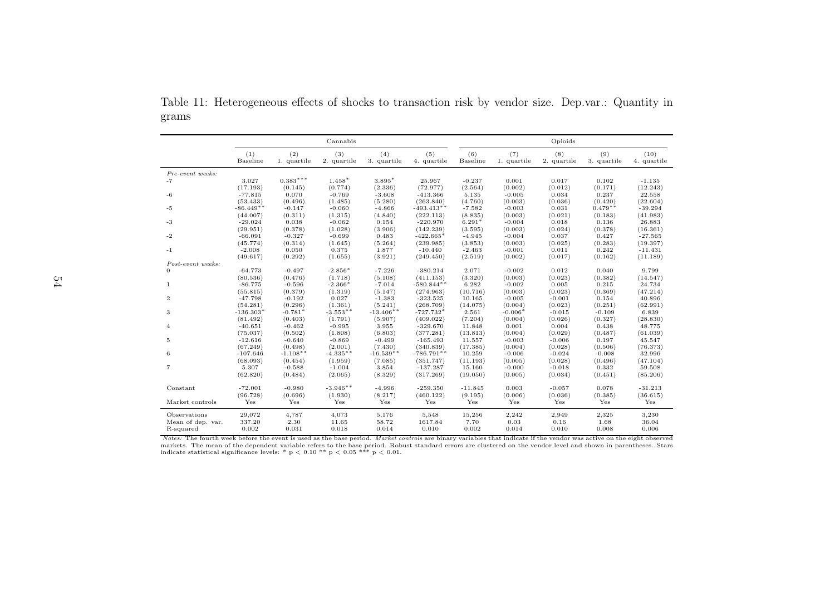|                   |                       |                     | Cannabis              |                        |                         |                   |                    | Opioids            |                    |                      |
|-------------------|-----------------------|---------------------|-----------------------|------------------------|-------------------------|-------------------|--------------------|--------------------|--------------------|----------------------|
|                   | (1)<br>Baseline       | (2)<br>1. quartile  | (3)<br>2. quartile    | (4)<br>3. quartile     | (5)<br>4. quartile      | (6)<br>Baseline   | (7)<br>1. quartile | (8)<br>2. quartile | (9)<br>3. quartile | (10)<br>4. quartile  |
| Pre-event weeks:  |                       |                     |                       |                        |                         |                   |                    |                    |                    |                      |
| $-7$              | 3.027                 | $0.383***$          | $1.458*$              | $3.895*$               | 25.967                  | $-0.237$          | 0.001              | 0.017              | 0.102              | $-1.135$             |
|                   | (17.193)              | (0.145)             | (0.774)               | (2.336)                | (72.977)                | (2.564)           | (0.002)            | (0.012)            | (0.171)            | (12.243)             |
| $-6$              | $-77.815$             | 0.070               | $-0.769$              | $-3.608$               | $-413.366$              | 5.135             | $-0.005$           | 0.034              | 0.237              | 22.558               |
|                   | (53.433)              | (0.496)             | (1.485)               | (5.280)                | (263.840)               | (4.760)           | (0.003)            | (0.036)            | (0.420)            | (22.604)             |
| $-5$              | $-86.449**$           | $-0.147$            | $-0.060$              | $-4.866$               | $-493.413**$            | $-7.582$          | $-0.003$           | 0.031              | $0.479**$          | $-39.294$            |
|                   | (44.007)              | (0.311)             | (1.315)               | (4.840)                | (222.113)               | (8.835)           | (0.003)            | (0.021)            | (0.183)            | (41.983)             |
| $-3$              | $-29.024$             | 0.038               | $-0.062$              | 0.154                  | $-220.970$              | $6.291*$          | $-0.004$           | 0.018              | 0.136              | 26.883               |
|                   | (29.951)              | (0.378)             | (1.028)               | (3.906)                | (142.239)               | (3.595)           | (0.003)            | (0.024)            | (0.378)            | (16.361)             |
| $-2$              | $-66.091$             | $-0.327$            | $-0.699$              | 0.483                  | $-422.665*$             | $-4.945$          | $-0.004$           | 0.037              | 0.427              | $-27.565$            |
|                   | (45.774)              | (0.314)             | (1.645)               | (5.264)                | (239.985)               | (3.853)           | (0.003)            | (0.025)            | (0.283)            | (19.397)             |
| $-1$              | $-2.008$              | 0.050               | 0.375                 | 1.877                  | $-10.440$               | $-2.463$          | $-0.001$           | 0.011              | 0.242              | $-11.431$            |
|                   | (49.617)              | (0.292)             | (1.655)               | (3.921)                | (249.450)               | (2.519)           | (0.002)            | (0.017)            | (0.162)            | (11.189)             |
| Post-event weeks: |                       |                     |                       |                        |                         |                   |                    |                    |                    |                      |
| $\Omega$          | $-64.773$             | $-0.497$            | $-2.856*$             | $-7.226$               | $-380.214$              | 2.071             | $-0.002$           | 0.012              | 0.040              | 9.799                |
|                   | (80.536)              | (0.476)             | (1.718)               | (5.108)                | (411.153)               | (3.320)           | (0.003)            | (0.023)            | (0.382)            | (14.547)             |
| $\mathbf{1}$      | $-86.775$             | $-0.596$            | $-2.366*$             | $-7.014$               | $-580.844**$            | 6.282             | $-0.002$           | 0.005              | 0.215              | 24.734               |
|                   | (55.815)              | (0.379)             | (1.319)               | (5.147)                | (274.963)               | (10.716)          | (0.003)            | (0.023)            | (0.369)            | (47.214)             |
| $\overline{2}$    | $-47.798$             | $-0.192$            | 0.027                 | $-1.383$               | $-323.525$              | 10.165            | $-0.005$           | $-0.001$           | 0.154              | 40.896               |
|                   | (54.281)              | (0.296)             | (1.361)<br>$-3.553**$ | (5.241)<br>$-13.406**$ | (268.709)               | (14.075)          | (0.004)            | (0.023)            | (0.251)            | (62.991)             |
| 3                 | $-136.303*$           | $-0.781*$           |                       |                        | $-727.732*$             | 2.561             | $-0.006*$          | $-0.015$           | $-0.109$           | 6.839                |
| $\overline{4}$    | (81.492)<br>$-40.651$ | (0.403)<br>$-0.462$ | (1.791)<br>$-0.995$   | (5.907)<br>3.955       | (409.022)<br>$-329.670$ | (7.204)<br>11.848 | (0.004)<br>0.001   | (0.026)<br>0.004   | (0.327)<br>0.438   | (28.830)<br>48.775   |
|                   | (75.037)              | (0.502)             | (1.808)               | (6.803)                | (377.281)               | (13.813)          | (0.004)            | (0.029)            | (0.487)            | (61.039)             |
| 5                 | $-12.616$             | $-0.640$            | $-0.869$              | $-0.499$               | $-165.493$              | 11.557            | $-0.003$           | $-0.006$           | 0.197              | 45.547               |
|                   | (67.249)              | (0.498)             | (2.001)               | (7.430)                | (340.839)               | (17.385)          | (0.004)            | (0.028)            | (0.506)            | (76.373)             |
| 6                 | $-107.646$            | $-1.108**$          | $-4.335**$            | $-16.539**$            | $-786.791**$            | 10.259            | $-0.006$           | $-0.024$           | $-0.008$           | 32.996               |
|                   | (68.093)              | (0.454)             | (1.959)               | (7.085)                | (351.747)               | (11.193)          | (0.005)            | (0.028)            | (0.496)            | (47.104)             |
| $\overline{7}$    | 5.307                 | $-0.588$            | $-1.004$              | 3.854                  | $-137.287$              | 15.160            | $-0.000$           | $-0.018$           | 0.332              | 59.508               |
|                   | (62.820)              | (0.484)             | (2.065)               | (8.329)                | (317.269)               | (19.050)          | (0.005)            | (0.034)            | (0.451)            | (85.206)             |
| Constant          | $-72.001$             | $-0.980$            | $-3.946**$            | $-4.996$               | $-259.350$              | $-11.845$         | 0.003              | $-0.057$           | 0.078              | $-31.213$            |
|                   | (96.728)              | (0.696)             | (1.930)               | (8.217)                | (460.122)               | (9.195)           | (0.006)            | (0.036)            | (0.385)            | (36.615)             |
| Market controls   | Yes                   | Yes                 | Yes                   | Yes                    | Yes                     | Yes               | Yes                | Yes                | Yes                | $\operatorname{Yes}$ |
| Observations      | 29,072                | 4,787               | 4,073                 | 5,176                  | 5,548                   | 15,256            | 2,242              | 2,949              | 2,325              | 3,230                |
| Mean of dep. var. | 337.20                | 2.30                | 11.65                 | 58.72                  | 1617.84                 | 7.70              | 0.03               | 0.16               | 1.68               | 36.04                |
| R-squared         | 0.002                 | 0.031               | 0.018                 | 0.014                  | 0.010                   | 0.002             | 0.014              | 0.010              | 0.008              | 0.006                |

Table 11: Heterogeneous effects of shocks to transaction risk by vendor size. Dep.var.: Quantity ingrams

<span id="page-60-0"></span>*Notes:* The fourth week before the event is used as the base period. *Market controls* are binary variables that indicate if the vendor was active on the eight observed markets. The mean of the dependent variable refers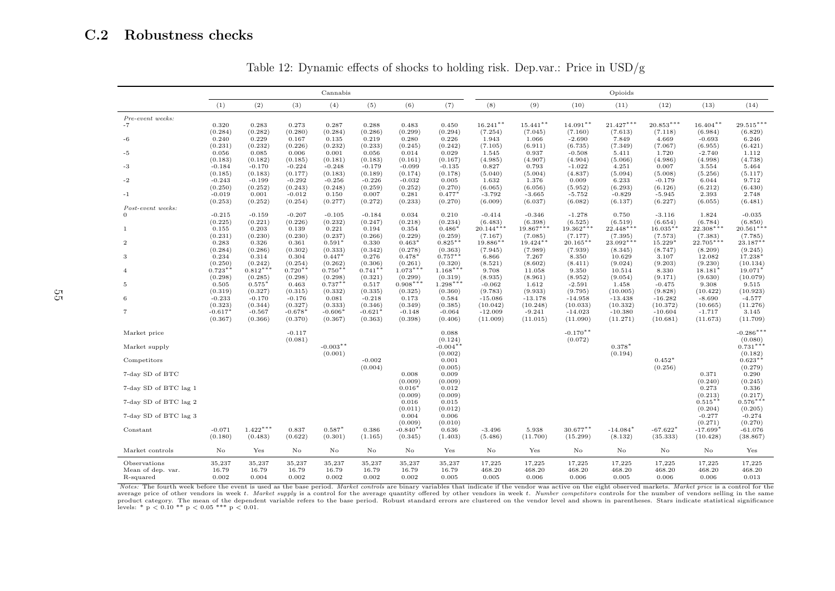## C.2 Robustness checks

|                               | Cannabis  |            |           |            |           |            |                       |             |             |             | Opioids     |             |             |                       |
|-------------------------------|-----------|------------|-----------|------------|-----------|------------|-----------------------|-------------|-------------|-------------|-------------|-------------|-------------|-----------------------|
|                               | (1)       | (2)        | (3)       | (4)        | (5)       | (6)        | (7)                   | (8)         | (9)         | (10)        | (11)        | (12)        | (13)        | (14)                  |
| Pre-event weeks:              |           |            |           |            |           |            |                       |             |             |             |             |             |             |                       |
| $-7$                          | 0.320     | 0.283      | 0.273     | 0.287      | 0.288     | 0.483      | 0.450                 | $16.241**$  | $15.441**$  | $14.091**$  | $21.427***$ | $20.853***$ | $16.404**$  | $29.515***$           |
|                               | (0.284)   | (0.282)    | (0.280)   | (0.284)    | (0.286)   | (0.299)    | (0.294)               | (7.254)     | (7.045)     | (7.160)     | (7.613)     | (7.118)     | (6.984)     | (6.829)               |
| -6                            | 0.240     | 0.229      | 0.167     | 0.135      | 0.219     | 0.280      | 0.226                 | 1.943       | 1.066       | $-2.690$    | 7.849       | 4.669       | $-0.693$    | 6.246                 |
|                               | (0.231)   | (0.232)    | (0.226)   | (0.232)    | (0.233)   | (0.245)    | (0.242)               | (7.105)     | (6.911)     | (6.735)     | (7.349)     | (7.067)     | (6.955)     | (6.421)               |
| $-5$                          | 0.056     | 0.085      | 0.006     | 0.001      | 0.056     | 0.014      | 0.029                 | 1.545       | 0.937       | $-0.508$    | 5.411       | 1.720       | $-2.740$    | 1.112                 |
|                               | (0.183)   | (0.182)    | (0.185)   | (0.181)    | (0.183)   | (0.161)    | (0.167)               | (4.985)     | (4.907)     | (4.904)     | (5.066)     | (4.986)     | (4.998)     | (4.738)               |
| -3                            | $-0.184$  | $-0.170$   | $-0.224$  | $-0.248$   | $-0.179$  | $-0.099$   | $-0.135$              | 0.827       | 0.793       | $-1.022$    | 4.251       | 0.007       | 3.554       | 5.464                 |
|                               | (0.185)   | (0.183)    | (0.177)   | (0.183)    | (0.189)   | (0.174)    | (0.178)               | (5.040)     | (5.004)     | (4.837)     | (5.094)     | (5.008)     | (5.256)     | (5.117)               |
| -2                            | $-0.243$  | $-0.199$   | $-0.292$  | $-0.256$   | $-0.226$  | $-0.032$   | 0.005                 | 1.632       | 1.376       | 0.009       | 6.233       | $-0.179$    | 6.044       | 9.712                 |
|                               | (0.250)   | (0.252)    | (0.243)   | (0.248)    | (0.259)   | (0.252)    | (0.270)               | (6.065)     | (6.056)     | (5.952)     | (6.293)     | (6.126)     | (6.212)     | (6.430)               |
| $-1$                          | $-0.019$  | 0.001      | $-0.012$  | 0.150      | 0.007     | 0.281      | $0.477*$              | $-3.792$    | $-3.665$    | $-5.752$    | $-0.829$    | $-5.945$    | 2.393       | 2.748                 |
|                               | (0.253)   | (0.252)    | (0.254)   | (0.277)    | (0.272)   | (0.233)    | (0.270)               | (6.009)     | (6.037)     | (6.082)     | (6.137)     | (6.227)     | (6.055)     | (6.481)               |
| Post-event weeks:<br>$\theta$ | $-0.215$  | $-0.159$   | $-0.207$  | $-0.105$   | $-0.184$  | 0.034      | 0.210                 | $-0.414$    | $-0.346$    | $-1.278$    | 0.750       | $-3.116$    | 1.824       | $-0.035$              |
|                               | (0.225)   | (0.221)    | (0.226)   | (0.232)    | (0.247)   | (0.218)    | (0.234)               | (6.483)     | (6.398)     | (6.525)     | (6.519)     | (6.654)     | (6.784)     | (6.850)               |
| 1                             | 0.155     | 0.203      | 0.139     | 0.221      | 0.194     | 0.354      | $0.486*$              | $20.144***$ | $19.867***$ | $19.362***$ | $22.448***$ | $16.035**$  | $22.308***$ | $20.561***$           |
|                               | (0.231)   | (0.230)    | (0.230)   | (0.237)    | (0.266)   | (0.229)    | (0.259)               | (7.167)     | (7.085)     | (7.177)     | (7.395)     | (7.573)     | (7.383)     | (7.785)               |
| $\overline{2}$                | 0.283     | 0.326      | 0.361     | $0.591*$   | 0.330     | $0.463*$   | $0.825**$             | 19.886**    | $19.424**$  | $20.165**$  | 23.092***   | 15.229*     | $22.705***$ | $23.187**$            |
|                               | (0.284)   | (0.286)    | (0.302)   | (0.333)    | (0.342)   | (0.278)    | (0.363)               | (7.945)     | (7.989)     | (7.939)     | (8.345)     | (8.747)     | (8.209)     | (9.245)               |
| 3                             | 0.234     | 0.314      | 0.304     | $0.447*$   | 0.276     | $0.478*$   | $0.757**$             | 6.866       | 7.267       | 8.350       | 10.629      | 3.107       | 12.082      | 17.238*               |
|                               | (0.250)   | (0.242)    | (0.254)   | (0.262)    | (0.306)   | (0.261)    | (0.320)               | (8.521)     | (8.602)     | (8.411)     | (9.024)     | (9.203)     | (9.230)     | (10.134)              |
| $\overline{4}$                | $0.723**$ | $0.812***$ | $0.720**$ | $0.750**$  | $0.741**$ | $1.073***$ | $1.168***$            | 9.708       | 11.058      | 9.350       | 10.514      | 8.330       | $18.181*$   | 19.071*               |
|                               | (0.298)   | (0.285)    | (0.298)   | (0.298)    | (0.321)   | (0.299)    | (0.319)               | (8.935)     | (8.961)     | (8.952)     | (9.054)     | (9.171)     | (9.630)     | (10.079)              |
| 5                             | 0.505     | 0.575      | 0.463     | $0.737**$  | 0.517     | $0.908***$ | $1.298***$            | $-0.062$    | 1.612       | $-2.591$    | 1.458       | $-0.475$    | 9.308       | 9.515                 |
|                               | (0.319)   | (0.327)    | (0.315)   | (0.332)    | (0.335)   | (0.325)    | (0.360)               | (9.783)     | (9.933)     | (9.795)     | (10.005)    | (9.828)     | (10.422)    | (10.923)              |
| 6                             | $-0.233$  | $-0.170$   | $-0.176$  | 0.081      | $-0.218$  | 0.173      | 0.584                 | $-15.086$   | $-13.178$   | $-14.958$   | $-13.438$   | $-16.282$   | $-8.690$    | $-4.577$              |
|                               | (0.323)   | (0.344)    | (0.327)   | (0.333)    | (0.346)   | (0.349)    | (0.385)               | (10.042)    | (10.248)    | (10.033)    | (10.332)    | (10.372)    | (10.665)    | (11.276)              |
| $\overline{7}$                | $-0.617*$ | $-0.567$   | $-0.678*$ | $-0.606*$  | $-0.621*$ | $-0.148$   | $-0.064$              | $-12.009$   | $-9.241$    | $-14.023$   | $-10.380$   | $-10.604$   | $-1.717$    | 3.145                 |
|                               | (0.367)   | (0.366)    | (0.370)   | (0.367)    | (0.363)   | (0.398)    | (0.406)               | (11.009)    | (11.015)    | (11.090)    | (11.271)    | (10.681)    | (11.673)    | (11.709)              |
|                               |           |            |           |            |           |            |                       |             |             | $-0.170**$  |             |             |             | $-0.286***$           |
| Market price                  |           |            | $-0.117$  |            |           |            | 0.088                 |             |             |             |             |             |             |                       |
| Market supply                 |           |            | (0.081)   | $-0.003**$ |           |            | (0.124)<br>$-0.004**$ |             |             | (0.072)     | $0.378*$    |             |             | (0.080)<br>$0.731***$ |
|                               |           |            |           | (0.001)    |           |            | (0.002)               |             |             |             | (0.194)     |             |             | (0.182)               |
| Competitors                   |           |            |           |            | $-0.002$  |            | 0.001                 |             |             |             |             | $0.452*$    |             | $0.623**$             |
|                               |           |            |           |            | (0.004)   |            | (0.005)               |             |             |             |             | (0.256)     |             | (0.279)               |
| 7-day SD of BTC               |           |            |           |            |           | 0.008      | 0.009                 |             |             |             |             |             | 0.371       | 0.290                 |
|                               |           |            |           |            |           | (0.009)    | (0.009)               |             |             |             |             |             | (0.240)     | (0.245)               |
| 7-day SD of BTC lag 1         |           |            |           |            |           | $0.016*$   | 0.012                 |             |             |             |             |             | 0.273       | 0.336                 |
|                               |           |            |           |            |           | (0.009)    | (0.009)               |             |             |             |             |             | (0.213)     | (0.217)               |
| 7-day SD of BTC lag 2         |           |            |           |            |           | 0.016      | 0.015                 |             |             |             |             |             | $0.515**$   | $0.576***$            |
|                               |           |            |           |            |           | (0.011)    | (0.012)               |             |             |             |             |             | (0.204)     | (0.205)               |
| 7-day SD of BTC lag 3         |           |            |           |            |           | 0.004      | 0.006                 |             |             |             |             |             | $-0.277$    | $-0.274$              |
|                               |           |            |           |            |           | (0.009)    | (0.010)               |             |             |             |             |             | (0.271)     | (0.270)               |
| Constant                      | $-0.071$  | $1.422***$ | 0.837     | $0.587*$   | 0.386     | $-0.840**$ | 0.636                 | $-3.496$    | 5.938       | 30.677**    | $-14.084*$  | $-67.622*$  | $-17.699*$  | $-61.076$             |
|                               | (0.180)   | (0.483)    | (0.622)   | (0.301)    | (1.165)   | (0.345)    | (1.403)               | (5.486)     | (11.700)    | (15.299)    | (8.132)     | (35.333)    | (10.428)    | (38.867)              |
| Market controls               | No        | Yes        | No        | No         | No        | No         | Yes                   | No          | Yes         | No          | No          | No          | No          | Yes                   |
|                               |           |            |           |            |           |            |                       |             |             |             |             |             |             |                       |
| Observations                  | 35,237    | 35,237     | 35,237    | 35,237     | 35,237    | 35,237     | 35,237                | 17,225      | 17,225      | 17,225      | 17,225      | 17,225      | 17,225      | 17,225                |
| Mean of dep. var.             | 16.79     | 16.79      | 16.79     | 16.79      | 16.79     | 16.79      | 16.79                 | 468.20      | 468.20      | 468.20      | 468.20      | 468.20      | 468.20      | 468.20                |
| R-squared                     | 0.002     | 0.004      | 0.002     | 0.002      | 0.002     | 0.002      | 0.005                 | 0.005       | 0.006       | 0.006       | 0.005       | 0.006       | 0.006       | 0.013                 |

Table 12: Dynamic effects of shocks to holding risk. Dep.var.: Price in USD/g

<span id="page-61-1"></span><span id="page-61-0"></span>Notes: The fourth week before the event is used as the base period. Market controls are binary variables that indicate if the vendor was active on the eight observed markets. Market price is a control for the average price of other vendors in week t. Market supply is a control for the average quantity offered by other vendors in week t. Number competitors controls for the number of vendors selling in the same product category. The mean of the dependent variable refers to the base period. Robust standard errors are clustered on the vendor level and shown in parentheses. Stars indicate statistical significance levels: \*  $p < 0.10$  \*\*  $p < 0.05$  \*\*\*  $p < 0.01$ .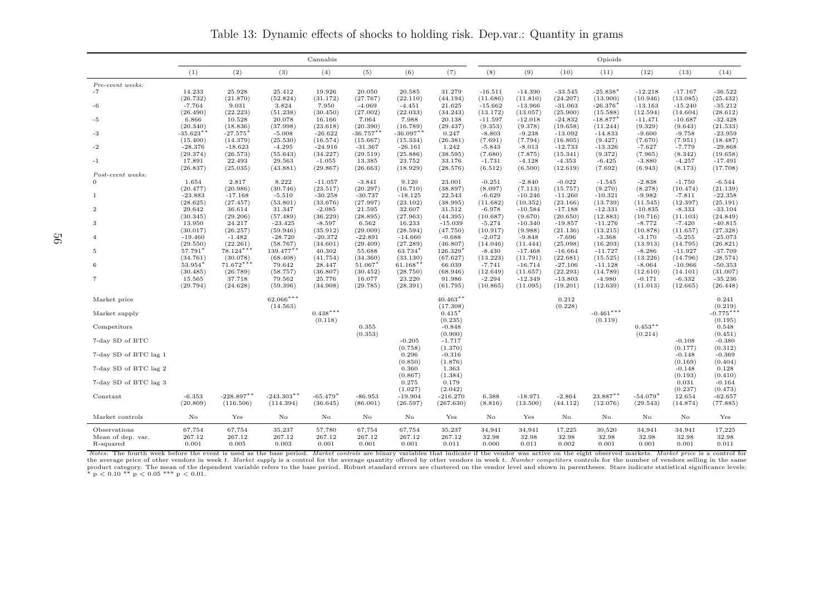Cannabiss and the contract of the contract of the contract of the contract of the contract of the contract of the contract of the contract of the contract of the contract of the contract of the contract of the contract of the cont  $(1)$   $(2)$   $(3)$   $(4)$   $(5)$   $(6)$   $(7)$   $(8)$   $(9)$   $(10)$   $(11)$   $(12)$   $(13)$   $(14)$ Pre-event weeks:-7 14.233 25.928 25.412 19.926 20.050 20.585 31.279 -16.511 -14.390 -33.545 -25.838 $(13.900)$ ∗ -12.218 -17.167 -36.522 $(25.432)$  $(26.732)$   $(21.870)$   $(52.824)$   $(31.172)$   $(27.767)$   $(22.110)$   $(44.194)$   $(11.686)$   $(11.810)$   $(24.207)$   $(13.900)$   $(10.946)$   $(13.085)$   $(25.432)$  $-35.212$ -6 -7.764 9.031 3.824 7.950 -4.069 -4.451 21.625 -15.662 -13.966 -31.063 -26.376 $(15.588)$  $-26.376$ <sup>\*</sup>  $-13.163$   $-15.240$ <br>(12.594) (14.604)  $(28.612)$  $(26.490)$   $(22.223)$   $(51.238)$   $(30.450)$   $(27.002)$   $(22.033)$   $(34.243)$   $(13.172)$   $(13.057)$   $(25.900)$   $(15.588)$   $(12.594)$   $(14.604)$   $(28.612)$  $-32.428$ -5 6.866 10.528 20.078 16.166 7.064 7.988 20.138 -11.597 -12.018 -24.832 -18.877 $(11.244)$  $-18.877$ <sup>\*</sup>  $-11.471$   $-10.687$  $(21.533)$ (20.340) (18.836) (37.998) (23.618) (20.390) (16.789) (29.437) (9.353) (9.378) (19.658) (11.244) (9.329) (9.643) (21.533) $-23.959$ -3 -35.623∗∗ -27.575∗ $(14.379)$  -5.008 -26.622 -36.757∗∗ -36.097∗∗ 0.247 -8.803 -9.238 -13.092 -14.833 -9.600 -9.758 -23.959 $(18.487)$  $(15.400)$   $(14.379)$   $(25.530)$   $(16.574)$   $(15.667)$   $(15.334)$   $(26.381)$   $(7.691)$   $(7.794)$   $(16.805)$   $(9.427)$   $(7.670)$   $(7.951)$   $(18.487)$  $-29.868$ -2 -28.376 -18.623 -4.295 -24.916 -31.367 -26.161 1.242 -5.843 -8.013 -12.733 -13.326 -7.627 -7.779 -29.868 $(19.658)$ (29.374) (26.573) (55.643) (34.227) (29.519) (25.886) (38.595) (7.680) (7.875) (15.341) (9.372) (7.965) (8.342) (19.658) $-17.491$ -1 17.891 22.493 29.563 -1.055 13.385 23.752 33.176 -1.731 -4.128 -4.353 -6.425 -3.880 -4.257 -17.491 $(17.708)$ (26.837) (25.035) (43.881) (29.867) (26.663) (18.929) (28.576) (6.512) (6.500) (12.619) (7.692) (6.943) (8.173) (17.708)Post-event weeks:0 1.654 2.817 8.222 -11.057 -3.841 9.120 23.001 -0.251 -2.840 -0.022 -1.545 -2.838 -1.750 -6.544 $(21.139)$  $(20.477)$   $(20.986)$   $(30.746)$   $(23.517)$   $(20.297)$   $(16.710)$   $(38.897)$   $(8.097)$   $(7.113)$   $(15.757)$   $(9.270)$   $(8.278)$   $(10.474)$   $(21.139)$  $-22.358$  $1 \hskip .85em$  -23.883 -17.168 -5.510 -30.258 -30.737 -18.125 22.543 -6.629 -10.246 -11.260 -10.321 -9.982 -7.811 -22.358  $(25.191)$  $(28.625)$   $(27.457)$   $(53.801)$   $(33.676)$   $(27.997)$   $(23.102)$   $(38.995)$   $(11.682)$   $(10.352)$   $(23.166)$   $(13.739)$   $(11.545)$   $(12.397)$   $(25.191)$  $-33.104$ 2 29.642 36.614 31.347 -2.085 21.595 32.607 31.512 -6.978 -10.584 -17.188 -12.331 -10.835 -8.333 -33.104 $(24.849)$ (30.345) (29.206) (57.489) (36.229) (28.895) (27.963) (44.395) (10.687) (9.670) (20.650) (12.883) (10.716) (11.103) (24.849) $-40.815$ 3 13.950 24.217 -23.425 -8.597 6.562 16.233 -15.039 -5.274 -10.340 -19.857 -11.276 -8.772 -7.420 -40.815 $(27.328)$  $(30.017)$   $(26.257)$   $(59.946)$   $(35.912)$   $(29.009)$   $(28.594)$   $(47.750)$   $(10.917)$   $(9.988)$   $(21.136)$   $(13.215)$   $(10.878)$   $(11.657)$   $(27.328)$  $-25.073$ 4 -19.460 -1.482 -28.720 -20.372 -22.891 -14.660 -0.688 -2.072 -9.848 -7.696 -3.368 -3.170 -5.255 -25.073 $(26.821)$  $(29.550)$   $(22.261)$   $(58.767)$   $(34.601)$   $(29.409)$   $(27.289)$   $(46.807)$   $(14.046)$   $(11.444)$   $(25.098)$   $(16.203)$   $(13.913)$   $(14.795)$   $(26.821)$  $-37.709$ 5 57.791∗ $(34.761)$ 78.124<sup>∗∗∗</sup> 139.477<sup>∗∗</sup> 40.302 55.688<br>(30.078) (68.408) (41.754) (34.360)  $(33.130)$ 63.734\* 126.329∗ $(67.627)$  -8.430 -17.468 -16.664 -11.727 -8.286 -11.927 -37.709 $(28.574)$  $(34.761)$   $(30.078)$   $(68.408)$   $(41.754)$   $(34.360)$   $(33.130)$   $(67.627)$   $(13.223)$   $(11.791)$   $(22.681)$   $(15.525)$   $(13.226)$   $(14.796)$   $(28.574)$  $-50.353$ 6 53.954∗ $(30.485)$ 71.672<sup>∗∗∗</sup> 79.642 28.447  $(30.452)$ 51.067<sup>\*</sup> 61.168∗∗ 66.039 -7.741 -16.714 -27.106 -11.128 -8.064 -10.966 -50.353 $(31.007)$  $(30.485)$   $(26.789)$   $(58.757)$   $(36.807)$   $(30.452)$   $(28.750)$   $(68.946)$   $(12.649)$   $(11.657)$   $(22.293)$   $(14.789)$   $(12.610)$   $(14.101)$   $(31.007)$  $-35.236$ 7 15.565 37.718 79.562 25.776 16.077 23.220 91.986 -2.294 -12.349 -13.803 -4.980 -0.171 -6.332 -35.236 $(26.448)$ (29.794) (24.628) (59.396) (34.908) (29.785) (28.391) (61.795) (10.865) (11.095) (19.201) (12.639) (11.013) (12.665) (26.448)Market price 62.066<sup>∗∗∗</sup> \* 0.212  $40.463**$  0.212  $0.241$  $\frac{9}{2}$  $(14.563)$   $(17.308)$   $(0.228)$   $(0.219)$ Market supply  $(1 + 0.438<sup>***</sup>)$  0.438<sup>∗\*\*</sup>  $(0.235)$  $0.415*$  $-0.461$ <sup>\*\*\*</sup>  $(0.118)$  (0.235)  $(0.235)$  (0.119)  $(0.119)$  (0.119) 0.548 Competitors $0.355$  -0.848  $0.453**$  0.548  $(0.451)$  $(0.353)$   $(0.900)$   $(0.214)$   $(0.451)$  $-0.380$ 7-day SD of BTC $-0.205$   $-1.717$   $-0.380$   $-0.108$   $-0.108$   $-0.380$ (0.758) (1.370) $(0.177)$   $(0.312)$ 7-day SD of BTC lag 1 $0.296$   $-0.316$   $-0.148$   $-0.369$  $(0.850)$   $(1.876)$ <br>0.360  $1.363$ (0.169)  $(0.404)$ 7-day SD of BTC lag 2 $0.360$   $1.363$   $-0.148$   $0.128$ (0.867) (1.384) $(0.193)$   $(0.410)$ 7-day SD of BTC lag 3 $0.275$   $0.179$   $0.031$   $-0.164$  $(1.027)$   $(2.042)$ <br> $-19.904$   $-216.270$  $(0.237)$   $(0.473)$ Constant -6.353 -228.897∗∗ $-243.303**$  $(36.645)$  $-65.479*$  -86.953 -19.904 -216.270 6.388 -18.971 -2.864 23.887∗∗ -54.079 $(29.543)$  $-54.079*$  $12.654 - 62.657$  $(77.885)$ (20.809) (116.506) (114.394) (36.645) (86.001) (26.597) (267.630) (8.816) (13.500) (44.112) (12.076) (29.543) (14.874) (77.885)Market controls No Yes No No No No Yes No Yes No No No No YesObservations 67,754 67,754 35,237 57,780 67,754 67,754 35,237 34,941 34,941 17,225 30,520 34,941 34,941 17,22532.98 Mean of dep. var. 267.12 267.12 267.12 267.12 267.12 267.12 267.12 32.98 32.98 32.98 32.98 32.98 32.98 32.98 $0.011$ R-squared 0.001 0.005 0.003 0.001 0.001 0.001 0.011 0.000 0.011 0.002 0.001 0.001 0.001 0.011

Table 13: Dynamic effects of shocks to holding risk. Dep.var.: Quantity in grams

Notes: The fourth week before the event is used as the base period. Market controls are binary variables that indicate if the vendor was active on the eight observed markets. Market price is a control for the average price of other vendors in week t. Market supply is a control for the average quantity offered by other vendors in week t. Number competitors controls for the number of vendors selling in the same product category. The mean of the dependent variable refers to the base period. Robust standard errors are clustered on the vendor level and shown in parentheses. Stars indicate statistical significance levels: \*  $p < 0.10$  \*\*  $p < 0.05$  \*\*\*  $p < 0.01$ .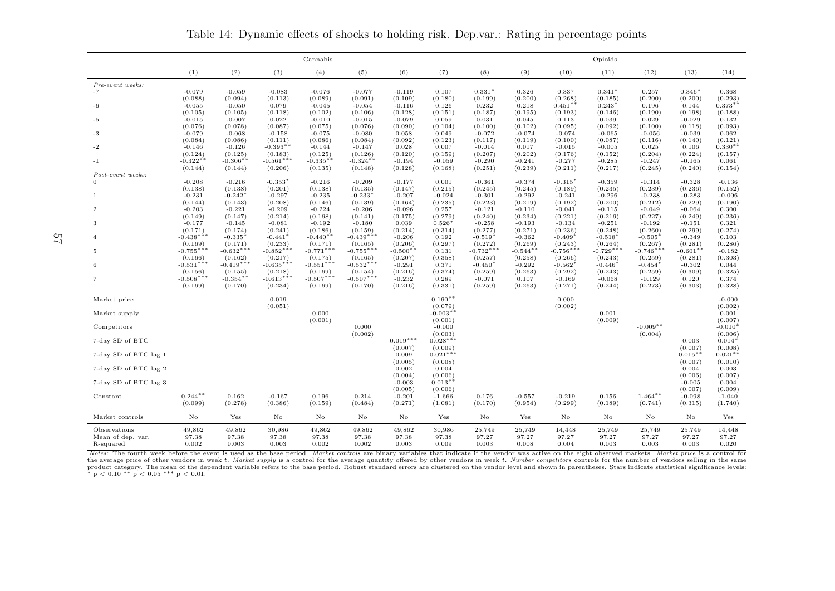Cannabiss and the contract of the contract of the contract of the contract of the contract of the contract of the contract of the contract of the contract of the contract of the contract of the contract of the contract of the cont (1) (2) (3) (4) (5) (6) (7) (8) (9) (10) (11) (12) (13) (14)Pre-event weeks:-7 -0.079 -0.059 -0.083 -0.076 -0.077 -0.119 0.107 0.331 $(0.199)$  $0.331*$ 0.337  $(0.185)$  $0.341*$  $0.257$ <br>(0.200)  $(0.200)$  $0.346*$  0.368 $(0.293)$  $(0.088)$   $(0.094)$   $(0.113)$   $(0.089)$   $(0.091)$   $(0.109)$   $(0.180)$   $(0.199)$   $(0.200)$   $(0.268)$   $(0.185)$   $(0.200)$   $(0.200)$   $(0.293)$  0.196 0.144 0.373∗∗ -6 -0.055 -0.050 0.079 -0.045 -0.054 -0.116 0.126 0.232 0.218 0.451∗∗ 0.243∗ $(0.146)$  $(0.105)$   $(0.105)$   $(0.118)$   $(0.102)$   $(0.106)$   $(0.128)$   $(0.151)$   $(0.187)$   $(0.195)$   $(0.193)$   $(0.146)$   $(0.190)$   $(0.198)$   $(0.188)$  $0.132$ -5 -0.015 -0.007 0.022 -0.010 -0.015 -0.079 0.059 0.031 0.045 0.113 0.039 0.029 -0.029 0.132 $(0.093)$  $(0.076)$   $(0.078)$   $(0.087)$   $(0.075)$   $(0.076)$   $(0.090)$   $(0.104)$   $(0.100)$   $(0.102)$   $(0.095)$   $(0.092)$   $(0.100)$   $(0.118)$   $(0.093)$ 0.062 -3 -0.079 -0.068 -0.158 -0.075 -0.080 0.058 0.049 -0.072 -0.074 -0.074 -0.065 -0.056 -0.039 0.062 $(0.121)$  $(0.084)$   $(0.086)$   $(0.111)$   $(0.086)$   $(0.084)$   $(0.092)$   $(0.123)$   $(0.117)$   $(0.119)$   $(0.100)$   $(0.087)$   $(0.116)$   $(0.140)$   $(0.121)$  $0.330*$  $-2$  -0.146  $-0.126$  -0.393<sup>\*</sup><sup>\*</sup> \*  $-0.144$   $-0.147$   $0.028$   $0.007$   $-0.014$   $0.017$   $-0.015$   $-0.005$   $0.025$   $0.106$   $0.330$ <sup>\*\*</sup>  $(0.124)$   $(0.125)$   $(0.183)$   $(0.125)$   $(0.126)$   $(0.120)$   $(0.159)$   $(0.207)$   $(0.202)$   $(0.176)$   $(0.152)$   $(0.204)$   $(0.224)$   $(0.157)$  $0.061$  $-1$  -0.322<sup>\*</sup> -0.306∗∗ -0.561∗∗∗ -0.335∗∗ -0.324∗∗ -0.194 -0.059 -0.290 -0.241 -0.277 -0.285 -0.247 -0.165 0.061 $(0.154)$  $(0.144)$   $(0.144)$   $(0.206)$   $(0.135)$   $(0.148)$   $(0.128)$   $(0.168)$   $(0.251)$   $(0.239)$   $(0.211)$   $(0.217)$   $(0.245)$   $(0.240)$   $(0.154)$ Post-event weeks:0 -0.208 -0.216  $(0.201)$  $-0.353*$  $\text{*}$  -0.216 -0.209 -0.177 0.001 -0.361 -0.374 -0.315  $(0.189)$  $-0.315*$  -0.359 -0.314 -0.328 -0.136 $(0.152)$  $(0.138)$   $(0.138)$   $(0.201)$   $(0.138)$   $(0.135)$   $(0.147)$   $(0.215)$   $(0.245)$   $(0.245)$   $(0.189)$   $(0.236)$   $(0.239)$   $(0.236)$   $(0.152)$  $-0.006$  $1 -0.231$  $(0.143)$  $-0.242$ <sup>\*</sup>  $-0.297$   $-0.235$  $(0.139)$  $-0.233$  $^*$  -0.207 -0.024 -0.301 -0.292 -0.241 -0.296 -0.238 -0.283 -0.006  $(0.190)$  $(0.144)$   $(0.143)$   $(0.208)$   $(0.146)$   $(0.139)$   $(0.164)$   $(0.235)$   $(0.229)$   $(0.219)$   $(0.200)$   $(0.212)$   $(0.229)$   $(0.190)$  $0.300$ 2 -0.203 -0.221 -0.209 -0.224 -0.206 -0.096 0.257 -0.121 -0.110 -0.041 -0.115 -0.049 -0.064 0.300 $(0.236)$  $(0.149)$   $(0.147)$   $(0.214)$   $(0.168)$   $(0.141)$   $(0.175)$   $(0.279)$   $(0.240)$   $(0.234)$   $(0.221)$   $(0.216)$   $(0.247)$   $(0.249)$   $(0.236)$ 0.321 3 -0.177 -0.145 -0.081 -0.192 -0.180 0.039 0.526 $(0.314)$  $0.526*$  $\text{*}$  -0.258 -0.193 -0.134 -0.251 -0.192 -0.151 0.321  $(0.274)$  $(0.171)$   $(0.174)$   $(0.241)$   $(0.186)$   $(0.159)$   $(0.214)$   $(0.314)$   $(0.277)$   $(0.271)$   $(0.236)$   $(0.248)$   $(0.260)$   $(0.299)$   $(0.274)$ 0.103 4 -0.438∗∗∗ -0.335∗ $(0.171)$  -0.441∗ $(0.233)$  $-0.440^{**}$   $-0.439^{**}$   $-0.206$   $0.192$  $(0.272)$  $-0.519$  $-0.362$  $(0.243)$  $-0.409$  -0.518∗ $(0.264)$  -0.505∗ $(0.267)$  $-0.349$  $(0.286)$  $(0.169)$   $(0.171)$   $(0.233)$   $(0.171)$   $(0.165)$   $(0.206)$   $(0.297)$   $(0.272)$   $(0.269)$   $(0.243)$   $(0.264)$   $(0.267)$   $(0.281)$   $(0.286)$  $-0.182$ 5 -0.755∗∗∗ -0.632∗∗∗ -0.852∗∗∗ -0.771∗∗∗ -0.755∗∗∗ -0.500∗∗ 0.131 -0.732∗∗∗ -0.544∗∗ -0.756∗∗∗ -0.729∗∗∗ -0.746∗∗∗ -0.601∗∗ -0.182 $(0.303)$  $(0.166)$   $(0.162)$   $(0.217)$   $(0.175)$   $(0.165)$   $(0.207)$   $(0.358)$   $(0.257)$   $(0.258)$   $(0.266)$   $(0.243)$   $(0.259)$   $(0.281)$   $(0.303)$ 0.044 6 -0.531∗∗∗ $-0.419***$   $-0.635***$   $-0.551***$   $-0.532***$   $-0.291$  0.371  $(0.259)$  $-0.450*$  $-0.292$  $(0.292)$  $-0.562$ <sup>\*</sup> -0.446∗ $(0.243)$  -0.454∗ $(0.259)$  $-0.302$  $(0.325)$  $(0.156)$   $(0.155)$   $(0.218)$   $(0.169)$   $(0.154)$   $(0.216)$   $(0.374)$   $(0.259)$   $(0.263)$   $(0.292)$   $(0.243)$   $(0.259)$   $(0.309)$   $(0.325)$ 0.374 7 <sup>-0.508</sub><sup>∗∗∗</sup></sup> -0.354∗∗ -0.613∗∗∗ -0.507∗∗∗ -0.507∗∗∗ -0.232 0.289 -0.071 0.107 -0.169 -0.068 -0.129 0.120 0.374 $(0.328)$  $(0.169)$   $(0.170)$   $(0.234)$   $(0.169)$   $(0.170)$   $(0.216)$   $(0.331)$   $(0.259)$   $(0.263)$   $(0.271)$   $(0.244)$   $(0.273)$   $(0.303)$   $(0.328)$ Market price 0.019 0.019 0.160<sup>∗∗</sup>  $\ddot{\hspace{1.6cm}}$   $\hspace{1.6cm} 0.000$   $\hspace{1.6cm}$   $\hspace{1.6cm}$   $\hspace{1.6cm}$   $\hspace{1.6cm}$   $\hspace{1.6cm}$   $\hspace{1.6cm}$   $\hspace{1.6cm}$   $\hspace{1.6cm}$   $\hspace{1.6cm}$   $\hspace{1.6cm}$   $\hspace{1.6cm}$   $\hspace{1.6cm}$   $\hspace{1.6cm}$   $\hspace{1.6cm}$   $\hspace{1.6cm}$   $\hspace{1.6$  $(0.002)$  $(0.051)$  (0.002)  $(0.079)$  (0.002) (0.002)  $0.001$  $\text{Market supply} \quad 0.000 \quad 0.001 \quad 0.001$  $(0.007)$  $(0.001)$   $(0.001)$   $(0.001)$   $(0.007)$  ∗Competitors $0.000$  -0.000 -0.000 -0.000 -0.000 -0.000 -0.000 -0.000 -0.000 -0.000 -0.010  $\sim$  $(0.002)$   $(0.003)$   $(0.004)$   $(0.006)$  ∗7-day SD of BTC $0.019$ \*\*\*  $0.028$ \*\*\* 0.028\*\*\* 0.028 0.011  $(0.008)$  $(0.007)$   $(0.009)$ <br>0.009  $0.021***$  $(0.007)$   $(0.008)$ 7-day SD of BTC lag 10.009 0.021<sup>∗∗∗</sup> 0.021<sup>∗∗∗</sup> 0.021<sup>∗∗∗</sup>  $(0.005)$   $(0.008)$ <br>0.002 0.004  $(0.007)$   $(0.010)$ 7-day SD of BTC lag 2**2** 0.002 0.004 0.003 0.004 0.003 (0.004) (0.006)(0.006) (0.007) 7-day SD of BTC lag 3 $-0.003$   $0.013$ <sup>∗</sup>  $-0.005$   $0.004$  $(0.005)$   $(0.006)$ <br> $-0.201$   $-1.666$ (0.007) (0.009) Constant 0.244∗∗ 0.162 -0.167 0.196 0.214 -0.201 -1.666 0.176 -0.557 -0.219 0.156 1.464∗∗ -0.098 -1.040 $(1.740)$  $(0.099)$   $(0.278)$   $(0.386)$   $(0.159)$   $(0.484)$   $(0.271)$   $(1.081)$   $(0.170)$   $(0.954)$   $(0.299)$   $(0.189)$   $(0.741)$   $(0.315)$   $(1.740)$ Market controls No Yes No No No No Yes No Yes No No No No YesObservations 49,862 49,862 30,986 49,862 49,862 49,862 30,986 25,749 25,749 14,448 25,749 25,749 25,749 14,44897.27 Mean of dep. var. 97.38 97.38 97.38 97.38 97.38 97.38 97.38 97.27 97.27 97.27 97.27 97.27 97.27 97.27 $0.020$ R-squared 0.002 0.003 0.003 0.002 0.002 0.003 0.009 0.003 0.008 0.004 0.003 0.003 0.003 0.020

Table 14: Dynamic effects of shocks to holding risk. Dep.var.: Rating in percentage points

Notes: The fourth week before the event is used as the base period. Market controls are binary variables that indicate if the vendor was active on the eight observed markets. Market price is a control for the average price of other vendors in week t. Market supply is a control for the average quantity offered by other vendors in week t. Number competitors controls for the number of vendors selling in the same product category. The mean of the dependent variable refers to the base period. Robust standard errors are clustered on the vendor level and shown in parentheses. Stars indicate statistical significance levels:\*  $p < 0.10$  \*\*  $p < 0.05$  \*\*\*  $p < 0.01$ .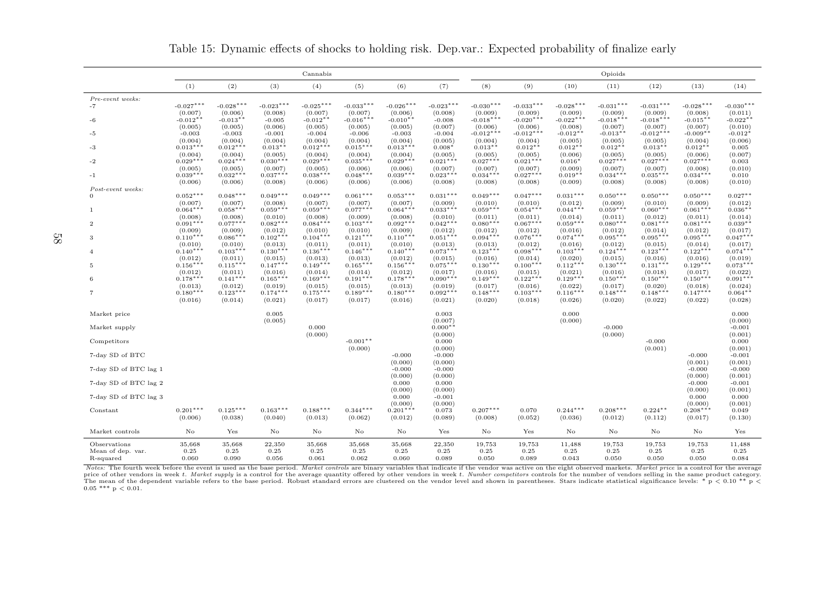|                       | Cannabis              |                       |                       |                       |                       |                       |                       |                        |                        |                       | Opioids                |                        |                       |                       |
|-----------------------|-----------------------|-----------------------|-----------------------|-----------------------|-----------------------|-----------------------|-----------------------|------------------------|------------------------|-----------------------|------------------------|------------------------|-----------------------|-----------------------|
|                       | (1)                   | (2)                   | (3)                   | (4)                   | (5)                   | (6)                   | (7)                   | (8)                    | (9)                    | (10)                  | (11)                   | (12)                   | (13)                  | (14)                  |
| Pre-event weeks:      |                       |                       |                       |                       |                       |                       |                       |                        |                        |                       |                        |                        |                       |                       |
| $-7$                  | $-0.027***$           | $-0.028***$           | $-0.023***$           | $-0.025***$           | $-0.033***$           | $-0.026***$           | $-0.023***$           | $-0.030***$            | $-0.033***$            | $-0.028***$           | $-0.031***$            | $-0.031***$            | $-0.028***$           | $-0.030***$           |
|                       | (0.007)               | (0.006)               | (0.008)               | (0.007)               | (0.007)               | (0.006)               | (0.008)               | (0.009)                | (0.009)<br>$-0.020***$ | (0.009)               | (0.009)                | (0.009)                | (0.008)               | (0.011)               |
| -6                    | $-0.012**$            | $-0.013**$            | $-0.005$              | $-0.012**$            | $-0.016***$           | $-0.010**$            | $-0.008$<br>(0.007)   | $-0.018***$<br>(0.006) |                        | $-0.022***$           | $-0.018***$<br>(0.007) | $-0.018***$            | $-0.015**$            | $-0.022**$<br>(0.010) |
| -5                    | (0.005)<br>$-0.003$   | (0.005)<br>$-0.003$   | (0.006)<br>$-0.001$   | (0.005)<br>$-0.004$   | (0.005)<br>$-0.006$   | (0.005)<br>$-0.003$   | $-0.004$              | $-0.012***$            | (0.006)<br>$-0.012***$ | (0.008)<br>$-0.012**$ | $-0.013**$             | (0.007)<br>$-0.012***$ | (0.007)<br>$-0.009**$ | $-0.012*$             |
|                       | (0.004)               | (0.004)               | (0.004)               | (0.004)               | (0.004)               | (0.004)               | (0.005)               | (0.004)                | (0.004)                | (0.005)               | (0.005)                | (0.005)                | (0.004)               | (0.006)               |
| -3                    | $0.013***$            | $0.012***$            | $0.013**$             | $0.012***$            | $0.015***$            | $0.013***$            | $0.008*$              | $0.013**$              | $0.012**$              | $0.012**$             | $0.012**$              | $0.013**$              | $0.012**$             | 0.005                 |
|                       | (0.004)               | (0.004)               | (0.005)               | (0.004)               | (0.004)               | (0.004)               | (0.005)               | (0.005)                | (0.005)                | (0.006)               | (0.005)                | (0.005)                | (0.006)               | (0.007)               |
| $-2$                  | $0.029***$<br>(0.005) | $0.024***$            | $0.030***$            | $0.029***$            | $0.035***$            | $0.029***$            | $0.021***$            | $0.027***$             | $0.021***$             | $0.016*$<br>(0.009)   | $0.027***$             | $0.027***$             | $0.027***$            | 0.003<br>(0.010)      |
| $-1$                  | $0.039***$            | (0.005)<br>$0.032***$ | (0.007)<br>$0.037***$ | (0.005)<br>$0.038***$ | (0.006)<br>$0.048***$ | (0.006)<br>$0.039***$ | (0.007)<br>$0.023***$ | (0.007)<br>$0.034***$  | (0.007)<br>$0.027***$  | $0.019**$             | (0.007)<br>$0.034***$  | (0.007)<br>$0.035***$  | (0.008)<br>$0.034***$ | 0.010                 |
|                       | (0.006)               | (0.006)               | (0.008)               | (0.006)               | (0.006)               | (0.006)               | (0.008)               | (0.008)                | (0.008)                | (0.009)               | (0.008)                | (0.008)                | (0.008)               | (0.010)               |
| Post-event weeks:     |                       |                       |                       |                       |                       |                       |                       |                        |                        |                       |                        |                        |                       |                       |
| $\Omega$              | $0.052***$            | $0.048***$            | $0.049***$            | $0.049***$            | $0.061***$            | $0.053***$            | $0.031***$            | $0.049***$             | $0.047***$             | $0.031***$            | $0.050***$             | $0.050***$             | $0.050***$            | $0.027**$             |
|                       | (0.007)<br>$0.064***$ | (0.007)               | (0.008)<br>$0.059***$ | (0.007)<br>$0.059***$ | (0.007)               | (0.007)<br>$0.064***$ | (0.009)               | (0.010)                | (0.010)<br>$0.054***$  | (0.012)               | (0.009)                | (0.010)<br>$0.060***$  | (0.009)               | (0.012)               |
| $\overline{1}$        | (0.008)               | $0.058***$<br>(0.008) | (0.010)               | (0.008)               | $0.077***$<br>(0.009) | (0.008)               | $0.033***$<br>(0.010) | $0.059***$<br>(0.011)  | (0.011)                | $0.044***$<br>(0.014) | $0.059***$<br>(0.011)  | (0.012)                | $0.061***$<br>(0.011) | $0.036**$<br>(0.014)  |
| $\mathbf{2}$          | $0.091***$            | $0.077***$            | $0.082***$            | $0.084***$            | $0.103***$            | $0.092***$            | $0.042***$            | $0.080***$             | $0.067***$             | $0.059***$            | $0.080***$             | $0.081***$             | $0.081***$            | $0.039**$             |
|                       | (0.009)               | (0.009)               | (0.012)               | (0.010)               | (0.010)               | (0.009)               | (0.012)               | (0.012)                | (0.012)                | (0.016)               | (0.012)                | (0.014)                | (0.012)               | (0.017)               |
| 3                     | $0.110***$            | $0.086***$            | $0.102***$            | $0.104***$            | $0.121***$            | $0.110***$            | $0.051***$            | $0.094***$             | $0.076***$             | $0.074***$            | $0.095***$             | $0.095***$             | $0.095***$            | $0.047***$            |
|                       | (0.010)               | (0.010)               | (0.013)               | (0.011)               | (0.011)               | (0.010)               | (0.013)               | (0.013)                | (0.012)                | (0.016)               | (0.012)                | (0.015)                | (0.014)               | (0.017)               |
| $\overline{4}$        | $0.140***$            | $0.103***$            | $0.130***$            | $0.136***$            | $0.146***$            | $0.140***$            | $0.073***$            | $0.123***$             | $0.098***$             | $0.103***$<br>(0.020) | $0.124***$             | $0.123***$             | $0.122***$            | $0.074***$            |
| 5                     | (0.012)<br>$0.156***$ | (0.011)<br>$0.115***$ | (0.015)<br>$0.147***$ | (0.013)<br>$0.149***$ | (0.013)<br>$0.165***$ | (0.012)<br>$0.156***$ | (0.015)<br>$0.075***$ | (0.016)<br>$0.130***$  | (0.014)<br>$0.100***$  | $0.112***$            | (0.015)<br>$0.130***$  | (0.016)<br>$0.131***$  | (0.016)<br>$0.129***$ | (0.019)<br>$0.073***$ |
|                       | (0.012)               | (0.011)               | (0.016)               | (0.014)               | (0.014)               | (0.012)               | (0.017)               | (0.016)                | (0.015)                | (0.021)               | (0.016)                | (0.018)                | (0.017)               | (0.022)               |
| 6                     | $0.178***$            | $0.141***$            | $0.165***$            | $0.169***$            | $0.191***$            | $0.178***$            | $0.090***$            | $0.149***$             | $0.122***$             | $0.129***$            | $0.150***$             | $0.150***$             | $0.150***$            | $0.091***$            |
|                       | (0.013)               | (0.012)               | (0.019)               | (0.015)               | (0.015)               | (0.013)               | (0.019)               | (0.017)                | (0.016)                | (0.022)               | (0.017)                | (0.020)                | (0.018)               | (0.024)               |
| $\overline{7}$        | $0.180***$            | $0.123***$            | $0.174***$            | $0.175***$            | $0.189***$            | $0.180***$            | $0.092***$            | $0.148***$             | $0.103***$             | $0.116***$            | $0.148***$             | $0.148***$             | $0.147***$            | $0.064**$             |
|                       | (0.016)               | (0.014)               | (0.021)               | (0.017)               | (0.017)               | (0.016)               | (0.021)               | (0.020)                | (0.018)                | (0.026)               | (0.020)                | (0.022)                | (0.022)               | (0.028)               |
| Market price          |                       |                       | 0.005                 |                       |                       |                       | 0.003                 |                        |                        | 0.000                 |                        |                        |                       | 0.000                 |
|                       |                       |                       | (0.005)               |                       |                       |                       | (0.007)               |                        |                        | (0.000)               |                        |                        |                       | (0.000)               |
| Market supply         |                       |                       |                       | 0.000                 |                       |                       | $0.000**$             |                        |                        |                       | $-0.000$               |                        |                       | $-0.001$              |
|                       |                       |                       |                       | (0.000)               |                       |                       | (0.000)               |                        |                        |                       | (0.000)                |                        |                       | (0.001)               |
| Competitors           |                       |                       |                       |                       | $-0.001**$<br>(0.000) |                       | 0.000<br>(0.000)      |                        |                        |                       |                        | $-0.000$<br>(0.001)    |                       | 0.000<br>(0.001)      |
| 7-day SD of BTC       |                       |                       |                       |                       |                       | $-0.000$              | $-0.000$              |                        |                        |                       |                        |                        | $-0.000$              | $-0.001$              |
|                       |                       |                       |                       |                       |                       | (0.000)               | (0.000)               |                        |                        |                       |                        |                        | (0.001)               | (0.001)               |
| 7-day SD of BTC lag 1 |                       |                       |                       |                       |                       | $-0.000$              | $-0.000$              |                        |                        |                       |                        |                        | $-0.000$              | $-0.000$              |
|                       |                       |                       |                       |                       |                       | (0.000)               | (0.000)               |                        |                        |                       |                        |                        | (0.000)               | (0.001)               |
| 7-day SD of BTC lag 2 |                       |                       |                       |                       |                       | 0.000<br>(0.000)      | 0.000<br>(0.000)      |                        |                        |                       |                        |                        | $-0.000$<br>(0.000)   | $-0.001$<br>(0.001)   |
| 7-day SD of BTC lag 3 |                       |                       |                       |                       |                       | 0.000                 | $-0.001$              |                        |                        |                       |                        |                        | 0.000                 | 0.000                 |
|                       |                       |                       |                       |                       |                       | (0.000)               | (0.000)               |                        |                        |                       |                        |                        | (0.000)               | (0.001)               |
| Constant              | $0.201***$            | $0.125***$            | $0.163***$            | $0.188***$            | $0.344***$            | $0.201***$            | 0.073                 | $0.207***$             | 0.070                  | $0.244***$            | $0.208***$             | $0.224**$              | $0.208***$            | 0.049                 |
|                       | (0.006)               | (0.038)               | (0.040)               | (0.013)               | (0.062)               | (0.012)               | (0.089)               | (0.008)                | (0.052)                | (0.036)               | (0.012)                | (0.112)                | (0.017)               | (0.130)               |
| Market controls       | No                    | Yes                   | No                    | No                    | No                    | No                    | Yes                   | No                     | Yes                    | No                    | No                     | No                     | No                    | Yes                   |
| Observations          | 35,668                | 35,668                | 22,350                | 35,668                | 35,668                | 35,668                | 22,350                | 19,753                 | 19,753                 | 11,488                | 19,753                 | 19,753                 | 19,753                | 11,488                |
| Mean of dep. var.     | 0.25                  | 0.25                  | 0.25                  | 0.25                  | 0.25                  | 0.25                  | 0.25                  | 0.25                   | 0.25                   | 0.25                  | 0.25                   | 0.25                   | 0.25                  | 0.25                  |
| R-squared             | 0.060                 | 0.090                 | 0.056                 | 0.061                 | 0.062                 | 0.060                 | 0.089                 | 0.050                  | 0.089                  | 0.043                 | 0.050                  | 0.050                  | 0.050                 | 0.084                 |

Table 15: Dynamic effects of shocks to holding risk. Dep.var.: Expected probability of finalize early

Notes: The fourth week before the event is used as the base period. Market controls are binary variables that indicate if the vendor was active on the eight observed markets. Market price is a control for the average price of other vendors in week t. Market supply is a control for the average quantity offered by other vendors in week t. Number competitors controls for the number of vendors selling in the same product category. The mean of the dependent variable refers to the base period. Robust standard errors are clustered on the vendor level and shown in parentheses. Stars indicate statistical significance levels: \* p < 0.00 \*\* p < 0.05 \*\*\* p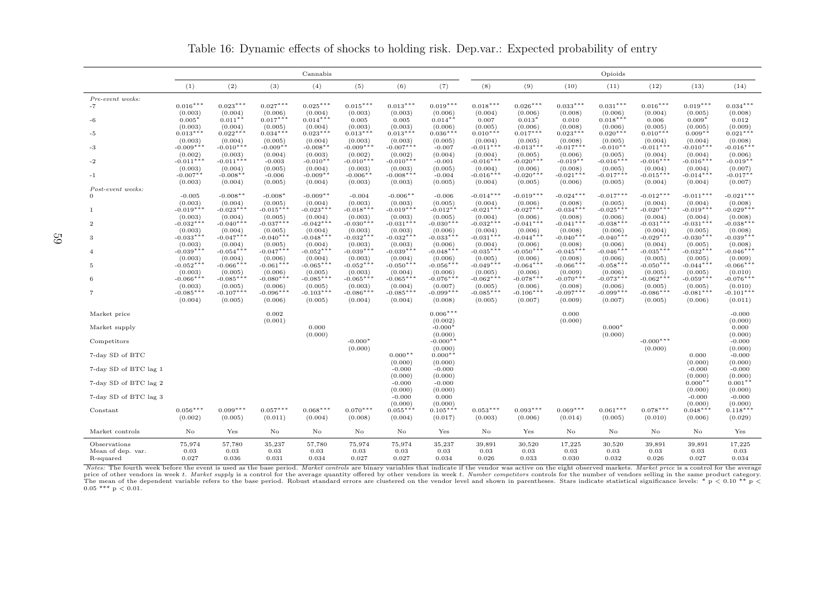|                                | Cannabis               |                        |                        |                        |                        |                        |                        | Opioids                |                        |                        |                        |                        |                        |                        |
|--------------------------------|------------------------|------------------------|------------------------|------------------------|------------------------|------------------------|------------------------|------------------------|------------------------|------------------------|------------------------|------------------------|------------------------|------------------------|
|                                | (1)                    | (2)                    | (3)                    | (4)                    | (5)                    | (6)                    | (7)                    | (8)                    | (9)                    | (10)                   | (11)                   | (12)                   | (13)                   | (14)                   |
| Pre-event weeks:               |                        |                        |                        |                        |                        |                        |                        |                        |                        |                        |                        |                        |                        |                        |
| $-7$                           | $0.016***$             | $0.023***$             | $0.027***$             | $0.025***$             | $0.015***$             | $0.013***$             | $0.019***$             | $0.018***$             | $0.026***$             | $0.033***$             | $0.031***$             | $0.016***$             | $0.019***$             | $0.034***$             |
| $-6$                           | (0.003)<br>$0.005*$    | (0.004)<br>$0.011**$   | (0.006)<br>$0.017***$  | (0.004)<br>$0.014***$  | (0.003)<br>0.005       | (0.003)<br>0.005       | (0.006)<br>$0.014**$   | (0.004)<br>0.007       | (0.006)<br>$0.013*$    | (0.008)<br>0.010       | (0.006)<br>$0.018***$  | (0.004)<br>0.006       | (0.005)<br>$0.009*$    | (0.008)<br>0.012       |
|                                | (0.003)                | (0.004)                | (0.005)                | (0.004)                | (0.003)                | (0.003)                | (0.006)                | (0.005)                | (0.006)                | (0.008)                | (0.006)                | (0.005)                | (0.005)                | (0.009)                |
| -5                             | $0.013***$             | $0.022***$             | $0.034***$             | $0.023***$             | $0.013***$             | $0.013***$             | $0.036***$             | $0.010***$             | $0.017***$             | $0.023***$             | $0.020***$             | $0.010***$             | $0.009**$              | $0.021***$             |
| $-3$                           | (0.003)<br>$-0.009***$ | (0.004)<br>$-0.010***$ | (0.005)<br>$-0.009**$  | (0.004)<br>$-0.008**$  | (0.003)<br>$-0.009***$ | (0.003)<br>$-0.007***$ | (0.005)<br>$-0.007$    | (0.004)<br>$-0.011***$ | (0.005)<br>$-0.013***$ | (0.008)<br>$-0.017***$ | (0.005)<br>$-0.010**$  | (0.004)<br>$-0.011***$ | (0.004)<br>$-0.010***$ | (0.008)<br>$-0.016***$ |
|                                | (0.002)                | (0.003)                | (0.004)                | (0.003)                | (0.002)                | (0.002)                | (0.004)                | (0.004)                | (0.005)                | (0.006)                | (0.005)                | (0.004)                | (0.004)                | (0.006)                |
| $-2$                           | $-0.011***$            | $-0.011***$            | $-0.003$               | $-0.010$ *'            | $-0.010***$            | $-0.010***$            | $-0.001$               | $-0.016***$            | $-0.020***$            | $-0.019**$             | $-0.016***$            | $-0.016***$            | $-0.016***$            | $-0.019**$             |
|                                | (0.003)                | (0.004)                | (0.005)                | (0.004)                | (0.003)                | (0.003)                | (0.005)                | (0.004)                | (0.006)                | (0.008)                | (0.005)                | (0.004)                | (0.004)                | (0.007)                |
| $-1$                           | $-0.007**$             | $-0.008**$             | $-0.006$               | $-0.009**$             | $-0.006**$             | $-0.008***$            | $-0.004$               | $-0.016***$            | $-0.020***$            | $-0.021***$            | $-0.017***$            | $-0.015***$            | $-0.014***$            | $-0.017**$             |
| Post-event weeks:              | (0.003)                | (0.004)                | (0.005)                | (0.004)                | (0.003)                | (0.003)                | (0.005)                | (0.004)                | (0.005)                | (0.006)                | (0.005)                | (0.004)                | (0.004)                | (0.007)                |
| $\Omega$                       | $-0.005$               | $-0.008**$             | $-0.008*$              | $-0.009**$             | $-0.004$               | $-0.006**$             | $-0.006$               | $-0.014***$            | $-0.019***$            | $-0.024***$            | $-0.017***$            | $-0.012***$            | $-0.011***$            | $-0.021***$            |
|                                | (0.003)                | (0.004)                | (0.005)                | (0.004)                | (0.003)                | (0.003)                | (0.005)                | (0.004)                | (0.006)                | (0.008)                | (0.005)                | (0.004)                | (0.004)                | (0.008)                |
| 1                              | $-0.019***$            | $-0.023***$            | $-0.015***$            | $-0.023***$            | $-0.018***$            | $-0.019***$            | $-0.012**$             | $-0.021***$            | $-0.027***$            | $-0.034***$            | $-0.025***$            | $-0.020***$            | $-0.019***$            | $-0.029***$            |
| $\overline{2}$                 | (0.003)<br>$-0.032***$ | (0.004)<br>$-0.040***$ | (0.005)<br>$-0.037***$ | (0.004)<br>$-0.042***$ | (0.003)<br>$-0.030***$ | (0.003)<br>$-0.031***$ | (0.005)<br>$-0.030***$ | (0.004)<br>$-0.032***$ | (0.006)<br>$-0.041***$ | (0.008)<br>$-0.041***$ | (0.006)<br>$-0.038***$ | (0.004)<br>$-0.031***$ | (0.004)<br>$-0.031***$ | (0.008)<br>$-0.038***$ |
|                                | (0.003)                | (0.004)                | (0.005)                | (0.004)                | (0.003)                | (0.003)                | (0.006)                | (0.004)                | (0.006)                | (0.008)                | (0.006)                | (0.004)                | (0.005)                | (0.008)                |
| 3                              | $-0.033***$            | $-0.047***$            | $-0.040***$            | $-0.048***$            | $-0.032***$            | $-0.032***$            | $-0.033***$            | $-0.031***$            | $-0.044***$            | $-0.040***$            | $-0.040***$            | $-0.029***$            | $-0.030***$            | $-0.039***$            |
|                                | (0.003)<br>$-0.039***$ | (0.004)<br>$-0.054***$ | (0.005)<br>$-0.047***$ | (0.004)<br>$-0.052***$ | (0.003)<br>$-0.039***$ | (0.003)<br>$-0.039***$ | (0.006)<br>$-0.048***$ | (0.004)<br>$-0.035***$ | (0.006)<br>$-0.050***$ | (0.008)<br>$-0.045***$ | (0.006)<br>$-0.046***$ | (0.004)<br>$-0.035***$ | (0.005)<br>$-0.032***$ | (0.008)<br>$-0.046***$ |
| $\overline{4}$                 | (0.003)                | (0.004)                | (0.006)                | (0.004)                | (0.003)                | (0.004)                | (0.006)                | (0.005)                | (0.006)                | (0.008)                | (0.006)                | (0.005)                | (0.005)                | (0.009)                |
| 5                              | $-0.052***$            | $-0.066***$            | $-0.061***$            | $-0.065***$            | $-0.052***$            | $-0.050***$            | $-0.056***$            | $-0.049***$            | $-0.064***$            | $-0.066***$            | $-0.058***$            | $-0.050***$            | $-0.044***$            | $-0.066***$            |
|                                | (0.003)                | (0.005)                | (0.006)                | (0.005)                | (0.003)                | (0.004)                | (0.006)                | (0.005)                | (0.006)                | (0.009)                | (0.006)                | (0.005)                | (0.005)                | (0.010)                |
| 6                              | $-0.066***$            | $-0.085***$            | $-0.080***$            | $-0.085***$            | $-0.065***$            | $-0.065***$            | $-0.076***$            | $-0.062***$            | $-0.078***$            | $-0.070***$            | $-0.073***$            | $-0.062***$            | $-0.059***$            | $-0.076***$            |
| 7                              | (0.003)<br>$-0.085***$ | (0.005)<br>$-0.107***$ | (0.006)<br>$-0.096***$ | (0.005)<br>$-0.103***$ | (0.003)<br>$-0.086***$ | (0.004)<br>$-0.085***$ | (0.007)<br>$-0.099***$ | (0.005)<br>$-0.085***$ | (0.006)<br>$-0.106***$ | (0.008)<br>$-0.097***$ | (0.006)<br>$-0.099***$ | (0.005)<br>$-0.086***$ | (0.005)<br>$-0.081***$ | (0.010)<br>$-0.101***$ |
|                                | (0.004)                | (0.005)                | (0.006)                | (0.005)                | (0.004)                | (0.004)                | (0.008)                | (0.005)                | (0.007)                | (0.009)                | (0.007)                | (0.005)                | (0.006)                | (0.011)                |
| Market price                   |                        |                        | 0.002                  |                        |                        |                        | $0.006***$             |                        |                        | 0.000                  |                        |                        |                        | $-0.000$               |
|                                |                        |                        | (0.001)                |                        |                        |                        | (0.002)                |                        |                        | (0.000)                |                        |                        |                        | (0.000)                |
| Market supply                  |                        |                        |                        | 0.000                  |                        |                        | $-0.000*$              |                        |                        |                        | $0.000*$               |                        |                        | 0.000                  |
| Competitors                    |                        |                        |                        | (0.000)                | $-0.000*$              |                        | (0.000)<br>$-0.000**$  |                        |                        |                        | (0.000)                | $-0.000***$            |                        | (0.000)<br>$-0.000$    |
|                                |                        |                        |                        |                        | (0.000)                |                        | (0.000)                |                        |                        |                        |                        | (0.000)                |                        | (0.000)                |
| 7-day SD of BTC                |                        |                        |                        |                        |                        | $0.000**$              | $0.000**$              |                        |                        |                        |                        |                        | 0.000                  | $-0.000$               |
| 7-day SD of BTC lag 1          |                        |                        |                        |                        |                        | (0.000)<br>$-0.000$    | (0.000)<br>$-0.000$    |                        |                        |                        |                        |                        | (0.000)<br>$-0.000$    | (0.000)<br>$-0.000$    |
| 7-day SD of BTC lag 2          |                        |                        |                        |                        |                        | (0.000)<br>$-0.000$    | (0.000)<br>$-0.000$    |                        |                        |                        |                        |                        | (0.000)<br>$0.000**$   | (0.000)<br>$0.001**$   |
| 7-day SD of BTC lag 3          |                        |                        |                        |                        |                        | (0.000)<br>$-0.000$    | (0.000)<br>0.000       |                        |                        |                        |                        |                        | (0.000)<br>$-0.000$    | (0.000)<br>$-0.000$    |
|                                |                        |                        |                        |                        |                        | (0.000)                | (0.000)                |                        |                        |                        |                        |                        | (0.000)                | (0.000)                |
| Constant                       | $0.056***$<br>(0.002)  | $0.099***$             | $0.057***$<br>(0.011)  | $0.068***$<br>(0.004)  | $0.070***$<br>(0.008)  | $0.055***$<br>(0.004)  | $0.105***$             | $0.053***$<br>(0.003)  | $0.093***$<br>(0.006)  | $0.069***$             | $0.061***$<br>(0.005)  | $0.078***$<br>(0.010)  | $0.048***$             | $0.118***$<br>(0.029)  |
|                                |                        | (0.005)                |                        |                        |                        |                        | (0.017)                |                        |                        | (0.014)                |                        |                        | (0.006)                |                        |
| Market controls                | $\rm No$               | Yes                    | $\rm No$               | $\rm No$               | $\rm No$               | No                     | Yes                    | $\rm No$               | Yes                    | No                     | $\rm No$               | $\rm No$               | $\rm No$               | Yes                    |
| Observations                   | 75,974                 | 57,780                 | 35,237                 | 57,780                 | 75,974                 | 75,974                 | 35,237                 | 39,891                 | 30,520                 | 17,225                 | 30,520                 | 39,891                 | 39,891                 | 17,225                 |
| Mean of dep. var.<br>R-squared | 0.03<br>0.027          | 0.03<br>0.036          | 0.03<br>0.031          | 0.03<br>0.034          | 0.03<br>0.027          | 0.03<br>0.027          | 0.03<br>0.034          | 0.03<br>0.026          | 0.03<br>0.033          | 0.03<br>0.030          | 0.03<br>0.032          | 0.03<br>0.026          | 0.03<br>0.027          | 0.03<br>0.034          |

Table 16: Dynamic effects of shocks to holding risk. Dep.var.: Expected probability of entry

Notes: The fourth week before the event is used as the base period. Market controls are binary variables that indicate if the vendor was active on the eight observed markets. Market price is a control for the average price of other vendors in week t. Market supply is a control for the average quantity offered by other vendors in week t. Number competitors controls for the number of vendors selling in the same product category. The mean of the dependent variable refers to the base period. Robust standard errors are clustered on the vendor level and shown in parentheses. Stars indicate statistical significance levels: \* p < 0.00 \*\* p < 0.05 \*\*\* p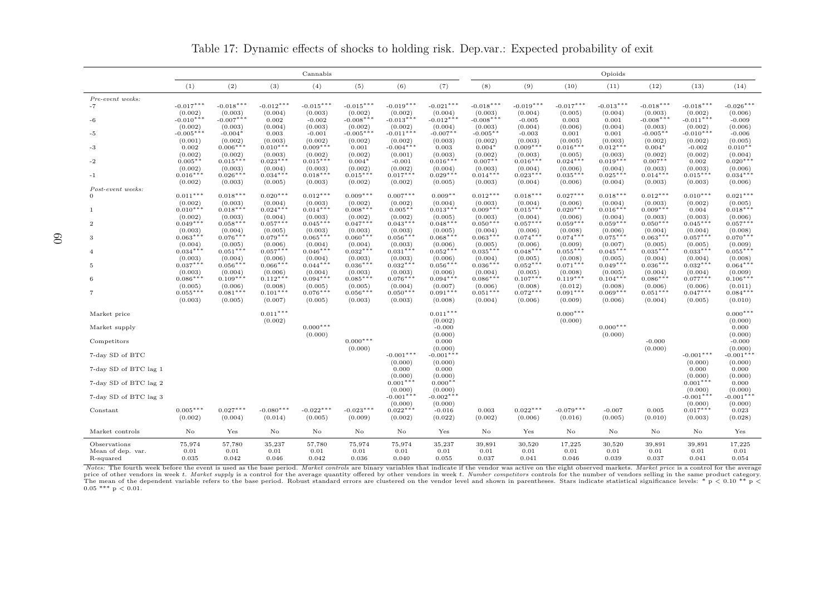|                                | Cannabis                |                        |                        |                        |                        |                        |                        |                        | Opioids                |                        |                        |                        |                        |                        |  |  |
|--------------------------------|-------------------------|------------------------|------------------------|------------------------|------------------------|------------------------|------------------------|------------------------|------------------------|------------------------|------------------------|------------------------|------------------------|------------------------|--|--|
|                                | (1)                     | (2)                    | (3)                    | (4)                    | (5)                    | (6)                    | (7)                    | (8)                    | (9)                    | (10)                   | (11)                   | (12)                   | (13)                   | (14)                   |  |  |
| Pre-event weeks:               |                         |                        |                        |                        |                        |                        |                        |                        |                        |                        |                        |                        |                        |                        |  |  |
| $-7$                           | $-0.017***$<br>(0.002)  | $-0.018***$<br>(0.003) | $-0.012***$<br>(0.004) | $-0.015***$<br>(0.003) | $-0.015***$<br>(0.002) | $-0.019***$<br>(0.002) | $-0.021***$<br>(0.004) | $-0.018***$<br>(0.003) | $-0.019***$<br>(0.004) | $-0.017***$<br>(0.005) | $-0.013***$<br>(0.004) | $-0.018***$<br>(0.003) | $-0.018***$<br>(0.002) | $-0.026***$<br>(0.006) |  |  |
| -6                             | $-0.010***$             | $-0.007***$            | 0.002                  | $-0.002$               | $-0.008***$            | $-0.013***$            | $-0.012***$            | $-0.008***$            | $-0.005$               | 0.003                  | 0.001                  | $-0.008***$            | $-0.011***$            | $-0.009$               |  |  |
|                                | (0.002)                 | (0.003)                | (0.004)                | (0.003)                | (0.002)                | (0.002)                | (0.004)                | (0.003)                | (0.004)                | (0.006)                | (0.004)                | (0.003)                | (0.002)                | (0.006)                |  |  |
| -5                             | $-0.005***$             | $-0.004*$              | 0.003                  | $-0.001$               | $-0.005**$             | $-0.011***$            | $-0.007**$             | $-0.005**$             | $-0.003$               | 0.001                  | 0.001                  | $-0.005**$             | $-0.010***$            | $-0.006$               |  |  |
| -3                             | (0.001)<br>0.002        | (0.002)<br>$0.006***$  | (0.003)<br>$0.010***$  | (0.002)<br>$0.009***$  | (0.002)<br>0.001       | (0.002)<br>$-0.004***$ | (0.003)<br>0.003       | (0.002)<br>$0.004*$    | (0.003)<br>$0.009***$  | (0.005)<br>$0.016***$  | (0.003)<br>$0.012***$  | (0.002)<br>$0.004*$    | (0.002)<br>$-0.002$    | (0.005)<br>$0.010**$   |  |  |
|                                | (0.002)                 | (0.002)                | (0.003)                | (0.002)                | (0.002)                | (0.001)                | (0.003)                | (0.002)                | (0.003)                | (0.005)                | (0.003)                | (0.002)                | (0.002)                | (0.004)                |  |  |
| -2                             | $0.005**$               | $0.015***$             | $0.023***$             | $0.015***$             | $0.004*$               | $-0.001$               | $0.016***$             | $0.007**$              | $0.016***$             | $0.024***$             | $0.019***$             | $0.007**$              | 0.002                  | $0.020***$             |  |  |
|                                | (0.002)                 | (0.003)                | (0.004)                | (0.003)                | (0.002)                | (0.002)                | (0.004)                | (0.003)                | (0.004)                | (0.006)                | (0.004)                | (0.003)                | (0.003)                | (0.006)                |  |  |
| $-1$                           | $0.016***$<br>(0.002)   | $0.026***$<br>(0.003)  | $0.034***$<br>(0.005)  | $0.018***$<br>(0.003)  | $0.015***$<br>(0.002)  | $0.017***$<br>(0.002)  | $0.029***$<br>(0.005)  | $0.014***$<br>(0.003)  | $0.023***$<br>(0.004)  | $0.035***$<br>(0.006)  | $0.025***$<br>(0.004)  | $0.014***$<br>(0.003)  | $0.015***$<br>(0.003)  | $0.034***$<br>(0.006)  |  |  |
| Post-event weeks:              |                         |                        |                        |                        |                        |                        |                        |                        |                        |                        |                        |                        |                        |                        |  |  |
| $\Omega$                       | $0.011***$              | $0.018***$             | $0.020***$             | $0.012***$             | $0.009***$             | $0.007***$             | $0.009**$              | $0.012***$             | $0.018***$             | $0.027***$             | $0.018***$             | $0.012***$             | $0.010***$             | $0.021***$             |  |  |
|                                | (0.002)<br>$0.010***$   | (0.003)<br>$0.018***$  | (0.004)<br>$0.024***$  | (0.003)<br>$0.014***$  | (0.002)<br>$0.008***$  | (0.002)<br>$0.005***$  | (0.004)<br>$0.013***$  | (0.003)<br>$0.009***$  | (0.004)<br>$0.015***$  | (0.006)<br>$0.020***$  | (0.004)<br>$0.016***$  | (0.003)<br>$0.009***$  | (0.002)                | (0.005)<br>$0.018***$  |  |  |
| $\mathbf{1}$                   | (0.002)                 | (0.003)                | (0.004)                | (0.003)                | (0.002)                | (0.002)                | (0.005)                | (0.003)                | (0.004)                | (0.006)                | (0.004)                | (0.003)                | 0.004<br>(0.003)       | (0.006)                |  |  |
| $\overline{2}$                 | $0.049***$              | $0.058***$             | $0.057***$             | $0.045***$             | $0.047***$             | $0.043***$             | $0.048***$             | $0.050***$             | $0.057***$             | $0.059***$             | $0.059***$             | $0.050***$             | $0.045***$             | $0.057***$             |  |  |
|                                | (0.003)                 | (0.004)                | (0.005)                | (0.003)                | (0.003)                | (0.003)                | (0.005)                | (0.004)                | (0.006)                | (0.008)                | (0.006)                | (0.004)                | (0.004)                | (0.008)                |  |  |
| 3                              | $0.063***$              | $0.076***$             | $0.079***$             | $0.065***$             | $0.060***$             | $0.056***$             | $0.068***$             | $0.063***$             | $0.074***$             | $0.074***$             | $0.075***$             | $0.063***$             | $0.057***$             | $0.070***$             |  |  |
| $\overline{4}$                 | (0.004)<br>$0.034***$   | (0.005)<br>$0.051***$  | (0.006)<br>$0.057***$  | (0.004)<br>$0.046***$  | (0.004)<br>$0.032***$  | (0.003)<br>$0.031***$  | (0.006)<br>$0.052***$  | (0.005)<br>$0.035***$  | (0.006)<br>$0.048***$  | (0.009)<br>$0.055***$  | (0.007)<br>$0.045***$  | (0.005)<br>$0.035***$  | (0.005)<br>$0.033***$  | (0.009)<br>$0.055***$  |  |  |
|                                | (0.003)                 | (0.004)                | (0.006)                | (0.004)                | (0.003)                | (0.003)                | (0.006)                | (0.004)                | (0.005)                | (0.008)                | (0.005)                | (0.004)                | (0.004)                | (0.008)                |  |  |
| -5                             | $0.037***$              | $0.056***$             | $0.066***$             | $0.044***$             | $0.036***$             | $0.032***$             | $0.056***$             | $0.036***$             | $0.052***$             | $0.071***$             | $0.049***$             | $0.036***$             | $0.032***$             | $0.064***$             |  |  |
| 6                              | (0.003)<br>$0.086***$   | (0.004)<br>$0.109***$  | (0.006)<br>$0.112***$  | (0.004)<br>$0.094***$  | (0.003)<br>$0.085***$  | (0.003)<br>$0.076***$  | (0.006)<br>$0.094***$  | (0.004)<br>$0.086***$  | (0.005)<br>$0.107***$  | (0.008)<br>$0.119***$  | (0.005)<br>$0.104***$  | (0.004)<br>$0.086***$  | (0.004)<br>$0.077***$  | (0.009)<br>$0.106***$  |  |  |
|                                |                         | (0.006)                | (0.008)                | (0.005)                | (0.005)                | (0.004)                | (0.007)                | (0.006)                | (0.008)                | (0.012)                | (0.008)                | (0.006)                | (0.006)                | (0.011)                |  |  |
| -7                             | $(0.005)$<br>$0.055***$ | $0.081***$             | $0.101***$             | $0.076***$             | $0.056***$             | $0.050***$             | $0.091***$             | $0.051***$             | $0.072***$             | $0.091***$             | $0.069***$             | $0.051***$             | $0.047***$             | $0.084***$             |  |  |
|                                | (0.003)                 | (0.005)                | (0.007)                | (0.005)                | (0.003)                | (0.003)                | (0.008)                | (0.004)                | (0.006)                | (0.009)                | (0.006)                | (0.004)                | (0.005)                | (0.010)                |  |  |
| Market price                   |                         |                        | $0.011***$             |                        |                        |                        | $0.011***$             |                        |                        | $0.000***$             |                        |                        |                        | $0.000***$             |  |  |
|                                |                         |                        | (0.002)                |                        |                        |                        | (0.002)                |                        |                        | (0.000)                |                        |                        |                        | (0.000)                |  |  |
| Market supply                  |                         |                        |                        | $0.000***$<br>(0.000)  |                        |                        | $-0.000$<br>(0.000)    |                        |                        |                        | $0.000***$<br>(0.000)  |                        |                        | 0.000<br>(0.000)       |  |  |
| Competitors                    |                         |                        |                        |                        | $0.000***$             |                        | 0.000                  |                        |                        |                        |                        | $-0.000$               |                        | $-0.000$               |  |  |
|                                |                         |                        |                        |                        | (0.000)                |                        | (0.000)                |                        |                        |                        |                        | (0.000)                |                        | (0.000)                |  |  |
| 7-day SD of BTC                |                         |                        |                        |                        |                        | $-0.001***$            | $-0.001***$            |                        |                        |                        |                        |                        | $-0.001***$            | $-0.001***$            |  |  |
| 7-day SD of BTC lag 1          |                         |                        |                        |                        |                        | (0.000)<br>0.000       | (0.000)<br>0.000       |                        |                        |                        |                        |                        | (0.000)<br>0.000       | (0.000)<br>0.000       |  |  |
| 7-day SD of BTC lag 2          |                         |                        |                        |                        |                        | (0.000)<br>$0.001***$  | (0.000)<br>$0.000*$    |                        |                        |                        |                        |                        | (0.000)<br>$0.001***$  | (0.000)<br>0.000       |  |  |
| 7-day SD of BTC lag 3          |                         |                        |                        |                        |                        | (0.000)<br>$-0.001***$ | (0.000)<br>$-0.002***$ |                        |                        |                        |                        |                        | (0.000)<br>$-0.001***$ | (0.000)<br>$-0.001***$ |  |  |
|                                |                         |                        |                        |                        |                        | (0.000)                | (0.000)                |                        |                        |                        |                        |                        | (0.000)                | (0.000)                |  |  |
| Constant                       | $0.005***$              | $0.027***$             | $-0.080***$            | $-0.022***$            | $-0.023***$            | $0.022***$             | $-0.016$               | 0.003                  | $0.022***$             | $-0.079***$            | $-0.007$               | 0.005                  | $0.017***$             | 0.023                  |  |  |
|                                | (0.002)                 | (0.004)                | (0.014)                | (0.005)                | (0.009)                | (0.002)                | (0.022)                | (0.002)                | (0.006)                | (0.016)                | (0.005)                | (0.010)                | (0.003)                | (0.028)                |  |  |
| Market controls                | $\rm No$                | Yes                    | $\rm No$               | $\rm No$               | $\rm No$               | $\rm No$               | Yes                    | $\rm No$               | Yes                    | No                     | $\rm No$               | $\rm No$               | No                     | Yes                    |  |  |
| Observations                   | 75,974                  | 57,780                 | 35,237                 | 57,780                 | 75,974                 | 75,974                 | 35,237                 | 39,891                 | 30,520                 | 17,225                 | 30,520                 | 39,891                 | 39,891                 | 17,225                 |  |  |
| Mean of dep. var.<br>R-squared | 0.01<br>0.035           | 0.01<br>0.042          | 0.01<br>0.046          | 0.01<br>0.042          | 0.01<br>0.036          | 0.01<br>0.040          | 0.01<br>0.055          | 0.01<br>0.037          | 0.01<br>0.041          | 0.01<br>0.046          | 0.01<br>0.039          | 0.01<br>0.037          | 0.01<br>0.041          | 0.01<br>0.054          |  |  |

Table 17: Dynamic effects of shocks to holding risk. Dep.var.: Expected probability of exit

Notes: The fourth week before the event is used as the base period. Market controls are binary variables that indicate if the vendor was active on the eight observed markets. Market price is a control for the average price of other vendors in week t. Market supply is a control for the average quantity offered by other vendors in week t. Number competitors controls for the number of vendors selling in the same product category. The mean of the dependent variable refers to the base period. Robust standard errors are clustered on the vendor level and shown in parentheses. Stars indicate statistical significance levels: \* p < 0.00 \*\* p < 0.05 \*\*\* p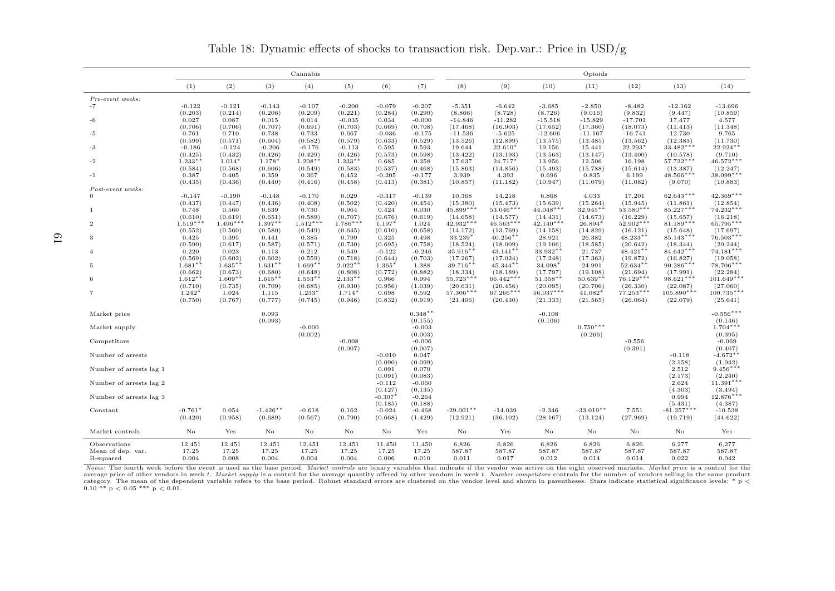|                         |                     |                      |                  | Cannabis            |                     |                      |                     |                         |                         |                         | Opioids               |                         |                         |                          |
|-------------------------|---------------------|----------------------|------------------|---------------------|---------------------|----------------------|---------------------|-------------------------|-------------------------|-------------------------|-----------------------|-------------------------|-------------------------|--------------------------|
|                         | (1)                 | (2)                  | (3)              | (4)                 | (5)                 | (6)                  | (7)                 | (8)                     | (9)                     | (10)                    | (11)                  | (12)                    | (13)                    | (14)                     |
| Pre-event weeks:        |                     |                      |                  |                     |                     |                      |                     |                         |                         |                         |                       |                         |                         |                          |
| $-7$                    | $-0.122$            | $-0.121$             | $-0.143$         | $-0.107$            | $-0.200$            | $-0.079$             | $-0.207$            | $-5.351$                | $-6.642$                | $-3.685$                | $-2.850$              | $-8.482$                | $-12.162$               | $-13.696$                |
|                         | (0.203)             | (0.214)              | (0.206)          | (0.209)             | (0.221)             | (0.284)              | (0.290)             | (8.866)                 | (8.728)                 | (8.726)                 | (9.016)               | (9.832)                 | (9.447)                 | (10.859)                 |
| -6                      | 0.027               | 0.087                | 0.015            | 0.014               | $-0.035$            | 0.034                | $-0.000$            | $-14.846$               | $-11.282$               | $-15.518$               | $-15.829$             | $-17.701$               | 17.477                  | 4.577                    |
|                         | (0.706)<br>0.761    | (0.706)<br>0.710     | (0.707)<br>0.738 | (0.691)<br>0.733    | (0.703)<br>0.667    | (0.669)<br>$-0.036$  | (0.708)<br>$-0.175$ | (17.468)<br>$-11.536$   | (16.903)<br>$-5.625$    | (17.652)<br>$-12.606$   | (17.360)<br>$-11.167$ | (18.073)<br>$-16.741$   | (11.413)<br>12.730      | (11.348)<br>9.765        |
| -5                      | (0.599)             | (0.571)              | (0.604)          | (0.582)             | (0.579)             | (0.633)              | (0.529)             | (13.526)                | (12.899)                | (13.575)                | (13.485)              | (13.562)                | (12.383)                | (11.730)                 |
| -3                      | $-0.186$            | $-0.124$             | $-0.206$         | $-0.176$            | $-0.113$            | 0.595                | 0.593               | 19.644                  | 22.610*                 | 19.156                  | 15.441                | 22.293*                 | 33.482***               | 22.924**                 |
|                         | (0.425)             | (0.432)              | (0.426)          | (0.429)             | (0.426)             | (0.573)              | (0.598)             | (13.422)                | (13.193)                | (13.563)                | (13.147)              | (13.400)                | (10.578)                | (9.710)                  |
| $-2$                    | $1.233**$           | $1.014*$             | $1.178*$         | $1.208**$           | $1.233**$           | 0.685                | 0.358               | 17.637                  | 24.717*                 | 13.956                  | 12.506                | 16.198                  | $57.722***$             | $46.572***$              |
|                         | (0.584)             | (0.568)              | (0.606)          | (0.549)             | (0.583)             | (0.537)              | (0.468)             | (15.863)                | (14.856)                | (15.493)                | (15.788)              | (15.614)                | (13.387)                | (12.247)                 |
| $-1$                    | 0.387               | 0.405                | 0.359            | 0.367               | 0.452               | $-0.205$             | $-0.177$            | 3.939                   | 4.393                   | 0.696                   | 0.835                 | 6.199                   | 48.566***               | 38.099***                |
| Post-event weeks:       | (0.435)             | (0.436)              | (0.440)          | (0.416)             | (0.458)             | (0.413)              | (0.381)             | (10.857)                | (11.182)                | (10.947)                | (11.079)              | (11.082)                | (9.070)                 | (10.883)                 |
| $\Omega$                | $-0.147$            | $-0.190$             | $-0.148$         | $-0.170$            | 0.029               | $-0.317$             | $-0.139$            | 10.368                  | 14.218                  | 6.868                   | 4.033                 | 17.201                  | 62.643***               | $42.369***$              |
|                         | (0.437)             | (0.447)              | (0.436)          | (0.408)             | (0.502)             | (0.420)              | (0.454)             | (15.380)                | (15.473)                | (15.639)                | (15.264)              | (15.945)                | (11.861)                | (12.854)                 |
| -1                      | 0.748               | 0.560                | 0.639            | 0.730               | 0.964               | 0.424                | 0.030               | $45.899***$             | $53.046***$             | $44.048***$             | $32.945**$            | $53.580***$             | 85.227***               | $74.232***$              |
|                         | (0.610)             | (0.619)              | (0.651)          | (0.589)             | (0.707)             | (0.676)              | (0.619)             | (14.658)                | (14.577)                | (14.431)                | (14.673)              | (16.229)                | (15.657)                | (16.218)                 |
| $\overline{2}$          | $1.519***$          | $1.496***$           | $1.397**$        | $1.512***$          | $1.786***$          | $1.197*$             | 1.024               | $42.932***$             | $46.563***$             | $42.140***$             | 26.894*               | $52.902***$             | $81.189***$             | 65.795***                |
|                         | (0.552)<br>0.425    | (0.560)              | (0.580)          | (0.549)<br>0.385    | (0.645)             | (0.610)<br>0.325     | (0.658)             | (14.172)<br>33.239*     | (13.769)<br>$40.256**$  | (14.158)<br>28.921      | (14.829)<br>26.382    | (16.121)<br>$48.233**$  | (15.648)<br>85.143***   | (17.697)<br>76.503***    |
| 3                       | (0.590)             | 0.395<br>(0.617)     | 0.441<br>(0.587) | (0.571)             | 0.799<br>(0.730)    | (0.695)              | 0.498<br>(0.758)    | (18.524)                | (18.009)                | (19.106)                | (18.585)              | (20.642)                | (18.344)                | (20.244)                 |
| $\Delta$                | 0.220               | 0.023                | 0.113            | 0.212               | 0.549               | $-0.122$             | $-0.246$            | 35.916**                | $43.141**$              | 33.932**                | 21.737                | $48.421**$              | $84.642***$             | $74.181***$              |
|                         | (0.569)             | (0.602)              | (0.602)          | (0.559)             | (0.718)             | (0.644)              | (0.703)             | (17.267)                | (17.024)                | (17.248)                | (17.363)              | (19.872)                | (16.827)                | (19.058)                 |
| 5                       | $1.681**$           | $1.635**$            | $1.631**$        | $1.669**$           | $2.022**$           | $1.365*$             | 1.388               | $39.716**$              | $45.344***$             | 34.098*                 | 24.991                | $52.634**$              | $90.286***$             | 78.706***                |
|                         | (0.662)             | (0.673)              | (0.680)          | (0.648)             | (0.808)             | (0.772)              | (0.882)             | (18.334)                | (18.189)                | (17.797)                | (19.108)              | (21.694)                | (17.991)                | (22.284)                 |
| 6                       | $1.612**$           | $1.609**$            | $1.615**$        | $1.553**$           | $2.133**$           | 0.966                | 0.994               | 55.723***               | $66.442***$             | $51.358**$              | $50.639**$            | $76.129***$             | $98.621***$             | $101.649***$             |
|                         | (0.710)             | (0.735)              | (0.709)          | (0.685)             | (0.930)             | (0.956)              | (1.039)             | (20.631)                | (20.456)                | (20.095)                | (20.706)              | (26.330)                | (22.087)                | (27.060)                 |
| $\overline{7}$          | $1.242*$<br>(0.750) | 1.024<br>(0.767)     | 1.115<br>(0.777) | $1.233*$<br>(0.745) | 1.714*<br>(0.946)   | 0.698<br>(0.832)     | 0.592<br>(0.919)    | $57.306***$<br>(21.406) | $67.266***$<br>(20.430) | $56.037***$<br>(21.333) | 41.082*<br>(21.565)   | $77.253***$<br>(26.064) | $105.890**$<br>(22.079) | $100.735***$<br>(25.641) |
|                         |                     |                      |                  |                     |                     |                      |                     |                         |                         |                         |                       |                         |                         |                          |
| Market price            |                     |                      | 0.093            |                     |                     |                      | $0.348**$           |                         |                         | $-0.108$                |                       |                         |                         | $-0.556***$              |
|                         |                     |                      | (0.093)          |                     |                     |                      | (0.155)             |                         |                         | (0.106)                 |                       |                         |                         | (0.146)                  |
| Market supply           |                     |                      |                  | $-0.000$            |                     |                      | $-0.003$            |                         |                         |                         | $0.750***$            |                         |                         | $1.704***$               |
|                         |                     |                      |                  | (0.002)             |                     |                      | (0.003)             |                         |                         |                         | (0.266)               |                         |                         | (0.395)                  |
| Competitors             |                     |                      |                  |                     | $-0.008$<br>(0.007) |                      | $-0.006$            |                         |                         |                         |                       | $-0.556$                |                         | $-0.069$                 |
| Number of arrests       |                     |                      |                  |                     |                     | $-0.010$             | (0.007)<br>0.047    |                         |                         |                         |                       | (0.391)                 | $-0.118$                | (0.407)<br>$-4.672**$    |
|                         |                     |                      |                  |                     |                     | (0.090)              | (0.099)             |                         |                         |                         |                       |                         | (2.158)                 | (1.942)                  |
| Number of arrests lag 1 |                     |                      |                  |                     |                     | 0.091                | 0.070               |                         |                         |                         |                       |                         | 2.512                   | $9.456***$               |
|                         |                     |                      |                  |                     |                     | (0.091)              | (0.083)             |                         |                         |                         |                       |                         | (2.173)                 | (2.240)                  |
| Number of arrests lag 2 |                     |                      |                  |                     |                     | $-0.112$             | $-0.060$            |                         |                         |                         |                       |                         | 2.624                   | $11.391***$              |
|                         |                     |                      |                  |                     |                     | (0.127)              | (0.135)             |                         |                         |                         |                       |                         | (4.303)                 | (3.494)                  |
| Number of arrests lag 3 |                     |                      |                  |                     |                     | $-0.307*$<br>(0.185) | $-0.264$<br>(0.188) |                         |                         |                         |                       |                         | 0.994<br>(5.431)        | 12.876***<br>(4.387)     |
| Constant                | $-0.761*$           | 0.054                | $-1.426**$       | $-0.618$            | 0.162               | $-0.024$             | $-0.468$            | $-29.001**$             | $-14.039$               | $-2.346$                | $-33.019**$           | 7.551                   | $-81.257***$            | $-10.538$                |
|                         | (0.420)             | (0.958)              | (0.689)          | (0.567)             | (0.790)             | (0.668)              | (1.429)             | (12.921)                | (36.102)                | (28.167)                | (13.124)              | (27.969)                | (19.719)                | (44.622)                 |
|                         |                     |                      |                  |                     |                     |                      |                     |                         |                         |                         |                       |                         |                         |                          |
| Market controls         | $\rm No$            | $\operatorname{Yes}$ | $\rm No$         | No                  | No                  | No                   | Yes                 | No                      | Yes                     | No                      | No                    | No                      | No                      | Yes                      |
| Observations            | 12,451              | 12,451               | 12,451           | 12,451              | 12,451              | 11,450               | 11,450              | 6,826                   | 6,826                   | 6,826                   | 6,826                 | 6,826                   | 6,277                   | 6,277                    |
| Mean of dep. var.       | 17.25               | 17.25                | 17.25            | 17.25               | 17.25               | 17.25                | 17.25               | 587.87                  | 587.87                  | 587.87                  | 587.87                | 587.87                  | 587.87                  | 587.87                   |
| R-squared               | 0.004               | 0.008                | 0.004            | 0.004               | 0.004               | 0.006                | 0.010               | 0.011                   | 0.017                   | 0.012                   | 0.014                 | 0.014                   | 0.022                   | 0.042                    |

Table 18: Dynamic effects of shocks to transaction risk. Dep.var.: Price in USD/g

Notes: The fourth week before the event is used as the base period. Market controls are binary variables that indicate if the vendor was active on the eight observed markets. Market price is a control for the average price of other vendors in week *t. Market supply* is a control for the average quantity offered by other vendors in week *t. Number competitors* controls for the number of vendors selling in the same product  $\alpha$ category. The mean of the dependent variable refers to the base period. Robust standard errors are clustered on the vendor level and shown in parentheses. Stars indicate statistical significance levels: \* p < 0.01.<br>0.10 \*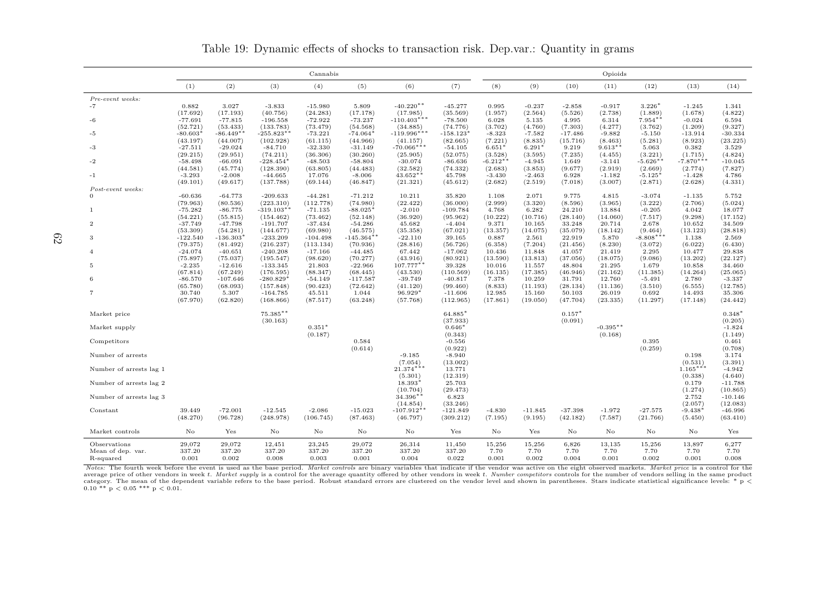|                         |                        |                       |                         | Cannabis                |                       |                          |                       | Opioids             |                     |                    |                      |                  |                       |                       |  |
|-------------------------|------------------------|-----------------------|-------------------------|-------------------------|-----------------------|--------------------------|-----------------------|---------------------|---------------------|--------------------|----------------------|------------------|-----------------------|-----------------------|--|
|                         | (1)                    | (2)                   | (3)                     | (4)                     | (5)                   | (6)                      | (7)                   | (8)                 | (9)                 | (10)               | (11)                 | (12)             | (13)                  | (14)                  |  |
| Pre-event weeks:        |                        |                       |                         |                         |                       |                          |                       |                     |                     |                    |                      |                  |                       |                       |  |
| -7                      | 0.882                  | 3.027                 | $-3.833$                | $-15.980$               | 5.809                 | $-40.220**$              | $-45.277$             | 0.995               | $-0.237$            | $-2.858$           | $-0.917$             | $3.226*$         | $-1.245$              | 1.341                 |  |
|                         | (17.692)               | (17.193)              | (40.756)                | (24.283)                | (17.178)              | (17.985)                 | (35.569)              | (1.957)             | (2.564)             | (5.526)            | (2.738)              | (1.889)          | (1.678)               | (4.822)               |  |
| -6                      | $-77.691$              | $-77.815$             | $-196.558$              | $-72.922$               | $-73.237$             | $-110.403***$            | $-78.500$             | 6.028               | 5.135               | 4.995              | 6.314                | $7.954**$        | $-0.024$              | 6.594                 |  |
|                         | (52.721)               | (53.433)              | (133.783)               | (73.479)                | (54.568)              | (34.885)                 | (74.776)              | (3.702)             | (4.760)             | (7.303)            | (4.277)              | (3.762)          | (1.209)               | (9.327)               |  |
| -5                      | $-80.603*$             | $-86.449**$           | $-255.823**$            | $-73.221$               | $-74.064*$            | $-119.996***$            | $-158.123*$           | $-8.323$            | $-7.582$            | $-17.486$          | $-9.882$             | $-5.150$         | $-13.914$             | $-30.334$             |  |
|                         | (43.197)<br>$-27.511$  | (44.007)<br>$-29.024$ | (102.928)<br>$-84.710$  | (61.115)<br>$-32.330$   | (44.966)<br>$-31.149$ | (41.157)<br>$-70.066***$ | (82.665)<br>$-54.105$ | (7.221)<br>$6.651*$ | (8.835)<br>$6.291*$ | (15.716)<br>9.219  | (8.463)<br>$9.613**$ | (5.281)<br>5.063 | (8.923)<br>0.382      | (23.225)<br>3.529     |  |
| -3                      | (29.215)               | (29.951)              | (74.211)                | (36.306)                | (30.260)              | (25.905)                 | (52.075)              | (3.528)             | (3.595)             | (7.235)            | (4.455)              | (3.221)          | (1.715)               | (4.824)               |  |
| $-2$                    | $-58.498$              | $-66.091$             | $-228.454$ <sup>*</sup> | $-48.503$               | $-58.804$             | $-30.074$                | $-86.636$             | $-6.212**$          | $-4.945$            | 1.649              | $-3.141$             | $-5.626**$       | $-7.870***$           | $-10.045$             |  |
|                         | (44.581)               | (45.774)              | (128.390)               | (63.805)                | (44.483)              | (32.582)                 | (74.332)              | (2.683)             | (3.853)             | (9.677)            | (2.919)              | (2.669)          | (2.774)               | (7.827)               |  |
| $-1$                    | $-3.293$               | $-2.008$              | $-44.665$               | 17.076                  | $-8.006$              | $43.652**$               | 45.798                | $-3.430$            | $-2.463$            | 6.928              | $-1.182$             | $-5.125*$        | $-1.428$              | 4.786                 |  |
|                         | (49.101)               | (49.617)              | (137.788)               | (69.144)                | (46.847)              | (21.321)                 | (45.612)              | (2.682)             | (2.519)             | (7.018)            | (3.007)              | (2.871)          | (2.628)               | (4.331)               |  |
| Post-event weeks:       |                        |                       |                         |                         |                       |                          |                       |                     |                     |                    |                      |                  |                       |                       |  |
| $\Omega$                | $-60.636$              | $-64.773$             | $-209.633$              | $-44.281$               | $-71.212$             | 10.211                   | 35.820                | 1.108               | 2.071               | 9.775              | 4.815                | $-3.074$         | $-1.135$              | 5.752                 |  |
|                         | (79.963)               | (80.536)              | (223.310)               | (112.778)               | (74.980)              | (22.422)                 | (36.000)              | (2.999)             | (3.320)             | (8.596)            | (3.965)              | (3.222)          | (2.706)               | (5.024)               |  |
| -1                      | $-75.282$              | $-86.775$             | $-319.103**$            | $-71.135$               | $-88.025*$            | $-2.010$                 | $-109.784$            | 4.768               | 6.282               | 24.210             | 13.884               | $-0.205$         | 4.042                 | 18.077                |  |
|                         | (54.221)               | (55.815)              | (154.462)               | (73.462)                | (52.148)              | (36.920)                 | (95.962)              | (10.222)            | (10.716)            | (28.140)           | (14.060)             | (7.517)          | (9.298)               | (17.152)              |  |
| $\overline{2}$          | $-37.749$              | $-47.798$             | $-191.707$              | $-37.434$               | $-54.286$             | 45.682                   | $-4.404$              | 9.371               | 10.165              | 33.248             | 20.714               | 2.678            | 10.652                | 34.509                |  |
|                         | (53.309)               | (54.281)              | (144.677)               | (69.980)                | (46.575)              | (35.358)                 | (67.021)              | (13.357)            | (14.075)            | (35.079)           | (18.142)             | (9.464)          | (13.123)              | (28.818)              |  |
| 3                       | $-122.540$<br>(79.375) | $-136.303*$           | $-233.209$              | $-104.498$<br>(113.134) | $-145.364**$          | $-22.110$                | 39.165<br>(56.726)    | 0.887               | 2.561               | 22.919<br>(21.456) | 5.870                | $-8.808***$      | 1.138                 | 2.569<br>(6.430)      |  |
| $\overline{4}$          | $-24.074$              | (81.492)<br>$-40.651$ | (216.237)<br>$-240.208$ | $-17.166$               | (70.936)<br>$-44.485$ | (28.816)<br>67.442       | $-17.062$             | (6.358)<br>10.436   | (7.204)<br>11.848   | 41.057             | (8.230)<br>21.419    | (3.072)<br>2.295 | (6.022)<br>10.477     | 29.838                |  |
|                         | (75.897)               | (75.037)              | (195.547)               | (98.620)                | (70.277)              | (43.916)                 | (80.921)              | (13.590)            | (13.813)            | (37.056)           | (18.075)             | (9.086)          | (13.202)              | (22.127)              |  |
| -5                      | $-2.235$               | $-12.616$             | $-133.345$              | 21.803                  | $-22.966$             | 107.777**                | 39.328                | 10.016              | 11.557              | 48.804             | 21.295               | 1.679            | 10.858                | 34.460                |  |
|                         | (67.814)               | (67.249)              | (176.595)               | (88.347)                | (68.445)              | (43.530)                 | (110.569)             | (16.135)            | (17.385)            | (46.946)           | (21.162)             | (11.385)         | (14.264)              | (25.065)              |  |
| 6                       | $-86.570$              | $-107.646$            | $-280.829*$             | $-54.149$               | $-117.587$            | $-39.749$                | $-40.817$             | 7.378               | 10.259              | 31.791             | 12.760               | $-5.491$         | 2.780                 | $-3.337$              |  |
|                         | (65.780)               | (68.093)              | (157.848)               | (90.423)                | (72.642)              | (41.120)                 | (99.460)              | (8.833)             | (11.193)            | (28.134)           | (11.136)             | (3.510)          | (6.555)               | (12.785)              |  |
| $\overline{7}$          | 30.740                 | 5.307                 | $-164.785$              | 45.511                  | 1.044                 | 96.929*                  | $-11.606$             | 12.985              | 15.160              | 50.103             | 26.019               | 0.692            | 14.493                | 35.306                |  |
|                         | (67.970)               | (62.820)              | (168.866)               | (87.517)                | (63.248)              | (57.768)                 | (112.965)             | (17.861)            | (19.050)            | (47.704)           | (23.335)             | (11.297)         | (17.148)              | (24.442)              |  |
| Market price            |                        |                       | $75.385**$              |                         |                       |                          | 64.885*               |                     |                     | $0.157*$           |                      |                  |                       | $0.348*$              |  |
|                         |                        |                       | (30.163)                |                         |                       |                          | (37.933)              |                     |                     | (0.091)            |                      |                  |                       | (0.205)               |  |
| Market supply           |                        |                       |                         | $0.351*$                |                       |                          | $0.646*$              |                     |                     |                    | $-0.395**$           |                  |                       | $-1.824$              |  |
|                         |                        |                       |                         | (0.187)                 |                       |                          | (0.343)               |                     |                     |                    | (0.168)              |                  |                       | (1.149)               |  |
| Competitors             |                        |                       |                         |                         | 0.584                 |                          | $-0.556$              |                     |                     |                    |                      | 0.395            |                       | 0.461                 |  |
|                         |                        |                       |                         |                         | (0.614)               |                          | (0.922)               |                     |                     |                    |                      | (0.259)          |                       | (0.708)               |  |
| Number of arrests       |                        |                       |                         |                         |                       | $-9.185$                 | $-8.940$              |                     |                     |                    |                      |                  | 0.198                 | 3.174                 |  |
| Number of arrests lag 1 |                        |                       |                         |                         |                       | (7.054)<br>$21.374***$   | (13.002)<br>13.771    |                     |                     |                    |                      |                  | (0.531)<br>$1.165***$ | (3.391)<br>$-4.942$   |  |
|                         |                        |                       |                         |                         |                       | (5.301)                  | (12.319)              |                     |                     |                    |                      |                  | (0.338)               | (4.640)               |  |
| Number of arrests lag 2 |                        |                       |                         |                         |                       | 18.393*<br>(10.704)      | 25.703<br>(29.473)    |                     |                     |                    |                      |                  | 0.179<br>(1.274)      | $-11.788$<br>(10.865) |  |
| Number of arrests lag 3 |                        |                       |                         |                         |                       | 34.396**                 | 6.823                 |                     |                     |                    |                      |                  | 2.752                 | $-10.146$             |  |
|                         |                        |                       |                         |                         |                       | (14.854)                 | (33.246)              |                     |                     |                    |                      |                  | (2.057)               | (12.083)              |  |
| Constant                | 39.449                 | $-72.001$             | $-12.545$               | $-2.086$                | $-15.023$             | $-107.912**$             | $-121.849$            | $-4.830$            | $-11.845$           | $-37.398$          | $-1.972$             | $-27.575$        | $-9.438*$             | $-46.996$             |  |
|                         | (48.270)               | (96.728)              | (248.978)               | (106.745)               | (87.463)              | (46.797)                 | (309.212)             | (7.195)             | (9.195)             | (42.182)           | (7.587)              | (21.766)         | (5.450)               | (63.410)              |  |
|                         |                        |                       |                         |                         |                       |                          |                       |                     |                     |                    |                      |                  |                       |                       |  |
| Market controls         | No                     | Yes                   | No                      | No                      | No                    | No                       | Yes                   | No                  | Yes                 | No                 | No                   | No               | No                    | Yes                   |  |
| Observations            | 29,072                 | 29,072                | 12,451                  | 23,245                  | 29,072                | 26,314                   | 11,450                | 15,256              | 15,256              | 6,826              | 13,135               | 15,256           | 13,897                | 6,277                 |  |
| Mean of dep. var.       | 337.20                 | 337.20                | 337.20                  | 337.20                  | 337.20                | 337.20                   | 337.20                | 7.70                | 7.70                | 7.70               | 7.70                 | 7.70             | 7.70                  | 7.70                  |  |
| R-squared               | 0.001                  | 0.002                 | 0.008                   | 0.003                   | 0.001                 | 0.004                    | 0.022                 | 0.001               | 0.002               | 0.004              | 0.001                | 0.002            | 0.001                 | 0.008                 |  |

Table 19: Dynamic effects of shocks to transaction risk. Dep.var.: Quantity in grams

Notes: The fourth week before the event is used as the base period. Market controls are binary variables that indicate if the vendor was active on the eight observed markets. Market price is a control for the average price of other vendors in week t. Market supply is a control for the average quantity offered by other vendors in week t. Number competitors controls for the number of vendors selling in the same product  $\alpha$ category. The mean of the dependent variable refers to the base period. Robust standard errors are clustered on the vendor level and shown in parentheses. Stars indicate statistical significance levels: \* p < 0.01.<br>0.10 \*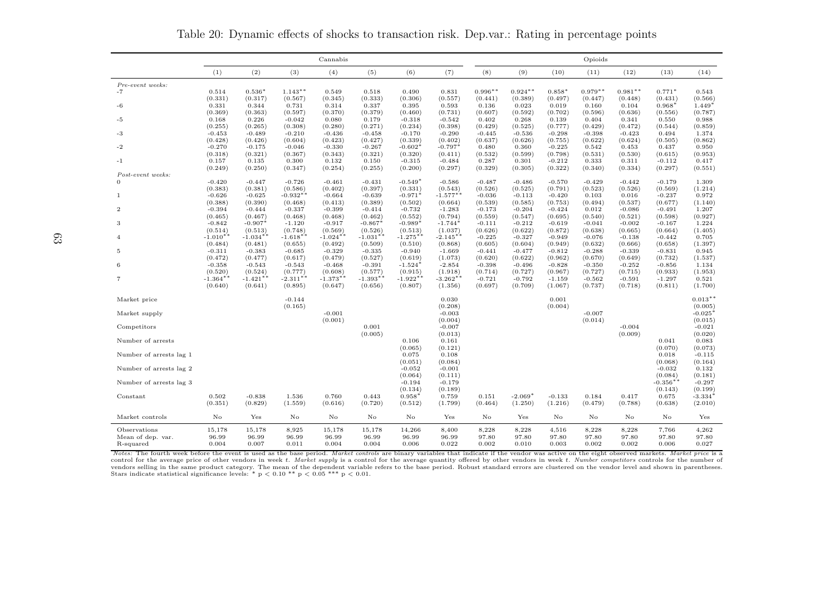|                         |                       |                        |                     | Cannabis            |                     |                      |                       |                  |                  |                     | Opioids          |                     |                  |                  |
|-------------------------|-----------------------|------------------------|---------------------|---------------------|---------------------|----------------------|-----------------------|------------------|------------------|---------------------|------------------|---------------------|------------------|------------------|
|                         | (1)                   | (2)                    | (3)                 | (4)                 | (5)                 | (6)                  | (7)                   | (8)              | (9)              | (10)                | (11)             | (12)                | (13)             | (14)             |
| Pre-event weeks:        |                       |                        |                     |                     |                     |                      |                       |                  |                  |                     |                  |                     |                  |                  |
| $-7$                    | 0.514                 | $0.536*$               | $1.143**$           | 0.549               | 0.518               | 0.490                | 0.831                 | $0.996**$        | $0.924**$        | $0.858*$            | $0.979**$        | $0.981**$           | $0.771*$         | 0.543            |
|                         | (0.331)               | (0.317)                | (0.567)             | (0.345)             | (0.333)             | (0.306)              | (0.557)               | (0.441)          | (0.389)          | (0.497)             | (0.447)          | (0.448)             | (0.431)          | (0.566)          |
| -6                      | 0.331                 | 0.344                  | 0.731               | 0.314               | 0.337               | 0.395                | 0.593                 | 0.136            | 0.023            | 0.019               | 0.160            | 0.104               | $0.968*$         | $1.449*$         |
|                         | (0.369)               | (0.363)                | (0.597)             | (0.370)             | (0.379)             | (0.460)              | (0.731)               | (0.607)          | (0.592)          | (0.702)             | (0.596)          | (0.636)             | (0.556)          | (0.787)          |
| -5                      | 0.168                 | 0.226                  | $-0.042$            | 0.080               | 0.179               | $-0.318$             | $-0.542$              | 0.402            | 0.268            | 0.139               | 0.404            | 0.341               | 0.550            | 0.988            |
|                         | (0.255)               | (0.265)                | (0.308)             | (0.280)             | (0.271)             | (0.234)              | (0.398)               | (0.429)          | (0.525)          | (0.777)             | (0.429)          | (0.472)             | (0.544)          | (0.859)          |
| -3                      | $-0.453$              | $-0.489$               | $-0.210$            | $-0.436$            | $-0.458$            | $-0.170$             | $-0.290$              | $-0.445$         | $-0.536$         | $-0.298$            | $-0.398$         | $-0.423$            | 0.494            | 1.374            |
| -2                      | (0.428)<br>$-0.270$   | (0.426)<br>$-0.175$    | (0.604)             | (0.423)<br>$-0.330$ | (0.427)<br>$-0.267$ | (0.339)<br>$-0.602*$ | (0.402)<br>$-0.797*$  | (0.637)          | (0.626)          | (0.755)<br>$-0.225$ | (0.622)<br>0.542 | (0.624)<br>0.453    | (0.505)          | (0.862)          |
|                         | (0.318)               | (0.321)                | $-0.046$<br>(0.367) | (0.343)             | (0.321)             | (0.320)              | (0.411)               | 0.480<br>(0.532) | 0.360<br>(0.599) | (0.798)             | (0.531)          | (0.530)             | 0.437<br>(0.615) | 0.950<br>(0.953) |
| $-1$                    | 0.157                 | 0.135                  | 0.300               | 0.132               | 0.150               | $-0.315$             | $-0.484$              | 0.287            | 0.301            | $-0.212$            | 0.333            | 0.311               | $-0.112$         | 0.417            |
|                         | (0.249)               | (0.250)                | (0.347)             | (0.254)             | (0.255)             | (0.200)              | (0.297)               | (0.329)          | (0.305)          | (0.322)             | (0.340)          | (0.334)             | (0.297)          | (0.551)          |
| Post-event weeks:       |                       |                        |                     |                     |                     |                      |                       |                  |                  |                     |                  |                     |                  |                  |
| $\Omega$                | $-0.420$              | $-0.447$               | $-0.726$            | $-0.461$            | $-0.431$            | $-0.549*$            | $-0.586$              | $-0.487$         | $-0.486$         | $-0.570$            | $-0.429$         | $-0.442$            | $-0.179$         | 1.309            |
|                         | (0.383)               | (0.381)                | (0.586)             | (0.402)             | (0.397)             | (0.331)              | (0.543)               | (0.526)          | (0.525)          | (0.791)             | (0.523)          | (0.526)             | (0.569)          | (1.214)          |
| 1                       | $-0.626$              | $-0.625$               | $-0.932**$          | $-0.664$            | $-0.639$            | $-0.971*$            | $-1.577**$            | $-0.036$         | $-0.113$         | $-0.420$            | 0.103            | 0.016               | $-0.237$         | 0.972            |
|                         | (0.388)               | (0.390)                | (0.468)             | (0.413)             | (0.389)             | (0.502)              | (0.664)               | (0.539)          | (0.585)          | (0.753)             | (0.494)          | (0.537)             | (0.677)          | (1.140)          |
| $\overline{2}$          | $-0.394$              | $-0.444$               | $-0.337$            | $-0.399$            | $-0.414$            | $-0.732$             | $-1.283$              | $-0.173$         | $-0.204$         | $-0.424$            | 0.012            | $-0.086$            | $-0.491$         | 1.207            |
|                         | (0.465)               | (0.467)                | (0.468)             | (0.468)             | (0.462)             | (0.552)              | (0.794)               | (0.559)          | (0.547)          | (0.695)             | (0.540)          | (0.521)             | (0.598)          | (0.927)          |
| 3                       | $-0.842$              | $-0.907*$              | $-1.120$            | $-0.917$            | $-0.867*$           | $-0.989*$            | $-1.744$ <sup>*</sup> | $-0.111$         | $-0.212$         | $-0.619$            | $-0.041$         | $-0.002$            | $-0.167$         | 1.224            |
|                         | (0.514)               | (0.513)                | (0.748)             | (0.569)             | (0.526)             | (0.513)              | (1.037)               | (0.626)          | (0.622)          | (0.872)             | (0.638)          | (0.665)             | (0.664)          | (1.405)          |
|                         | $-1.010*$             | $-1.034*$              | $-1.618**$          | $-1.024**$          | $-1.031**$          | $-1.275*$            | $-2.145***$           | $-0.225$         | $-0.327$         | $-0.949$            | $-0.076$         | $-0.138$            | $-0.442$         | 0.705            |
|                         | (0.484)               | (0.481)                | (0.655)             | (0.492)             | (0.509)             | (0.510)              | (0.868)               | (0.605)          | (0.604)          | (0.949)             | (0.632)          | (0.666)             | (0.658)          | (1.397)          |
| 5                       | $-0.311$              | $-0.383$               | $-0.685$            | $-0.329$            | $-0.335$            | $-0.940$             | $-1.669$              | $-0.441$         | $-0.477$         | $-0.812$            | $-0.288$         | $-0.339$            | $-0.831$         | 0.945            |
|                         | (0.472)               | (0.477)                | (0.617)             | (0.479)             | (0.527)             | (0.619)              | (1.073)               | (0.620)          | (0.622)          | (0.962)             | (0.670)          | (0.649)             | (0.732)          | (1.537)          |
| 6                       | $-0.358$              | $-0.543$               | $-0.543$            | $-0.468$            | $-0.391$            | $-1.524*$            | $-2.854$              | $-0.398$         | $-0.496$         | $-0.828$            | $-0.350$         | $-0.252$            | $-0.856$         | 1.134            |
|                         | (0.520)               | (0.524)                | (0.777)             | (0.608)             | (0.577)             | (0.915)              | (1.918)               | (0.714)          | (0.727)          | (0.967)             | (0.727)          | (0.715)             | (0.933)          | (1.953)          |
| $\overline{7}$          | $-1.364**$<br>(0.640) | $-1.421***$<br>(0.641) | $-2.311**$          | $-1.373**$          | $-1.393**$          | $-1.922**$           | $-3.262**$            | $-0.721$         | $-0.792$         | $-1.159$<br>(1.067) | $-0.562$         | $-0.591$<br>(0.718) | $-1.297$         | 0.521            |
|                         |                       |                        | (0.895)             | (0.647)             | (0.656)             | (0.807)              | (1.356)               | (0.697)          | (0.709)          |                     | (0.737)          |                     | (0.811)          | (1.700)          |
| Market price            |                       |                        | $-0.144$            |                     |                     |                      | 0.030                 |                  |                  | 0.001               |                  |                     |                  | $0.013**$        |
|                         |                       |                        | (0.165)             |                     |                     |                      | (0.208)               |                  |                  | (0.004)             |                  |                     |                  | (0.005)          |
| Market supply           |                       |                        |                     | $-0.001$            |                     |                      | $-0.003$              |                  |                  |                     | $-0.007$         |                     |                  | $-0.025*$        |
|                         |                       |                        |                     | (0.001)             |                     |                      | (0.004)               |                  |                  |                     | (0.014)          |                     |                  | (0.015)          |
| Competitors             |                       |                        |                     |                     | 0.001               |                      | $-0.007$              |                  |                  |                     |                  | $-0.004$            |                  | $-0.021$         |
|                         |                       |                        |                     |                     | (0.005)             |                      | (0.013)               |                  |                  |                     |                  | (0.009)             |                  | (0.020)          |
| Number of arrests       |                       |                        |                     |                     |                     | 0.106                | 0.161                 |                  |                  |                     |                  |                     | 0.041            | 0.083            |
|                         |                       |                        |                     |                     |                     | (0.065)              | (0.121)               |                  |                  |                     |                  |                     | (0.070)          | (0.073)          |
| Number of arrests lag 1 |                       |                        |                     |                     |                     | 0.075                | 0.108                 |                  |                  |                     |                  |                     | 0.018            | $-0.115$         |
|                         |                       |                        |                     |                     |                     | (0.051)              | (0.084)               |                  |                  |                     |                  |                     | (0.068)          | (0.164)          |
| Number of arrests lag 2 |                       |                        |                     |                     |                     | $-0.052$             | $-0.001$              |                  |                  |                     |                  |                     | $-0.032$         | 0.132            |
|                         |                       |                        |                     |                     |                     | (0.064)              | (0.111)               |                  |                  |                     |                  |                     | (0.084)          | (0.181)          |
| Number of arrests lag 3 |                       |                        |                     |                     |                     | $-0.194$             | $-0.179$              |                  |                  |                     |                  |                     | $-0.356**$       | $-0.297$         |
|                         |                       |                        |                     |                     |                     | (0.134)              | (0.189)               |                  |                  |                     |                  |                     | (0.143)          | (0.199)          |
| Constant                | 0.502                 | $-0.838$               | 1.536               | 0.760               | 0.443               | $0.958*$             | 0.759                 | 0.151            | $-2.069*$        | $-0.133$            | 0.184            | 0.417               | 0.675            | $-3.334*$        |
|                         | (0.351)               | (0.829)                | (1.559)             | (0.616)             | (0.720)             | (0.512)              | (1.799)               | (0.464)          | (1.250)          | (1.216)             | (0.479)          | (0.788)             | (0.638)          | (2.010)          |
| Market controls         | No                    | Yes                    | No                  | No                  | No                  | No                   | Yes                   | No               | Yes              | No                  | No               | No                  | No               | Yes              |
| Observations            | 15,178                | 15,178                 | 8,925               | 15,178              | 15,178              | 14,266               | 8,400                 | 8,228            | 8,228            | 4,516               | 8,228            | 8,228               | 7,766            | 4,262            |
| Mean of dep. var.       | 96.99                 | 96.99                  | 96.99               | 96.99               | 96.99               | 96.99                | 96.99                 | 97.80            | 97.80            | 97.80               | 97.80            | 97.80               | 97.80            | 97.80            |
| R-squared               | 0.004                 | 0.007                  | 0.011               | 0.004               | 0.004               | 0.006                | 0.022                 | 0.002            | 0.010            | 0.003               | 0.002            | 0.002               | 0.006            | 0.027            |

Table 20: Dynamic effects of shocks to transaction risk. Dep.var.: Rating in percentage points

Notes: The fourth week before the event is used as the base period. Market controls are binary variables that indicate if the vendor was active on the eight observed markets. Market price is a control for the average price vendors selling in the same product category. The mean of the dependent variable refers to the base period. Robust standard errors are clustered on the vendor level and shown in parentheses.<br>Stars indicate statistical sig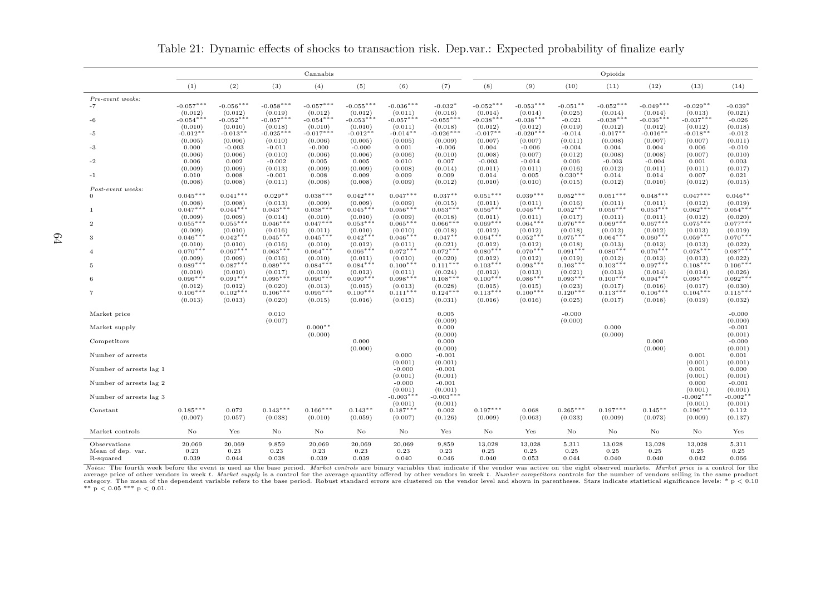|                         |                        |                        |                        | Cannabis               |                        |                        |                        | Opioids                |                        |                       |                        |                        |                        |                       |  |
|-------------------------|------------------------|------------------------|------------------------|------------------------|------------------------|------------------------|------------------------|------------------------|------------------------|-----------------------|------------------------|------------------------|------------------------|-----------------------|--|
|                         | (1)                    | (2)                    | (3)                    | (4)                    | (5)                    | (6)                    | (7)                    | (8)                    | (9)                    | (10)                  | (11)                   | (12)                   | (13)                   | (14)                  |  |
| Pre-event weeks:        |                        |                        |                        |                        |                        |                        |                        |                        |                        |                       |                        |                        |                        |                       |  |
| $-7$                    | $-0.057***$            | $-0.056***$            | $-0.058***$            | $-0.057***$            | $-0.055***$            | $-0.036***$            | $-0.032*$              | $-0.052***$            | $-0.053***$            | $-0.051**$            | $-0.052***$            | $-0.049***$            | $-0.029**$             | $-0.039*$             |  |
|                         | (0.012)                | (0.012)                | (0.019)                | (0.012)                | (0.012)                | (0.011)<br>$-0.057***$ | (0.016)<br>$-0.055***$ | (0.014)<br>$-0.038***$ | (0.014)                | (0.025)               | (0.014)                | (0.014)                | (0.013)                | (0.021)               |  |
| $-6$                    | $-0.054***$<br>(0.010) | $-0.052***$<br>(0.010) | $-0.057***$<br>(0.018) | $-0.054***$<br>(0.010) | $-0.053***$<br>(0.010) | (0.011)                | (0.018)                | (0.012)                | $-0.038***$<br>(0.012) | $-0.021$<br>(0.019)   | $-0.038***$<br>(0.012) | $-0.036***$<br>(0.012) | $-0.037***$<br>(0.012) | $-0.026$<br>(0.018)   |  |
| -5                      | $-0.012**$             | $-0.013**$             | $-0.025***$            | $-0.017***$            | $-0.012**$             | $-0.014**$             | $-0.026***$            | $-0.017**$             | $-0.020***$            | $-0.014$              | $-0.017**$             | $-0.016**$             | $-0.018**$             | $-0.012$              |  |
|                         | (0.005)                | (0.006)                | (0.010)                | (0.006)                | (0.005)                | (0.005)                | (0.009)                | (0.007)                | (0.007)                | (0.011)               | (0.008)                | (0.007)                | (0.007)                | (0.011)               |  |
| -3                      | 0.000                  | $-0.003$               | $-0.011$               | $-0.000$               | $-0.000$               | 0.001                  | $-0.006$               | 0.004                  | $-0.006$               | $-0.004$              | 0.004                  | 0.004                  | 0.006                  | $-0.010$              |  |
|                         | (0.006)                | (0.006)                | (0.010)                | (0.006)                | (0.006)                | (0.006)                | (0.010)                | (0.008)                | (0.007)                | (0.012)               | (0.008)                | (0.008)                | (0.007)                | (0.010)               |  |
| $-2$                    | 0.006                  | 0.002                  | $-0.002$               | 0.005                  | 0.005                  | 0.010                  | 0.007                  | $-0.003$               | $-0.014$               | 0.006                 | $-0.003$               | $-0.004$               | 0.001                  | 0.003                 |  |
| $-1$                    | (0.009)<br>0.010       | (0.009)<br>0.008       | (0.013)<br>$-0.001$    | (0.009)<br>0.008       | (0.009)<br>0.009       | (0.008)<br>0.009       | (0.014)<br>0.009       | (0.011)<br>0.014       | (0.011)<br>0.005       | (0.016)<br>$0.030**$  | (0.012)<br>0.014       | (0.011)<br>0.014       | (0.011)<br>0.007       | (0.017)<br>0.021      |  |
|                         | (0.008)                | (0.008)                | (0.011)                | (0.008)                | (0.008)                | (0.009)                | (0.012)                | (0.010)                | (0.010)                | (0.015)               | (0.012)                | (0.010)                | (0.012)                | (0.015)               |  |
| Post-event weeks:       |                        |                        |                        |                        |                        |                        |                        |                        |                        |                       |                        |                        |                        |                       |  |
| $\Omega$                | $0.045***$             | $0.041***$             | $0.029**$              | $0.038***$             | $0.042***$             | $0.047***$             | $0.037***$             | $0.051***$             | $0.039***$             | $0.052***$            | $0.051***$             | $0.048***$             | $0.047***$             | $0.046**$             |  |
|                         | (0.008)                | (0.008)                | (0.013)                | (0.009)                | (0.009)                | (0.009)                | (0.015)                | (0.011)                | (0.011)                | (0.016)               | (0.011)                | (0.011)                | (0.012)                | (0.019)               |  |
| $\mathbf{1}$            | $0.047***$             | $0.044***$             | $0.043***$             | $0.038***$             | $0.045***$             | $0.056***$             | $0.053***$             | $0.056***$             | $0.046***$             | $0.052***$            | $0.056***$             | $0.053***$             | $0.062***$             | $0.054***$            |  |
| $\mathcal{D}$           | (0.009)<br>$0.055***$  | (0.009)<br>$0.055***$  | (0.014)<br>$0.046***$  | (0.010)<br>$0.047***$  | (0.010)<br>$0.053***$  | (0.009)<br>$0.065***$  | (0.018)<br>$0.066***$  | (0.011)<br>$0.069***$  | (0.011)<br>$0.064***$  | (0.017)<br>$0.076***$ | (0.011)<br>$0.069***$  | (0.011)<br>$0.067***$  | (0.012)<br>$0.075***$  | (0.020)<br>$0.077***$ |  |
|                         | (0.009)                | (0.010)                | (0.016)                | (0.011)                | (0.010)                | (0.010)                | (0.018)                | (0.012)                | (0.012)                | (0.018)               | (0.012)                | (0.012)                | (0.013)                | (0.019)               |  |
| 3                       | $0.046***$             | $0.042***$             | $0.045***$             | $0.045***$             | $0.042***$             | $0.046***$             | $0.047**$              | $0.064***$             | $0.052***$             | $0.075***$            | $0.064***$             | $0.060***$             | $0.059***$             | $0.070***$            |  |
|                         | (0.010)                | (0.010)                | (0.016)                | (0.010)                | (0.012)                | (0.011)                | (0.021)                | (0.012)                | (0.012)                | (0.018)               | (0.013)                | (0.013)                | (0.013)                | (0.022)               |  |
| $\Delta$                | $0.070***$             | $0.067***$             | $0.063***$             | $0.064***$             | $0.066***$             | $0.072***$             | $0.072***$             | $0.080***$             | $0.070***$             | $0.091***$            | $0.080***$             | $0.076***$             | $0.078***$             | $0.087***$            |  |
| 5                       | (0.009)<br>$0.089***$  | (0.009)<br>$0.087***$  | (0.016)<br>$0.089***$  | (0.010)<br>$0.084***$  | (0.011)<br>$0.084***$  | (0.010)<br>$0.100***$  | (0.020)<br>$0.111***$  | (0.012)<br>$0.103***$  | (0.012)<br>$0.093***$  | (0.019)<br>$0.103***$ | (0.012)<br>$0.103***$  | (0.013)<br>$0.097***$  | (0.013)<br>$0.108***$  | (0.022)<br>$0.106***$ |  |
|                         | (0.010)                | (0.010)                | (0.017)                | (0.010)                | (0.013)                | (0.011)                | (0.024)                | (0.013)                | (0.013)                | (0.021)               | (0.013)                | (0.014)                | (0.014)                | (0.026)               |  |
| 6                       | $0.096***$             | $0.091***$             | $0.095***$             | $0.090***$             | $0.090***$             | $0.098***$             | $0.108***$             | $0.100***$             | $0.086***$             | $0.093***$            | $0.100***$             | $0.094***$             | $0.095***$             | $0.092***$            |  |
|                         | (0.012)                | (0.012)                | (0.020)                | (0.013)                | (0.015)                | (0.013)                | (0.028)                | (0.015)                | (0.015)                | (0.023)               | (0.017)                | (0.016)                | (0.017)                | (0.030)               |  |
|                         | $0.106***$             | $0.102***$             | $0.106***$             | $0.095***$             | $0.100***$             | $0.111***$             | $0.124***$             | $0.113***$             | $0.100***$             | $0.120***$            | $0.113***$             | $0.106***$             | $0.104***$             | $0.115***$            |  |
|                         | (0.013)                | (0.013)                | (0.020)                | (0.015)                | (0.016)                | (0.015)                | (0.031)                | (0.016)                | (0.016)                | (0.025)               | (0.017)                | (0.018)                | (0.019)                | (0.032)               |  |
| Market price            |                        |                        | 0.010                  |                        |                        |                        | 0.005                  |                        |                        | $-0.000$              |                        |                        |                        | $-0.000$              |  |
|                         |                        |                        | (0.007)                |                        |                        |                        | (0.009)                |                        |                        | (0.000)               |                        |                        |                        | (0.000)               |  |
| Market supply           |                        |                        |                        | $0.000**$              |                        |                        | 0.000                  |                        |                        |                       | 0.000                  |                        |                        | $-0.001$              |  |
| Competitors             |                        |                        |                        | (0.000)                | 0.000                  |                        | (0.000)<br>0.000       |                        |                        |                       | (0.000)                | 0.000                  |                        | (0.001)<br>$-0.000$   |  |
|                         |                        |                        |                        |                        | (0.000)                |                        | (0.000)                |                        |                        |                       |                        | (0.000)                |                        | (0.001)               |  |
| Number of arrests       |                        |                        |                        |                        |                        | 0.000                  | $-0.001$               |                        |                        |                       |                        |                        | 0.001                  | 0.001                 |  |
|                         |                        |                        |                        |                        |                        | (0.001)                | (0.001)                |                        |                        |                       |                        |                        | (0.001)                | (0.001)               |  |
| Number of arrests lag 1 |                        |                        |                        |                        |                        | $-0.000$               | $-0.001$               |                        |                        |                       |                        |                        | 0.001                  | 0.000                 |  |
| Number of arrests lag 2 |                        |                        |                        |                        |                        | (0.001)<br>$-0.000$    | (0.001)<br>$-0.001$    |                        |                        |                       |                        |                        | (0.001)<br>0.000       | (0.001)<br>$-0.001$   |  |
|                         |                        |                        |                        |                        |                        | (0.001)                | (0.001)                |                        |                        |                       |                        |                        | (0.001)                | (0.001)               |  |
| Number of arrests lag 3 |                        |                        |                        |                        |                        | $-0.003***$            | $-0.003***$            |                        |                        |                       |                        |                        | $-0.002***$            | $-0.002**$            |  |
|                         |                        |                        |                        |                        |                        | (0.001)                | (0.001)                |                        |                        |                       |                        |                        | (0.001)                | (0.001)               |  |
| Constant                | $0.185***$<br>(0.007)  | 0.072<br>(0.057)       | $0.143***$<br>(0.038)  | $0.166***$<br>(0.010)  | $0.143**$<br>(0.059)   | $0.187***$<br>(0.007)  | 0.002<br>(0.126)       | $0.197***$<br>(0.009)  | 0.068<br>(0.063)       | $0.265***$<br>(0.033) | $0.197***$<br>(0.009)  | $0.145**$<br>(0.073)   | $0.196***$<br>(0.009)  | 0.112<br>(0.137)      |  |
|                         |                        |                        |                        |                        |                        |                        |                        |                        |                        |                       |                        |                        |                        |                       |  |
| Market controls         | No                     | Yes                    | No                     | No                     | No                     | No                     | Yes                    | No                     | Yes                    | No                    | No                     | No.                    | No                     | Yes                   |  |
| Observations            | 20,069                 | 20,069                 | 9,859                  | 20,069                 | 20,069                 | 20,069                 | 9,859                  | 13,028                 | 13,028                 | 5,311                 | 13,028                 | 13,028                 | 13,028                 | 5,311                 |  |
| Mean of dep. var.       | 0.23                   | 0.23                   | 0.23                   | 0.23                   | 0.23                   | 0.23                   | 0.23                   | 0.25                   | 0.25                   | 0.25                  | 0.25                   | 0.25                   | 0.25                   | 0.25                  |  |
| R-squared               | 0.039                  | 0.044                  | 0.038                  | 0.039                  | 0.039                  | 0.040                  | 0.046                  | 0.040                  | 0.053                  | 0.044                 | 0.040                  | 0.040                  | 0.042                  | 0.066                 |  |

Table 21: Dynamic effects of shocks to transaction risk. Dep.var.: Expected probability of finalize early

Notes: The fourth week before the event is used as the base period. Market controls are binary variables that indicate if the vendor was active on the eight observed markets. Market price is a control for the average price of other vendors in week t. Market supply is a control for the average quantity offered by other vendors in week t. Number competitors controls for the number of vendors selling in the same produc average price of other vendors in week *t. Market supply* is a control for the average quantity offered by other vendors in week *t. Number competitors* controls for the number of vendors selling in the same product categ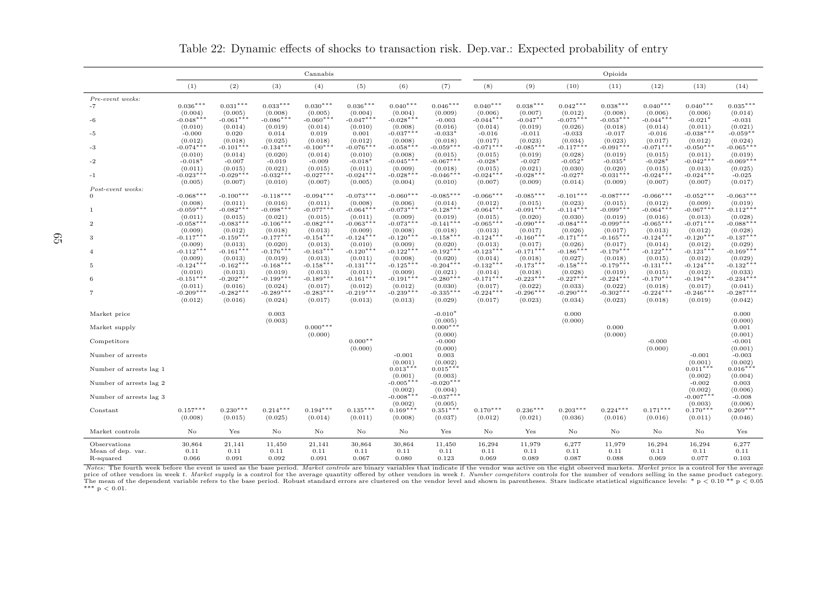|                                |                        |                        |                        | Cannabis               |                        |                        |                        | Opioids                          |                        |                        |                        |                        |                        |                        |  |
|--------------------------------|------------------------|------------------------|------------------------|------------------------|------------------------|------------------------|------------------------|----------------------------------|------------------------|------------------------|------------------------|------------------------|------------------------|------------------------|--|
|                                | (1)                    | (2)                    | (3)                    | (4)                    | (5)                    | (6)                    | (7)                    | (8)                              | (9)                    | (10)                   | (11)                   | (12)                   | (13)                   | (14)                   |  |
| Pre-event weeks:               |                        |                        |                        |                        |                        |                        |                        |                                  |                        |                        |                        |                        |                        |                        |  |
| $-7$                           | $0.036***$<br>(0.004)  | $0.031***$<br>(0.005)  | $0.033***$<br>(0.008)  | $0.030***$<br>(0.005)  | $0.036***$<br>(0.004)  | $0.040***$<br>(0.004)  | $0.046***$<br>(0.009)  | $0.040***$<br>(0.006)            | $0.038***$<br>(0.007)  | $0.042***$<br>(0.012)  | $0.038***$<br>(0.008)  | $0.040***$<br>(0.006)  | $0.040***$<br>(0.006)  | $0.035***$<br>(0.014)  |  |
| -6                             | $-0.048***$            | $-0.061***$            | $-0.086***$            | $-0.060***$            | $-0.047***$            | $-0.028***$            | $-0.003$               | $-0.044***$                      | $-0.047**$             | $-0.075***$            | $-0.053***$            | $-0.044***$            | $-0.021*$              | $-0.031$               |  |
| -5                             | (0.010)<br>$-0.000$    | (0.014)<br>0.020       | (0.019)<br>0.014       | (0.014)<br>0.019       | (0.010)<br>0.001       | (0.008)<br>$-0.037***$ | (0.016)<br>$-0.033*$   | (0.014)<br>$-0.016$              | (0.019)<br>$-0.011$    | (0.026)<br>$-0.033$    | (0.018)<br>$-0.017$    | (0.014)<br>$-0.016$    | (0.011)<br>$-0.038***$ | (0.021)<br>$-0.059**$  |  |
|                                | (0.012)                | (0.018)                | (0.025)                | (0.018)                | (0.012)                | (0.008)                | (0.018)                | (0.017)                          | (0.023)                | (0.034)                | (0.023)                | (0.017)                | (0.012)                | (0.024)                |  |
| -3                             | $-0.074***$            | $-0.101***$            | $-0.134***$            | $-0.100***$            | $-0.076***$            | $-0.058***$            | $-0.059***$            | $-0.071***$                      | $-0.085***$            | $-0.117***$            | $-0.091***$            | $-0.071***$            | $-0.050***$            | $-0.065***$            |  |
| -2                             | (0.010)<br>$-0.018*$   | (0.014)<br>$-0.007$    | (0.020)<br>$-0.019$    | (0.014)<br>$-0.009$    | (0.010)<br>$-0.018*$   | (0.008)<br>$-0.045***$ | (0.015)<br>$-0.067***$ | (0.015)<br>$-0.028$ <sup>*</sup> | (0.019)<br>$-0.027$    | (0.028)<br>$-0.052*$   | (0.019)<br>$-0.035*$   | (0.015)<br>$-0.028*$   | (0.011)<br>$-0.042***$ | (0.019)<br>$-0.069***$ |  |
|                                | (0.011)                | (0.015)                | (0.021)                | (0.015)                | (0.011)                | (0.009)                | (0.018)                | (0.015)                          | (0.021)                | (0.030)                | (0.020)                | (0.015)                | (0.013)                | (0.025)                |  |
| $-1$                           | $-0.023***$            | $-0.029***$            | $-0.032***$            | $-0.027***$            | $-0.024***$            | $-0.028***$            | $-0.046***$            | $-0.024***$                      | $-0.028***$            | $-0.027*$              | $-0.031***$            | $-0.024***$            | $-0.024***$            | $-0.025$               |  |
| Post-event weeks:              | (0.005)                | (0.007)                | (0.010)                | (0.007)                | (0.005)                | (0.004)                | (0.010)                | (0.007)                          | (0.009)                | (0.014)                | (0.009)                | (0.007)                | (0.007)                | (0.017)                |  |
| $\Omega$                       | $-0.068***$            | $-0.100***$            | $-0.118***$            | $-0.094***$            | $-0.073***$            | $-0.060***$            | $-0.085***$            | $-0.066***$                      | $-0.085***$            | $-0.101***$            | $-0.087***$            | $-0.066***$            | $-0.052***$            | $-0.063***$            |  |
|                                | (0.008)                | (0.011)                | (0.016)                | (0.011)                | (0.008)                | (0.006)                | (0.014)                | (0.012)                          | (0.015)                | (0.023)                | (0.015)                | (0.012)                | (0.009)                | (0.019)                |  |
| -1                             | $-0.059***$            | $-0.082***$            | $-0.098***$            | $-0.077***$            | $-0.064***$            | $-0.073***$            | $-0.128***$            | $-0.064***$                      | $-0.091***$            | $-0.114***$            | $-0.099***$            | $-0.064***$            | $-0.067***$            | $-0.112***$            |  |
| $\overline{2}$                 | (0.011)<br>$-0.058***$ | (0.015)<br>$-0.083***$ | (0.021)<br>$-0.106***$ | (0.015)<br>$-0.082***$ | (0.011)<br>$-0.063***$ | (0.009)<br>$-0.073***$ | (0.019)<br>$-0.141***$ | (0.015)<br>$-0.065***$           | (0.020)<br>$-0.090**$  | (0.030)<br>$-0.084***$ | (0.019)<br>$-0.099***$ | (0.016)<br>$-0.065***$ | (0.013)<br>$-0.071***$ | (0.028)<br>$-0.088***$ |  |
|                                | (0.009)                | (0.012)                | (0.018)                | (0.013)                | (0.009)                | (0.008)                | (0.018)                | (0.013)                          | (0.017)                | (0.026)                | (0.017)                | (0.013)                | (0.012)                | (0.028)                |  |
| 3                              | $-0.117***$<br>(0.009) | $-0.159***$            | $-0.177***$            | $-0.154***$            | $-0.124***$            | $-0.120***$            | $-0.158***$            | $-0.124***$                      | $-0.160***$            | $-0.171***$            | $-0.165***$            | $-0.124***$            | $-0.120***$            | $-0.137***$            |  |
| $\overline{4}$                 | $-0.112***$            | (0.013)<br>$-0.161***$ | (0.020)<br>$-0.176***$ | (0.013)<br>$-0.163***$ | (0.010)<br>$-0.120***$ | (0.009)<br>$-0.122***$ | (0.020)<br>$-0.192***$ | (0.013)<br>$-0.123***$           | (0.017)<br>$-0.171***$ | (0.026)<br>$-0.186***$ | (0.017)<br>$-0.179***$ | (0.014)<br>$-0.122***$ | (0.012)<br>$-0.123***$ | (0.029)<br>$-0.169***$ |  |
|                                | (0.009)                | (0.013)                | (0.019)                | (0.013)                | (0.011)                | (0.008)                | (0.020)                | (0.014)                          | (0.018)                | (0.027)                | (0.018)                | (0.015)                | (0.012)                | (0.029)                |  |
| -5                             | $-0.124***$            | $-0.162***$            | $-0.168***$            | $-0.158***$            | $-0.131***$            | $-0.125***$            | $-0.204***$            | $-0.132***$                      | $-0.173***$            | $-0.158***$            | $-0.179***$            | $-0.131***$            | $-0.124***$            | $-0.132***$            |  |
| 6                              | (0.010)<br>$-0.151***$ | (0.013)<br>$-0.202***$ | (0.019)<br>$-0.199***$ | (0.013)<br>$-0.189***$ | (0.011)<br>$-0.161***$ | (0.009)<br>$-0.191***$ | (0.021)<br>$-0.280***$ | (0.014)<br>$-0.171***$           | (0.018)<br>$-0.223***$ | (0.028)<br>$-0.227***$ | (0.019)<br>$-0.224***$ | (0.015)<br>$-0.170***$ | (0.012)<br>$-0.194***$ | (0.033)<br>$-0.234***$ |  |
|                                | (0.011)                | (0.016)                | (0.024)                | (0.017)                | (0.012)                | (0.012)                | (0.030)                | (0.017)                          | (0.022)                | (0.033)                | (0.022)                | (0.018)                | (0.017)                | (0.041)                |  |
| 7                              | $-0.209***$            | $-0.282***$            | $-0.289***$            | $-0.283***$            | $-0.219***$            | $-0.239***$            | $-0.335***$            | $-0.224***$                      | $-0.296***$            | $-0.290***$            | $-0.302**$             | $-0.224***$            | $-0.246***$            | $-0.287***$            |  |
|                                | (0.012)                | (0.016)                | (0.024)                | (0.017)                | (0.013)                | (0.013)                | (0.029)                | (0.017)                          | (0.023)                | (0.034)                | (0.023)                | (0.018)                | (0.019)                | (0.042)                |  |
| Market price                   |                        |                        | 0.003                  |                        |                        |                        | $-0.010*$              |                                  |                        | 0.000                  |                        |                        |                        | 0.000                  |  |
| Market supply                  |                        |                        | (0.003)                | $0.000***$             |                        |                        | (0.005)<br>$0.000***$  |                                  |                        | (0.000)                | 0.000                  |                        |                        | (0.000)<br>0.001       |  |
|                                |                        |                        |                        | (0.000)                |                        |                        | (0.000)                |                                  |                        |                        | (0.000)                |                        |                        | (0.001)                |  |
| Competitors                    |                        |                        |                        |                        | $0.000**$<br>(0.000)   |                        | $-0.000$<br>(0.000)    |                                  |                        |                        |                        | $-0.000$<br>(0.000)    |                        | $-0.001$<br>(0.001)    |  |
| Number of arrests              |                        |                        |                        |                        |                        | $-0.001$               | 0.003                  |                                  |                        |                        |                        |                        | $-0.001$               | $-0.003$               |  |
|                                |                        |                        |                        |                        |                        | (0.001)                | (0.002)                |                                  |                        |                        |                        |                        | (0.001)                | (0.002)                |  |
| Number of arrests lag 1        |                        |                        |                        |                        |                        | $0.013***$<br>(0.001)  | $0.015***$<br>(0.003)  |                                  |                        |                        |                        |                        | $0.011***$<br>(0.002)  | $0.016***$<br>(0.004)  |  |
| Number of arrests lag 2        |                        |                        |                        |                        |                        | $-0.005***$            | $-0.020***$            |                                  |                        |                        |                        |                        | $-0.002$               | 0.003                  |  |
| Number of arrests lag 3        |                        |                        |                        |                        |                        | (0.002)<br>$-0.008***$ | (0.004)<br>$-0.037***$ |                                  |                        |                        |                        |                        | (0.002)<br>$-0.007***$ | (0.006)<br>$-0.008$    |  |
|                                |                        |                        |                        |                        |                        | (0.002)                | (0.005)                |                                  |                        |                        |                        |                        | (0.003)                | (0.006)                |  |
| Constant                       | $0.157***$             | $0.230***$             | $0.214***$             | $0.194***$             | $0.135***$             | $0.169***$             | $0.351***$             | $0.170***$                       | $0.236***$             | $0.203***$             | $0.224***$             | $0.171***$             | $0.170***$             | $0.269***$             |  |
|                                | (0.008)                | (0.015)                | (0.025)                | (0.014)                | (0.011)                | (0.008)                | (0.037)                | (0.012)                          | (0.021)                | (0.036)                | (0.016)                | (0.016)                | (0.011)                | (0.046)                |  |
| Market controls                | $\rm No$               | Yes                    | $\mathbf{N}\mathbf{o}$ | No                     | $\rm No$               | No                     | Yes                    | $\rm No$                         | Yes                    | No                     | $\rm No$               | No                     | $\rm No$               | Yes                    |  |
| Observations                   | 30,864                 | 21,141                 | 11,450                 | 21,141                 | 30,864                 | 30,864                 | 11,450                 | 16,294                           | 11,979                 | 6,277                  | 11,979                 | 16,294                 | 16,294                 | 6,277                  |  |
| Mean of dep. var.<br>R-squared | 0.11<br>0.066          | 0.11<br>0.091          | 0.11<br>0.092          | 0.11<br>0.091          | 0.11<br>0.067          | 0.11<br>0.080          | 0.11<br>0.123          | 0.11<br>0.069                    | 0.11<br>0.089          | 0.11<br>0.087          | 0.11<br>0.088          | 0.11<br>0.069          | 0.11<br>0.077          | 0.11<br>0.103          |  |

Table 22: Dynamic effects of shocks to transaction risk. Dep.var.: Expected probability of entry

Notes: The fourth week before the event is used as the base period. Market controls are binary variables that indicate if the vendor was active on the eight observed markets. Market price is a control for the average price of other vendors in week  $t$ . Market supply is a control for the average quantity offered by other vendors in week  $t$ . Number competitors controls for the number of vendors selling in the same product category. The mean of the dependent variable refers to the base period. Robust standard errors are clustered on the vendor level and shown in parentheses. Stars indicate statistical significance levels: \* p < 0.10 \*\* p < 0.05<br>\*\*\* p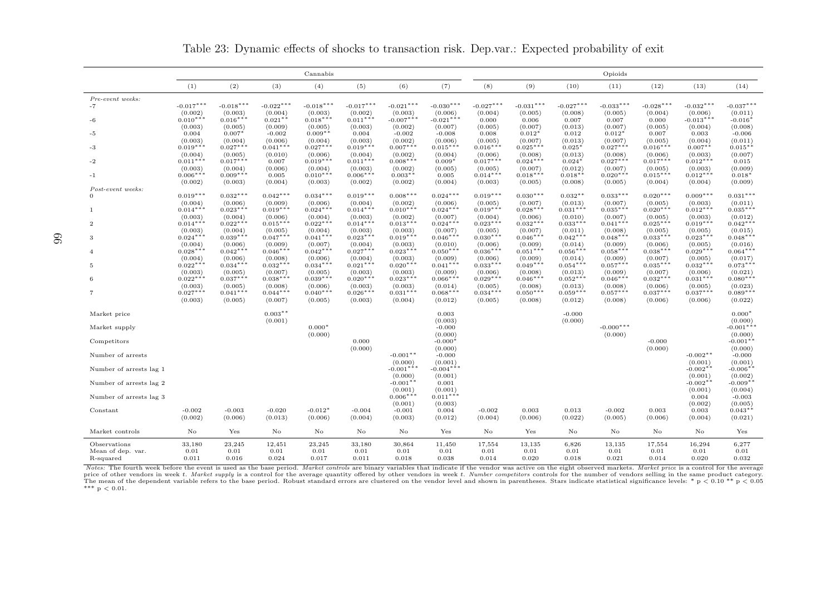|                               |                        | Cannabis               |                        |                        |                        |                        |                        |                        | Opioids                |                        |                        |                        |                        |                        |  |
|-------------------------------|------------------------|------------------------|------------------------|------------------------|------------------------|------------------------|------------------------|------------------------|------------------------|------------------------|------------------------|------------------------|------------------------|------------------------|--|
|                               | (1)                    | (2)                    | (3)                    | (4)                    | (5)                    | (6)                    | (7)                    | (8)                    | (9)                    | (10)                   | (11)                   | (12)                   | (13)                   | (14)                   |  |
| Pre-event weeks:              |                        |                        |                        |                        |                        |                        |                        |                        |                        |                        |                        |                        |                        |                        |  |
| $-7$                          | $-0.017***$<br>(0.002) | $-0.018***$<br>(0.003) | $-0.022***$<br>(0.004) | $-0.018***$<br>(0.003) | $-0.017***$<br>(0.002) | $-0.021***$<br>(0.003) | $-0.030***$<br>(0.006) | $-0.027***$<br>(0.004) | $-0.031***$<br>(0.005) | $-0.027***$<br>(0.008) | $-0.033***$<br>(0.005) | $-0.028***$<br>(0.004) | $-0.032***$<br>(0.006) | $-0.037***$<br>(0.011) |  |
| -6                            | $0.010***$             | $0.016***$             | $0.021**$              | $0.018***$             | $0.011***$             | $-0.007***$            | $-0.021***$            | 0.000                  | 0.006                  | 0.007                  | 0.007                  | 0.000                  | $-0.013***$            | $-0.016*$              |  |
|                               | (0.003)                | (0.005)                | (0.009)                | (0.005)                | (0.003)                | (0.002)                | (0.007)                | (0.005)                | (0.007)                | (0.013)                | (0.007)                | (0.005)                | (0.004)                | (0.008)                |  |
| $-5$                          | 0.004<br>(0.003)       | $0.007*$<br>(0.004)    | $-0.002$<br>(0.006)    | $0.009**$<br>(0.004)   | 0.004<br>(0.003)       | $-0.002$<br>(0.002)    | $-0.008$<br>(0.006)    | 0.008<br>(0.005)       | $0.012*$<br>(0.007)    | 0.012<br>(0.013)       | $0.012*$<br>(0.007)    | 0.007<br>(0.005)       | 0.003<br>(0.004)       | $-0.006$<br>(0.011)    |  |
| -3                            | $0.019***$             | $0.027***$             | $0.041***$             | $0.027***$             | $0.019***$             | $0.007***$             | $0.015***$             | $0.016***$             | $0.025***$             | $0.025*$               | $0.027***$             | $0.016***$             | $0.007**$              | $0.015**$              |  |
|                               | (0.004)                | (0.005)                | (0.010)                | (0.006)                | (0.004)                | (0.002)                | (0.004)                | (0.006)                | (0.008)                | (0.013)                | (0.008)                | (0.006)                | (0.003)                | (0.007)                |  |
| -2                            | $0.011***$<br>(0.003)  | $0.017***$<br>(0.004)  | 0.007<br>(0.006)       | $0.019***$<br>(0.004)  | $0.011***$<br>(0.003)  | $0.008***$<br>(0.002)  | $0.009*$<br>(0.005)    | $0.017***$<br>(0.005)  | $0.024***$<br>(0.007)  | $0.024*$<br>(0.012)    | $0.027***$<br>(0.007)  | $0.017***$<br>(0.005)  | $0.012***$<br>(0.003)  | 0.015<br>(0.009)       |  |
| $-1$                          | $0.006***$             | $0.009***$             | 0.005                  | $0.010***$             | $0.006***$             | $0.003**$              | 0.005                  | $0.014***$             | $0.018***$             | $0.018**$              | $0.020***$             | $0.015***$             | $0.012***$             | $0.018*$               |  |
|                               | (0.002)                | (0.003)                | (0.004)                | (0.003)                | (0.002)                | (0.002)                | (0.004)                | (0.003)                | (0.005)                | (0.008)                | (0.005)                | (0.004)                | (0.004)                | (0.009)                |  |
| Post-event weeks:<br>$\Omega$ | $0.019***$             | $0.032***$             | $0.042***$             | $0.034***$             | $0.019***$             | $0.008***$             | $0.024***$             | $0.019***$             | $0.030***$             | $0.032**$              | $0.033***$             | $0.020***$             | $0.009***$             | $0.031***$             |  |
|                               | (0.004)                | (0.006)                | (0.009)                | (0.006)                | (0.004)                | (0.002)                | (0.006)                | (0.005)                | (0.007)                | (0.013)                | (0.007)                | (0.005)                | (0.003)                | (0.011)                |  |
| -1                            | $0.014***$             | $0.023***$             | $0.019***$             | $0.024***$             | $0.014***$             | $0.010***$             | $0.024***$             | $0.019***$             | $0.028***$             | $0.031***$             | $0.035***$             | $0.020***$             | $0.012***$             | $0.035***$             |  |
|                               | (0.003)<br>$0.014***$  | (0.004)<br>$0.022***$  | (0.006)<br>$0.015***$  | (0.004)<br>$0.022***$  | (0.003)<br>$0.014***$  | (0.002)<br>$0.013***$  | (0.007)<br>$0.024***$  | (0.004)<br>$0.023***$  | (0.006)<br>$0.032***$  | (0.010)<br>$0.033***$  | (0.007)<br>$0.041***$  | (0.005)<br>$0.025***$  | (0.003)<br>$0.019***$  | (0.012)<br>$0.042***$  |  |
| $\overline{2}$                | (0.003)                | (0.004)                | (0.005)                | (0.004)                | (0.003)                | (0.003)                | (0.007)                | (0.005)                | (0.007)                | (0.011)                | (0.008)                | (0.005)                | (0.005)                | (0.015)                |  |
| -3                            | $0.024***$             | $0.039***$             | $0.047***$             | $0.041***$             | $0.023***$             | $0.019***$             | $0.046***$             | $0.030***$             | $0.046***$             | $0.042***$             | $0.048***$             | $0.033***$             | $0.023***$             | $0.048***$             |  |
|                               | (0.004)                | (0.006)                | (0.009)                | (0.007)                | (0.004)                | (0.003)                | (0.010)                | (0.006)                | (0.009)                | (0.014)                | (0.009)                | (0.006)                | (0.005)                | (0.016)                |  |
| $\overline{4}$                | $0.028***$<br>(0.004)  | $0.042***$<br>(0.006)  | $0.046***$<br>(0.008)  | $0.042***$<br>(0.006)  | $0.027***$<br>(0.004)  | $0.023***$<br>(0.003)  | $0.050***$<br>(0.009)  | $0.036***$<br>(0.006)  | $0.051***$<br>(0.009)  | $0.056***$<br>(0.014)  | $0.058***$<br>(0.009)  | $0.038***$<br>(0.007)  | $0.029***$<br>(0.005)  | $0.064***$<br>(0.017)  |  |
| -5                            | $0.022***$             | $0.034***$             | $0.032***$             | $0.034***$             | $0.021***$             | $0.020***$             | $0.041***$             | $0.033***$             | $0.049***$             | $0.054***$             | $0.057***$             | $0.035***$             | $0.032***$             | $0.073***$             |  |
|                               | (0.003)                | (0.005)                | (0.007)                | (0.005)                | (0.003)                | (0.003)                | (0.009)                | (0.006)                | (0.008)                | (0.013)                | (0.009)                | (0.007)                | (0.006)                | (0.021)                |  |
| 6                             | $0.022***$<br>(0.003)  | $0.037***$<br>(0.005)  | $0.038***$<br>(0.008)  | $0.039***$<br>(0.006)  | $0.020***$<br>(0.003)  | $0.023***$<br>(0.003)  | $0.066***$<br>(0.014)  | $0.029***$<br>(0.005)  | $0.046***$<br>(0.008)  | $0.052***$<br>(0.013)  | $0.046***$<br>(0.008)  | $0.032***$<br>(0.006)  | $0.031***$<br>(0.005)  | $0.080***$<br>(0.023)  |  |
| 7                             | $0.027***$             | $0.041***$             | $0.044***$             | $0.040***$             | $0.026***$             | $0.031***$             | $0.068***$             | $0.034***$             | $0.050***$             | $0.059***$             | $0.057***$             | $0.037***$             | $0.037***$             | $0.089***$             |  |
|                               | (0.003)                | (0.005)                | (0.007)                | (0.005)                | (0.003)                | (0.004)                | (0.012)                | (0.005)                | (0.008)                | (0.012)                | (0.008)                | (0.006)                | (0.006)                | (0.022)                |  |
| Market price                  |                        |                        | $0.003**$              |                        |                        |                        | 0.003                  |                        |                        | $-0.000$               |                        |                        |                        | $0.000*$               |  |
|                               |                        |                        | (0.001)                |                        |                        |                        | (0.003)                |                        |                        | (0.000)                |                        |                        |                        | (0.000)                |  |
| Market supply                 |                        |                        |                        | $0.000*$<br>(0.000)    |                        |                        | $-0.000$<br>(0.000)    |                        |                        |                        | $-0.000***$<br>(0.000) |                        |                        | $-0.001***$<br>(0.000) |  |
| Competitors                   |                        |                        |                        |                        | 0.000                  |                        | $-0.000*$              |                        |                        |                        |                        | $-0.000$               |                        | $-0.001**$             |  |
|                               |                        |                        |                        |                        | (0.000)                |                        | (0.000)                |                        |                        |                        |                        | (0.000)                |                        | (0.000)                |  |
| Number of arrests             |                        |                        |                        |                        |                        | $-0.001**$<br>(0.000)  | $-0.000$<br>(0.001)    |                        |                        |                        |                        |                        | $-0.002**$<br>(0.001)  | $-0.000$<br>(0.001)    |  |
| Number of arrests lag 1       |                        |                        |                        |                        |                        | $-0.001***$            | $-0.004***$            |                        |                        |                        |                        |                        | $-0.002**$             | $-0.006**$             |  |
| Number of arrests lag 2       |                        |                        |                        |                        |                        | (0.000)<br>$-0.001**$  | (0.001)<br>0.001       |                        |                        |                        |                        |                        | (0.001)<br>$-0.002**$  | (0.002)<br>$-0.009**$  |  |
|                               |                        |                        |                        |                        |                        | (0.001)                | (0.001)                |                        |                        |                        |                        |                        | (0.001)                | (0.004)                |  |
| Number of arrests lag 3       |                        |                        |                        |                        |                        | $0.006***$<br>(0.001)  | $0.011***$             |                        |                        |                        |                        |                        | 0.004<br>(0.002)       | $-0.003$               |  |
| Constant                      | $-0.002$               | $-0.003$               | $-0.020$               | $-0.012*$              | $-0.004$               | $-0.001$               | (0.003)<br>0.004       | $-0.002$               | 0.003                  | 0.013                  | $-0.002$               | 0.003                  | 0.003                  | (0.005)<br>$0.043**$   |  |
|                               | (0.002)                | (0.006)                | (0.013)                | (0.006)                | (0.004)                | (0.003)                | (0.012)                | (0.004)                | (0.006)                | (0.022)                | (0.005)                | (0.006)                | (0.004)                | (0.021)                |  |
| Market controls               | No                     | $\operatorname{Yes}$   | No                     | No                     | $\rm No$               | No                     | Yes                    | No                     | Yes                    | No                     | $\rm No$               | $\rm No$               | $\rm No$               | Yes                    |  |
| Observations                  | 33,180                 | 23,245                 | 12,451                 | 23,245                 | 33,180                 | 30,864                 | 11,450                 | 17,554                 | 13,135                 | 6,826                  | 13,135                 | 17,554                 | 16,294                 | 6,277                  |  |
| Mean of dep. var.             | 0.01                   | 0.01                   | 0.01                   | 0.01                   | 0.01                   | 0.01                   | 0.01                   | 0.01                   | 0.01                   | 0.01                   | 0.01                   | 0.01                   | 0.01                   | 0.01                   |  |
| R-squared                     | 0.011                  | 0.016                  | 0.024                  | 0.017                  | 0.011                  | 0.018                  | 0.038                  | 0.014                  | 0.020                  | 0.018                  | 0.021                  | 0.014                  | 0.020                  | 0.032                  |  |

Table 23: Dynamic effects of shocks to transaction risk. Dep.var.: Expected probability of exit

Notes: The fourth week before the event is used as the base period. Market controls are binary variables that indicate if the vendor was active on the eight observed markets. Market price is a control for the average price of other vendors in week  $t$ . Market supply is a control for the average quantity offered by other vendors in week  $t$ . Number competitors controls for the number of vendors selling in the same product category. The mean of the dependent variable refers to the base period. Robust standard errors are clustered on the vendor level and shown in parentheses. Stars indicate statistical significance levels: \* p < 0.10 \*\* p < 0.05<br>\*\*\* p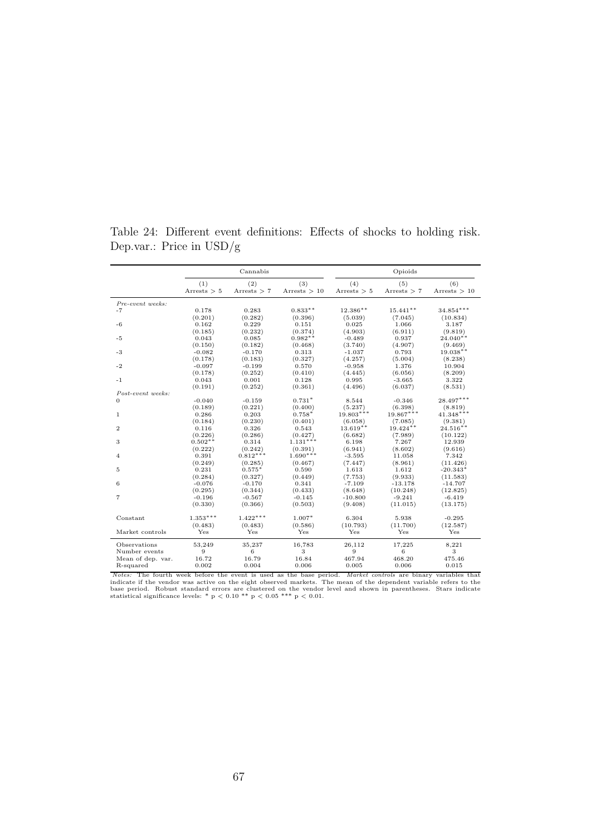|                   |                      | Cannabis             |                       |                      | Opioids              |                       |
|-------------------|----------------------|----------------------|-----------------------|----------------------|----------------------|-----------------------|
|                   | (1)<br>Arrests $> 5$ | (2)<br>Arrests $> 7$ | (3)<br>Arrests $> 10$ | (4)<br>Arrests $> 5$ | (5)<br>Arrests $> 7$ | (6)<br>Arrests $> 10$ |
| Pre-event weeks:  |                      |                      |                       |                      |                      |                       |
| $-7$              | 0.178                | 0.283                | $0.833**$             | $12.386**$           | $15.441**$           | $34.854***$           |
|                   | (0.201)              | (0.282)              | (0.396)               | (5.039)              | (7.045)              | (10.834)              |
| $-6$              | 0.162                | 0.229                | 0.151                 | 0.025                | 1.066                | 3.187                 |
|                   | (0.185)              | (0.232)              | (0.374)               | (4.903)              | (6.911)              | (9.819)               |
| $-5$              | 0.043                | 0.085                | $0.982**$             | $-0.489$             | 0.937                | $24.040**$            |
|                   | (0.150)              | (0.182)              | (0.468)               | (3.740)              | (4.907)              | (9.469)               |
| $-3$              | $-0.082$             | $-0.170$             | 0.313                 | $-1.037$             | 0.793                | $19.038**$            |
|                   | (0.178)              | (0.183)              | (0.327)               | (4.257)              | (5.004)              | (8.238)               |
| $-2$              | $-0.097$             | $-0.199$             | 0.570                 | $-0.958$             | 1.376                | 10.904                |
|                   | (0.178)              | (0.252)              | (0.410)               | (4.445)              | (6.056)              | (8.209)               |
| $-1$              | 0.043                | 0.001                | 0.128                 | 0.995                | $-3.665$             | 3.322                 |
|                   | (0.191)              | (0.252)              | (0.361)               | (4.496)              | (6.037)              | (8.531)               |
| Post-event weeks: |                      |                      |                       |                      |                      |                       |
| $\mathbf{0}$      | $-0.040$             | $-0.159$             | $0.731*$              | 8.544                | $-0.346$             | $28.497***$           |
|                   | (0.189)              | (0.221)              | (0.400)               | (5.237)              | (6.398)              | (8.819)               |
| 1                 | 0.286                | 0.203                | $0.758*$              | $19.803***$          | $19.867***$          | $41.348***$           |
|                   | (0.184)              | (0.230)              | (0.401)               | (6.058)              | (7.085)              | (9.381)               |
| $\mathbf{2}$      | 0.116                | 0.326                | 0.543                 | $13.619**$           | $19.424***$          | $24.516**$            |
|                   | (0.226)              | (0.286)              | (0.427)               | (6.682)              | (7.989)              | (10.122)              |
| 3                 | $0.502**$            | 0.314                | $1.131***$            | 6.198                | 7.267                | 12.939                |
|                   | (0.222)              | (0.242)              | (0.391)               | (6.941)              | (8.602)              | (9.616)               |
| $\overline{4}$    | 0.391                | $0.812***$           | $1.690***$            | $-3.595$             | 11.058               | 7.342                 |
|                   | (0.249)              | (0.285)              | (0.467)               | (7.447)              | (8.961)              | (11.426)              |
| 5                 | 0.231                | $0.575*$             | 0.590                 | 1.613                | 1.612                | $-20.343*$            |
|                   | (0.284)              | (0.327)              | (0.449)               | (7.753)              | (9.933)              | (11.583)              |
| 6                 | $-0.076$             | $-0.170$             | 0.341                 | $-7.109$             | $-13.178$            | $-14.707$             |
|                   | (0.295)              | (0.344)              | (0.433)               | (8.648)              | (10.248)             | (12.825)              |
| $\overline{7}$    | $-0.196$             | $-0.567$             | $-0.145$              | $-10.800$            | $-9.241$             | $-6.419$              |
|                   | (0.330)              | (0.366)              | (0.503)               | (9.408)              | (11.015)             | (13.175)              |
| Constant          | $1.353***$           | $1.422***$           | $1.007*$              | 6.304                | 5.938                | $-0.295$              |
|                   | (0.483)              | (0.483)              | (0.586)               | (10.793)             | (11.700)             | (12.587)              |
| Market controls   | Yes                  | Yes                  | Yes                   | Yes                  | Yes                  | Yes                   |
| Observations      | 53,249               | 35,237               | 16,783                | 26,112               | 17,225               | 8,221                 |
| Number events     | 9                    | 6                    | 3                     | 9                    | 6                    | 3                     |
| Mean of dep. var. | 16.72                | 16.79                | 16.84                 | 467.94               | 468.20               | 475.46                |
| R-squared         | 0.002                | 0.004                | 0.006                 | 0.005                | 0.006                | 0.015                 |
|                   |                      |                      |                       |                      |                      |                       |

Table 24: Different event definitions: Effects of shocks to holding risk. Dep.var.: Price in USD/g

*Notes:* The fourth week before the event is used as the base period. *Market controls* are binary variables that indicate if the vendor was active on the eight observed markets. The mean of the dependent variable refers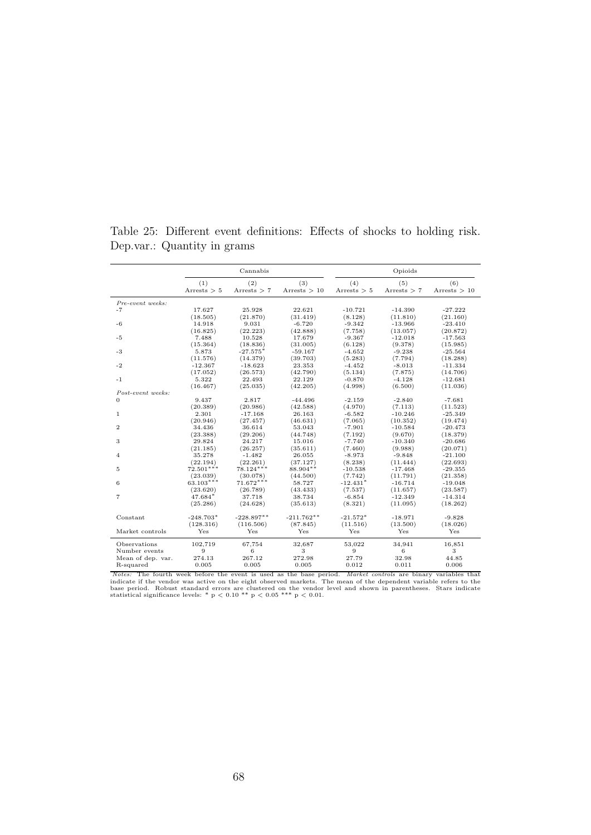|                   |               | Cannabis      |                | Opioids       |               |                |  |  |
|-------------------|---------------|---------------|----------------|---------------|---------------|----------------|--|--|
|                   | (1)           | (2)           | (3)            | (4)           | (5)           | (6)            |  |  |
|                   | Arrests $> 5$ | Arrests $> 7$ | Arrests $> 10$ | Arrests $> 5$ | Arrests $> 7$ | Arrests $> 10$ |  |  |
| Pre-event weeks:  |               |               |                |               |               |                |  |  |
| $-7$              | 17.627        | 25.928        | 22.621         | $-10.721$     | $-14.390$     | $-27.222$      |  |  |
|                   | (18.505)      | (21.870)      | (31.419)       | (8.128)       | (11.810)      | (21.160)       |  |  |
| $-6$              | 14.918        | 9.031         | $-6.720$       | $-9.342$      | $-13.966$     | $-23.410$      |  |  |
|                   | (16.825)      | (22.223)      | (42.888)       | (7.758)       | (13.057)      | (20.872)       |  |  |
| $-5$              | 7.488         | 10.528        | 17.679         | $-9.367$      | $-12.018$     | $-17.563$      |  |  |
|                   | (15.364)      | (18.836)      | (31.005)       | (6.128)       | (9.378)       | (15.985)       |  |  |
| $-3$              | 5.873         | $-27.575*$    | $-59.167$      | $-4.652$      | $-9.238$      | $-25.564$      |  |  |
| $-2$              | (11.576)      | (14.379)      | (39.703)       | (5.283)       | (7.794)       | (18.288)       |  |  |
|                   | $-12.367$     | $-18.623$     | 23.353         | $-4.452$      | $-8.013$      | $-11.334$      |  |  |
| $-1$              | (17.052)      | (26.573)      | (42.790)       | (5.134)       | (7.875)       | (14.706)       |  |  |
|                   | 5.322         | 22.493        | 22.129         | $-0.870$      | $-4.128$      | $-12.681$      |  |  |
| Post-event weeks: | (16.467)      | (25.035)      | (42.205)       | (4.998)       | (6.500)       | (11.036)       |  |  |
| $\overline{0}$    | 9.437         | 2.817         | $-44.496$      | $-2.159$      | $-2.840$      | $-7.681$       |  |  |
|                   | (20.389)      | (20.986)      | (42.588)       | (4.970)       | (7.113)       | (11.523)       |  |  |
| $\mathbf{1}$      | 2.301         | $-17.168$     | 26.163         | $-6.582$      | $-10.246$     | $-25.349$      |  |  |
|                   | (20.946)      | (27.457)      | (46.631)       | (7.065)       | (10.352)      | (19.474)       |  |  |
| $\mathbf{2}$      | 34.436        | 36.614        | 53.043         | $-7.901$      | $-10.584$     | $-20.473$      |  |  |
| 3                 | (23.388)      | (29.206)      | (44.748)       | (7.192)       | (9.670)       | (18.379)       |  |  |
|                   | 29.824        | 24.217        | 15.016         | $-7.740$      | $-10.340$     | $-20.686$      |  |  |
| 4                 | (21.185)      | (26.257)      | (35.611)       | (7.460)       | (9.988)       | (20.071)       |  |  |
|                   | 35.278        | $-1.482$      | 26.055         | $-8.973$      | $-9.848$      | $-21.100$      |  |  |
| 5                 | (22.194)      | (22.261)      | (37.127)       | (8.238)       | (11.444)      | (22.693)       |  |  |
|                   | $72.501***$   | $78.124***$   | 88.904**       | $-10.538$     | $-17.468$     | $-29.355$      |  |  |
| 6                 | (23.039)      | (30.078)      | (44.500)       | (7.742)       | (11.791)      | (21.358)       |  |  |
|                   | $63.103***$   | $71.672***$   | 58.727         | $-12.431*$    | $-16.714$     | $-19.048$      |  |  |
| $\overline{7}$    | (23.620)      | (26.789)      | (43.433)       | (7.537)       | (11.657)      | (23.587)       |  |  |
|                   | 47.684*       | 37.718        | 38.734         | $-6.854$      | $-12.349$     | $-14.314$      |  |  |
|                   | (25.286)      | (24.628)      | (35.613)       | (8.321)       | (11.095)      | (18.262)       |  |  |
| Constant          | $-248.703*$   | $-228.897**$  | $-211.762**$   | $-21.572*$    | $-18.971$     | $-9.828$       |  |  |
|                   | (128.316)     | (116.506)     | (87.845)       | (11.516)      | (13.500)      | (18.026)       |  |  |
| Market controls   | Yes           | Yes           | Yes            | Yes           | Yes           | Yes            |  |  |
| Observations      | 102,719       | 67,754        | 32,687         | 53,022        | 34,941        | 16,851         |  |  |
| Number events     | 9             | 6             | 3              | 9             | 6             | 3              |  |  |
| Mean of dep. var. | 274.13        | 267.12        | 272.98         | 27.79         | 32.98         | 44.85          |  |  |
| R-squared         | 0.005         | 0.005         | 0.005          | 0.012         | 0.011         | 0.006          |  |  |

Table 25: Different event definitions: Effects of shocks to holding risk. Dep.var.: Quantity in grams

*Notes:* The fourth week before the event is used as the base period. *Market controls* are binary variables that indicate if the vendor was active on the eight observed markets. The mean of the dependent variable refers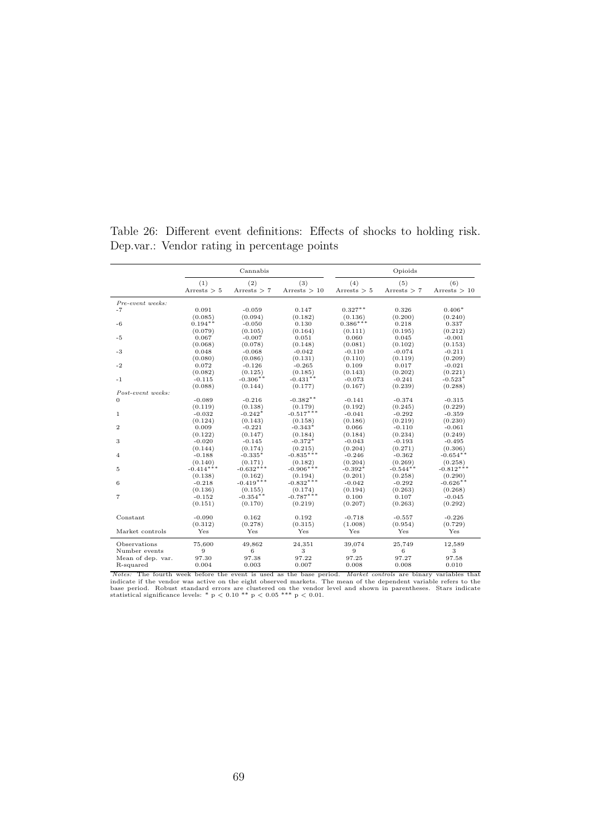|                   |                      | Cannabis             |                       |                      | Opioids              |                       |  |  |  |
|-------------------|----------------------|----------------------|-----------------------|----------------------|----------------------|-----------------------|--|--|--|
|                   | (1)<br>Arrests $> 5$ | (2)<br>Arrests $> 7$ | (3)<br>Arrests $> 10$ | (4)<br>Arrests $> 5$ | (5)<br>Arrests $> 7$ | (6)<br>Arrests $> 10$ |  |  |  |
| Pre-event weeks:  |                      |                      |                       |                      |                      |                       |  |  |  |
| $-7$              | 0.091<br>(0.085)     | $-0.059$<br>(0.094)  | 0.147<br>(0.182)      | $0.327**$<br>(0.136) | 0.326<br>(0.200)     | $0.406*$<br>(0.240)   |  |  |  |
| $-6$              | $0.194**$            | $-0.050$             | 0.130                 | $0.386***$           | 0.218                | 0.337                 |  |  |  |
|                   | (0.079)              | (0.105)              | (0.164)               | (0.111)              | (0.195)              | (0.212)               |  |  |  |
| $-5$              | 0.067                | $-0.007$             | 0.051                 | 0.060                | 0.045                | $-0.001$              |  |  |  |
|                   | (0.068)              | (0.078)              | (0.148)               | (0.081)              | (0.102)              | (0.153)               |  |  |  |
| $-3$              | 0.048                | $-0.068$             | $-0.042$              | $-0.110$             | $-0.074$             | $-0.211$              |  |  |  |
|                   | (0.080)              | (0.086)              | (0.131)               | (0.110)              | (0.119)              | (0.209)               |  |  |  |
| $-2$              | 0.072                | $-0.126$             | $-0.265$              | 0.109                | 0.017                | $-0.021$              |  |  |  |
|                   | (0.082)              | (0.125)              | (0.185)               | (0.143)              | (0.202)              | (0.221)               |  |  |  |
| $^{\rm -1}$       | $-0.115$             | $-0.306**$           | $-0.431**$            | $-0.073$             | $-0.241$             | $-0.523*$             |  |  |  |
|                   | (0.088)              | (0.144)              | (0.177)               | (0.167)              | (0.239)              | (0.288)               |  |  |  |
| Post-event weeks: |                      |                      |                       |                      |                      |                       |  |  |  |
| $\mathbf{0}$      | $-0.089$             | $-0.216$             | $-0.382**$            | $-0.141$             | $-0.374$             | $-0.315$              |  |  |  |
|                   | (0.119)              | (0.138)              | (0.179)               | (0.192)              | (0.245)              | (0.229)               |  |  |  |
| 1                 | $-0.032$             | $-0.242*$            | $-0.517***$           | $-0.041$             | $-0.292$             | $-0.359$              |  |  |  |
|                   | (0.124)              | (0.143)              | (0.158)               | (0.186)              | (0.219)              | (0.230)               |  |  |  |
| $\mathbf{2}$      | 0.009                | $-0.221$             | $-0.343*$             | 0.066                | $-0.110$             | $-0.061$              |  |  |  |
|                   | (0.122)              | (0.147)              | (0.184)               | (0.184)              | (0.234)              | (0.249)               |  |  |  |
| 3                 | $-0.020$             | $-0.145$             | $-0.372*$             | $-0.043$             | $-0.193$             | $-0.495$              |  |  |  |
|                   | (0.144)              | (0.174)              | (0.215)               | (0.204)              | (0.271)              | (0.306)               |  |  |  |
| $\overline{4}$    | $-0.188$             | $-0.335*$            | $-0.835***$           | $-0.246$             | $-0.362$             | $-0.654**$            |  |  |  |
|                   | (0.140)              | (0.171)              | (0.182)               | (0.204)              | (0.269)              | (0.258)               |  |  |  |
| $\overline{5}$    | $-0.414***$          | $-0.632***$          | $-0.906***$           | $-0.392*$            | $-0.544**$           | $-0.812***$           |  |  |  |
|                   | (0.138)              | (0.162)              | (0.194)               | (0.201)              | (0.258)              | (0.290)               |  |  |  |
| 6                 | $-0.218$             | $-0.419***$          | $-0.832***$           | $-0.042$             | $-0.292$             | $-0.626**$            |  |  |  |
|                   | (0.136)              | (0.155)              | (0.174)               | (0.194)              | (0.263)              | (0.268)               |  |  |  |
| $\overline{7}$    | $-0.152$             | $-0.354**$           | $-0.787***$           | 0.100                | 0.107                | $-0.045$              |  |  |  |
|                   | (0.151)              | (0.170)              | (0.219)               | (0.207)              | (0.263)              | (0.292)               |  |  |  |
| Constant          | $-0.090$             | 0.162                | 0.192                 | $-0.718$             | $-0.557$             | $-0.226$              |  |  |  |
|                   | (0.312)              | (0.278)              | (0.315)               | (1.008)              | (0.954)              | (0.729)               |  |  |  |
| Market controls   | Yes                  | Yes                  | Yes                   | Yes                  | Yes                  | Yes                   |  |  |  |
| Observations      | 75,600               | 49,862               | 24,351                | 39,074               | 25,749               | 12,589                |  |  |  |
| Number events     | 9                    | 6                    | 3                     | 9                    | 6                    | 3                     |  |  |  |
| Mean of dep. var. | 97.30                | 97.38                | 97.22                 | 97.25                | 97.27                | 97.58                 |  |  |  |
| R-squared         | 0.004                | 0.003                | 0.007                 | 0.008                | 0.008                | 0.010                 |  |  |  |
|                   |                      |                      |                       |                      |                      |                       |  |  |  |

Table 26: Different event definitions: Effects of shocks to holding risk. Dep.var.: Vendor rating in percentage points

*Notes:* The fourth week before the event is used as the base period. *Market controls* are binary variables that indicate if the vendor was active on the eight observed markets. The mean of the dependent variable refers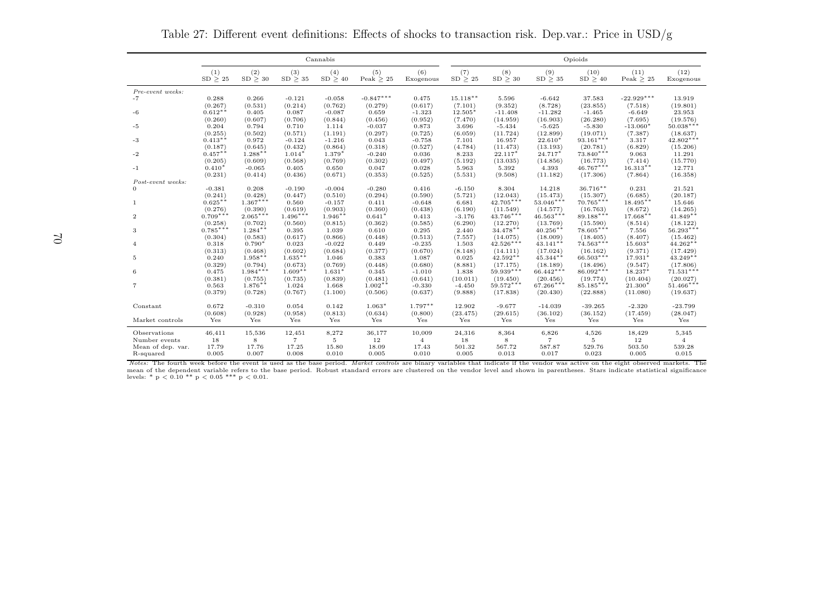|                   |                       |                       |                       | Cannabis             |                    |                  | Opioids          |                         |                         |                         |                       |                        |
|-------------------|-----------------------|-----------------------|-----------------------|----------------------|--------------------|------------------|------------------|-------------------------|-------------------------|-------------------------|-----------------------|------------------------|
|                   | (1)<br>SD > 25        | (2)<br>SD > 30        | (3)<br>SD > 35        | (4)<br>SD > 40       | (5)<br>Peak $> 25$ | (6)<br>Exogenous | (7)<br>SD > 25   | (8)<br>SD > 30          | (9)<br>SD > 35          | (10)<br>SD > 40         | (11)<br>Peak $> 25$   | (12)<br>Exogenous      |
| Pre-event weeks:  |                       |                       |                       |                      |                    |                  |                  |                         |                         |                         |                       |                        |
| $-7$              | 0.288                 | 0.266                 | $-0.121$              | $-0.058$             | $-0.847***$        | 0.475            | $15.118**$       | 5.596                   | $-6.642$                | 37.583                  | $-22.929***$          | 13.919                 |
|                   | (0.267)               | (0.531)               | (0.214)               | (0.762)              | (0.279)            | (0.617)          | (7.101)          | (9.352)                 | (8.728)                 | (23.855)                | (7.518)               | (19.801)               |
| $-6$              | $0.612**$             | 0.405                 | 0.087                 | $-0.087$             | 0.659              | $-1.323$         | 12.505           | $-11.408$               | $-11.282$               | $-1.465$                | $-6.649$              | 23.953                 |
|                   | (0.260)               | (0.607)               | (0.706)               | (0.844)              | (0.456)            | (0.952)          | (7.470)          | (14.959)                | (16.903)                | (26.280)                | (7.695)               | (19.576)               |
| $-5$              | 0.204                 | 0.794                 | 0.710                 | 1.114                | $-0.037$           | 0.873            | 3.696            | $-5.434$                | $-5.625$                | $-5.830$                | $-13.060*$            | $50.038***$            |
|                   | (0.255)               | (0.502)               | (0.571)               | (1.191)              | (0.297)            | (0.725)          | (6.059)          | (11.724)                | (12.899)                | (19.071)                | (7.387)               | (18.637)               |
| $-3$              | $0.413**$             | 0.972                 | $-0.124$              | $-1.216$             | 0.043              | $-0.758$         | 7.101            | 16.957                  | $22.610*$               | $93.161***$             | 3.317                 | $42.802***$            |
|                   | (0.187)               | (0.645)               | (0.432)               | (0.864)              | (0.318)            | (0.527)          | (4.784)          | (11.473)                | (13.193)                | (20.781)                | (6.829)               | (15.206)               |
| $-2$              | $0.457***$            | $1.288**$             | $1.014*$              | $1.379*$             | $-0.240$           | 0.036            | 8.233            | $22.117*$               | 24.717*                 | $73.840***$             | 9.063                 | 11.291                 |
|                   | (0.205)               | (0.609)               | (0.568)               | (0.769)              | (0.302)            | (0.497)          | (5.192)          | (13.035)                | (14.856)                | (16.773)                | (7.414)               | (15.770)               |
| $-1$              | $0.410*$              | $-0.065$              | 0.405                 | 0.650                | 0.047              | 0.028            | 5.963            | 5.392                   | 4.393                   | $46.767***$             | $16.313**$            | 12.771                 |
|                   | (0.231)               | (0.414)               | (0.436)               | (0.671)              | (0.353)            | (0.525)          | (5.531)          | (9.508)                 | (11.182)                | (17.306)                | (7.864)               | (16.358)               |
| Post-event weeks: |                       |                       |                       |                      |                    |                  |                  |                         |                         |                         |                       |                        |
| $\Omega$          | $-0.381$              | 0.208                 | $-0.190$              | $-0.004$             | $-0.280$           | 0.416            | $-6.150$         | 8.304                   | 14.218                  | $36.716**$              | 0.231                 | 21.521                 |
|                   | (0.241)               | (0.428)<br>$1.367***$ | (0.447)               | (0.510)              | (0.294)            | (0.590)          | (5.721)          | (12.043)                | (15.473)                | (15.307)<br>$70.765***$ | (6.685)               | (20.187)               |
| $\mathbf{1}$      | $0.625**$             |                       | 0.560                 | $-0.157$             | 0.411              | $-0.648$         | 6.681            | $42.705***$             | $53.046***$             |                         | $18.495**$            | 15.646                 |
|                   | (0.276)<br>$0.709***$ | (0.390)<br>$2.065***$ | (0.619)<br>$1.496***$ | (0.903)<br>$1.946**$ | (0.360)            | (0.438)          | (6.190)          | (11.549)<br>$43.746***$ | (14.577)<br>$46.563***$ | (16.763)<br>$89.188***$ | (8.672)<br>$17.668**$ | (14.265)<br>$41.849**$ |
| $\overline{2}$    |                       |                       |                       |                      | $0.641*$           | 0.413            | $-3.176$         |                         |                         |                         |                       |                        |
| 3                 | (0.258)<br>$0.785***$ | (0.702)<br>$1.284**$  | (0.560)<br>0.395      | (0.815)<br>1.039     | (0.362)<br>0.610   | (0.585)<br>0.295 | (6.290)<br>2.440 | (12.270)<br>$34.478**$  | (13.769)<br>$40.256**$  | (15.590)<br>78.605***   | (8.514)<br>7.556      | (18.122)<br>56.293***  |
|                   | (0.304)               | (0.583)               | (0.617)               | (0.866)              | (0.448)            | (0.513)          | (7.557)          | (14.075)                | (18.009)                | (18.405)                | (8.407)               | (15.462)               |
| $\overline{4}$    | 0.318                 | $0.790*$              | 0.023                 | $-0.022$             | 0.449              | $-0.235$         | 1.503            | $42.526***$             | $43.141**$              | $74.563***$             | $15.603*$             | $44.262**$             |
|                   | (0.313)               | (0.468)               | (0.602)               | (0.684)              | (0.377)            | (0.670)          | (8.148)          | (14.111)                | (17.024)                | (16.162)                | (9.371)               | (17.429)               |
| 5                 | 0.240                 | $1.958**$             | $1.635***$            | 1.046                | 0.383              | 1.087            | 0.025            | $42.592**$              | $45.344***$             | $66.503***$             | $17.931*$             | $43.249**$             |
|                   | (0.329)               | (0.794)               | (0.673)               | (0.769)              | (0.448)            | (0.680)          | (8.881)          | (17.175)                | (18.189)                | (18.496)                | (9.547)               | (17.806)               |
| 6                 | 0.475                 | $1.984***$            | $1.609**$             | $1.631*$             | 0.345              | $-1.010$         | 1.838            | $59.939***$             | $66.442***$             | $86.092***$             | 18.237*               | $71.531***$            |
|                   | (0.381)               | (0.755)               | (0.735)               | (0.839)              | (0.481)            | (0.641)          | (10.011)         | (19.450)                | (20.456)                | (19.774)                | (10.404)              | (20.027)               |
| $\overline{7}$    | 0.563                 | $1.876**$             | 1.024                 | 1.668                | $1.002**$          | $-0.330$         | $-4.450$         | $59.572***$             | 67.266***               | 85.185***               | 21.300*               | $51.466***$            |
|                   | (0.379)               | (0.728)               | (0.767)               | (1.100)              | (0.506)            | (0.637)          | (9.888)          | (17.838)                | (20.430)                | (22.888)                | (11.080)              | (19.637)               |
| Constant          | 0.672                 | $-0.310$              | 0.054                 | 0.142                | $1.063*$           | $1.797**$        | 12.902           | $-9.677$                | $-14.039$               | $-39.265$               | $-2.320$              | $-23.799$              |
|                   | (0.608)               | (0.928)               | (0.958)               | (0.813)              | (0.634)            | (0.800)          | (23.475)         | (29.615)                | (36.102)                | (36.152)                | (17.459)              | (28.047)               |
| Market controls   | Yes                   | Yes                   | Yes                   | Yes                  | Yes                | Yes              | Yes              | Yes                     | Yes                     | Yes                     | Yes                   | Yes                    |
| Observations      | 46,411                | 15,536                | 12,451                | 8,272                | 36,177             | 10,009           | 24,316           | 8,364                   | 6,826                   | 4,526                   | 18,429                | 5,345                  |
| Number events     | 18                    | 8                     | $\overline{7}$        | 5                    | 12                 | $\overline{4}$   | 18               | 8                       | $\overline{7}$          | 5                       | 12                    | $\overline{4}$         |
| Mean of dep. var. | 17.79                 | 17.76                 | 17.25                 | 15.80                | 18.09              | 17.43            | 501.32           | 567.72                  | 587.87                  | 529.76                  | 503.50                | 539.28                 |
| R-squared         | 0.005                 | 0.007                 | 0.008                 | 0.010                | 0.005              | 0.010            | 0.005            | 0.013                   | 0.017                   | 0.023                   | 0.005                 | 0.015                  |

Table 27: Different event definitions: Effects of shocks to transaction risk. Dep.var.: Price in USD/g

Notes: The fourth week before the event is used as the base period. Market controls are binary variables that indicate if the vendor was active on the eight observed markets. The mean of the dependent variable refers to the base period. Robust standard errors are clustered on the vendor level and shown in parentheses. Stars indicate statistical significancelevels: \*  $p < 0.10$  \*\*  $p < 0.05$  \*\*\*  $p < 0.01$ .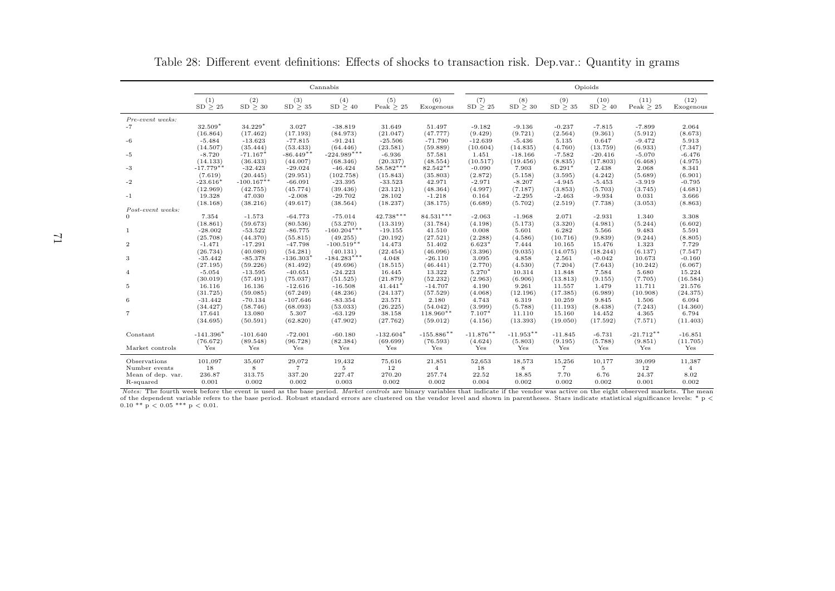|                   |                       |                          |                            | Cannabis               |                       |                         |                            |                     |                     | Opioids             |                     |                     |
|-------------------|-----------------------|--------------------------|----------------------------|------------------------|-----------------------|-------------------------|----------------------------|---------------------|---------------------|---------------------|---------------------|---------------------|
|                   | (1)<br>$SD \geq 25$   | (2)<br>$SD \geq 30$      | (3)<br>$\text{SD} \geq 35$ | (4)<br>$SD \geq 40$    | (5)<br>Peak $\geq 25$ | (6)<br>Exogenous        | (7)<br>$\text{SD} \geq 25$ | (8)<br>SD > 30      | (9)<br>SD > 35      | (10)<br>SD > 40     | (11)<br>Peak $> 25$ | (12)<br>Exogenous   |
| Pre-event weeks:  |                       |                          |                            |                        |                       |                         |                            |                     |                     |                     |                     |                     |
| -7                | 32.509*               | 34.229*                  | 3.027                      | $-38.819$              | 31.649                | 51.497                  | $-9.182$                   | $-9.136$            | $-0.237$            | $-7.815$            | $-7.899$            | 2.064               |
|                   | (16.864)              | (17.462)                 | (17.193)                   | (84.973)               | (21.047)              | (47.777)                | (9.429)                    | (9.721)             | (2.564)             | (9.361)             | (5.912)             | (8.673)             |
| -6                | $-5.484$              | $-13.623$                | $-77.815$                  | $-91.241$              | $-25.506$             | $-71.790$               | $-12.639$                  | $-5.436$            | 5.135               | 0.647               | $-9.472$            | 5.913               |
|                   | (14.507)              | (35.444)                 | (53.433)                   | (64.446)               | (23.581)              | (59.889)                | (10.604)                   | (14.835)            | (4.760)             | (13.759)            | (6.933)             | (7.347)             |
| -5                | $-8.720$              | $-71.167*$               | $-86.449**$                | $-224.989***$          | $-6.936$              | 57.581                  | 1.451                      | $-18.166$           | $-7.582$            | $-20.416$           | $-5.070$            | $-6.476$            |
|                   | (14.133)              | (36.433)                 | (44.007)                   | (68.346)               | (20.337)              | (48.554)                | (10.517)                   | (19.456)            | (8.835)             | (17.803)            | (6.468)             | (4.975)             |
| -3                | $-17.779**$           | $-32.423$                | $-29.024$                  | $-46.424$              | 58.582***             | $82.542**$              | $-0.090$                   | 7.903               | $6.291*$            | 2.438               | 2.068               | 8.341               |
|                   | (7.619)<br>$-23.616*$ | (20.445)<br>$-100.167**$ | (29.951)<br>$-66.091$      | (102.758)<br>$-23.395$ | (15.843)<br>$-33.523$ | (35.803)<br>42.971      | (2.872)<br>$-2.971$        | (5.158)<br>$-8.207$ | (3.595)             | (4.242)             | (5.689)<br>$-3.919$ | (6.901)<br>$-0.795$ |
| $-2$              | (12.969)              | (42.755)                 | (45.774)                   | (39.436)               | (23.121)              | (48.364)                | (4.997)                    | (7.187)             | $-4.945$<br>(3.853) | $-5.453$<br>(5.703) | (3.745)             | (4.681)             |
| $-1$              | 19.328                | 47.030                   | $-2.008$                   | $-29.702$              | 28.102                | $-1.218$                | 0.164                      | $-2.295$            | $-2.463$            | $-9.934$            | 0.031               | 3.666               |
|                   | (18.168)              | (38.216)                 | (49.617)                   | (38.564)               | (18.237)              | (38.175)                | (6.689)                    | (5.702)             | (2.519)             | (7.738)             | (3.053)             | (8.863)             |
| Post-event weeks: |                       |                          |                            |                        |                       |                         |                            |                     |                     |                     |                     |                     |
|                   | 7.354                 | $-1.573$                 | $-64.773$                  | $-75.014$              | $42.738***$           | $84.531***$             | $-2.063$                   | $-1.968$            | 2.071               | $-2.931$            | 1.340               | 3.308               |
|                   | (18.861)              | (59.673)                 | (80.536)                   | (53.270)               | (13.319)              | (31.784)                | (4.198)                    | (5.173)             | (3.320)             | (4.981)             | (5.244)             | (6.602)             |
| 1                 | $-28.002$             | $-53.522$                | $-86.775$                  | $-160.204***$          | $-19.155$             | 41.510                  | 0.008                      | 5.601               | 6.282               | 5.566               | 9.483               | 5.591               |
|                   | (25.708)              | (44.370)                 | (55.815)                   | (49.255)               | (20.192)              | (27.521)                | (2.288)                    | (4.586)             | (10.716)            | (9.839)             | (9.244)             | (8.805)             |
| $\overline{2}$    | $-1.471$              | $-17.291$                | $-47.798$                  | $-100.519**$           | 14.473                | 51.402                  | $6.623*$                   | 7.444               | 10.165              | 15.476              | 1.323               | 7.729               |
|                   | (26.734)              | (40.080)                 | (54.281)                   | (40.131)               | (22.454)              | (46.096)                | (3.396)                    | (9.035)             | (14.075)            | (18.244)            | (6.137)             | (7.547)             |
| 3                 | $-35.442$             | $-85.378$                | $-136.303'$                | $-184.283***$          | 4.048                 | $-26.110$               | 3.095                      | 4.858               | 2.561               | $-0.042$            | 10.673              | $-0.160$            |
|                   | (27.195)              | (59.226)                 | (81.492)                   | (49.696)               | (18.515)              | (46.441)                | (2.770)                    | (4.530)             | (7.204)             | (7.643)             | (10.242)            | (6.067)             |
| $\overline{4}$    | $-5.054$              | $-13.595$                | $-40.651$                  | $-24.223$              | 16.445                | 13.322                  | 5.270*                     | 10.314              | 11.848              | 7.584               | 5.680               | 15.224              |
|                   | (30.019)              | (57.491)                 | (75.037)                   | (51.525)               | (21.879)              | (52.232)                | (2.963)                    | (6.906)             | (13.813)            | (9.155)             | (7.705)             | (16.584)            |
| 5                 | 16.116                | 16.136                   | $-12.616$                  | $-16.508$              | $41.441*$             | $-14.707$               | 4.190                      | 9.261               | 11.557              | 1.479               | 11.711              | 21.576              |
|                   | (31.725)              | (59.085)                 | (67.249)                   | (48.236)               | (24.137)              | (57.529)                | (4.068)                    | (12.196)            | (17.385)            | (6.989)             | (10.908)            | (24.375)            |
| 6                 | $-31.442$             | $-70.134$                | $-107.646$                 | $-83.354$              | 23.571                | 2.180                   | 4.743                      | 6.319               | 10.259              | 9.845               | 1.506               | 6.094               |
| 7                 | (34.427)<br>17.641    | (58.746)<br>13.080       | (68.093)<br>5.307          | (53.033)<br>$-63.129$  | (26.225)<br>38.158    | (54.042)<br>$118.960**$ | (3.999)<br>$7.107*$        | (5.788)<br>11.110   | (11.193)<br>15.160  | (8.438)<br>14.452   | (7.243)<br>4.365    | (14.360)<br>6.794   |
|                   | (34.695)              | (50.591)                 | (62.820)                   | (47.902)               | (27.762)              | (59.012)                | (4.156)                    | (13.393)            | (19.050)            | (17.592)            | (7.571)             | (11.403)            |
|                   |                       |                          |                            |                        |                       |                         |                            |                     |                     |                     |                     |                     |
| Constant          | $-141.396*$           | $-101.640$               | $-72.001$                  | $-60.180$              | $-132.604*$           | $-155.886**$            | $-11.876***$               | $-11.953**$         | $-11.845$           | $-6.731$            | $-21.712**$         | $-16.851$           |
|                   | (76.672)              | (89.548)                 | (96.728)                   | (82.384)               | (69.699)              | (76.593)                | (4.624)                    | (5.803)             | (9.195)             | (5.788)             | (9.851)             | (11.705)            |
| Market controls   | Yes                   | Yes                      | Yes                        | Yes                    | Yes                   | Yes                     | Yes                        | Yes                 | Yes                 | Yes                 | Yes                 | Yes                 |
|                   |                       |                          |                            |                        |                       |                         |                            |                     |                     |                     |                     |                     |
| Observations      | 101,097               | 35,607                   | 29,072                     | 19,432                 | 75,616                | 21,851                  | 52,653                     | 18,573              | 15,256              | 10,177              | 39,099              | 11,387              |
| Number events     | 18                    | 8                        | $\overline{7}$             | 5                      | 12                    | $\overline{4}$          | 18                         | 8                   | $\overline{7}$      | 5                   | 12                  | $\overline{4}$      |
| Mean of dep. var. | 236.87                | 313.75                   | 337.20                     | 227.47                 | 270.20                | 257.74                  | 22.52                      | 18.85               | 7.70                | 6.76                | 24.37               | 8.02                |
| R-squared         | 0.001                 | 0.002                    | 0.002                      | 0.003                  | 0.002                 | 0.002                   | 0.004                      | 0.002               | 0.002               | 0.002               | 0.001               | 0.002               |

Table 28: Different event definitions: Effects of shocks to transaction risk. Dep.var.: Quantity in grams

Notes: The fourth week before the event is used as the base period. Market controls are binary variables that indicate if the vendor was active on the eight observed markets. The mean of the dependent variable refers to the base period. Robust standard errors are clustered on the vendor level and shown in parentheses. Stars indicate statistical significance levels: \* p < 0.01.<br>0.10 \*\* p < 0.05 \*\*\* p <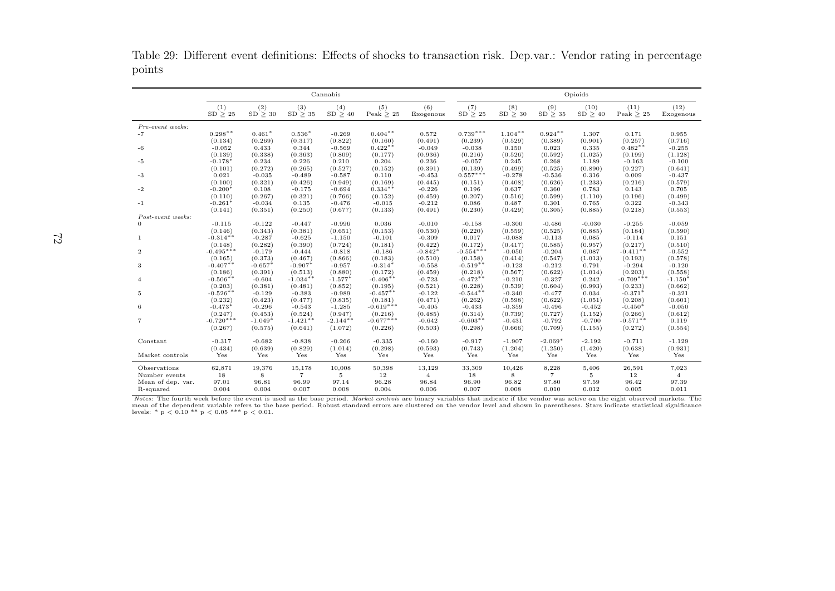Table 29: Different event definitions: Effects of shocks to transaction risk. Dep.var.: Vendor rating in percentagepoints

|                   |                       |                     |                     | Cannabis            |                     |                     |                  |                     |                     | Opioids          |                        |                   |
|-------------------|-----------------------|---------------------|---------------------|---------------------|---------------------|---------------------|------------------|---------------------|---------------------|------------------|------------------------|-------------------|
|                   | (1)<br>SD > 25        | (2)<br>SD > 30      | (3)<br>SD > 35      | (4)<br>SD > 40      | (5)<br>Peak $> 25$  | (6)<br>Exogenous    | (7)<br>SD > 25   | (8)<br>$SD \geq 30$ | (9)<br>$SD \geq 35$ | (10)<br>SD > 40  | (11)<br>Peak $\geq 25$ | (12)<br>Exogenous |
| Pre-event weeks:  |                       |                     |                     |                     |                     |                     |                  |                     |                     |                  |                        |                   |
| $-7$              | $0.298**$             | $0.461*$            | $0.536*$            | $-0.269$            | $0.404**$           | 0.572               | $0.739***$       | $1.104**$           | $0.924**$           | 1.307            | 0.171                  | 0.955             |
|                   | (0.134)               | (0.269)             | (0.317)             | (0.822)             | (0.160)             | (0.491)             | (0.239)          | (0.529)             | (0.389)             | (0.901)          | (0.257)                | (0.716)           |
| -6                | $-0.052$              | 0.433               | 0.344               | $-0.569$            | $0.422**$           | $-0.049$            | $-0.038$         | 0.150               | 0.023               | 0.335            | $0.482**$              | $-0.255$          |
|                   | (0.139)               | (0.338)             | (0.363)             | (0.809)             | (0.177)             | (0.936)             | (0.216)          | (0.526)             | (0.592)             | (1.025)          | (0.199)                | (1.128)           |
| -5                | $-0.178$ <sup>*</sup> | 0.234               | 0.226               | 0.210               | 0.204               | 0.236               | $-0.057$         | 0.245               | 0.268               | 1.189            | $-0.163$               | $-0.100$          |
|                   | (0.101)               | (0.272)             | (0.265)             | (0.527)             | (0.152)             | (0.391)             | (0.139)          | (0.499)             | (0.525)             | (0.890)          | (0.227)                | (0.641)           |
| -3                | 0.021                 | $-0.035$            | $-0.489$            | $-0.587$            | 0.110               | $-0.453$            | $0.557***$       | $-0.278$            | $-0.536$            | 0.316            | 0.009                  | $-0.437$          |
|                   | (0.100)               | (0.321)             | (0.426)             | (0.949)             | (0.169)             | (0.445)             | (0.151)          | (0.408)             | (0.626)             | (1.233)          | (0.216)                | (0.579)           |
| $-2$              | $-0.200*$             | 0.108               | $-0.175$            | $-0.694$            | $0.334**$           | $-0.226$            | 0.196            | 0.637               | 0.360               | 0.783            | 0.143                  | 0.705             |
|                   | (0.110)               | (0.267)             | (0.321)             | (0.766)             | (0.152)             | (0.459)             | (0.207)          | (0.516)             | (0.599)             | (1.110)          | (0.196)                | (0.499)           |
| $-1$              | $-0.261*$             | $-0.034$            | 0.135               | $-0.476$            | $-0.015$            | $-0.212$            | 0.086            | 0.487               | 0.301               | 0.765            | 0.322                  | $-0.343$          |
|                   | (0.141)               | (0.351)             | (0.250)             | (0.677)             | (0.133)             | (0.491)             | (0.230)          | (0.429)             | (0.305)             | (0.885)          | (0.218)                | (0.553)           |
| Post-event weeks: |                       |                     |                     |                     |                     |                     |                  |                     |                     |                  |                        |                   |
| $\Omega$          | $-0.115$              | $-0.122$            | $-0.447$            | $-0.996$            | 0.036               | $-0.010$            | $-0.158$         | $-0.300$            | $-0.486$            | $-0.030$         | $-0.255$               | $-0.059$          |
|                   | (0.146)<br>$-0.314**$ | (0.343)<br>$-0.287$ | (0.381)<br>$-0.625$ | (0.651)<br>$-1.150$ | (0.153)<br>$-0.101$ | (0.530)<br>$-0.309$ | (0.220)<br>0.017 | (0.559)<br>$-0.088$ | (0.525)<br>$-0.113$ | (0.885)<br>0.085 | (0.184)<br>$-0.114$    | (0.590)<br>0.151  |
| 1                 | (0.148)               | (0.282)             | (0.390)             | (0.724)             | (0.181)             | (0.422)             | (0.172)          | (0.417)             | (0.585)             | (0.957)          | (0.217)                | (0.510)           |
| $\overline{2}$    | $-0.495***$           | $-0.179$            | $-0.444$            | $-0.818$            | $-0.186$            | $-0.842*$           | $-0.554***$      | $-0.050$            | $-0.204$            | 0.087            | $-0.411**$             | $-0.552$          |
|                   | (0.165)               | (0.373)             | (0.467)             | (0.866)             | (0.183)             | (0.510)             | (0.158)          | (0.414)             | (0.547)             | (1.013)          | (0.193)                | (0.578)           |
| 3                 | $-0.407**$            | $-0.657*$           | $-0.907*$           | $-0.957$            | $-0.314'$           | $-0.558$            | $-0.519**$       | $-0.123$            | $-0.212$            | 0.791            | $-0.294$               | $-0.120$          |
|                   | (0.186)               | (0.391)             | (0.513)             | (0.880)             | (0.172)             | (0.459)             | (0.218)          | (0.567)             | (0.622)             | (1.014)          | (0.203)                | (0.558)           |
| $\overline{4}$    | $-0.506**$            | $-0.604$            | $-1.034**$          | $-1.577*$           | $-0.406**$          | $-0.723$            | $-0.472**$       | $-0.210$            | $-0.327$            | 0.242            | $-0.709***$            | $-1.150*$         |
|                   | (0.203)               | (0.381)             | (0.481)             | (0.852)             | (0.195)             | (0.521)             | (0.228)          | (0.539)             | (0.604)             | (0.993)          | (0.233)                | (0.662)           |
| 5                 | $-0.526**$            | $-0.129$            | $-0.383$            | $-0.989$            | $-0.457**$          | $-0.122$            | $-0.544$ **      | $-0.340$            | $-0.477$            | 0.034            | $-0.371*$              | $-0.321$          |
|                   | (0.232)               | (0.423)             | (0.477)             | (0.835)             | (0.181)             | (0.471)             | (0.262)          | (0.598)             | (0.622)             | (1.051)          | (0.208)                | (0.601)           |
| 6                 | $-0.473*$             | $-0.296$            | $-0.543$            | $-1.285$            | $-0.619***$         | $-0.405$            | $-0.433$         | $-0.359$            | $-0.496$            | $-0.452$         | $-0.450*$              | $-0.050$          |
|                   | (0.247)               | (0.453)             | (0.524)             | (0.947)             | (0.216)             | (0.485)             | (0.314)          | (0.739)             | (0.727)             | (1.152)          | (0.266)                | (0.612)           |
| 7                 | $-0.720***$           | $-1.049*$           | $-1.421**$          | $-2.144$ **         | $-0.677***$         | $-0.642$            | $-0.603**$       | $-0.431$            | $-0.792$            | $-0.700$         | $-0.571**$             | 0.119             |
|                   | (0.267)               | (0.575)             | (0.641)             | (1.072)             | (0.226)             | (0.503)             | (0.298)          | (0.666)             | (0.709)             | (1.155)          | (0.272)                | (0.554)           |
|                   |                       |                     |                     |                     |                     |                     |                  |                     |                     |                  |                        |                   |
| Constant          | $-0.317$              | $-0.682$            | $-0.838$            | $-0.266$            | $-0.335$            | $-0.160$            | $-0.917$         | $-1.907$            | $-2.069*$           | $-2.192$         | $-0.711$               | $-1.129$          |
|                   | (0.434)               | (0.639)             | (0.829)             | (1.014)             | (0.298)             | (0.593)             | (0.743)          | (1.204)             | (1.250)             | (1.420)          | (0.638)                | (0.931)           |
| Market controls   | Yes                   | Yes                 | Yes                 | Yes                 | Yes                 | Yes                 | Yes              | Yes                 | Yes                 | Yes              | Yes                    | Yes               |
| Observations      | 62,871                | 19,376              | 15,178              | 10,008              | 50,398              | 13,129              | 33,309           | 10,426              | 8,228               | 5,406            | 26,591                 | 7,023             |
| Number events     | 18                    | 8                   | $\overline{7}$      | 5                   | 12                  | $\overline{4}$      | 18               | 8                   | $\overline{7}$      | 5                | 12                     | $\overline{4}$    |
| Mean of dep. var. | 97.01                 | 96.81               | 96.99               | 97.14               | 96.28               | 96.84               | 96.90            | 96.82               | 97.80               | 97.59            | 96.42                  | 97.39             |
| R-squared         | 0.004                 | 0.004               | 0.007               | 0.008               | 0.004               | 0.006               | 0.007            | 0.008               | 0.010               | 0.012            | 0.005                  | 0.011             |

Notes: The fourth week before the event is used as the base period. Market controls are binary variables that indicate if the vendor was active on the eight observed markets. The mean of the dependent variable refers to the base period. Robust standard errors are clustered on the vendor level and shown in parentheses. Stars indicate statistical significancelevels: \*  $p < 0.10$  \*\*  $p < 0.05$  \*\*\*  $p < 0.01$ .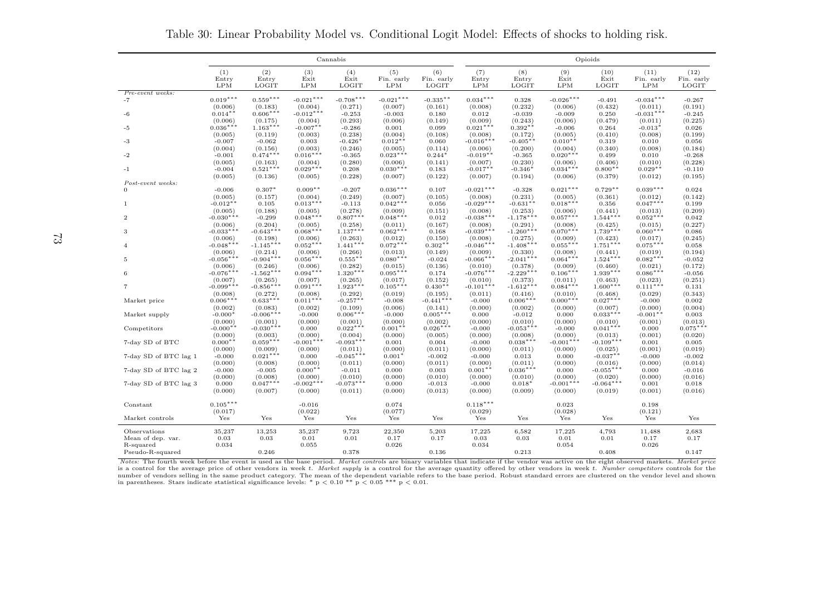|                       |                       |                        |                       | Cannabis              |                                 |                            |                        |                       |                        | Opioids               |                           |                             |
|-----------------------|-----------------------|------------------------|-----------------------|-----------------------|---------------------------------|----------------------------|------------------------|-----------------------|------------------------|-----------------------|---------------------------|-----------------------------|
|                       | (1)<br>Entry<br>LPM   | (2)<br>Entry<br>LOGIT  | (3)<br>Exit<br>LPM    | (4)<br>Exit<br>LOGIT  | (5)<br>Fin. early<br><b>LPM</b> | (6)<br>Fin. early<br>LOGIT | (7)<br>Entry<br>LPM    | (8)<br>Entry<br>LOGIT | (9)<br>Exit<br>LPM     | (10)<br>Exit<br>LOGIT | (11)<br>Fin. early<br>LPM | (12)<br>Fin. early<br>LOGIT |
| Pre-event weeks:      |                       |                        |                       |                       |                                 |                            |                        |                       |                        |                       |                           |                             |
| $-7$                  | $0.019***$            | $0.559***$             | $-0.021***$           | $-0.708***$           | $-0.021***$                     | $-0.335**$                 | $0.034***$             | 0.328                 | $-0.026***$            | $-0.491$              | $-0.034***$               | $-0.267$                    |
|                       | (0.006)               | (0.183)                | (0.004)               | (0.271)               | (0.007)                         | (0.161)                    | (0.008)                | (0.232)               | (0.006)                | (0.432)               | (0.011)                   | (0.191)                     |
| $-6$                  | $0.014**$             | $0.606***$             | $-0.012***$           | $-0.253$              | $-0.003$                        | 0.180                      | 0.012                  | $-0.039$              | $-0.009$               | 0.250                 | $-0.031***$               | $-0.245$                    |
|                       | (0.006)               | (0.175)                | (0.004)               | (0.293)               | (0.006)                         | (0.149)                    | (0.009)                | (0.243)               | (0.006)                | (0.479)               | (0.011)                   | (0.225)                     |
| -5                    | $0.036***$            | $1.163***$             | $-0.007$ **           | $-0.286$              | 0.001                           | 0.099                      | $0.021***$             | $0.392**$             | $-0.006$               | 0.264                 | $-0.013*$                 | 0.026                       |
|                       | (0.005)               | (0.119)                | (0.003)               | (0.238)               | (0.004)                         | (0.108)                    | (0.008)                | (0.172)               | (0.005)                | (0.410)               | (0.008)                   | (0.199)                     |
| $-3$                  | $-0.007$              | $-0.062$               | 0.003                 | $-0.426*$             | $0.012**$                       | 0.060                      | $-0.016***$            | $-0.405**$            | $0.010**$              | 0.319                 | 0.010                     | 0.056                       |
|                       | (0.004)               | (0.156)                | (0.003)               | (0.246)               | (0.005)                         | (0.114)                    | (0.006)                | (0.200)               | (0.004)                | (0.340)               | (0.008)                   | (0.184)                     |
| -2                    | $-0.001$              | $0.474***$             | $0.016***$            | $-0.365$              | $0.023***$                      | $0.244*$                   | $-0.019**$             | $-0.365$              | $0.020***$             | 0.499                 | 0.010                     | $-0.268$                    |
|                       | (0.005)               | (0.163)                | (0.004)               | (0.280)               | (0.006)                         | (0.141)                    | (0.007)                | (0.230)               | (0.006)                | (0.406)               | (0.010)                   | (0.228)                     |
| $-1$                  | $-0.004$              | $0.521***$             | $0.029***$            | 0.208                 | $0.030***$                      | 0.183                      | $-0.017**$             | $-0.346*$             | $0.034***$             | $0.800**$             | $0.029**$                 | $-0.110$                    |
|                       | (0.005)               | (0.136)                | (0.005)               | (0.228)               | (0.007)                         | (0.122)                    | (0.007)                | (0.194)               | (0.006)                | (0.379)               | (0.012)                   | (0.195)                     |
| Post-event weeks:     |                       |                        |                       |                       | $0.036***$                      |                            | $-0.021***$            |                       |                        | $0.729**$             | $0.039***$                |                             |
| $\theta$              | $-0.006$<br>(0.005)   | $0.307*$               | $0.009**$             | $-0.207$              | (0.007)                         | 0.107<br>(0.105)           |                        | $-0.328$              | $0.021***$             |                       |                           | 0.024                       |
| -1                    | $-0.012**$            | (0.157)<br>0.105       | (0.004)<br>$0.013***$ | (0.249)<br>$-0.113$   | $0.042***$                      | 0.056                      | (0.008)<br>$-0.029***$ | (0.231)<br>$-0.631$ * | (0.005)<br>$0.018***$  | (0.361)<br>0.356      | (0.012)<br>$0.047***$     | (0.142)<br>0.199            |
|                       | (0.005)               | (0.188)                | (0.005)               | (0.278)               | (0.009)                         | (0.151)                    | (0.008)                | (0.253)               | (0.006)                | (0.441)               | (0.013)                   | (0.209)                     |
| $\boldsymbol{2}$      | $-0.030***$           | $-0.299$               | $0.048***$            | $0.807***$            | $0.048***$                      | 0.012                      | $-0.038***$            | $-1.178***$           | $0.057***$             | $1.544***$            | $0.052***$                | 0.042                       |
|                       | (0.006)               | (0.204)                | (0.005)               | (0.258)               | (0.011)                         | (0.167)                    | (0.008)                | (0.291)               | (0.008)                | (0.425)               | (0.015)                   | (0.227)                     |
| 3                     | $-0.033***$           | $-0.643***$            | $0.068***$            | $1.137***$            | $0.062***$                      | 0.168                      | $-0.039***$            | $-1.260***$           | $0.070***$             | $1.739***$            | $0.060***$                | 0.086                       |
|                       | (0.006)               | (0.198)                | (0.006)               | (0.263)               | (0.012)                         | (0.150)                    | (0.008)                | (0.275)               | (0.009)                | (0.423)               | (0.017)                   | (0.245)                     |
| $\overline{4}$        | $-0.048***$           | $-1.145***$            | $0.052***$            | $1.441***$            | $0.072***$                      | $0.302**$                  | $-0.046***$            | $-1.408***$           | $0.055***$             | $1.751***$            | $0.075***$                | 0.058                       |
|                       | (0.006)               | (0.214)                | (0.006)               | (0.266)               | (0.013)                         | (0.149)                    | (0.009)                | (0.330)               | (0.008)                | (0.441)               | (0.019)                   | (0.194)                     |
| 5                     | $-0.056***$           | $-0.904***$            | $0.056***$            | $0.555***$            | $0.080***$                      | $-0.024$                   | $-0.066***$            | $-2.041***$           | $0.064***$             | $1.524***$            | $0.082***$                | $-0.052$                    |
|                       | (0.006)               | (0.246)                | (0.006)               | (0.282)               | (0.015)                         | (0.136)                    | (0.010)                | (0.378)               | (0.009)                | (0.460)               | (0.021)                   | (0.172)                     |
| 6                     | $-0.076***$           | $-1.562***$            | $0.094***$            | $1.320***$            | $0.095***$                      | 0.174                      | $-0.076***$            | $-2.229***$           | $0.106***$             | $1.939***$            | $0.086***$                | $-0.056$                    |
|                       | (0.007)               | (0.265)                | (0.007)               | (0.265)               | (0.017)                         | (0.152)                    | (0.010)                | (0.373)               | (0.011)                | (0.463)               | (0.023)                   | (0.251)                     |
| 7                     | $-0.099***$           | $-0.856***$            | $0.091***$            | $1.923***$            | $0.105***$                      | $0.430**$                  | $-0.101***$            | $-1.612***$           | $0.084***$             | $1.600***$            | $0.111***$                | 0.131                       |
|                       | (0.008)               | (0.272)                | (0.008)               | (0.292)               | (0.019)                         | (0.195)                    | (0.011)                | (0.416)               | (0.010)                | (0.468)               | (0.029)                   | (0.343)                     |
| Market price          | $0.006***$            | $0.633***$             | $0.011***$            | $-0.257**$            | $-0.008$                        | $-0.441***$                | $-0.000$               | $0.006***$            | $0.000***$             | $0.027***$            | $-0.000$                  | 0.002                       |
|                       | (0.002)               | (0.083)                | (0.002)               | (0.109)               | (0.006)                         | (0.141)                    | (0.000)                | (0.002)               | (0.000)                | (0.007)               | (0.000)                   | (0.004)                     |
| Market supply         | $-0.000*$             | $-0.006***$            | $-0.000$              | $0.006***$            | $-0.000$                        | $0.005***$                 | 0.000                  | $-0.012$              | 0.000                  | $0.033***$            | $-0.001**$                | 0.003                       |
|                       | (0.000)               | (0.001)                | (0.000)               | (0.001)<br>$0.022***$ | (0.000)                         | (0.002)                    | (0.000)                | (0.010)               | (0.000)                | (0.010)<br>$0.041***$ | (0.001)                   | (0.013)                     |
| Competitors           | $-0.000**$<br>(0.000) | $-0.030***$<br>(0.003) | 0.000<br>(0.000)      | (0.004)               | $0.001**$<br>(0.000)            | $0.026***$<br>(0.005)      | $-0.000$<br>(0.000)    | $-0.053***$           | $-0.000$               | (0.013)               | 0.000<br>(0.001)          | $0.075***$                  |
| 7-day SD of BTC       | $0.000**$             | $0.059***$             | $-0.001***$           | $-0.093***$           | 0.001                           | 0.004                      | $-0.000$               | (0.008)<br>$0.038***$ | (0.000)<br>$-0.001***$ | $-0.109***$           | 0.001                     | (0.020)<br>0.005            |
|                       | (0.000)               | (0.009)                | (0.000)               | (0.011)               | (0.000)                         | (0.011)                    | (0.000)                | (0.011)               | (0.000)                | (0.025)               | (0.001)                   | (0.019)                     |
| 7-day SD of BTC lag 1 | $-0.000$              | $0.021***$             | 0.000                 | $-0.045***$           | $0.001*$                        | $-0.002$                   | $-0.000$               | 0.013                 | 0.000                  | $-0.037**$            | $-0.000$                  | $-0.002$                    |
|                       | (0.000)               | (0.008)                | (0.000)               | (0.011)               | (0.000)                         | (0.011)                    | (0.000)                | (0.011)               | (0.000)                | (0.016)               | (0.000)                   | (0.014)                     |
| 7-day SD of BTC lag 2 | $-0.000$              | $-0.005$               | $0.000**$             | $-0.011$              | 0.000                           | 0.003                      | $0.001**$              | $0.036***$            | 0.000                  | $-0.055***$           | 0.000                     | $-0.016$                    |
|                       | (0.000)               | (0.008)                | (0.000)               | (0.010)               | (0.000)                         | (0.010)                    | (0.000)                | (0.010)               | (0.000)                | (0.020)               | (0.000)                   | (0.016)                     |
| 7-day SD of BTC lag 3 | 0.000                 | $0.047***$             | $-0.002***$           | $-0.073***$           | 0.000                           | $-0.013$                   | $-0.000$               | $0.018*$              | $-0.001***$            | $-0.064***$           | 0.001                     | 0.018                       |
|                       | (0.000)               | (0.007)                | (0.000)               | (0.011)               | (0.000)                         | (0.013)                    | (0.000)                | (0.009)               | (0.000)                | (0.019)               | (0.001)                   | (0.016)                     |
|                       |                       |                        |                       |                       |                                 |                            |                        |                       |                        |                       |                           |                             |
| Constant              | $0.105***$            |                        | $-0.016$              |                       | 0.074                           |                            | $0.118***$             |                       | 0.023                  |                       | 0.198                     |                             |
|                       | (0.017)               |                        | (0.022)               |                       | (0.077)                         |                            | (0.029)                |                       | (0.028)                |                       | (0.121)                   |                             |
| Market controls       | Yes                   | Yes                    | Yes                   | Yes                   | Yes                             | Yes                        | Yes                    | Yes                   | Yes                    | Yes                   | Yes                       | Yes                         |
| Observations          | 35,237                | 13,253                 | 35,237                | 9,723                 | 22,350                          | 5,203                      | 17,225                 | 6,582                 | 17,225                 | 4,793                 | 11,488                    | 2,683                       |
| Mean of dep. var.     | 0.03                  | $\rm 0.03$             | $0.01\,$              | 0.01                  | 0.17                            | 0.17                       | 0.03                   | 0.03                  | 0.01                   | 0.01                  | 0.17                      | 0.17                        |
| R-squared             | 0.034                 |                        | 0.055                 |                       | 0.026                           |                            | 0.034                  |                       | 0.054                  |                       | 0.026                     |                             |
| Pseudo-R-squared      |                       | 0.246                  |                       | 0.378                 |                                 | 0.136                      |                        | 0.213                 |                        | 0.408                 |                           | 0.147                       |

Table 30: Linear Probability Model vs. Conditional Logit Model: Effects of shocks to holding risk.

Notes: The fourth week before the event is used as the base period. Market controls are binary variables that indicate if the vendor was active on the eight observed markets. Market price<br>is a control for the average price number of vendors selling in the same product category. The mean of the dependent variable refers to the base period. Robust standard errors are clustered on the vendor level and shown<br>in parentheses. Stars indicate stati